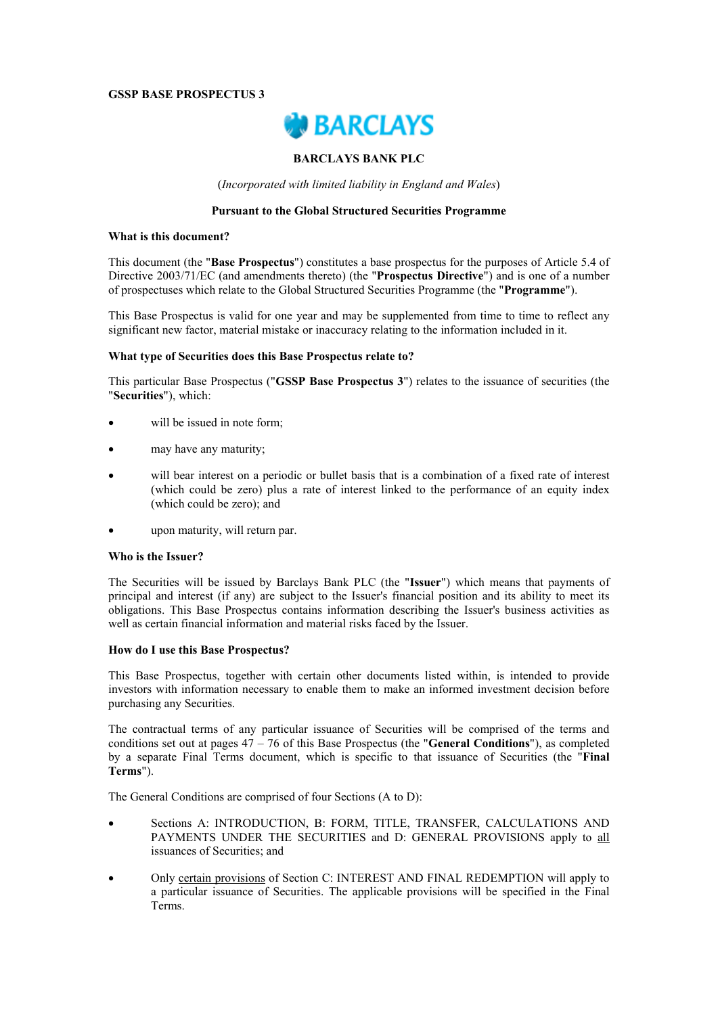## **GSSP BASE PROSPECTUS 3**



## **BARCLAYS BANK PLC**

(*Incorporated with limited liability in England and Wales*)

## **Pursuant to the Global Structured Securities Programme**

#### **What is this document?**

This document (the "**Base Prospectus**") constitutes a base prospectus for the purposes of Article 5.4 of Directive 2003/71/EC (and amendments thereto) (the "**Prospectus Directive**") and is one of a number of prospectuses which relate to the Global Structured Securities Programme (the "**Programme**").

This Base Prospectus is valid for one year and may be supplemented from time to time to reflect any significant new factor, material mistake or inaccuracy relating to the information included in it.

### **What type of Securities does this Base Prospectus relate to?**

This particular Base Prospectus ("**GSSP Base Prospectus 3**") relates to the issuance of securities (the "**Securities**"), which:

- will be issued in note form;
- may have any maturity;
- will bear interest on a periodic or bullet basis that is a combination of a fixed rate of interest (which could be zero) plus a rate of interest linked to the performance of an equity index (which could be zero); and
- upon maturity, will return par.

# **Who is the Issuer?**

The Securities will be issued by Barclays Bank PLC (the "**Issuer**") which means that payments of principal and interest (if any) are subject to the Issuer's financial position and its ability to meet its obligations. This Base Prospectus contains information describing the Issuer's business activities as well as certain financial information and material risks faced by the Issuer.

# **How do I use this Base Prospectus?**

This Base Prospectus, together with certain other documents listed within, is intended to provide investors with information necessary to enable them to make an informed investment decision before purchasing any Securities.

The contractual terms of any particular issuance of Securities will be comprised of the terms and conditions set out at pages 47 – 76 of this Base Prospectus (the "**General Conditions**"), as completed by a separate Final Terms document, which is specific to that issuance of Securities (the "**Final Terms**").

The General Conditions are comprised of four Sections (A to D):

- Sections A: INTRODUCTION, B: FORM, TITLE, TRANSFER, CALCULATIONS AND PAYMENTS UNDER THE SECURITIES and D: GENERAL PROVISIONS apply to all issuances of Securities; and
- Only certain provisions of Section C: INTEREST AND FINAL REDEMPTION will apply to a particular issuance of Securities. The applicable provisions will be specified in the Final Terms.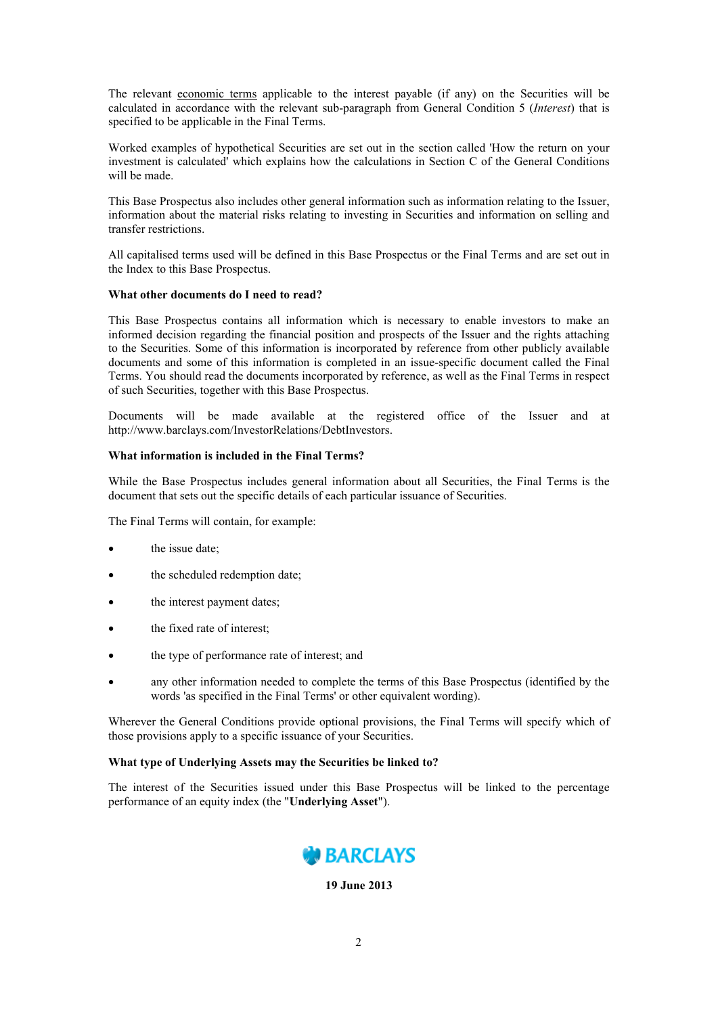The relevant economic terms applicable to the interest payable (if any) on the Securities will be calculated in accordance with the relevant sub-paragraph from General Condition 5 (*Interest*) that is specified to be applicable in the Final Terms.

Worked examples of hypothetical Securities are set out in the section called 'How the return on your investment is calculated' which explains how the calculations in Section C of the General Conditions will be made.

This Base Prospectus also includes other general information such as information relating to the Issuer, information about the material risks relating to investing in Securities and information on selling and transfer restrictions.

All capitalised terms used will be defined in this Base Prospectus or the Final Terms and are set out in the Index to this Base Prospectus.

## **What other documents do I need to read?**

This Base Prospectus contains all information which is necessary to enable investors to make an informed decision regarding the financial position and prospects of the Issuer and the rights attaching to the Securities. Some of this information is incorporated by reference from other publicly available documents and some of this information is completed in an issue-specific document called the Final Terms. You should read the documents incorporated by reference, as well as the Final Terms in respect of such Securities, together with this Base Prospectus.

Documents will be made available at the registered office of the Issuer and at http://www.barclays.com/InvestorRelations/DebtInvestors.

## **What information is included in the Final Terms?**

While the Base Prospectus includes general information about all Securities, the Final Terms is the document that sets out the specific details of each particular issuance of Securities.

The Final Terms will contain, for example:

- the issue date;
- the scheduled redemption date;
- the interest payment dates;
- the fixed rate of interest;
- the type of performance rate of interest; and
- any other information needed to complete the terms of this Base Prospectus (identified by the words 'as specified in the Final Terms' or other equivalent wording).

Wherever the General Conditions provide optional provisions, the Final Terms will specify which of those provisions apply to a specific issuance of your Securities.

### **What type of Underlying Assets may the Securities be linked to?**

The interest of the Securities issued under this Base Prospectus will be linked to the percentage performance of an equity index (the "**Underlying Asset**").



**19 June 2013**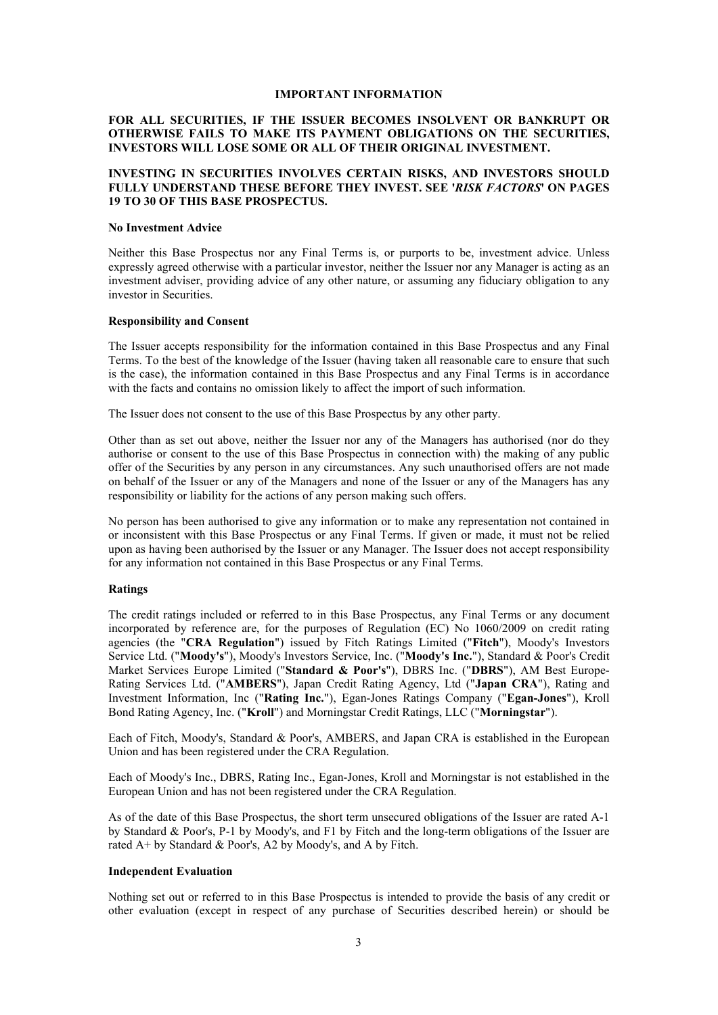### **IMPORTANT INFORMATION**

## **FOR ALL SECURITIES, IF THE ISSUER BECOMES INSOLVENT OR BANKRUPT OR OTHERWISE FAILS TO MAKE ITS PAYMENT OBLIGATIONS ON THE SECURITIES, INVESTORS WILL LOSE SOME OR ALL OF THEIR ORIGINAL INVESTMENT.**

## **INVESTING IN SECURITIES INVOLVES CERTAIN RISKS, AND INVESTORS SHOULD FULLY UNDERSTAND THESE BEFORE THEY INVEST. SEE '***RISK FACTORS***' ON PAGES 19 TO 30 OF THIS BASE PROSPECTUS.**

#### **No Investment Advice**

Neither this Base Prospectus nor any Final Terms is, or purports to be, investment advice. Unless expressly agreed otherwise with a particular investor, neither the Issuer nor any Manager is acting as an investment adviser, providing advice of any other nature, or assuming any fiduciary obligation to any investor in Securities.

#### **Responsibility and Consent**

The Issuer accepts responsibility for the information contained in this Base Prospectus and any Final Terms. To the best of the knowledge of the Issuer (having taken all reasonable care to ensure that such is the case), the information contained in this Base Prospectus and any Final Terms is in accordance with the facts and contains no omission likely to affect the import of such information.

The Issuer does not consent to the use of this Base Prospectus by any other party.

Other than as set out above, neither the Issuer nor any of the Managers has authorised (nor do they authorise or consent to the use of this Base Prospectus in connection with) the making of any public offer of the Securities by any person in any circumstances. Any such unauthorised offers are not made on behalf of the Issuer or any of the Managers and none of the Issuer or any of the Managers has any responsibility or liability for the actions of any person making such offers.

No person has been authorised to give any information or to make any representation not contained in or inconsistent with this Base Prospectus or any Final Terms. If given or made, it must not be relied upon as having been authorised by the Issuer or any Manager. The Issuer does not accept responsibility for any information not contained in this Base Prospectus or any Final Terms.

## **Ratings**

The credit ratings included or referred to in this Base Prospectus, any Final Terms or any document incorporated by reference are, for the purposes of Regulation (EC) No 1060/2009 on credit rating agencies (the "**CRA Regulation**") issued by Fitch Ratings Limited ("**Fitch**"), Moody's Investors Service Ltd. ("**Moody's**"), Moody's Investors Service, Inc. ("**Moody's Inc.**"), Standard & Poor's Credit Market Services Europe Limited ("**Standard & Poor's**"), DBRS Inc. ("**DBRS**"), AM Best Europe-Rating Services Ltd. ("**AMBERS**"), Japan Credit Rating Agency, Ltd ("**Japan CRA**"), Rating and Investment Information, Inc ("**Rating Inc.**"), Egan-Jones Ratings Company ("**Egan-Jones**"), Kroll Bond Rating Agency, Inc. ("**Kroll**") and Morningstar Credit Ratings, LLC ("**Morningstar**").

Each of Fitch, Moody's, Standard & Poor's, AMBERS, and Japan CRA is established in the European Union and has been registered under the CRA Regulation.

Each of Moody's Inc., DBRS, Rating Inc., Egan-Jones, Kroll and Morningstar is not established in the European Union and has not been registered under the CRA Regulation.

As of the date of this Base Prospectus, the short term unsecured obligations of the Issuer are rated A-1 by Standard & Poor's, P-1 by Moody's, and F1 by Fitch and the long-term obligations of the Issuer are rated A+ by Standard & Poor's, A2 by Moody's, and A by Fitch.

## **Independent Evaluation**

Nothing set out or referred to in this Base Prospectus is intended to provide the basis of any credit or other evaluation (except in respect of any purchase of Securities described herein) or should be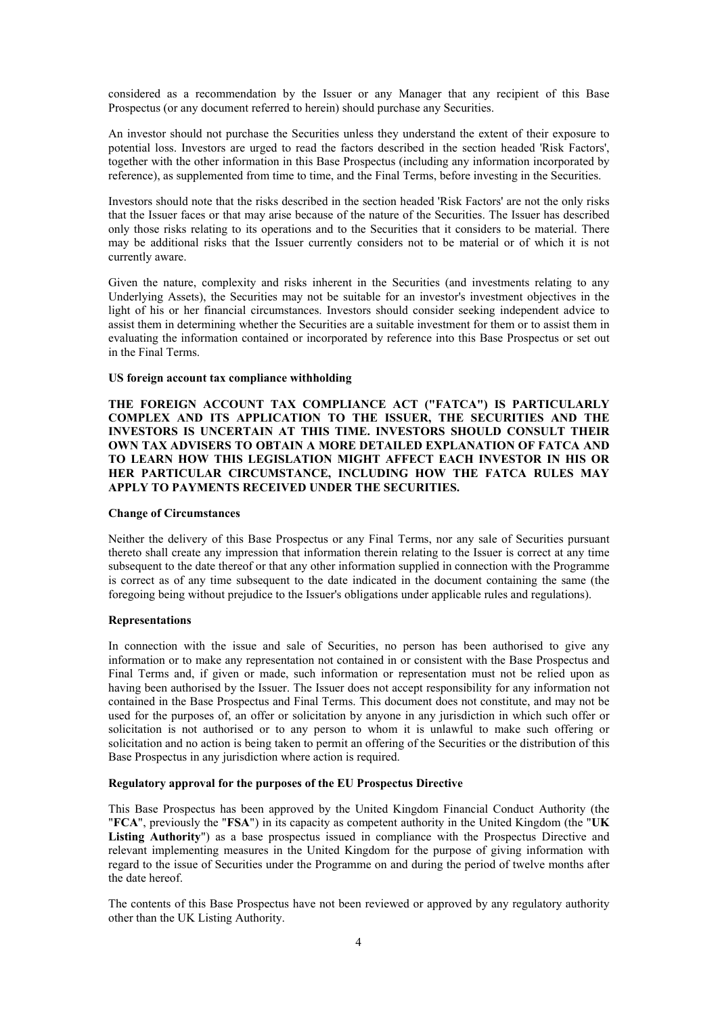considered as a recommendation by the Issuer or any Manager that any recipient of this Base Prospectus (or any document referred to herein) should purchase any Securities.

An investor should not purchase the Securities unless they understand the extent of their exposure to potential loss. Investors are urged to read the factors described in the section headed 'Risk Factors', together with the other information in this Base Prospectus (including any information incorporated by reference), as supplemented from time to time, and the Final Terms, before investing in the Securities.

Investors should note that the risks described in the section headed 'Risk Factors' are not the only risks that the Issuer faces or that may arise because of the nature of the Securities. The Issuer has described only those risks relating to its operations and to the Securities that it considers to be material. There may be additional risks that the Issuer currently considers not to be material or of which it is not currently aware.

Given the nature, complexity and risks inherent in the Securities (and investments relating to any Underlying Assets), the Securities may not be suitable for an investor's investment objectives in the light of his or her financial circumstances. Investors should consider seeking independent advice to assist them in determining whether the Securities are a suitable investment for them or to assist them in evaluating the information contained or incorporated by reference into this Base Prospectus or set out in the Final Terms.

### **US foreign account tax compliance withholding**

**THE FOREIGN ACCOUNT TAX COMPLIANCE ACT ("FATCA") IS PARTICULARLY COMPLEX AND ITS APPLICATION TO THE ISSUER, THE SECURITIES AND THE INVESTORS IS UNCERTAIN AT THIS TIME. INVESTORS SHOULD CONSULT THEIR OWN TAX ADVISERS TO OBTAIN A MORE DETAILED EXPLANATION OF FATCA AND TO LEARN HOW THIS LEGISLATION MIGHT AFFECT EACH INVESTOR IN HIS OR HER PARTICULAR CIRCUMSTANCE, INCLUDING HOW THE FATCA RULES MAY APPLY TO PAYMENTS RECEIVED UNDER THE SECURITIES.**

### **Change of Circumstances**

Neither the delivery of this Base Prospectus or any Final Terms, nor any sale of Securities pursuant thereto shall create any impression that information therein relating to the Issuer is correct at any time subsequent to the date thereof or that any other information supplied in connection with the Programme is correct as of any time subsequent to the date indicated in the document containing the same (the foregoing being without prejudice to the Issuer's obligations under applicable rules and regulations).

#### **Representations**

In connection with the issue and sale of Securities, no person has been authorised to give any information or to make any representation not contained in or consistent with the Base Prospectus and Final Terms and, if given or made, such information or representation must not be relied upon as having been authorised by the Issuer. The Issuer does not accept responsibility for any information not contained in the Base Prospectus and Final Terms. This document does not constitute, and may not be used for the purposes of, an offer or solicitation by anyone in any jurisdiction in which such offer or solicitation is not authorised or to any person to whom it is unlawful to make such offering or solicitation and no action is being taken to permit an offering of the Securities or the distribution of this Base Prospectus in any jurisdiction where action is required.

## **Regulatory approval for the purposes of the EU Prospectus Directive**

This Base Prospectus has been approved by the United Kingdom Financial Conduct Authority (the "**FCA**", previously the "**FSA**") in its capacity as competent authority in the United Kingdom (the "**UK Listing Authority**") as a base prospectus issued in compliance with the Prospectus Directive and relevant implementing measures in the United Kingdom for the purpose of giving information with regard to the issue of Securities under the Programme on and during the period of twelve months after the date hereof.

The contents of this Base Prospectus have not been reviewed or approved by any regulatory authority other than the UK Listing Authority.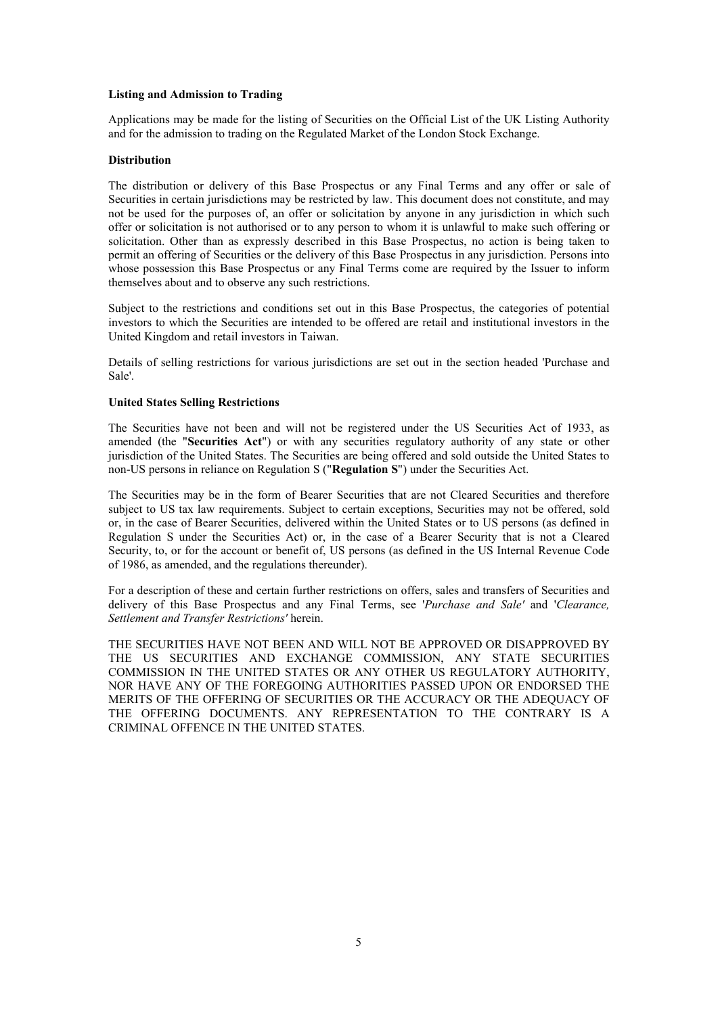## **Listing and Admission to Trading**

Applications may be made for the listing of Securities on the Official List of the UK Listing Authority and for the admission to trading on the Regulated Market of the London Stock Exchange.

## **Distribution**

The distribution or delivery of this Base Prospectus or any Final Terms and any offer or sale of Securities in certain jurisdictions may be restricted by law. This document does not constitute, and may not be used for the purposes of, an offer or solicitation by anyone in any jurisdiction in which such offer or solicitation is not authorised or to any person to whom it is unlawful to make such offering or solicitation. Other than as expressly described in this Base Prospectus, no action is being taken to permit an offering of Securities or the delivery of this Base Prospectus in any jurisdiction. Persons into whose possession this Base Prospectus or any Final Terms come are required by the Issuer to inform themselves about and to observe any such restrictions.

Subject to the restrictions and conditions set out in this Base Prospectus, the categories of potential investors to which the Securities are intended to be offered are retail and institutional investors in the United Kingdom and retail investors in Taiwan.

Details of selling restrictions for various jurisdictions are set out in the section headed 'Purchase and Sale'.

## **United States Selling Restrictions**

The Securities have not been and will not be registered under the US Securities Act of 1933, as amended (the "**Securities Act**") or with any securities regulatory authority of any state or other jurisdiction of the United States. The Securities are being offered and sold outside the United States to non-US persons in reliance on Regulation S ("**Regulation S**") under the Securities Act.

The Securities may be in the form of Bearer Securities that are not Cleared Securities and therefore subject to US tax law requirements. Subject to certain exceptions, Securities may not be offered, sold or, in the case of Bearer Securities, delivered within the United States or to US persons (as defined in Regulation S under the Securities Act) or, in the case of a Bearer Security that is not a Cleared Security, to, or for the account or benefit of, US persons (as defined in the US Internal Revenue Code of 1986, as amended, and the regulations thereunder).

For a description of these and certain further restrictions on offers, sales and transfers of Securities and delivery of this Base Prospectus and any Final Terms, see '*Purchase and Sale'* and '*Clearance, Settlement and Transfer Restrictions'* herein.

THE SECURITIES HAVE NOT BEEN AND WILL NOT BE APPROVED OR DISAPPROVED BY THE US SECURITIES AND EXCHANGE COMMISSION, ANY STATE SECURITIES COMMISSION IN THE UNITED STATES OR ANY OTHER US REGULATORY AUTHORITY, NOR HAVE ANY OF THE FOREGOING AUTHORITIES PASSED UPON OR ENDORSED THE MERITS OF THE OFFERING OF SECURITIES OR THE ACCURACY OR THE ADEQUACY OF THE OFFERING DOCUMENTS. ANY REPRESENTATION TO THE CONTRARY IS A CRIMINAL OFFENCE IN THE UNITED STATES.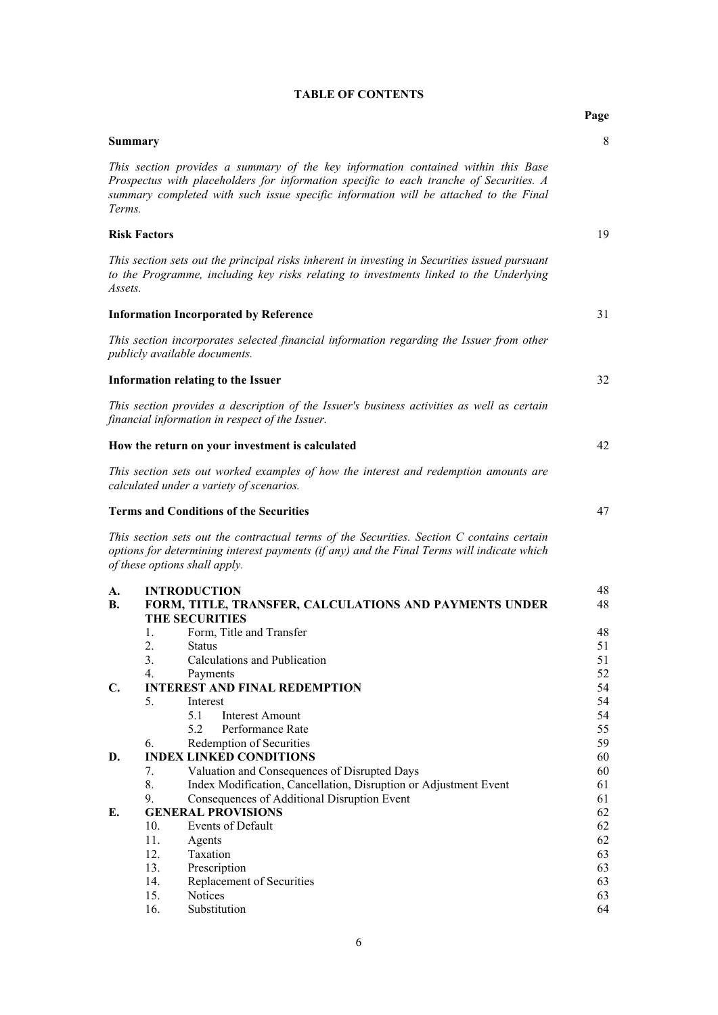|                |                                                                                                                                                                                                                                                                     | Page     |
|----------------|---------------------------------------------------------------------------------------------------------------------------------------------------------------------------------------------------------------------------------------------------------------------|----------|
|                | <b>Summary</b>                                                                                                                                                                                                                                                      | 8        |
| Terms.         | This section provides a summary of the key information contained within this Base<br>Prospectus with placeholders for information specific to each tranche of Securities. A<br>summary completed with such issue specific information will be attached to the Final |          |
|                | <b>Risk Factors</b>                                                                                                                                                                                                                                                 | 19       |
| Assets.        | This section sets out the principal risks inherent in investing in Securities issued pursuant<br>to the Programme, including key risks relating to investments linked to the Underlying                                                                             |          |
|                | <b>Information Incorporated by Reference</b>                                                                                                                                                                                                                        | 31       |
|                | This section incorporates selected financial information regarding the Issuer from other<br>publicly available documents.                                                                                                                                           |          |
|                | <b>Information relating to the Issuer</b>                                                                                                                                                                                                                           | 32       |
|                | This section provides a description of the Issuer's business activities as well as certain<br>financial information in respect of the Issuer.                                                                                                                       |          |
|                | How the return on your investment is calculated                                                                                                                                                                                                                     | 42       |
|                | This section sets out worked examples of how the interest and redemption amounts are<br>calculated under a variety of scenarios.                                                                                                                                    |          |
|                | <b>Terms and Conditions of the Securities</b>                                                                                                                                                                                                                       | 47       |
|                | This section sets out the contractual terms of the Securities. Section C contains certain<br>options for determining interest payments (if any) and the Final Terms will indicate which<br>of these options shall apply.                                            |          |
| A.             | <b>INTRODUCTION</b>                                                                                                                                                                                                                                                 | 48       |
| <b>B.</b>      | FORM, TITLE, TRANSFER, CALCULATIONS AND PAYMENTS UNDER<br><b>THE SECURITIES</b>                                                                                                                                                                                     | 48       |
|                | Form, Title and Transfer<br>1.                                                                                                                                                                                                                                      | 48       |
|                | Status                                                                                                                                                                                                                                                              | 51       |
|                | 3.<br>Calculations and Publication                                                                                                                                                                                                                                  | 51       |
| $\mathbf{C}$ . | 4.<br>Payments<br><b>INTEREST AND FINAL REDEMPTION</b>                                                                                                                                                                                                              | 52<br>54 |
|                | 5.<br>Interest                                                                                                                                                                                                                                                      | 54       |
|                | 5.1<br><b>Interest Amount</b>                                                                                                                                                                                                                                       | 54       |
|                | 5.2<br>Performance Rate                                                                                                                                                                                                                                             | 55       |
|                | Redemption of Securities<br>6.                                                                                                                                                                                                                                      | 59       |
| D.             | <b>INDEX LINKED CONDITIONS</b>                                                                                                                                                                                                                                      | 60       |
|                | Valuation and Consequences of Disrupted Days<br>7.<br>8.<br>Index Modification, Cancellation, Disruption or Adjustment Event                                                                                                                                        | 60<br>61 |
|                | 9.<br>Consequences of Additional Disruption Event                                                                                                                                                                                                                   | 61       |
| E.             | <b>GENERAL PROVISIONS</b>                                                                                                                                                                                                                                           | 62       |
|                | Events of Default<br>10.                                                                                                                                                                                                                                            | 62       |
|                | 11.<br>Agents                                                                                                                                                                                                                                                       | 62       |
|                | 12.<br>Taxation                                                                                                                                                                                                                                                     | 63       |
|                | 13.<br>Prescription                                                                                                                                                                                                                                                 | 63       |
|                | 14.<br>Replacement of Securities                                                                                                                                                                                                                                    | 63       |
|                | 15.<br>Notices<br>16.<br>Substitution                                                                                                                                                                                                                               | 63<br>64 |
|                |                                                                                                                                                                                                                                                                     |          |

# **TABLE OF CONTENTS**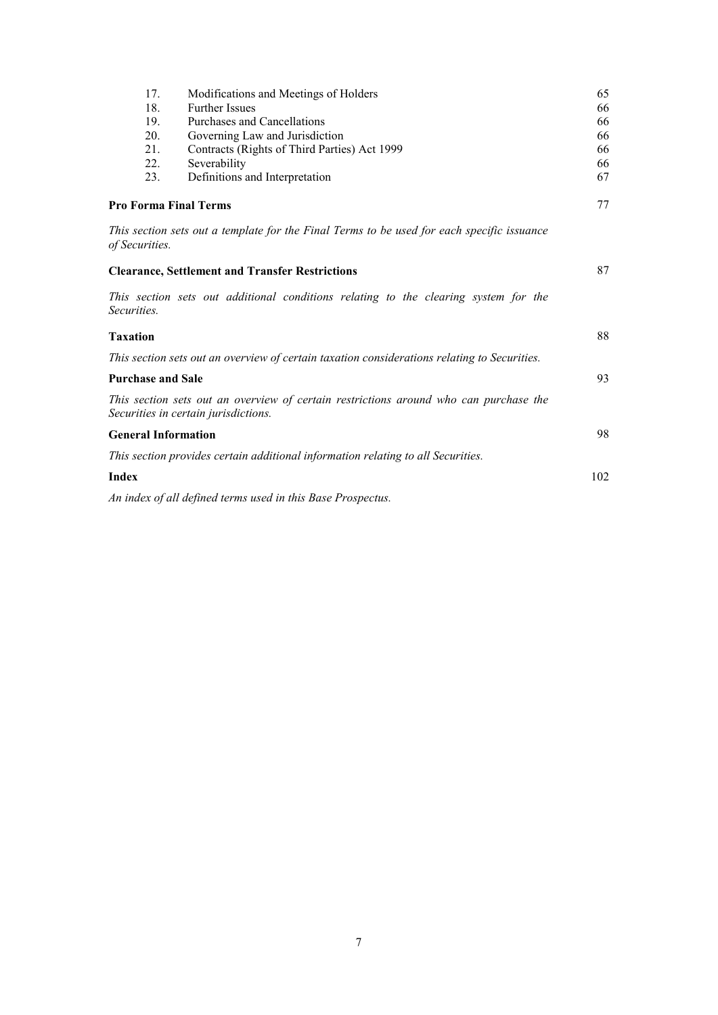| 18.                                                    | Modifications and Meetings of Holders                                                                                         | 65              |
|--------------------------------------------------------|-------------------------------------------------------------------------------------------------------------------------------|-----------------|
|                                                        | <b>Further Issues</b>                                                                                                         | 66              |
| 19.                                                    | Purchases and Cancellations                                                                                                   | 66              |
| 20.                                                    | Governing Law and Jurisdiction                                                                                                | 66              |
| 21.                                                    | Contracts (Rights of Third Parties) Act 1999                                                                                  | 66              |
| 22.                                                    | Severability                                                                                                                  | 66              |
| 23.                                                    | Definitions and Interpretation                                                                                                | 67              |
| <b>Pro Forma Final Terms</b>                           |                                                                                                                               | 77              |
| of Securities.                                         | This section sets out a template for the Final Terms to be used for each specific issuance                                    |                 |
|                                                        | <b>Clearance, Settlement and Transfer Restrictions</b>                                                                        | 87              |
| Securities.                                            | This section sets out additional conditions relating to the clearing system for the                                           |                 |
| <b>Taxation</b>                                        |                                                                                                                               | 88              |
|                                                        | This section sets out an overview of certain taxation considerations relating to Securities.                                  |                 |
|                                                        |                                                                                                                               |                 |
|                                                        |                                                                                                                               |                 |
|                                                        | This section sets out an overview of certain restrictions around who can purchase the<br>Securities in certain jurisdictions. |                 |
|                                                        |                                                                                                                               |                 |
| <b>Purchase and Sale</b><br><b>General Information</b> | This section provides certain additional information relating to all Securities.                                              |                 |
| <b>Index</b>                                           |                                                                                                                               | 93<br>98<br>102 |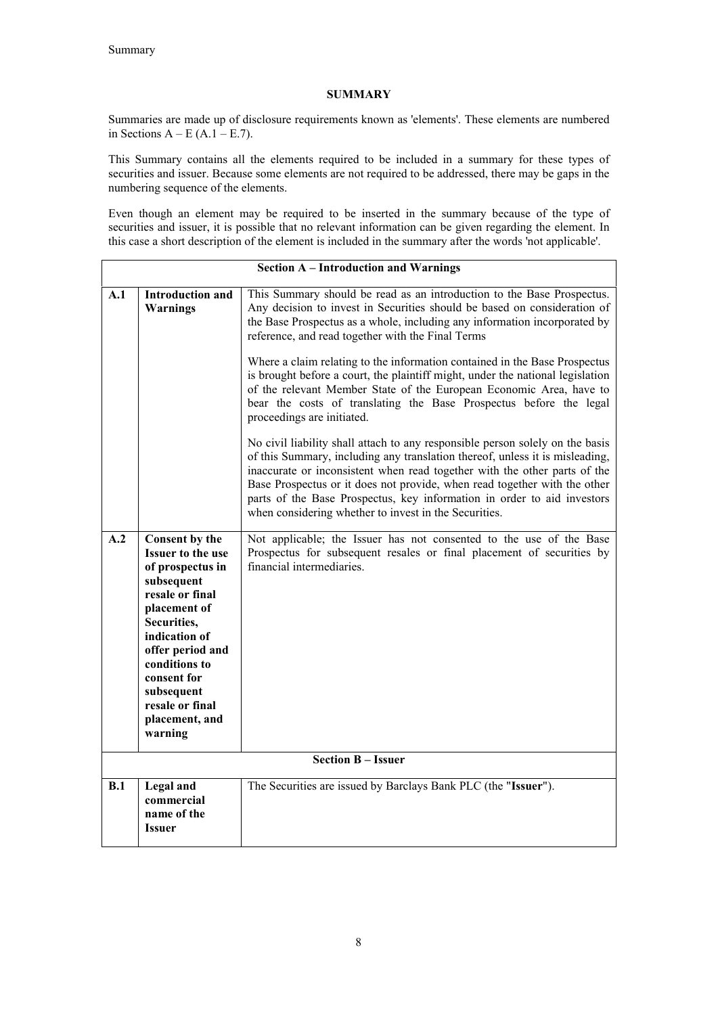# **SUMMARY**

Summaries are made up of disclosure requirements known as 'elements'. These elements are numbered in Sections  $A - E(A.1 - E.7)$ .

This Summary contains all the elements required to be included in a summary for these types of securities and issuer. Because some elements are not required to be addressed, there may be gaps in the numbering sequence of the elements.

Even though an element may be required to be inserted in the summary because of the type of securities and issuer, it is possible that no relevant information can be given regarding the element. In this case a short description of the element is included in the summary after the words 'not applicable'.

| <b>Section A - Introduction and Warnings</b> |                                                                                                                                                                                                                                                                   |                                                                                                                                                                                                                                                                                                                                                                                                                                                                                                                                                                                                                                                                                                                                                                                                                                                                                                                                                                                                                                                                                                |
|----------------------------------------------|-------------------------------------------------------------------------------------------------------------------------------------------------------------------------------------------------------------------------------------------------------------------|------------------------------------------------------------------------------------------------------------------------------------------------------------------------------------------------------------------------------------------------------------------------------------------------------------------------------------------------------------------------------------------------------------------------------------------------------------------------------------------------------------------------------------------------------------------------------------------------------------------------------------------------------------------------------------------------------------------------------------------------------------------------------------------------------------------------------------------------------------------------------------------------------------------------------------------------------------------------------------------------------------------------------------------------------------------------------------------------|
| A.1                                          | <b>Introduction and</b><br><b>Warnings</b>                                                                                                                                                                                                                        | This Summary should be read as an introduction to the Base Prospectus.<br>Any decision to invest in Securities should be based on consideration of<br>the Base Prospectus as a whole, including any information incorporated by<br>reference, and read together with the Final Terms<br>Where a claim relating to the information contained in the Base Prospectus<br>is brought before a court, the plaintiff might, under the national legislation<br>of the relevant Member State of the European Economic Area, have to<br>bear the costs of translating the Base Prospectus before the legal<br>proceedings are initiated.<br>No civil liability shall attach to any responsible person solely on the basis<br>of this Summary, including any translation thereof, unless it is misleading,<br>inaccurate or inconsistent when read together with the other parts of the<br>Base Prospectus or it does not provide, when read together with the other<br>parts of the Base Prospectus, key information in order to aid investors<br>when considering whether to invest in the Securities. |
| A.2                                          | Consent by the<br><b>Issuer to the use</b><br>of prospectus in<br>subsequent<br>resale or final<br>placement of<br>Securities,<br>indication of<br>offer period and<br>conditions to<br>consent for<br>subsequent<br>resale or final<br>placement, and<br>warning | Not applicable; the Issuer has not consented to the use of the Base<br>Prospectus for subsequent resales or final placement of securities by<br>financial intermediaries.<br><b>Section B - Issuer</b>                                                                                                                                                                                                                                                                                                                                                                                                                                                                                                                                                                                                                                                                                                                                                                                                                                                                                         |
|                                              |                                                                                                                                                                                                                                                                   |                                                                                                                                                                                                                                                                                                                                                                                                                                                                                                                                                                                                                                                                                                                                                                                                                                                                                                                                                                                                                                                                                                |
| B.1                                          | <b>Legal</b> and<br>commercial<br>name of the<br>Issuer                                                                                                                                                                                                           | The Securities are issued by Barclays Bank PLC (the "Issuer").                                                                                                                                                                                                                                                                                                                                                                                                                                                                                                                                                                                                                                                                                                                                                                                                                                                                                                                                                                                                                                 |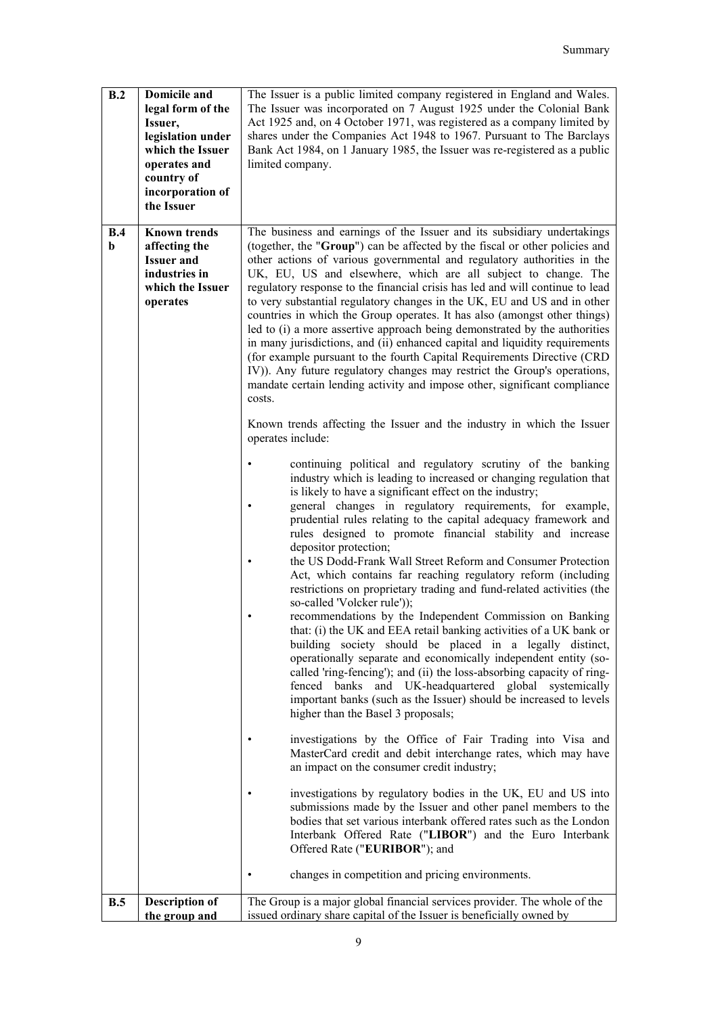| B.2                | <b>Domicile and</b><br>legal form of the<br>Issuer,<br>legislation under<br>which the Issuer<br>operates and<br>country of<br>incorporation of<br>the Issuer | The Issuer is a public limited company registered in England and Wales.<br>The Issuer was incorporated on 7 August 1925 under the Colonial Bank<br>Act 1925 and, on 4 October 1971, was registered as a company limited by<br>shares under the Companies Act 1948 to 1967. Pursuant to The Barclays<br>Bank Act 1984, on 1 January 1985, the Issuer was re-registered as a public<br>limited company.                                                                                                                                                                                                                                                                                                                                                                                                                                                                                                                                                                                                                                                                                                                                                                                                                                                                                                                                                                                                                                                                                                                                                                                                                                                                                                                                                                                                                                                                                                                                                                                                                                                                                                                                                                                                                                                                                                                                                                                                                                                                                                                                                                                                                                                                                                                                                                      |
|--------------------|--------------------------------------------------------------------------------------------------------------------------------------------------------------|----------------------------------------------------------------------------------------------------------------------------------------------------------------------------------------------------------------------------------------------------------------------------------------------------------------------------------------------------------------------------------------------------------------------------------------------------------------------------------------------------------------------------------------------------------------------------------------------------------------------------------------------------------------------------------------------------------------------------------------------------------------------------------------------------------------------------------------------------------------------------------------------------------------------------------------------------------------------------------------------------------------------------------------------------------------------------------------------------------------------------------------------------------------------------------------------------------------------------------------------------------------------------------------------------------------------------------------------------------------------------------------------------------------------------------------------------------------------------------------------------------------------------------------------------------------------------------------------------------------------------------------------------------------------------------------------------------------------------------------------------------------------------------------------------------------------------------------------------------------------------------------------------------------------------------------------------------------------------------------------------------------------------------------------------------------------------------------------------------------------------------------------------------------------------------------------------------------------------------------------------------------------------------------------------------------------------------------------------------------------------------------------------------------------------------------------------------------------------------------------------------------------------------------------------------------------------------------------------------------------------------------------------------------------------------------------------------------------------------------------------------------------------|
| B.4<br>$\mathbf b$ | <b>Known trends</b><br>affecting the<br><b>Issuer and</b><br>industries in<br>which the Issuer<br>operates                                                   | The business and earnings of the Issuer and its subsidiary undertakings<br>(together, the "Group") can be affected by the fiscal or other policies and<br>other actions of various governmental and regulatory authorities in the<br>UK, EU, US and elsewhere, which are all subject to change. The<br>regulatory response to the financial crisis has led and will continue to lead<br>to very substantial regulatory changes in the UK, EU and US and in other<br>countries in which the Group operates. It has also (amongst other things)<br>led to (i) a more assertive approach being demonstrated by the authorities<br>in many jurisdictions, and (ii) enhanced capital and liquidity requirements<br>(for example pursuant to the fourth Capital Requirements Directive (CRD)<br>IV)). Any future regulatory changes may restrict the Group's operations,<br>mandate certain lending activity and impose other, significant compliance<br>costs.<br>Known trends affecting the Issuer and the industry in which the Issuer<br>operates include:<br>continuing political and regulatory scrutiny of the banking<br>industry which is leading to increased or changing regulation that<br>is likely to have a significant effect on the industry;<br>general changes in regulatory requirements, for example,<br>prudential rules relating to the capital adequacy framework and<br>rules designed to promote financial stability and increase<br>depositor protection;<br>the US Dodd-Frank Wall Street Reform and Consumer Protection<br>Act, which contains far reaching regulatory reform (including<br>restrictions on proprietary trading and fund-related activities (the<br>so-called 'Volcker rule'));<br>recommendations by the Independent Commission on Banking<br>that: (i) the UK and EEA retail banking activities of a UK bank or<br>building society should be placed in a legally distinct,<br>operationally separate and economically independent entity (so-<br>called 'ring-fencing'); and (ii) the loss-absorbing capacity of ring-<br>fenced banks and UK-headquartered global systemically<br>important banks (such as the Issuer) should be increased to levels<br>higher than the Basel 3 proposals;<br>investigations by the Office of Fair Trading into Visa and<br>MasterCard credit and debit interchange rates, which may have<br>an impact on the consumer credit industry;<br>investigations by regulatory bodies in the UK, EU and US into<br>submissions made by the Issuer and other panel members to the<br>bodies that set various interbank offered rates such as the London<br>Interbank Offered Rate ("LIBOR") and the Euro Interbank<br>Offered Rate ("EURIBOR"); and<br>changes in competition and pricing environments. |
| B.5                | <b>Description of</b>                                                                                                                                        | The Group is a major global financial services provider. The whole of the                                                                                                                                                                                                                                                                                                                                                                                                                                                                                                                                                                                                                                                                                                                                                                                                                                                                                                                                                                                                                                                                                                                                                                                                                                                                                                                                                                                                                                                                                                                                                                                                                                                                                                                                                                                                                                                                                                                                                                                                                                                                                                                                                                                                                                                                                                                                                                                                                                                                                                                                                                                                                                                                                                  |
|                    | the group and                                                                                                                                                | issued ordinary share capital of the Issuer is beneficially owned by                                                                                                                                                                                                                                                                                                                                                                                                                                                                                                                                                                                                                                                                                                                                                                                                                                                                                                                                                                                                                                                                                                                                                                                                                                                                                                                                                                                                                                                                                                                                                                                                                                                                                                                                                                                                                                                                                                                                                                                                                                                                                                                                                                                                                                                                                                                                                                                                                                                                                                                                                                                                                                                                                                       |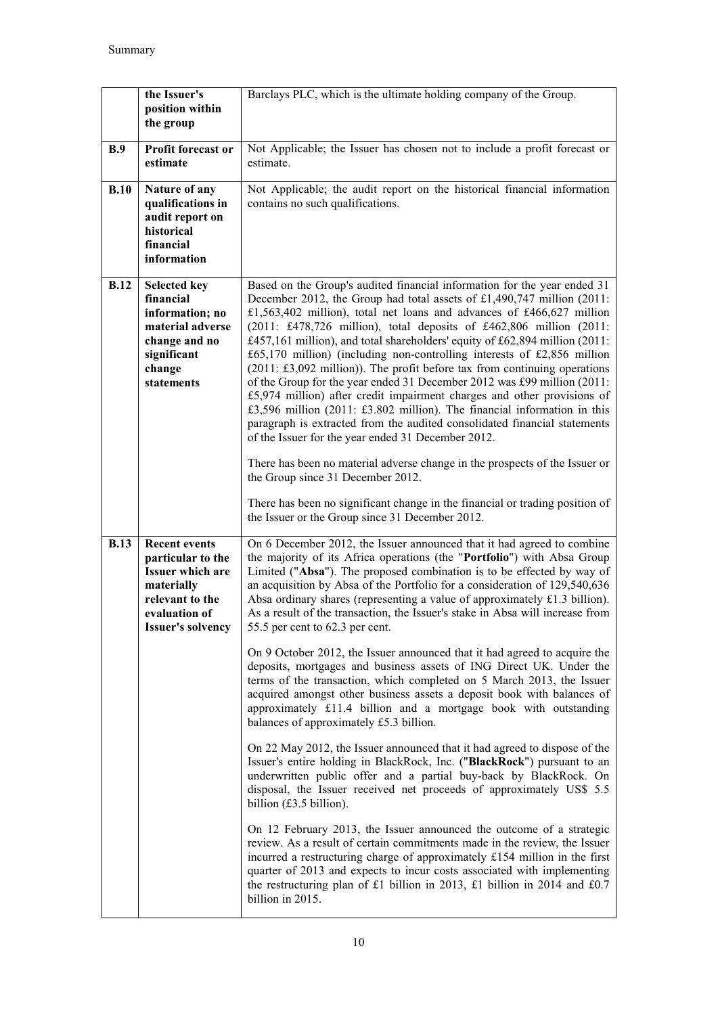|             | the Issuer's<br>position within<br>the group                                                                                                       | Barclays PLC, which is the ultimate holding company of the Group.                                                                                                                                                                                                                                                                                                                                                                                                                                                                                                                                                                                                                                                                                                                                                                                                                                                                                                                                                                                                                                                                                                                                                                                                                                                                                                                                                                                                                                                                                                                                                                                                                   |
|-------------|----------------------------------------------------------------------------------------------------------------------------------------------------|-------------------------------------------------------------------------------------------------------------------------------------------------------------------------------------------------------------------------------------------------------------------------------------------------------------------------------------------------------------------------------------------------------------------------------------------------------------------------------------------------------------------------------------------------------------------------------------------------------------------------------------------------------------------------------------------------------------------------------------------------------------------------------------------------------------------------------------------------------------------------------------------------------------------------------------------------------------------------------------------------------------------------------------------------------------------------------------------------------------------------------------------------------------------------------------------------------------------------------------------------------------------------------------------------------------------------------------------------------------------------------------------------------------------------------------------------------------------------------------------------------------------------------------------------------------------------------------------------------------------------------------------------------------------------------------|
| B.9         | Profit forecast or<br>estimate                                                                                                                     | Not Applicable; the Issuer has chosen not to include a profit forecast or<br>estimate.                                                                                                                                                                                                                                                                                                                                                                                                                                                                                                                                                                                                                                                                                                                                                                                                                                                                                                                                                                                                                                                                                                                                                                                                                                                                                                                                                                                                                                                                                                                                                                                              |
| B.10        | Nature of any<br>qualifications in<br>audit report on<br>historical<br>financial<br>information                                                    | Not Applicable; the audit report on the historical financial information<br>contains no such qualifications.                                                                                                                                                                                                                                                                                                                                                                                                                                                                                                                                                                                                                                                                                                                                                                                                                                                                                                                                                                                                                                                                                                                                                                                                                                                                                                                                                                                                                                                                                                                                                                        |
| <b>B.12</b> | <b>Selected key</b><br>financial<br>information; no<br>material adverse<br>change and no<br>significant<br>change<br>statements                    | Based on the Group's audited financial information for the year ended 31<br>December 2012, the Group had total assets of £1,490,747 million (2011:<br>£1,563,402 million), total net loans and advances of £466,627 million<br>(2011: £478,726 million), total deposits of £462,806 million (2011:<br>£457,161 million), and total shareholders' equity of £62,894 million (2011:<br>$£65,170$ million) (including non-controlling interests of £2,856 million<br>(2011: £3,092 million)). The profit before tax from continuing operations<br>of the Group for the year ended 31 December 2012 was £99 million (2011:<br>£5,974 million) after credit impairment charges and other provisions of<br>£3,596 million (2011: £3.802 million). The financial information in this<br>paragraph is extracted from the audited consolidated financial statements<br>of the Issuer for the year ended 31 December 2012.<br>There has been no material adverse change in the prospects of the Issuer or<br>the Group since 31 December 2012.<br>There has been no significant change in the financial or trading position of<br>the Issuer or the Group since 31 December 2012.                                                                                                                                                                                                                                                                                                                                                                                                                                                                                                             |
| <b>B.13</b> | <b>Recent events</b><br>particular to the<br><b>Issuer which are</b><br>materially<br>relevant to the<br>evaluation of<br><b>Issuer's solvency</b> | On 6 December 2012, the Issuer announced that it had agreed to combine<br>the majority of its Africa operations (the "Portfolio") with Absa Group<br>Limited ("Absa"). The proposed combination is to be effected by way of<br>an acquisition by Absa of the Portfolio for a consideration of 129,540,636<br>Absa ordinary shares (representing a value of approximately £1.3 billion).<br>As a result of the transaction, the Issuer's stake in Absa will increase from<br>55.5 per cent to 62.3 per cent.<br>On 9 October 2012, the Issuer announced that it had agreed to acquire the<br>deposits, mortgages and business assets of ING Direct UK. Under the<br>terms of the transaction, which completed on 5 March 2013, the Issuer<br>acquired amongst other business assets a deposit book with balances of<br>approximately £11.4 billion and a mortgage book with outstanding<br>balances of approximately £5.3 billion.<br>On 22 May 2012, the Issuer announced that it had agreed to dispose of the<br>Issuer's entire holding in BlackRock, Inc. ("BlackRock") pursuant to an<br>underwritten public offer and a partial buy-back by BlackRock. On<br>disposal, the Issuer received net proceeds of approximately US\$ 5.5<br>billion $(f3.5)$ billion).<br>On 12 February 2013, the Issuer announced the outcome of a strategic<br>review. As a result of certain commitments made in the review, the Issuer<br>incurred a restructuring charge of approximately £154 million in the first<br>quarter of 2013 and expects to incur costs associated with implementing<br>the restructuring plan of £1 billion in 2013, £1 billion in 2014 and £0.7<br>billion in 2015. |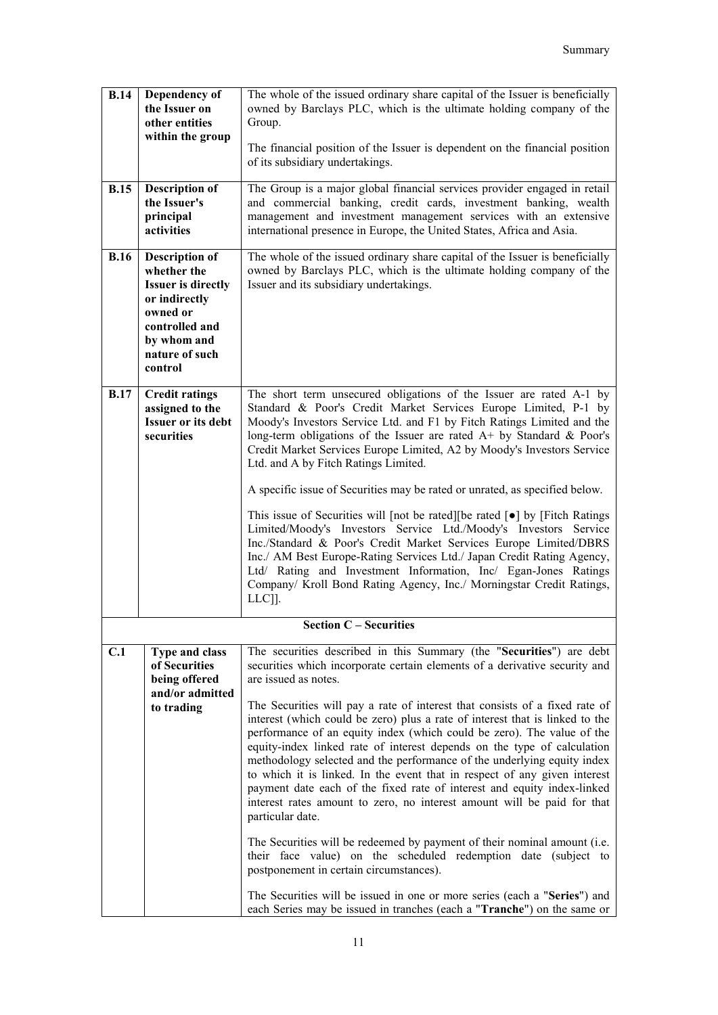| <b>B.14</b> | Dependency of<br>the Issuer on<br>other entities<br>within the group                                                                                         | The whole of the issued ordinary share capital of the Issuer is beneficially<br>owned by Barclays PLC, which is the ultimate holding company of the<br>Group.<br>The financial position of the Issuer is dependent on the financial position<br>of its subsidiary undertakings.                                                                                                                                                                                                                                                                                                                                                                                                                                                                                                                                                                                                                                                                                                                                                                                                                                                                                                   |
|-------------|--------------------------------------------------------------------------------------------------------------------------------------------------------------|-----------------------------------------------------------------------------------------------------------------------------------------------------------------------------------------------------------------------------------------------------------------------------------------------------------------------------------------------------------------------------------------------------------------------------------------------------------------------------------------------------------------------------------------------------------------------------------------------------------------------------------------------------------------------------------------------------------------------------------------------------------------------------------------------------------------------------------------------------------------------------------------------------------------------------------------------------------------------------------------------------------------------------------------------------------------------------------------------------------------------------------------------------------------------------------|
| <b>B.15</b> | <b>Description of</b><br>the Issuer's<br>principal<br>activities                                                                                             | The Group is a major global financial services provider engaged in retail<br>and commercial banking, credit cards, investment banking, wealth<br>management and investment management services with an extensive<br>international presence in Europe, the United States, Africa and Asia.                                                                                                                                                                                                                                                                                                                                                                                                                                                                                                                                                                                                                                                                                                                                                                                                                                                                                         |
| <b>B.16</b> | <b>Description of</b><br>whether the<br><b>Issuer is directly</b><br>or indirectly<br>owned or<br>controlled and<br>by whom and<br>nature of such<br>control | The whole of the issued ordinary share capital of the Issuer is beneficially<br>owned by Barclays PLC, which is the ultimate holding company of the<br>Issuer and its subsidiary undertakings.                                                                                                                                                                                                                                                                                                                                                                                                                                                                                                                                                                                                                                                                                                                                                                                                                                                                                                                                                                                    |
| <b>B.17</b> | <b>Credit ratings</b><br>assigned to the<br><b>Issuer or its debt</b><br>securities                                                                          | The short term unsecured obligations of the Issuer are rated A-1 by<br>Standard & Poor's Credit Market Services Europe Limited, P-1 by<br>Moody's Investors Service Ltd. and F1 by Fitch Ratings Limited and the<br>long-term obligations of the Issuer are rated $A+$ by Standard & Poor's<br>Credit Market Services Europe Limited, A2 by Moody's Investors Service<br>Ltd. and A by Fitch Ratings Limited.<br>A specific issue of Securities may be rated or unrated, as specified below.<br>This issue of Securities will [not be rated] [be rated $\lceil \bullet \rceil$ by [Fitch Ratings]<br>Limited/Moody's Investors Service Ltd./Moody's Investors Service<br>Inc./Standard & Poor's Credit Market Services Europe Limited/DBRS<br>Inc./ AM Best Europe-Rating Services Ltd./ Japan Credit Rating Agency,<br>Ltd/ Rating and Investment Information, Inc/ Egan-Jones Ratings<br>Company/ Kroll Bond Rating Agency, Inc./ Morningstar Credit Ratings,<br>$LLC$ ].                                                                                                                                                                                                       |
|             |                                                                                                                                                              | <b>Section C</b> – Securities                                                                                                                                                                                                                                                                                                                                                                                                                                                                                                                                                                                                                                                                                                                                                                                                                                                                                                                                                                                                                                                                                                                                                     |
| C.1         | <b>Type and class</b><br>of Securities<br>being offered<br>and/or admitted<br>to trading                                                                     | The securities described in this Summary (the "Securities") are debt<br>securities which incorporate certain elements of a derivative security and<br>are issued as notes.<br>The Securities will pay a rate of interest that consists of a fixed rate of<br>interest (which could be zero) plus a rate of interest that is linked to the<br>performance of an equity index (which could be zero). The value of the<br>equity-index linked rate of interest depends on the type of calculation<br>methodology selected and the performance of the underlying equity index<br>to which it is linked. In the event that in respect of any given interest<br>payment date each of the fixed rate of interest and equity index-linked<br>interest rates amount to zero, no interest amount will be paid for that<br>particular date.<br>The Securities will be redeemed by payment of their nominal amount (i.e.<br>their face value) on the scheduled redemption date (subject to<br>postponement in certain circumstances).<br>The Securities will be issued in one or more series (each a "Series") and<br>each Series may be issued in tranches (each a "Tranche") on the same or |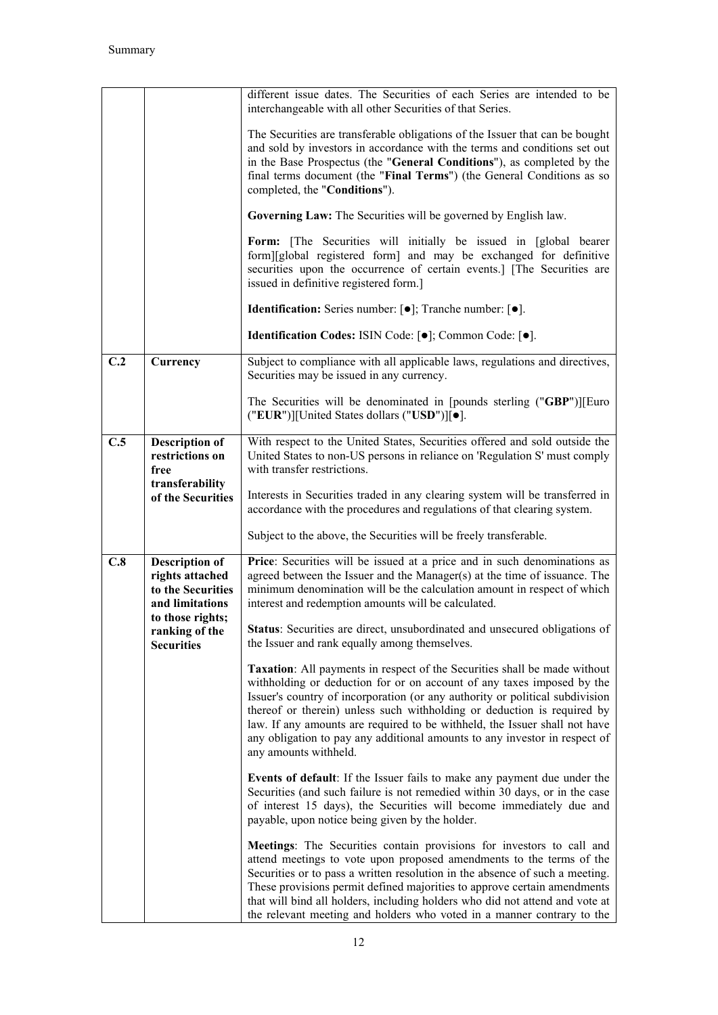|     |                                                                                                      | different issue dates. The Securities of each Series are intended to be<br>interchangeable with all other Securities of that Series.                                                                                                                                                                                                                                                                                                                                                                |
|-----|------------------------------------------------------------------------------------------------------|-----------------------------------------------------------------------------------------------------------------------------------------------------------------------------------------------------------------------------------------------------------------------------------------------------------------------------------------------------------------------------------------------------------------------------------------------------------------------------------------------------|
|     |                                                                                                      | The Securities are transferable obligations of the Issuer that can be bought<br>and sold by investors in accordance with the terms and conditions set out<br>in the Base Prospectus (the "General Conditions"), as completed by the<br>final terms document (the "Final Terms") (the General Conditions as so<br>completed, the "Conditions").                                                                                                                                                      |
|     |                                                                                                      | Governing Law: The Securities will be governed by English law.                                                                                                                                                                                                                                                                                                                                                                                                                                      |
|     |                                                                                                      | Form: [The Securities will initially be issued in [global bearer<br>form][global registered form] and may be exchanged for definitive<br>securities upon the occurrence of certain events.] [The Securities are<br>issued in definitive registered form.]                                                                                                                                                                                                                                           |
|     |                                                                                                      | Identification: Series number: [ $\bullet$ ]; Tranche number: [ $\bullet$ ].                                                                                                                                                                                                                                                                                                                                                                                                                        |
|     |                                                                                                      | Identification Codes: ISIN Code: [ $\bullet$ ]; Common Code: [ $\bullet$ ].                                                                                                                                                                                                                                                                                                                                                                                                                         |
| C.2 | Currency                                                                                             | Subject to compliance with all applicable laws, regulations and directives,<br>Securities may be issued in any currency.                                                                                                                                                                                                                                                                                                                                                                            |
|     |                                                                                                      | The Securities will be denominated in [pounds sterling ("GBP")][Euro<br>("EUR")][United States dollars ("USD")][ $\bullet$ ].                                                                                                                                                                                                                                                                                                                                                                       |
| C.5 | <b>Description of</b><br>restrictions on<br>free<br>transferability                                  | With respect to the United States, Securities offered and sold outside the<br>United States to non-US persons in reliance on 'Regulation S' must comply<br>with transfer restrictions.                                                                                                                                                                                                                                                                                                              |
|     | of the Securities                                                                                    | Interests in Securities traded in any clearing system will be transferred in<br>accordance with the procedures and regulations of that clearing system.                                                                                                                                                                                                                                                                                                                                             |
|     |                                                                                                      | Subject to the above, the Securities will be freely transferable.                                                                                                                                                                                                                                                                                                                                                                                                                                   |
| C.8 | <b>Description of</b><br>rights attached<br>to the Securities<br>and limitations<br>to those rights; | Price: Securities will be issued at a price and in such denominations as<br>agreed between the Issuer and the Manager(s) at the time of issuance. The<br>minimum denomination will be the calculation amount in respect of which<br>interest and redemption amounts will be calculated.                                                                                                                                                                                                             |
|     | ranking of the<br><b>Securities</b>                                                                  | <b>Status:</b> Securities are direct, unsubordinated and unsecured obligations of<br>the Issuer and rank equally among themselves.                                                                                                                                                                                                                                                                                                                                                                  |
|     |                                                                                                      | Taxation: All payments in respect of the Securities shall be made without<br>withholding or deduction for or on account of any taxes imposed by the<br>Issuer's country of incorporation (or any authority or political subdivision<br>thereof or therein) unless such withholding or deduction is required by<br>law. If any amounts are required to be withheld, the Issuer shall not have<br>any obligation to pay any additional amounts to any investor in respect of<br>any amounts withheld. |
|     |                                                                                                      | Events of default: If the Issuer fails to make any payment due under the<br>Securities (and such failure is not remedied within 30 days, or in the case<br>of interest 15 days), the Securities will become immediately due and<br>payable, upon notice being given by the holder.                                                                                                                                                                                                                  |
|     |                                                                                                      | Meetings: The Securities contain provisions for investors to call and<br>attend meetings to vote upon proposed amendments to the terms of the<br>Securities or to pass a written resolution in the absence of such a meeting.<br>These provisions permit defined majorities to approve certain amendments<br>that will bind all holders, including holders who did not attend and vote at<br>the relevant meeting and holders who voted in a manner contrary to the                                 |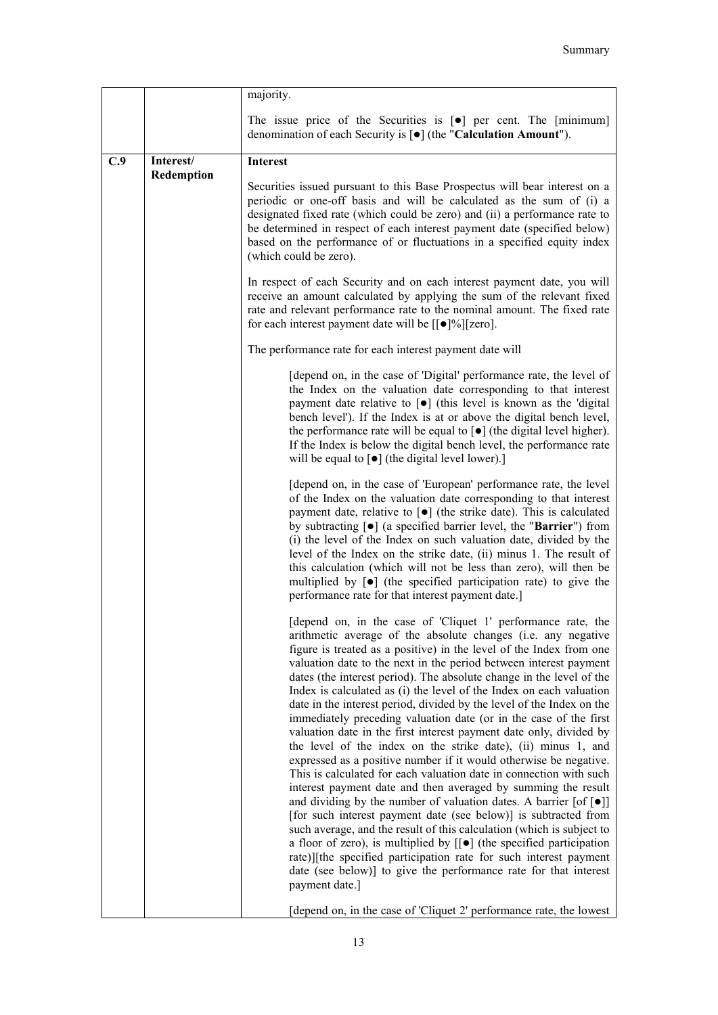|     |                         | majority.                                                                                                                                                                                                                                                                                                                                                                                                                                                                                                                                                                                                                                                                                                                                                                                                                                                                                                                                                                                                                                                                                                                                                                                                                                                                                                                                                                                                |
|-----|-------------------------|----------------------------------------------------------------------------------------------------------------------------------------------------------------------------------------------------------------------------------------------------------------------------------------------------------------------------------------------------------------------------------------------------------------------------------------------------------------------------------------------------------------------------------------------------------------------------------------------------------------------------------------------------------------------------------------------------------------------------------------------------------------------------------------------------------------------------------------------------------------------------------------------------------------------------------------------------------------------------------------------------------------------------------------------------------------------------------------------------------------------------------------------------------------------------------------------------------------------------------------------------------------------------------------------------------------------------------------------------------------------------------------------------------|
|     |                         | The issue price of the Securities is $[\bullet]$ per cent. The [minimum]<br>denomination of each Security is [ $\bullet$ ] (the "Calculation Amount").                                                                                                                                                                                                                                                                                                                                                                                                                                                                                                                                                                                                                                                                                                                                                                                                                                                                                                                                                                                                                                                                                                                                                                                                                                                   |
| C.9 | Interest/<br>Redemption | Interest                                                                                                                                                                                                                                                                                                                                                                                                                                                                                                                                                                                                                                                                                                                                                                                                                                                                                                                                                                                                                                                                                                                                                                                                                                                                                                                                                                                                 |
|     |                         | Securities issued pursuant to this Base Prospectus will bear interest on a<br>periodic or one-off basis and will be calculated as the sum of (i) a<br>designated fixed rate (which could be zero) and (ii) a performance rate to<br>be determined in respect of each interest payment date (specified below)<br>based on the performance of or fluctuations in a specified equity index<br>(which could be zero).                                                                                                                                                                                                                                                                                                                                                                                                                                                                                                                                                                                                                                                                                                                                                                                                                                                                                                                                                                                        |
|     |                         | In respect of each Security and on each interest payment date, you will<br>receive an amount calculated by applying the sum of the relevant fixed<br>rate and relevant performance rate to the nominal amount. The fixed rate<br>for each interest payment date will be $[[\bullet]\%][\text{zero}].$                                                                                                                                                                                                                                                                                                                                                                                                                                                                                                                                                                                                                                                                                                                                                                                                                                                                                                                                                                                                                                                                                                    |
|     |                         | The performance rate for each interest payment date will                                                                                                                                                                                                                                                                                                                                                                                                                                                                                                                                                                                                                                                                                                                                                                                                                                                                                                                                                                                                                                                                                                                                                                                                                                                                                                                                                 |
|     |                         | [depend on, in the case of 'Digital' performance rate, the level of<br>the Index on the valuation date corresponding to that interest<br>payment date relative to $\lceil \bullet \rceil$ (this level is known as the 'digital<br>bench level'). If the Index is at or above the digital bench level,<br>the performance rate will be equal to $\lbrack \bullet \rbrack$ (the digital level higher).<br>If the Index is below the digital bench level, the performance rate<br>will be equal to $\lceil \bullet \rceil$ (the digital level lower).]                                                                                                                                                                                                                                                                                                                                                                                                                                                                                                                                                                                                                                                                                                                                                                                                                                                      |
|     |                         | [depend on, in the case of 'European' performance rate, the level<br>of the Index on the valuation date corresponding to that interest<br>payment date, relative to $[\bullet]$ (the strike date). This is calculated<br>by subtracting $[\bullet]$ (a specified barrier level, the "Barrier") from<br>(i) the level of the Index on such valuation date, divided by the<br>level of the Index on the strike date, (ii) minus 1. The result of<br>this calculation (which will not be less than zero), will then be<br>multiplied by $\lceil \bullet \rceil$ (the specified participation rate) to give the<br>performance rate for that interest payment date.]                                                                                                                                                                                                                                                                                                                                                                                                                                                                                                                                                                                                                                                                                                                                         |
|     |                         | [depend on, in the case of 'Cliquet 1' performance rate, the<br>arithmetic average of the absolute changes (i.e. any negative<br>figure is treated as a positive) in the level of the Index from one<br>valuation date to the next in the period between interest payment<br>dates (the interest period). The absolute change in the level of the<br>Index is calculated as (i) the level of the Index on each valuation<br>date in the interest period, divided by the level of the Index on the<br>immediately preceding valuation date (or in the case of the first<br>valuation date in the first interest payment date only, divided by<br>the level of the index on the strike date), (ii) minus 1, and<br>expressed as a positive number if it would otherwise be negative.<br>This is calculated for each valuation date in connection with such<br>interest payment date and then averaged by summing the result<br>and dividing by the number of valuation dates. A barrier $[of [\bullet]]$<br>[for such interest payment date (see below)] is subtracted from<br>such average, and the result of this calculation (which is subject to<br>a floor of zero), is multiplied by $\lfloor \cdot \rfloor$ (the specified participation<br>rate)][the specified participation rate for such interest payment<br>date (see below)] to give the performance rate for that interest<br>payment date.] |
|     |                         | [depend on, in the case of 'Cliquet 2' performance rate, the lowest                                                                                                                                                                                                                                                                                                                                                                                                                                                                                                                                                                                                                                                                                                                                                                                                                                                                                                                                                                                                                                                                                                                                                                                                                                                                                                                                      |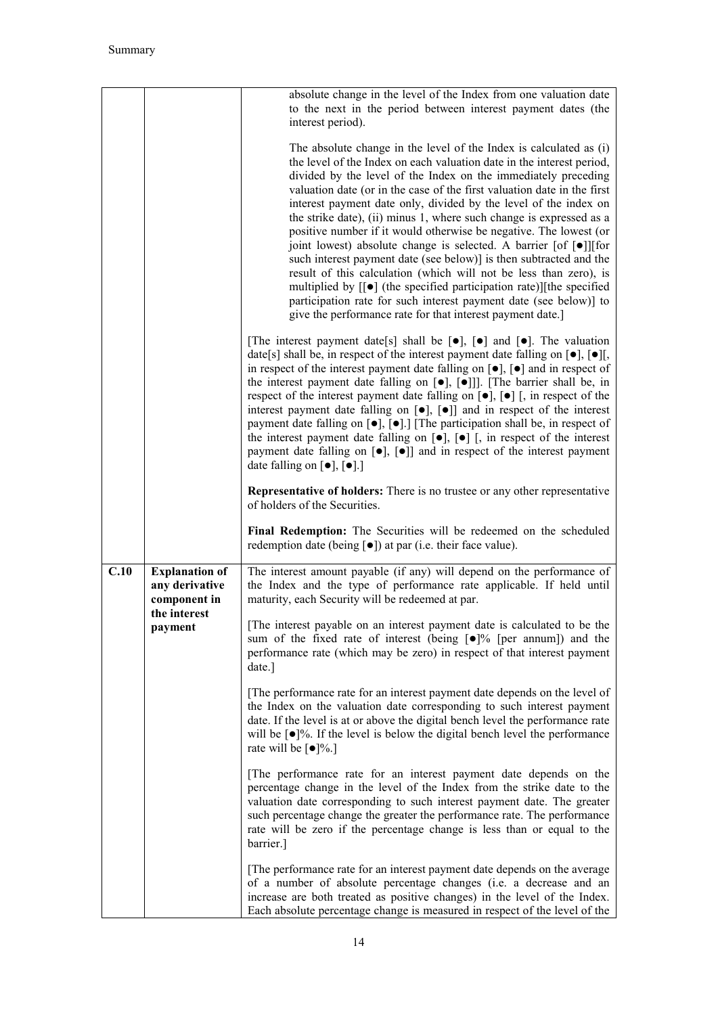|      |                                                         | absolute change in the level of the Index from one valuation date<br>to the next in the period between interest payment dates (the<br>interest period).                                                                                                                                                                                                                                                                                                                                                                                                                                                                                                                                                                                                                                                                                                                                                                                                                                             |
|------|---------------------------------------------------------|-----------------------------------------------------------------------------------------------------------------------------------------------------------------------------------------------------------------------------------------------------------------------------------------------------------------------------------------------------------------------------------------------------------------------------------------------------------------------------------------------------------------------------------------------------------------------------------------------------------------------------------------------------------------------------------------------------------------------------------------------------------------------------------------------------------------------------------------------------------------------------------------------------------------------------------------------------------------------------------------------------|
|      |                                                         | The absolute change in the level of the Index is calculated as (i)<br>the level of the Index on each valuation date in the interest period,<br>divided by the level of the Index on the immediately preceding<br>valuation date (or in the case of the first valuation date in the first<br>interest payment date only, divided by the level of the index on<br>the strike date), (ii) minus 1, where such change is expressed as a<br>positive number if it would otherwise be negative. The lowest (or<br>joint lowest) absolute change is selected. A barrier [of $\lceil \bullet \rceil$ ] [for<br>such interest payment date (see below)] is then subtracted and the<br>result of this calculation (which will not be less than zero), is<br>multiplied by $[[\bullet]]$ (the specified participation rate)][the specified<br>participation rate for such interest payment date (see below)] to<br>give the performance rate for that interest payment date.]                                  |
|      |                                                         | [The interest payment date[s] shall be $[\bullet]$ , $[\bullet]$ and $[\bullet]$ . The valuation<br>date[s] shall be, in respect of the interest payment date falling on $\lceil \bullet \rceil$ , $\lceil \bullet \rceil$ ,<br>in respect of the interest payment date falling on $[\bullet]$ , $[\bullet]$ and in respect of<br>the interest payment date falling on $\lceil \bullet \rceil$ , $\lceil \bullet \rceil$ ]. [The barrier shall be, in<br>respect of the interest payment date falling on $[\bullet]$ , $[\bullet]$ [, in respect of the<br>interest payment date falling on $[\bullet]$ , $[\bullet]$ and in respect of the interest<br>payment date falling on $[\bullet]$ , $[\bullet]$ .] [The participation shall be, in respect of<br>the interest payment date falling on $[\bullet]$ , $[\bullet]$ [, in respect of the interest<br>payment date falling on $[\bullet]$ , $[\bullet]$ and in respect of the interest payment<br>date falling on $[\bullet]$ , $[\bullet]$ .] |
|      |                                                         | Representative of holders: There is no trustee or any other representative<br>of holders of the Securities.                                                                                                                                                                                                                                                                                                                                                                                                                                                                                                                                                                                                                                                                                                                                                                                                                                                                                         |
|      |                                                         | Final Redemption: The Securities will be redeemed on the scheduled<br>redemption date (being $\lceil \bullet \rceil$ ) at par (i.e. their face value).                                                                                                                                                                                                                                                                                                                                                                                                                                                                                                                                                                                                                                                                                                                                                                                                                                              |
| C.10 | <b>Explanation of</b><br>any derivative<br>component in | The interest amount payable (if any) will depend on the performance of<br>the Index and the type of performance rate applicable. If held until<br>maturity, each Security will be redeemed at par.                                                                                                                                                                                                                                                                                                                                                                                                                                                                                                                                                                                                                                                                                                                                                                                                  |
|      | the interest<br>payment                                 | [The interest payable on an interest payment date is calculated to be the<br>sum of the fixed rate of interest (being $\lceil \bullet \rceil\%$ [per annum]) and the<br>performance rate (which may be zero) in respect of that interest payment<br>date.]                                                                                                                                                                                                                                                                                                                                                                                                                                                                                                                                                                                                                                                                                                                                          |
|      |                                                         | [The performance rate for an interest payment date depends on the level of<br>the Index on the valuation date corresponding to such interest payment<br>date. If the level is at or above the digital bench level the performance rate<br>will be $\lceil \bullet \rceil\%$ . If the level is below the digital bench level the performance<br>rate will be $\lceil \bullet \rceil\% \rceil$                                                                                                                                                                                                                                                                                                                                                                                                                                                                                                                                                                                                        |
|      |                                                         | The performance rate for an interest payment date depends on the<br>percentage change in the level of the Index from the strike date to the<br>valuation date corresponding to such interest payment date. The greater<br>such percentage change the greater the performance rate. The performance<br>rate will be zero if the percentage change is less than or equal to the<br>barrier.]                                                                                                                                                                                                                                                                                                                                                                                                                                                                                                                                                                                                          |
|      |                                                         | [The performance rate for an interest payment date depends on the average<br>of a number of absolute percentage changes (i.e. a decrease and an<br>increase are both treated as positive changes) in the level of the Index.<br>Each absolute percentage change is measured in respect of the level of the                                                                                                                                                                                                                                                                                                                                                                                                                                                                                                                                                                                                                                                                                          |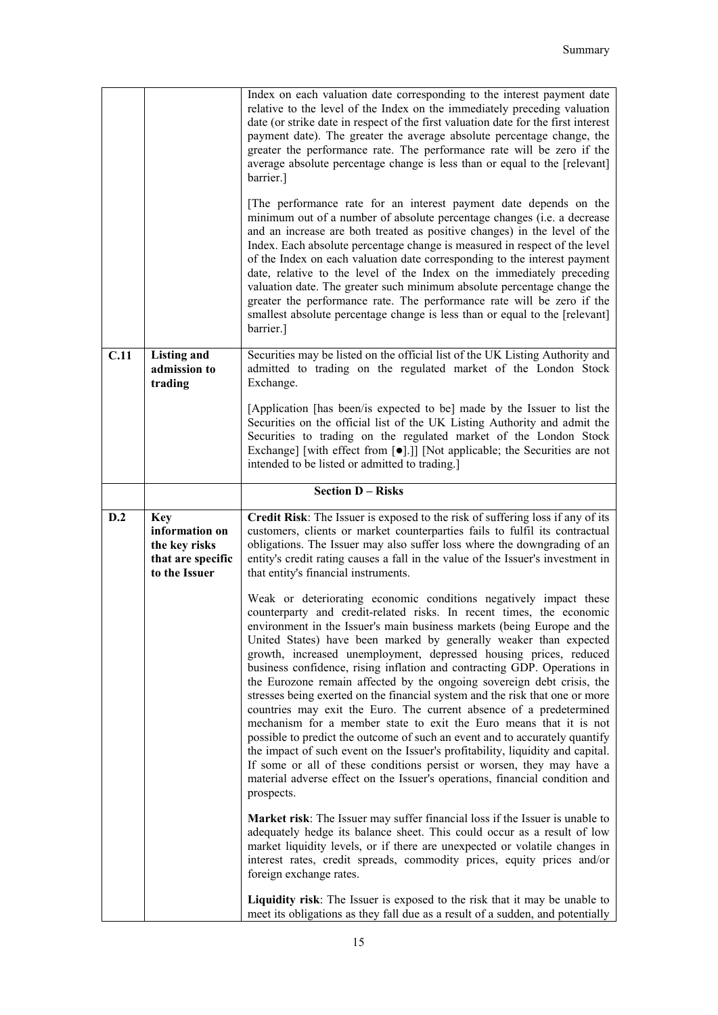|      |                                                     | Index on each valuation date corresponding to the interest payment date<br>relative to the level of the Index on the immediately preceding valuation<br>date (or strike date in respect of the first valuation date for the first interest<br>payment date). The greater the average absolute percentage change, the<br>greater the performance rate. The performance rate will be zero if the<br>average absolute percentage change is less than or equal to the [relevant]<br>barrier.]<br>[The performance rate for an interest payment date depends on the<br>minimum out of a number of absolute percentage changes (i.e. a decrease<br>and an increase are both treated as positive changes) in the level of the<br>Index. Each absolute percentage change is measured in respect of the level<br>of the Index on each valuation date corresponding to the interest payment<br>date, relative to the level of the Index on the immediately preceding<br>valuation date. The greater such minimum absolute percentage change the<br>greater the performance rate. The performance rate will be zero if the<br>smallest absolute percentage change is less than or equal to the [relevant]<br>barrier.] |
|------|-----------------------------------------------------|-------------------------------------------------------------------------------------------------------------------------------------------------------------------------------------------------------------------------------------------------------------------------------------------------------------------------------------------------------------------------------------------------------------------------------------------------------------------------------------------------------------------------------------------------------------------------------------------------------------------------------------------------------------------------------------------------------------------------------------------------------------------------------------------------------------------------------------------------------------------------------------------------------------------------------------------------------------------------------------------------------------------------------------------------------------------------------------------------------------------------------------------------------------------------------------------------------------|
| C.11 | <b>Listing and</b><br>admission to<br>trading       | Securities may be listed on the official list of the UK Listing Authority and<br>admitted to trading on the regulated market of the London Stock<br>Exchange.                                                                                                                                                                                                                                                                                                                                                                                                                                                                                                                                                                                                                                                                                                                                                                                                                                                                                                                                                                                                                                               |
|      |                                                     | [Application [has been/is expected to be] made by the Issuer to list the<br>Securities on the official list of the UK Listing Authority and admit the<br>Securities to trading on the regulated market of the London Stock<br>Exchange] [with effect from [ $\bullet$ ].]] [Not applicable; the Securities are not<br>intended to be listed or admitted to trading.]                                                                                                                                                                                                                                                                                                                                                                                                                                                                                                                                                                                                                                                                                                                                                                                                                                        |
|      |                                                     | <b>Section D - Risks</b>                                                                                                                                                                                                                                                                                                                                                                                                                                                                                                                                                                                                                                                                                                                                                                                                                                                                                                                                                                                                                                                                                                                                                                                    |
| D.2  | <b>Key</b><br>information on                        | Credit Risk: The Issuer is exposed to the risk of suffering loss if any of its<br>customers, clients or market counterparties fails to fulfil its contractual                                                                                                                                                                                                                                                                                                                                                                                                                                                                                                                                                                                                                                                                                                                                                                                                                                                                                                                                                                                                                                               |
|      | the key risks<br>that are specific<br>to the Issuer | obligations. The Issuer may also suffer loss where the downgrading of an<br>entity's credit rating causes a fall in the value of the Issuer's investment in<br>that entity's financial instruments.                                                                                                                                                                                                                                                                                                                                                                                                                                                                                                                                                                                                                                                                                                                                                                                                                                                                                                                                                                                                         |
|      |                                                     | Weak or deteriorating economic conditions negatively impact these<br>counterparty and credit-related risks. In recent times, the economic<br>environment in the Issuer's main business markets (being Europe and the<br>United States) have been marked by generally weaker than expected<br>growth, increased unemployment, depressed housing prices, reduced<br>business confidence, rising inflation and contracting GDP. Operations in<br>the Eurozone remain affected by the ongoing sovereign debt crisis, the<br>stresses being exerted on the financial system and the risk that one or more<br>countries may exit the Euro. The current absence of a predetermined<br>mechanism for a member state to exit the Euro means that it is not<br>possible to predict the outcome of such an event and to accurately quantify<br>the impact of such event on the Issuer's profitability, liquidity and capital.<br>If some or all of these conditions persist or worsen, they may have a<br>material adverse effect on the Issuer's operations, financial condition and<br>prospects.                                                                                                                    |
|      |                                                     | Market risk: The Issuer may suffer financial loss if the Issuer is unable to<br>adequately hedge its balance sheet. This could occur as a result of low<br>market liquidity levels, or if there are unexpected or volatile changes in<br>interest rates, credit spreads, commodity prices, equity prices and/or<br>foreign exchange rates.                                                                                                                                                                                                                                                                                                                                                                                                                                                                                                                                                                                                                                                                                                                                                                                                                                                                  |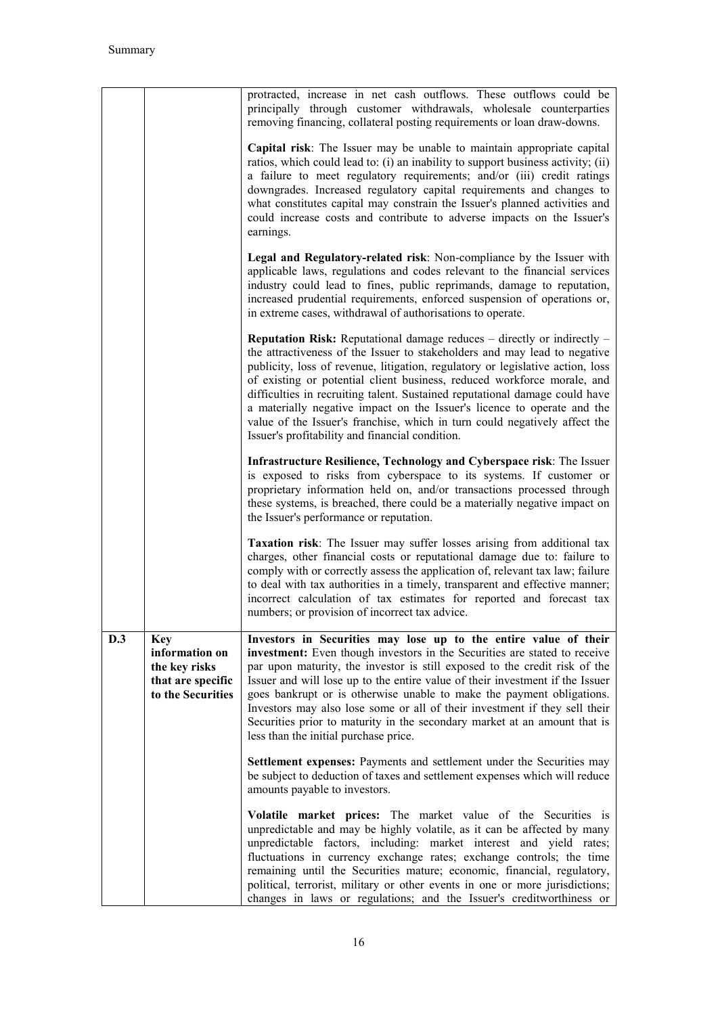|     |                                                                                         | protracted, increase in net cash outflows. These outflows could be<br>principally through customer withdrawals, wholesale counterparties<br>removing financing, collateral posting requirements or loan draw-downs.                                                                                                                                                                                                                                                                                                                                                                                                     |
|-----|-----------------------------------------------------------------------------------------|-------------------------------------------------------------------------------------------------------------------------------------------------------------------------------------------------------------------------------------------------------------------------------------------------------------------------------------------------------------------------------------------------------------------------------------------------------------------------------------------------------------------------------------------------------------------------------------------------------------------------|
|     |                                                                                         | Capital risk: The Issuer may be unable to maintain appropriate capital<br>ratios, which could lead to: (i) an inability to support business activity; (ii)<br>a failure to meet regulatory requirements; and/or (iii) credit ratings<br>downgrades. Increased regulatory capital requirements and changes to<br>what constitutes capital may constrain the Issuer's planned activities and<br>could increase costs and contribute to adverse impacts on the Issuer's<br>earnings.                                                                                                                                       |
|     |                                                                                         | Legal and Regulatory-related risk: Non-compliance by the Issuer with<br>applicable laws, regulations and codes relevant to the financial services<br>industry could lead to fines, public reprimands, damage to reputation,<br>increased prudential requirements, enforced suspension of operations or,<br>in extreme cases, withdrawal of authorisations to operate.                                                                                                                                                                                                                                                   |
|     |                                                                                         | <b>Reputation Risk:</b> Reputational damage reduces $-$ directly or indirectly $-$<br>the attractiveness of the Issuer to stakeholders and may lead to negative<br>publicity, loss of revenue, litigation, regulatory or legislative action, loss<br>of existing or potential client business, reduced workforce morale, and<br>difficulties in recruiting talent. Sustained reputational damage could have<br>a materially negative impact on the Issuer's licence to operate and the<br>value of the Issuer's franchise, which in turn could negatively affect the<br>Issuer's profitability and financial condition. |
|     |                                                                                         | Infrastructure Resilience, Technology and Cyberspace risk: The Issuer<br>is exposed to risks from cyberspace to its systems. If customer or<br>proprietary information held on, and/or transactions processed through<br>these systems, is breached, there could be a materially negative impact on<br>the Issuer's performance or reputation.                                                                                                                                                                                                                                                                          |
|     |                                                                                         | Taxation risk: The Issuer may suffer losses arising from additional tax<br>charges, other financial costs or reputational damage due to: failure to<br>comply with or correctly assess the application of, relevant tax law; failure<br>to deal with tax authorities in a timely, transparent and effective manner;<br>incorrect calculation of tax estimates for reported and forecast tax<br>numbers; or provision of incorrect tax advice.                                                                                                                                                                           |
| D.3 | <b>Key</b><br>information on<br>the key risks<br>that are specific<br>to the Securities | Investors in Securities may lose up to the entire value of their<br>investment: Even though investors in the Securities are stated to receive<br>par upon maturity, the investor is still exposed to the credit risk of the<br>Issuer and will lose up to the entire value of their investment if the Issuer<br>goes bankrupt or is otherwise unable to make the payment obligations.<br>Investors may also lose some or all of their investment if they sell their<br>Securities prior to maturity in the secondary market at an amount that is<br>less than the initial purchase price.                               |
|     |                                                                                         | Settlement expenses: Payments and settlement under the Securities may<br>be subject to deduction of taxes and settlement expenses which will reduce<br>amounts payable to investors.                                                                                                                                                                                                                                                                                                                                                                                                                                    |
|     |                                                                                         | Volatile market prices: The market value of the Securities is<br>unpredictable and may be highly volatile, as it can be affected by many<br>unpredictable factors, including: market interest and yield rates;<br>fluctuations in currency exchange rates; exchange controls; the time<br>remaining until the Securities mature; economic, financial, regulatory,<br>political, terrorist, military or other events in one or more jurisdictions;<br>changes in laws or regulations; and the Issuer's creditworthiness or                                                                                               |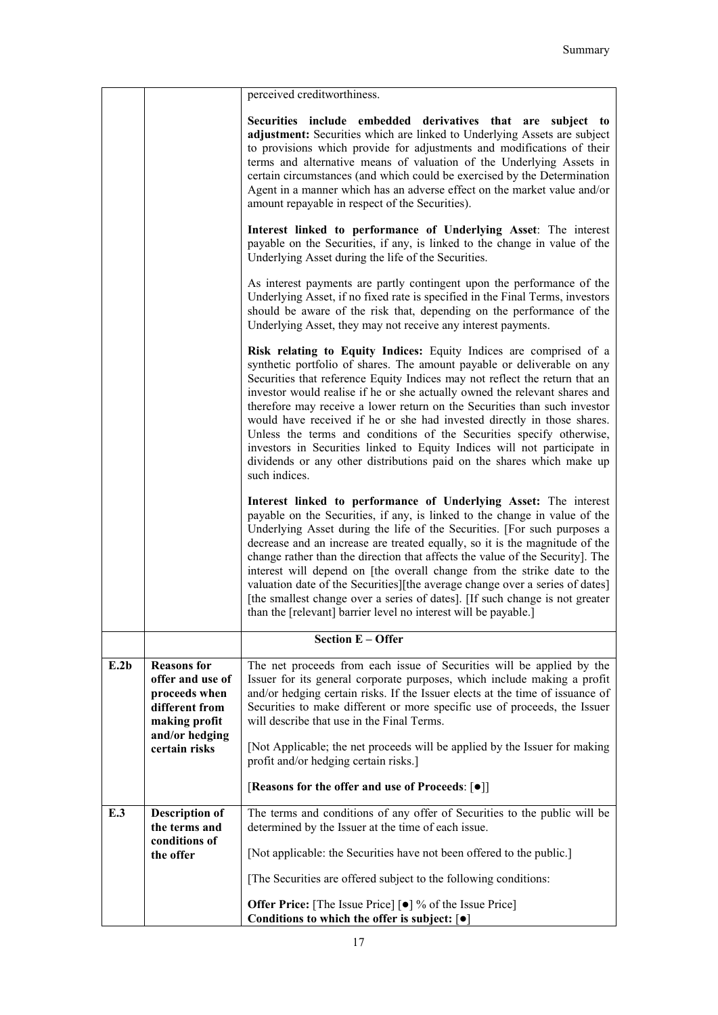|      |                                                                                                              | perceived creditworthiness.                                                                                                                                                                                                                                                                                                                                                                                                                                                                                                                                                                                                                                                                                      |
|------|--------------------------------------------------------------------------------------------------------------|------------------------------------------------------------------------------------------------------------------------------------------------------------------------------------------------------------------------------------------------------------------------------------------------------------------------------------------------------------------------------------------------------------------------------------------------------------------------------------------------------------------------------------------------------------------------------------------------------------------------------------------------------------------------------------------------------------------|
|      |                                                                                                              | Securities include embedded derivatives that are subject to<br>adjustment: Securities which are linked to Underlying Assets are subject<br>to provisions which provide for adjustments and modifications of their<br>terms and alternative means of valuation of the Underlying Assets in<br>certain circumstances (and which could be exercised by the Determination<br>Agent in a manner which has an adverse effect on the market value and/or<br>amount repayable in respect of the Securities).                                                                                                                                                                                                             |
|      |                                                                                                              | Interest linked to performance of Underlying Asset: The interest<br>payable on the Securities, if any, is linked to the change in value of the<br>Underlying Asset during the life of the Securities.                                                                                                                                                                                                                                                                                                                                                                                                                                                                                                            |
|      |                                                                                                              | As interest payments are partly contingent upon the performance of the<br>Underlying Asset, if no fixed rate is specified in the Final Terms, investors<br>should be aware of the risk that, depending on the performance of the<br>Underlying Asset, they may not receive any interest payments.                                                                                                                                                                                                                                                                                                                                                                                                                |
|      |                                                                                                              | Risk relating to Equity Indices: Equity Indices are comprised of a<br>synthetic portfolio of shares. The amount payable or deliverable on any<br>Securities that reference Equity Indices may not reflect the return that an<br>investor would realise if he or she actually owned the relevant shares and<br>therefore may receive a lower return on the Securities than such investor<br>would have received if he or she had invested directly in those shares.<br>Unless the terms and conditions of the Securities specify otherwise,<br>investors in Securities linked to Equity Indices will not participate in<br>dividends or any other distributions paid on the shares which make up<br>such indices. |
|      |                                                                                                              | Interest linked to performance of Underlying Asset: The interest<br>payable on the Securities, if any, is linked to the change in value of the<br>Underlying Asset during the life of the Securities. [For such purposes a<br>decrease and an increase are treated equally, so it is the magnitude of the<br>change rather than the direction that affects the value of the Security]. The<br>interest will depend on [the overall change from the strike date to the<br>valuation date of the Securities][the average change over a series of dates]<br>[the smallest change over a series of dates]. [If such change is not greater<br>than the [relevant] barrier level no interest will be payable.]         |
|      |                                                                                                              | <b>Section E - Offer</b>                                                                                                                                                                                                                                                                                                                                                                                                                                                                                                                                                                                                                                                                                         |
| E.2b | <b>Reasons for</b><br>offer and use of<br>proceeds when<br>different from<br>making profit<br>and/or hedging | The net proceeds from each issue of Securities will be applied by the<br>Issuer for its general corporate purposes, which include making a profit<br>and/or hedging certain risks. If the Issuer elects at the time of issuance of<br>Securities to make different or more specific use of proceeds, the Issuer<br>will describe that use in the Final Terms.                                                                                                                                                                                                                                                                                                                                                    |
|      | certain risks                                                                                                | [Not Applicable; the net proceeds will be applied by the Issuer for making<br>profit and/or hedging certain risks.]                                                                                                                                                                                                                                                                                                                                                                                                                                                                                                                                                                                              |
|      |                                                                                                              | [Reasons for the offer and use of Proceeds: [ $\bullet$ ]]                                                                                                                                                                                                                                                                                                                                                                                                                                                                                                                                                                                                                                                       |
| E.3  | <b>Description of</b><br>the terms and<br>conditions of                                                      | The terms and conditions of any offer of Securities to the public will be<br>determined by the Issuer at the time of each issue.                                                                                                                                                                                                                                                                                                                                                                                                                                                                                                                                                                                 |
|      | the offer                                                                                                    | [Not applicable: the Securities have not been offered to the public.]                                                                                                                                                                                                                                                                                                                                                                                                                                                                                                                                                                                                                                            |
|      |                                                                                                              | [The Securities are offered subject to the following conditions:                                                                                                                                                                                                                                                                                                                                                                                                                                                                                                                                                                                                                                                 |
|      |                                                                                                              | <b>Offer Price:</b> [The Issue Price] [ $\bullet$ ] % of the Issue Price]<br>Conditions to which the offer is subject: $\lceil \bullet \rceil$                                                                                                                                                                                                                                                                                                                                                                                                                                                                                                                                                                   |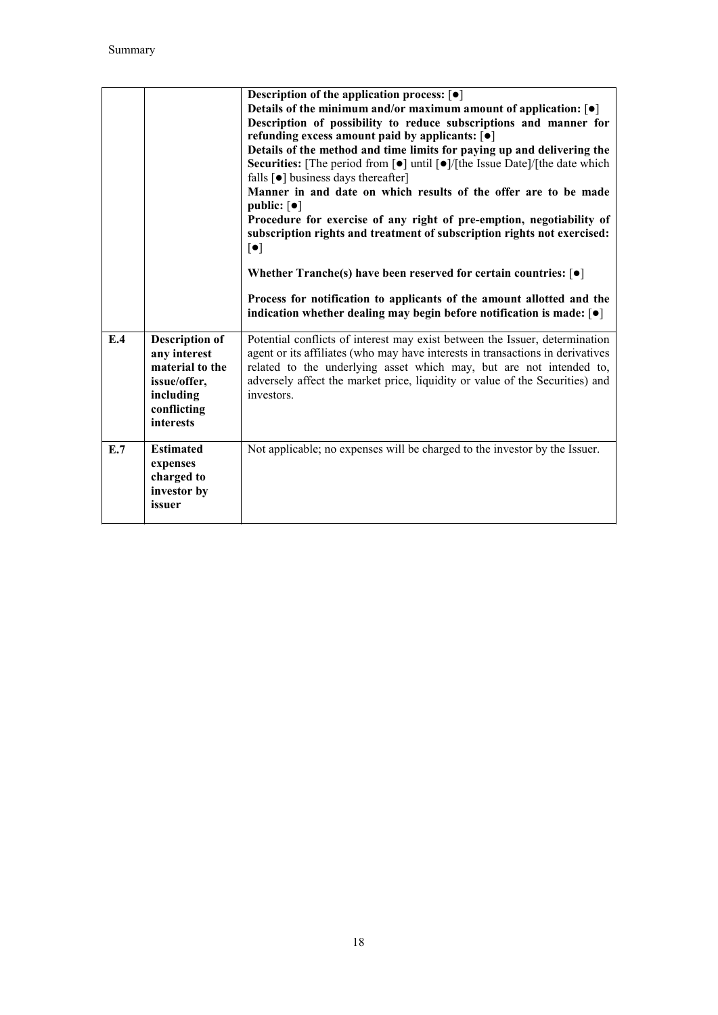|     |                                                                                                                          | Description of the application process: $\lceil \bullet \rceil$<br>Details of the minimum and/or maximum amount of application: $\lceil \bullet \rceil$<br>Description of possibility to reduce subscriptions and manner for<br>refunding excess amount paid by applicants: [ $\bullet$ ]<br>Details of the method and time limits for paying up and delivering the<br>Securities: [The period from [ $\bullet$ ] until [ $\bullet$ ]/[the Issue Date]/[the date which<br>falls $\lceil \bullet \rceil$ business days thereafter]<br>Manner in and date on which results of the offer are to be made<br>public: $\lceil \bullet \rceil$<br>Procedure for exercise of any right of pre-emption, negotiability of<br>subscription rights and treatment of subscription rights not exercised:<br>$[\bullet]$<br>Whether Tranche(s) have been reserved for certain countries: $\lceil \bullet \rceil$<br>Process for notification to applicants of the amount allotted and the<br>indication whether dealing may begin before notification is made: $\lceil \bullet \rceil$ |
|-----|--------------------------------------------------------------------------------------------------------------------------|-------------------------------------------------------------------------------------------------------------------------------------------------------------------------------------------------------------------------------------------------------------------------------------------------------------------------------------------------------------------------------------------------------------------------------------------------------------------------------------------------------------------------------------------------------------------------------------------------------------------------------------------------------------------------------------------------------------------------------------------------------------------------------------------------------------------------------------------------------------------------------------------------------------------------------------------------------------------------------------------------------------------------------------------------------------------------|
| E.4 | <b>Description of</b><br>any interest<br>material to the<br>issue/offer,<br>including<br>conflicting<br><b>interests</b> | Potential conflicts of interest may exist between the Issuer, determination<br>agent or its affiliates (who may have interests in transactions in derivatives<br>related to the underlying asset which may, but are not intended to,<br>adversely affect the market price, liquidity or value of the Securities) and<br>investors.                                                                                                                                                                                                                                                                                                                                                                                                                                                                                                                                                                                                                                                                                                                                      |
| E.7 | <b>Estimated</b><br>expenses<br>charged to<br>investor by<br>issuer                                                      | Not applicable; no expenses will be charged to the investor by the Issuer.                                                                                                                                                                                                                                                                                                                                                                                                                                                                                                                                                                                                                                                                                                                                                                                                                                                                                                                                                                                              |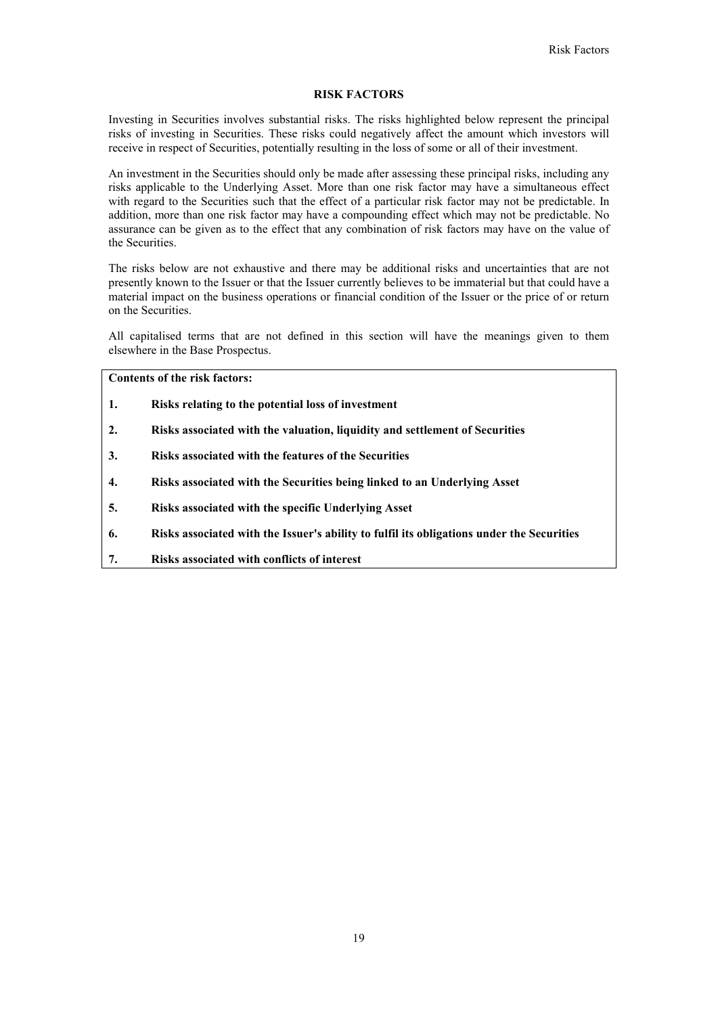### **RISK FACTORS**

Investing in Securities involves substantial risks. The risks highlighted below represent the principal risks of investing in Securities. These risks could negatively affect the amount which investors will receive in respect of Securities, potentially resulting in the loss of some or all of their investment.

An investment in the Securities should only be made after assessing these principal risks, including any risks applicable to the Underlying Asset. More than one risk factor may have a simultaneous effect with regard to the Securities such that the effect of a particular risk factor may not be predictable. In addition, more than one risk factor may have a compounding effect which may not be predictable. No assurance can be given as to the effect that any combination of risk factors may have on the value of the Securities.

The risks below are not exhaustive and there may be additional risks and uncertainties that are not presently known to the Issuer or that the Issuer currently believes to be immaterial but that could have a material impact on the business operations or financial condition of the Issuer or the price of or return on the Securities.

All capitalised terms that are not defined in this section will have the meanings given to them elsewhere in the Base Prospectus.

**Contents of the risk factors:**

- **1. Risks relating to the potential loss of investment**
- **2. Risks associated with the valuation, liquidity and settlement of Securities**
- **3. Risks associated with the features of the Securities**
- **4. Risks associated with the Securities being linked to an Underlying Asset**
- **5. Risks associated with the specific Underlying Asset**
- **6. Risks associated with the Issuer's ability to fulfil its obligations under the Securities**
- **7. Risks associated with conflicts of interest**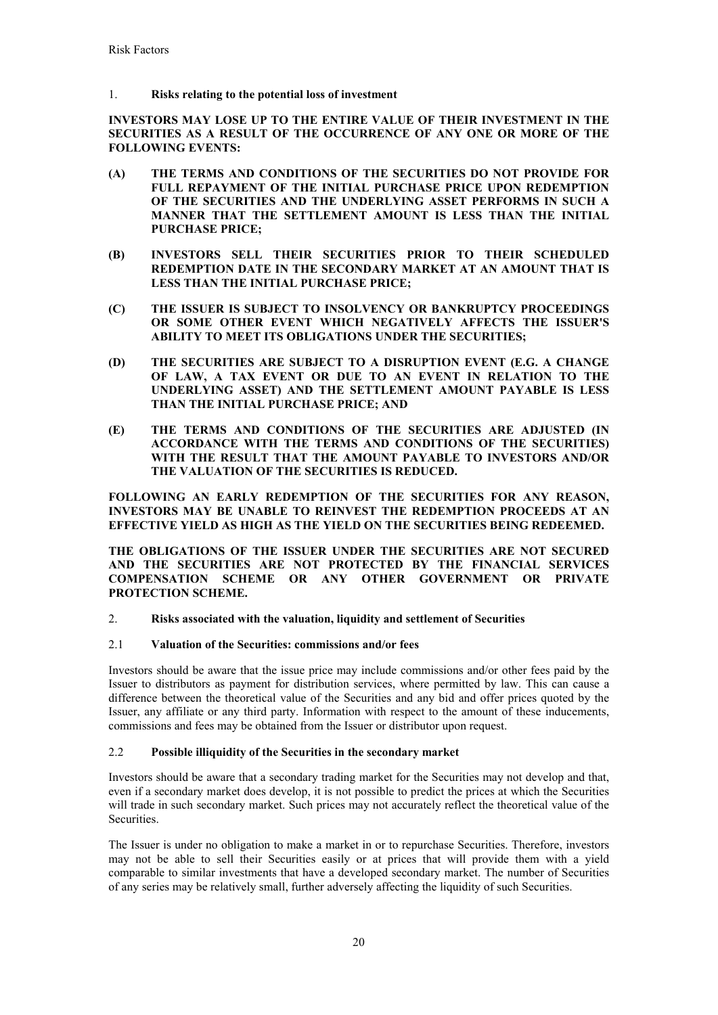1. **Risks relating to the potential loss of investment** 

**INVESTORS MAY LOSE UP TO THE ENTIRE VALUE OF THEIR INVESTMENT IN THE SECURITIES AS A RESULT OF THE OCCURRENCE OF ANY ONE OR MORE OF THE FOLLOWING EVENTS:**

- **(A) THE TERMS AND CONDITIONS OF THE SECURITIES DO NOT PROVIDE FOR FULL REPAYMENT OF THE INITIAL PURCHASE PRICE UPON REDEMPTION OF THE SECURITIES AND THE UNDERLYING ASSET PERFORMS IN SUCH A MANNER THAT THE SETTLEMENT AMOUNT IS LESS THAN THE INITIAL PURCHASE PRICE;**
- **(B) INVESTORS SELL THEIR SECURITIES PRIOR TO THEIR SCHEDULED REDEMPTION DATE IN THE SECONDARY MARKET AT AN AMOUNT THAT IS LESS THAN THE INITIAL PURCHASE PRICE;**
- **(C) THE ISSUER IS SUBJECT TO INSOLVENCY OR BANKRUPTCY PROCEEDINGS OR SOME OTHER EVENT WHICH NEGATIVELY AFFECTS THE ISSUER'S ABILITY TO MEET ITS OBLIGATIONS UNDER THE SECURITIES;**
- **(D) THE SECURITIES ARE SUBJECT TO A DISRUPTION EVENT (E.G. A CHANGE OF LAW, A TAX EVENT OR DUE TO AN EVENT IN RELATION TO THE UNDERLYING ASSET) AND THE SETTLEMENT AMOUNT PAYABLE IS LESS THAN THE INITIAL PURCHASE PRICE; AND**
- **(E) THE TERMS AND CONDITIONS OF THE SECURITIES ARE ADJUSTED (IN ACCORDANCE WITH THE TERMS AND CONDITIONS OF THE SECURITIES) WITH THE RESULT THAT THE AMOUNT PAYABLE TO INVESTORS AND/OR THE VALUATION OF THE SECURITIES IS REDUCED.**

**FOLLOWING AN EARLY REDEMPTION OF THE SECURITIES FOR ANY REASON, INVESTORS MAY BE UNABLE TO REINVEST THE REDEMPTION PROCEEDS AT AN EFFECTIVE YIELD AS HIGH AS THE YIELD ON THE SECURITIES BEING REDEEMED.**

**THE OBLIGATIONS OF THE ISSUER UNDER THE SECURITIES ARE NOT SECURED AND THE SECURITIES ARE NOT PROTECTED BY THE FINANCIAL SERVICES COMPENSATION SCHEME OR ANY OTHER GOVERNMENT OR PRIVATE PROTECTION SCHEME.**

2. **Risks associated with the valuation, liquidity and settlement of Securities**

# 2.1 **Valuation of the Securities: commissions and/or fees**

Investors should be aware that the issue price may include commissions and/or other fees paid by the Issuer to distributors as payment for distribution services, where permitted by law. This can cause a difference between the theoretical value of the Securities and any bid and offer prices quoted by the Issuer, any affiliate or any third party. Information with respect to the amount of these inducements, commissions and fees may be obtained from the Issuer or distributor upon request.

# 2.2 **Possible illiquidity of the Securities in the secondary market**

Investors should be aware that a secondary trading market for the Securities may not develop and that, even if a secondary market does develop, it is not possible to predict the prices at which the Securities will trade in such secondary market. Such prices may not accurately reflect the theoretical value of the Securities.

The Issuer is under no obligation to make a market in or to repurchase Securities. Therefore, investors may not be able to sell their Securities easily or at prices that will provide them with a yield comparable to similar investments that have a developed secondary market. The number of Securities of any series may be relatively small, further adversely affecting the liquidity of such Securities.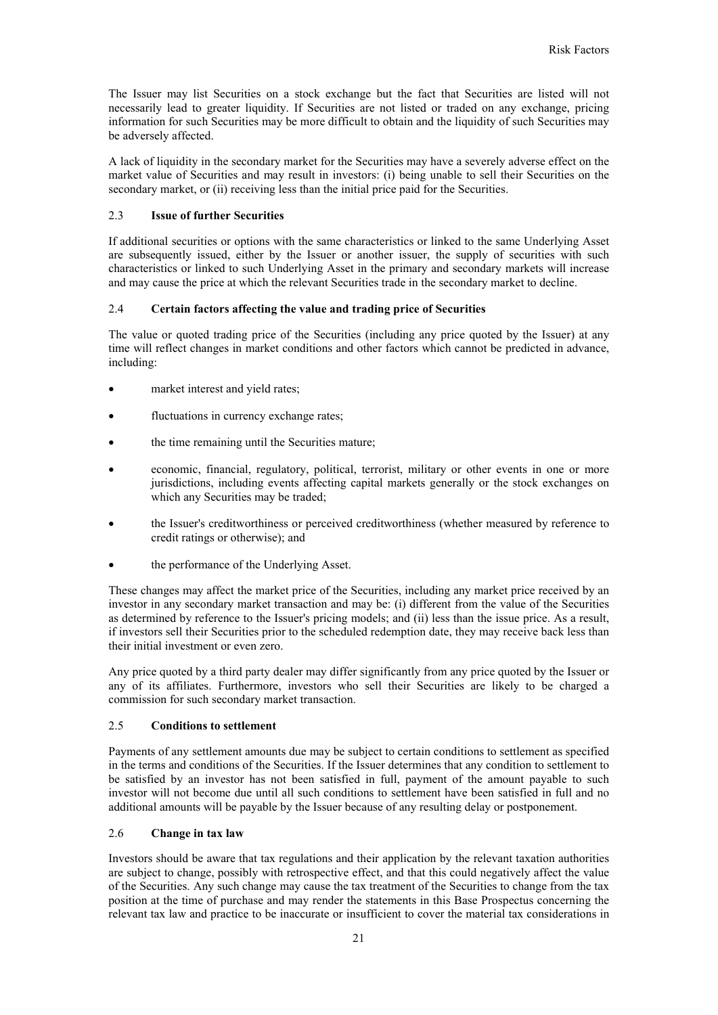The Issuer may list Securities on a stock exchange but the fact that Securities are listed will not necessarily lead to greater liquidity. If Securities are not listed or traded on any exchange, pricing information for such Securities may be more difficult to obtain and the liquidity of such Securities may be adversely affected.

A lack of liquidity in the secondary market for the Securities may have a severely adverse effect on the market value of Securities and may result in investors: (i) being unable to sell their Securities on the secondary market, or (ii) receiving less than the initial price paid for the Securities.

### 2.3 **Issue of further Securities**

If additional securities or options with the same characteristics or linked to the same Underlying Asset are subsequently issued, either by the Issuer or another issuer, the supply of securities with such characteristics or linked to such Underlying Asset in the primary and secondary markets will increase and may cause the price at which the relevant Securities trade in the secondary market to decline.

## 2.4 **Certain factors affecting the value and trading price of Securities**

The value or quoted trading price of the Securities (including any price quoted by the Issuer) at any time will reflect changes in market conditions and other factors which cannot be predicted in advance, including:

- market interest and yield rates;
- fluctuations in currency exchange rates;
- the time remaining until the Securities mature;
- economic, financial, regulatory, political, terrorist, military or other events in one or more jurisdictions, including events affecting capital markets generally or the stock exchanges on which any Securities may be traded;
- the Issuer's creditworthiness or perceived creditworthiness (whether measured by reference to credit ratings or otherwise); and
- the performance of the Underlying Asset.

These changes may affect the market price of the Securities, including any market price received by an investor in any secondary market transaction and may be: (i) different from the value of the Securities as determined by reference to the Issuer's pricing models; and (ii) less than the issue price. As a result, if investors sell their Securities prior to the scheduled redemption date, they may receive back less than their initial investment or even zero.

Any price quoted by a third party dealer may differ significantly from any price quoted by the Issuer or any of its affiliates. Furthermore, investors who sell their Securities are likely to be charged a commission for such secondary market transaction.

## 2.5 **Conditions to settlement**

Payments of any settlement amounts due may be subject to certain conditions to settlement as specified in the terms and conditions of the Securities. If the Issuer determines that any condition to settlement to be satisfied by an investor has not been satisfied in full, payment of the amount payable to such investor will not become due until all such conditions to settlement have been satisfied in full and no additional amounts will be payable by the Issuer because of any resulting delay or postponement.

### 2.6 **Change in tax law**

Investors should be aware that tax regulations and their application by the relevant taxation authorities are subject to change, possibly with retrospective effect, and that this could negatively affect the value of the Securities. Any such change may cause the tax treatment of the Securities to change from the tax position at the time of purchase and may render the statements in this Base Prospectus concerning the relevant tax law and practice to be inaccurate or insufficient to cover the material tax considerations in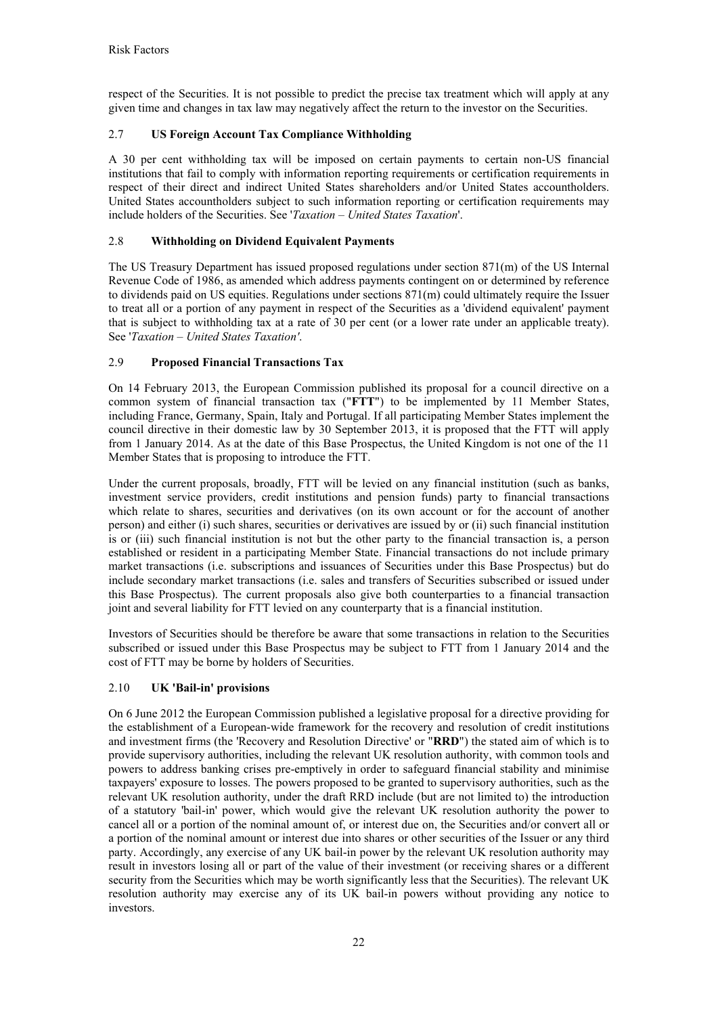respect of the Securities. It is not possible to predict the precise tax treatment which will apply at any given time and changes in tax law may negatively affect the return to the investor on the Securities.

# 2.7 **US Foreign Account Tax Compliance Withholding**

A 30 per cent withholding tax will be imposed on certain payments to certain non-US financial institutions that fail to comply with information reporting requirements or certification requirements in respect of their direct and indirect United States shareholders and/or United States accountholders. United States accountholders subject to such information reporting or certification requirements may include holders of the Securities. See '*Taxation – United States Taxation*'.

# 2.8 **Withholding on Dividend Equivalent Payments**

The US Treasury Department has issued proposed regulations under section 871(m) of the US Internal Revenue Code of 1986, as amended which address payments contingent on or determined by reference to dividends paid on US equities. Regulations under sections 871(m) could ultimately require the Issuer to treat all or a portion of any payment in respect of the Securities as a 'dividend equivalent' payment that is subject to withholding tax at a rate of 30 per cent (or a lower rate under an applicable treaty). See '*Taxation – United States Taxation'*.

# 2.9 **Proposed Financial Transactions Tax**

On 14 February 2013, the European Commission published its proposal for a council directive on a common system of financial transaction tax ("**FTT**") to be implemented by 11 Member States, including France, Germany, Spain, Italy and Portugal. If all participating Member States implement the council directive in their domestic law by 30 September 2013, it is proposed that the FTT will apply from 1 January 2014. As at the date of this Base Prospectus, the United Kingdom is not one of the 11 Member States that is proposing to introduce the FTT.

Under the current proposals, broadly, FTT will be levied on any financial institution (such as banks, investment service providers, credit institutions and pension funds) party to financial transactions which relate to shares, securities and derivatives (on its own account or for the account of another person) and either (i) such shares, securities or derivatives are issued by or (ii) such financial institution is or (iii) such financial institution is not but the other party to the financial transaction is, a person established or resident in a participating Member State. Financial transactions do not include primary market transactions (i.e. subscriptions and issuances of Securities under this Base Prospectus) but do include secondary market transactions (i.e. sales and transfers of Securities subscribed or issued under this Base Prospectus). The current proposals also give both counterparties to a financial transaction joint and several liability for FTT levied on any counterparty that is a financial institution.

Investors of Securities should be therefore be aware that some transactions in relation to the Securities subscribed or issued under this Base Prospectus may be subject to FTT from 1 January 2014 and the cost of FTT may be borne by holders of Securities.

# 2.10 **UK 'Bail-in' provisions**

On 6 June 2012 the European Commission published a legislative proposal for a directive providing for the establishment of a European-wide framework for the recovery and resolution of credit institutions and investment firms (the 'Recovery and Resolution Directive' or "**RRD**") the stated aim of which is to provide supervisory authorities, including the relevant UK resolution authority, with common tools and powers to address banking crises pre-emptively in order to safeguard financial stability and minimise taxpayers' exposure to losses. The powers proposed to be granted to supervisory authorities, such as the relevant UK resolution authority, under the draft RRD include (but are not limited to) the introduction of a statutory 'bail-in' power, which would give the relevant UK resolution authority the power to cancel all or a portion of the nominal amount of, or interest due on, the Securities and/or convert all or a portion of the nominal amount or interest due into shares or other securities of the Issuer or any third party. Accordingly, any exercise of any UK bail-in power by the relevant UK resolution authority may result in investors losing all or part of the value of their investment (or receiving shares or a different security from the Securities which may be worth significantly less that the Securities). The relevant UK resolution authority may exercise any of its UK bail-in powers without providing any notice to investors.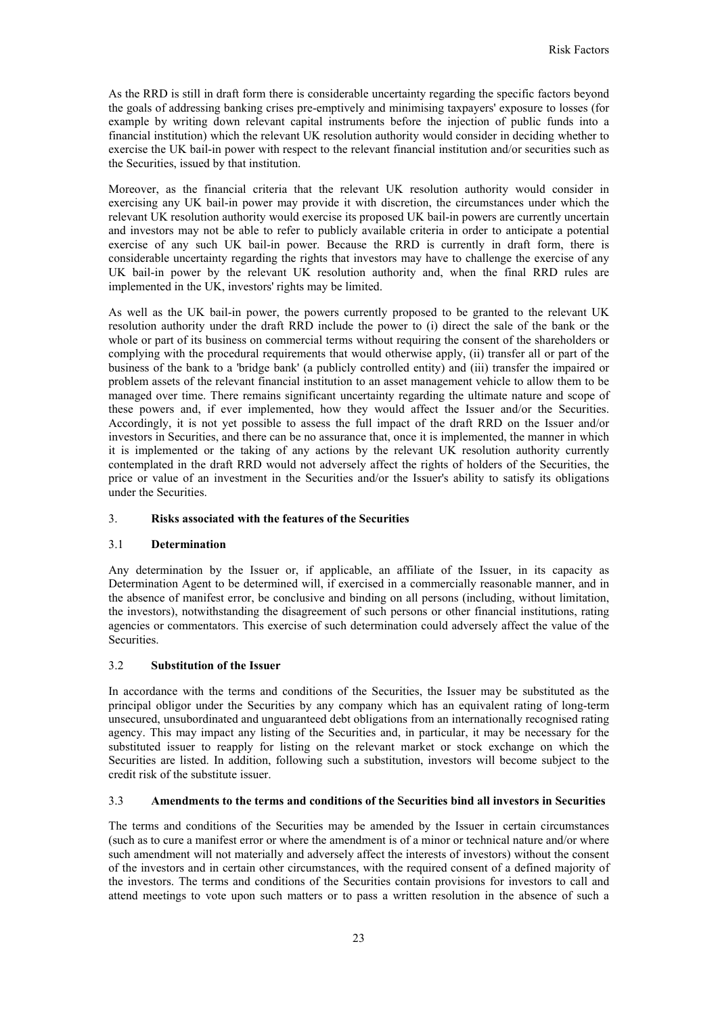As the RRD is still in draft form there is considerable uncertainty regarding the specific factors beyond the goals of addressing banking crises pre-emptively and minimising taxpayers' exposure to losses (for example by writing down relevant capital instruments before the injection of public funds into a financial institution) which the relevant UK resolution authority would consider in deciding whether to exercise the UK bail-in power with respect to the relevant financial institution and/or securities such as the Securities, issued by that institution.

Moreover, as the financial criteria that the relevant UK resolution authority would consider in exercising any UK bail-in power may provide it with discretion, the circumstances under which the relevant UK resolution authority would exercise its proposed UK bail-in powers are currently uncertain and investors may not be able to refer to publicly available criteria in order to anticipate a potential exercise of any such UK bail-in power. Because the RRD is currently in draft form, there is considerable uncertainty regarding the rights that investors may have to challenge the exercise of any UK bail-in power by the relevant UK resolution authority and, when the final RRD rules are implemented in the UK, investors' rights may be limited.

As well as the UK bail-in power, the powers currently proposed to be granted to the relevant UK resolution authority under the draft RRD include the power to (i) direct the sale of the bank or the whole or part of its business on commercial terms without requiring the consent of the shareholders or complying with the procedural requirements that would otherwise apply, (ii) transfer all or part of the business of the bank to a 'bridge bank' (a publicly controlled entity) and (iii) transfer the impaired or problem assets of the relevant financial institution to an asset management vehicle to allow them to be managed over time. There remains significant uncertainty regarding the ultimate nature and scope of these powers and, if ever implemented, how they would affect the Issuer and/or the Securities. Accordingly, it is not yet possible to assess the full impact of the draft RRD on the Issuer and/or investors in Securities, and there can be no assurance that, once it is implemented, the manner in which it is implemented or the taking of any actions by the relevant UK resolution authority currently contemplated in the draft RRD would not adversely affect the rights of holders of the Securities, the price or value of an investment in the Securities and/or the Issuer's ability to satisfy its obligations under the Securities.

## 3. **Risks associated with the features of the Securities**

#### 3.1 **Determination**

Any determination by the Issuer or, if applicable, an affiliate of the Issuer, in its capacity as Determination Agent to be determined will, if exercised in a commercially reasonable manner, and in the absence of manifest error, be conclusive and binding on all persons (including, without limitation, the investors), notwithstanding the disagreement of such persons or other financial institutions, rating agencies or commentators. This exercise of such determination could adversely affect the value of the Securities.

#### 3.2 **Substitution of the Issuer**

In accordance with the terms and conditions of the Securities, the Issuer may be substituted as the principal obligor under the Securities by any company which has an equivalent rating of long-term unsecured, unsubordinated and unguaranteed debt obligations from an internationally recognised rating agency. This may impact any listing of the Securities and, in particular, it may be necessary for the substituted issuer to reapply for listing on the relevant market or stock exchange on which the Securities are listed. In addition, following such a substitution, investors will become subject to the credit risk of the substitute issuer.

## 3.3 **Amendments to the terms and conditions of the Securities bind all investors in Securities**

The terms and conditions of the Securities may be amended by the Issuer in certain circumstances (such as to cure a manifest error or where the amendment is of a minor or technical nature and/or where such amendment will not materially and adversely affect the interests of investors) without the consent of the investors and in certain other circumstances, with the required consent of a defined majority of the investors. The terms and conditions of the Securities contain provisions for investors to call and attend meetings to vote upon such matters or to pass a written resolution in the absence of such a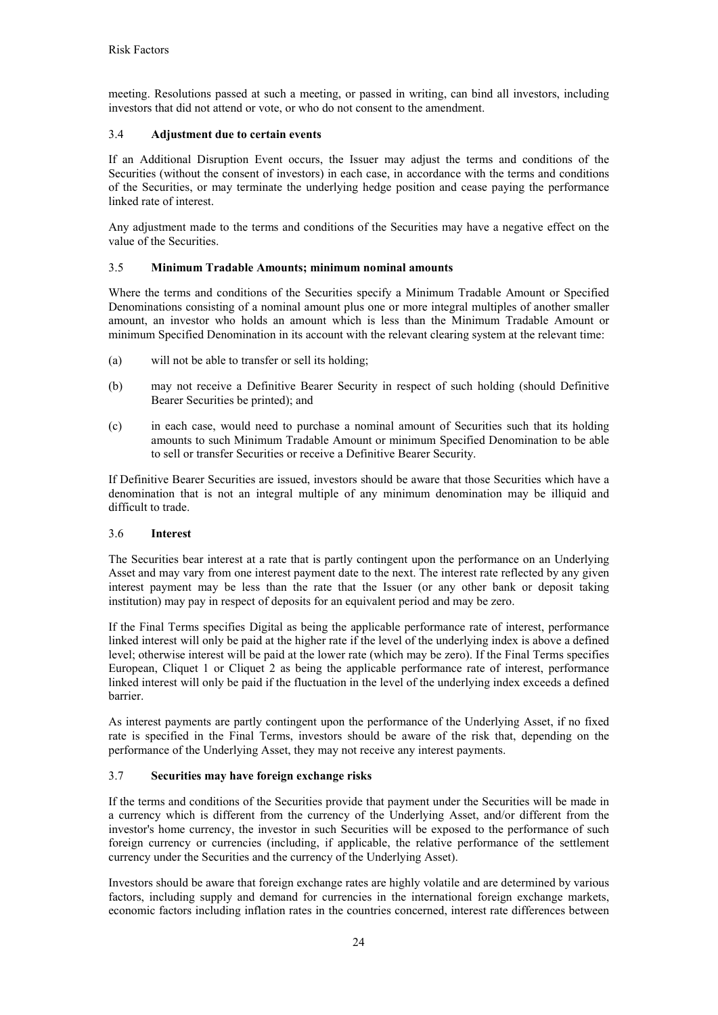meeting. Resolutions passed at such a meeting, or passed in writing, can bind all investors, including investors that did not attend or vote, or who do not consent to the amendment.

# 3.4 **Adjustment due to certain events**

If an Additional Disruption Event occurs, the Issuer may adjust the terms and conditions of the Securities (without the consent of investors) in each case, in accordance with the terms and conditions of the Securities, or may terminate the underlying hedge position and cease paying the performance linked rate of interest.

Any adjustment made to the terms and conditions of the Securities may have a negative effect on the value of the Securities.

# 3.5 **Minimum Tradable Amounts; minimum nominal amounts**

Where the terms and conditions of the Securities specify a Minimum Tradable Amount or Specified Denominations consisting of a nominal amount plus one or more integral multiples of another smaller amount, an investor who holds an amount which is less than the Minimum Tradable Amount or minimum Specified Denomination in its account with the relevant clearing system at the relevant time:

- (a) will not be able to transfer or sell its holding;
- (b) may not receive a Definitive Bearer Security in respect of such holding (should Definitive Bearer Securities be printed); and
- (c) in each case, would need to purchase a nominal amount of Securities such that its holding amounts to such Minimum Tradable Amount or minimum Specified Denomination to be able to sell or transfer Securities or receive a Definitive Bearer Security.

If Definitive Bearer Securities are issued, investors should be aware that those Securities which have a denomination that is not an integral multiple of any minimum denomination may be illiquid and difficult to trade.

## 3.6 **Interest**

The Securities bear interest at a rate that is partly contingent upon the performance on an Underlying Asset and may vary from one interest payment date to the next. The interest rate reflected by any given interest payment may be less than the rate that the Issuer (or any other bank or deposit taking institution) may pay in respect of deposits for an equivalent period and may be zero.

If the Final Terms specifies Digital as being the applicable performance rate of interest, performance linked interest will only be paid at the higher rate if the level of the underlying index is above a defined level; otherwise interest will be paid at the lower rate (which may be zero). If the Final Terms specifies European, Cliquet 1 or Cliquet 2 as being the applicable performance rate of interest, performance linked interest will only be paid if the fluctuation in the level of the underlying index exceeds a defined barrier.

As interest payments are partly contingent upon the performance of the Underlying Asset, if no fixed rate is specified in the Final Terms, investors should be aware of the risk that, depending on the performance of the Underlying Asset, they may not receive any interest payments.

## 3.7 **Securities may have foreign exchange risks**

If the terms and conditions of the Securities provide that payment under the Securities will be made in a currency which is different from the currency of the Underlying Asset, and/or different from the investor's home currency, the investor in such Securities will be exposed to the performance of such foreign currency or currencies (including, if applicable, the relative performance of the settlement currency under the Securities and the currency of the Underlying Asset).

Investors should be aware that foreign exchange rates are highly volatile and are determined by various factors, including supply and demand for currencies in the international foreign exchange markets, economic factors including inflation rates in the countries concerned, interest rate differences between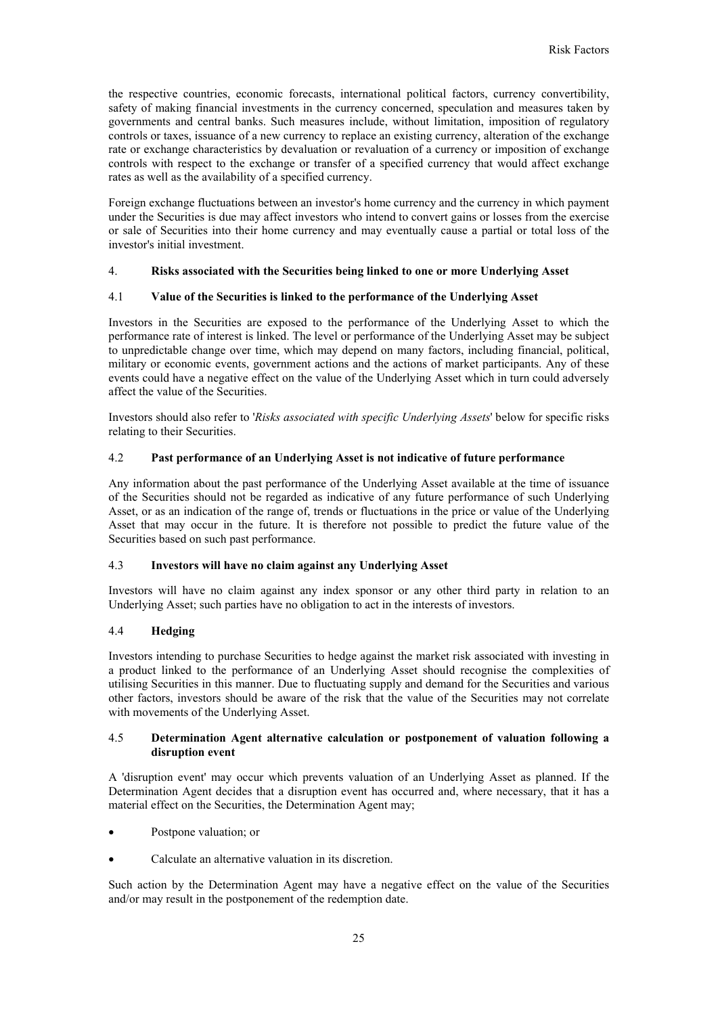the respective countries, economic forecasts, international political factors, currency convertibility, safety of making financial investments in the currency concerned, speculation and measures taken by governments and central banks. Such measures include, without limitation, imposition of regulatory controls or taxes, issuance of a new currency to replace an existing currency, alteration of the exchange rate or exchange characteristics by devaluation or revaluation of a currency or imposition of exchange controls with respect to the exchange or transfer of a specified currency that would affect exchange rates as well as the availability of a specified currency.

Foreign exchange fluctuations between an investor's home currency and the currency in which payment under the Securities is due may affect investors who intend to convert gains or losses from the exercise or sale of Securities into their home currency and may eventually cause a partial or total loss of the investor's initial investment.

## 4. **Risks associated with the Securities being linked to one or more Underlying Asset**

## 4.1 **Value of the Securities is linked to the performance of the Underlying Asset**

Investors in the Securities are exposed to the performance of the Underlying Asset to which the performance rate of interest is linked. The level or performance of the Underlying Asset may be subject to unpredictable change over time, which may depend on many factors, including financial, political, military or economic events, government actions and the actions of market participants. Any of these events could have a negative effect on the value of the Underlying Asset which in turn could adversely affect the value of the Securities.

Investors should also refer to '*Risks associated with specific Underlying Assets*' below for specific risks relating to their Securities.

## 4.2 **Past performance of an Underlying Asset is not indicative of future performance**

Any information about the past performance of the Underlying Asset available at the time of issuance of the Securities should not be regarded as indicative of any future performance of such Underlying Asset, or as an indication of the range of, trends or fluctuations in the price or value of the Underlying Asset that may occur in the future. It is therefore not possible to predict the future value of the Securities based on such past performance.

## 4.3 **Investors will have no claim against any Underlying Asset**

Investors will have no claim against any index sponsor or any other third party in relation to an Underlying Asset; such parties have no obligation to act in the interests of investors.

# 4.4 **Hedging**

Investors intending to purchase Securities to hedge against the market risk associated with investing in a product linked to the performance of an Underlying Asset should recognise the complexities of utilising Securities in this manner. Due to fluctuating supply and demand for the Securities and various other factors, investors should be aware of the risk that the value of the Securities may not correlate with movements of the Underlying Asset.

## 4.5 **Determination Agent alternative calculation or postponement of valuation following a disruption event**

A 'disruption event' may occur which prevents valuation of an Underlying Asset as planned. If the Determination Agent decides that a disruption event has occurred and, where necessary, that it has a material effect on the Securities, the Determination Agent may;

- Postpone valuation; or
- Calculate an alternative valuation in its discretion.

Such action by the Determination Agent may have a negative effect on the value of the Securities and/or may result in the postponement of the redemption date.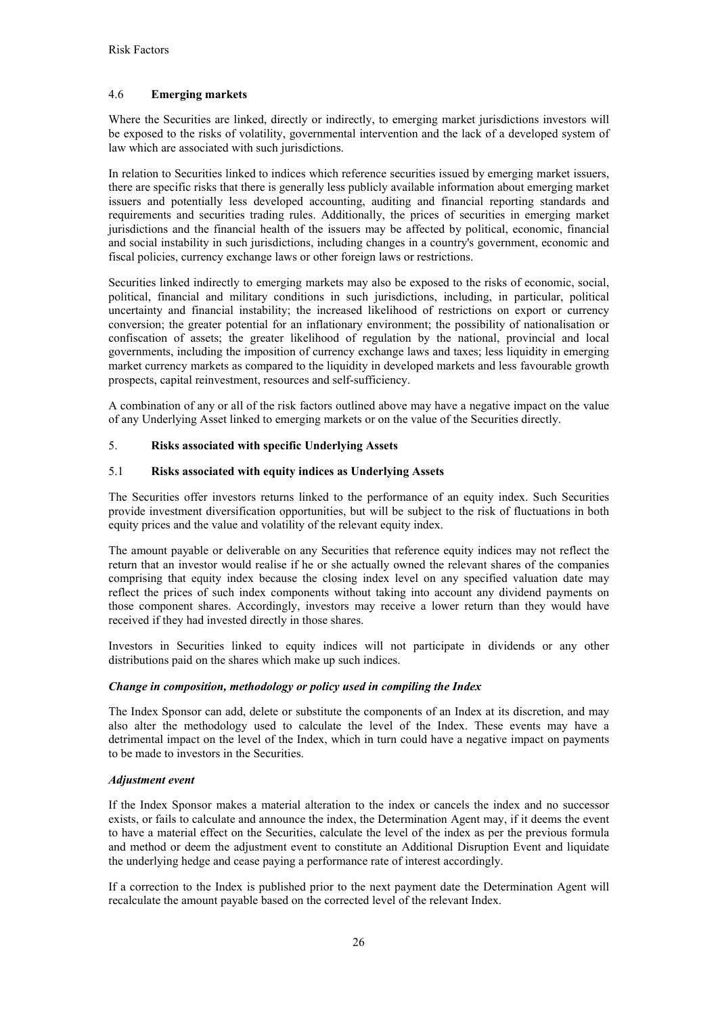# 4.6 **Emerging markets**

Where the Securities are linked, directly or indirectly, to emerging market jurisdictions investors will be exposed to the risks of volatility, governmental intervention and the lack of a developed system of law which are associated with such jurisdictions.

In relation to Securities linked to indices which reference securities issued by emerging market issuers, there are specific risks that there is generally less publicly available information about emerging market issuers and potentially less developed accounting, auditing and financial reporting standards and requirements and securities trading rules. Additionally, the prices of securities in emerging market jurisdictions and the financial health of the issuers may be affected by political, economic, financial and social instability in such jurisdictions, including changes in a country's government, economic and fiscal policies, currency exchange laws or other foreign laws or restrictions.

Securities linked indirectly to emerging markets may also be exposed to the risks of economic, social, political, financial and military conditions in such jurisdictions, including, in particular, political uncertainty and financial instability; the increased likelihood of restrictions on export or currency conversion; the greater potential for an inflationary environment; the possibility of nationalisation or confiscation of assets; the greater likelihood of regulation by the national, provincial and local governments, including the imposition of currency exchange laws and taxes; less liquidity in emerging market currency markets as compared to the liquidity in developed markets and less favourable growth prospects, capital reinvestment, resources and self-sufficiency.

A combination of any or all of the risk factors outlined above may have a negative impact on the value of any Underlying Asset linked to emerging markets or on the value of the Securities directly.

## 5. **Risks associated with specific Underlying Assets**

## 5.1 **Risks associated with equity indices as Underlying Assets**

The Securities offer investors returns linked to the performance of an equity index. Such Securities provide investment diversification opportunities, but will be subject to the risk of fluctuations in both equity prices and the value and volatility of the relevant equity index.

The amount payable or deliverable on any Securities that reference equity indices may not reflect the return that an investor would realise if he or she actually owned the relevant shares of the companies comprising that equity index because the closing index level on any specified valuation date may reflect the prices of such index components without taking into account any dividend payments on those component shares. Accordingly, investors may receive a lower return than they would have received if they had invested directly in those shares.

Investors in Securities linked to equity indices will not participate in dividends or any other distributions paid on the shares which make up such indices.

## *Change in composition, methodology or policy used in compiling the Index*

The Index Sponsor can add, delete or substitute the components of an Index at its discretion, and may also alter the methodology used to calculate the level of the Index. These events may have a detrimental impact on the level of the Index, which in turn could have a negative impact on payments to be made to investors in the Securities.

## *Adjustment event*

If the Index Sponsor makes a material alteration to the index or cancels the index and no successor exists, or fails to calculate and announce the index, the Determination Agent may, if it deems the event to have a material effect on the Securities, calculate the level of the index as per the previous formula and method or deem the adjustment event to constitute an Additional Disruption Event and liquidate the underlying hedge and cease paying a performance rate of interest accordingly.

If a correction to the Index is published prior to the next payment date the Determination Agent will recalculate the amount payable based on the corrected level of the relevant Index.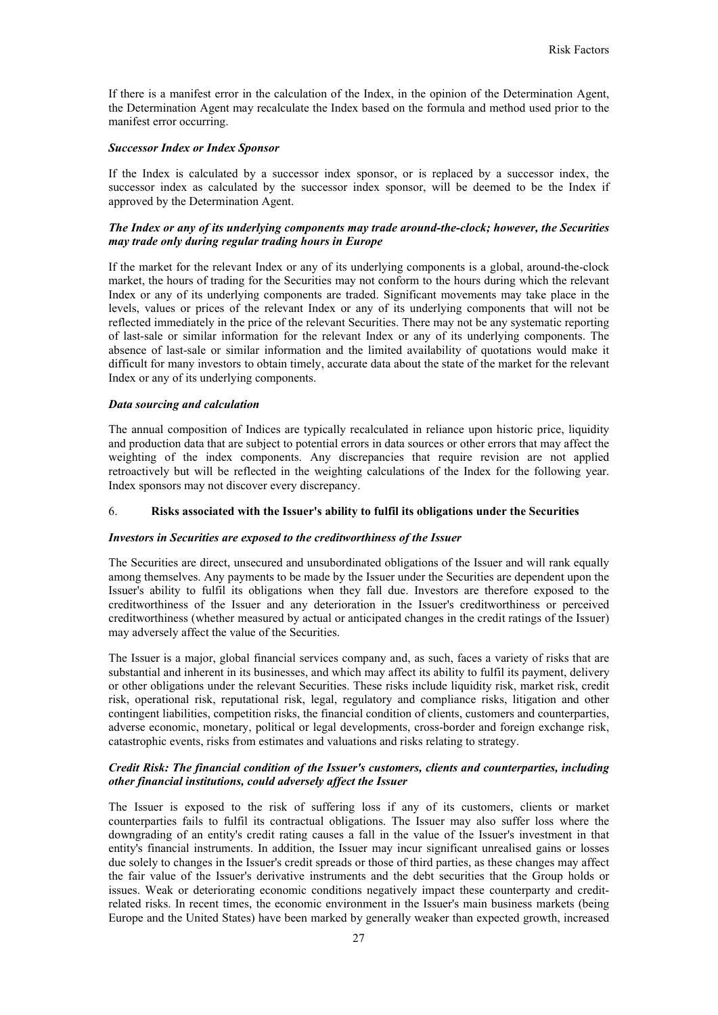If there is a manifest error in the calculation of the Index, in the opinion of the Determination Agent, the Determination Agent may recalculate the Index based on the formula and method used prior to the manifest error occurring.

#### *Successor Index or Index Sponsor*

If the Index is calculated by a successor index sponsor, or is replaced by a successor index, the successor index as calculated by the successor index sponsor, will be deemed to be the Index if approved by the Determination Agent.

## *The Index or any of its underlying components may trade around-the-clock; however, the Securities may trade only during regular trading hours in Europe*

If the market for the relevant Index or any of its underlying components is a global, around-the-clock market, the hours of trading for the Securities may not conform to the hours during which the relevant Index or any of its underlying components are traded. Significant movements may take place in the levels, values or prices of the relevant Index or any of its underlying components that will not be reflected immediately in the price of the relevant Securities. There may not be any systematic reporting of last-sale or similar information for the relevant Index or any of its underlying components. The absence of last-sale or similar information and the limited availability of quotations would make it difficult for many investors to obtain timely, accurate data about the state of the market for the relevant Index or any of its underlying components.

### *Data sourcing and calculation*

The annual composition of Indices are typically recalculated in reliance upon historic price, liquidity and production data that are subject to potential errors in data sources or other errors that may affect the weighting of the index components. Any discrepancies that require revision are not applied retroactively but will be reflected in the weighting calculations of the Index for the following year. Index sponsors may not discover every discrepancy.

## 6. **Risks associated with the Issuer's ability to fulfil its obligations under the Securities**

### *Investors in Securities are exposed to the creditworthiness of the Issuer*

The Securities are direct, unsecured and unsubordinated obligations of the Issuer and will rank equally among themselves. Any payments to be made by the Issuer under the Securities are dependent upon the Issuer's ability to fulfil its obligations when they fall due. Investors are therefore exposed to the creditworthiness of the Issuer and any deterioration in the Issuer's creditworthiness or perceived creditworthiness (whether measured by actual or anticipated changes in the credit ratings of the Issuer) may adversely affect the value of the Securities.

The Issuer is a major, global financial services company and, as such, faces a variety of risks that are substantial and inherent in its businesses, and which may affect its ability to fulfil its payment, delivery or other obligations under the relevant Securities. These risks include liquidity risk, market risk, credit risk, operational risk, reputational risk, legal, regulatory and compliance risks, litigation and other contingent liabilities, competition risks, the financial condition of clients, customers and counterparties, adverse economic, monetary, political or legal developments, cross-border and foreign exchange risk, catastrophic events, risks from estimates and valuations and risks relating to strategy.

### *Credit Risk: The financial condition of the Issuer's customers, clients and counterparties, including other financial institutions, could adversely affect the Issuer*

The Issuer is exposed to the risk of suffering loss if any of its customers, clients or market counterparties fails to fulfil its contractual obligations. The Issuer may also suffer loss where the downgrading of an entity's credit rating causes a fall in the value of the Issuer's investment in that entity's financial instruments. In addition, the Issuer may incur significant unrealised gains or losses due solely to changes in the Issuer's credit spreads or those of third parties, as these changes may affect the fair value of the Issuer's derivative instruments and the debt securities that the Group holds or issues. Weak or deteriorating economic conditions negatively impact these counterparty and creditrelated risks. In recent times, the economic environment in the Issuer's main business markets (being Europe and the United States) have been marked by generally weaker than expected growth, increased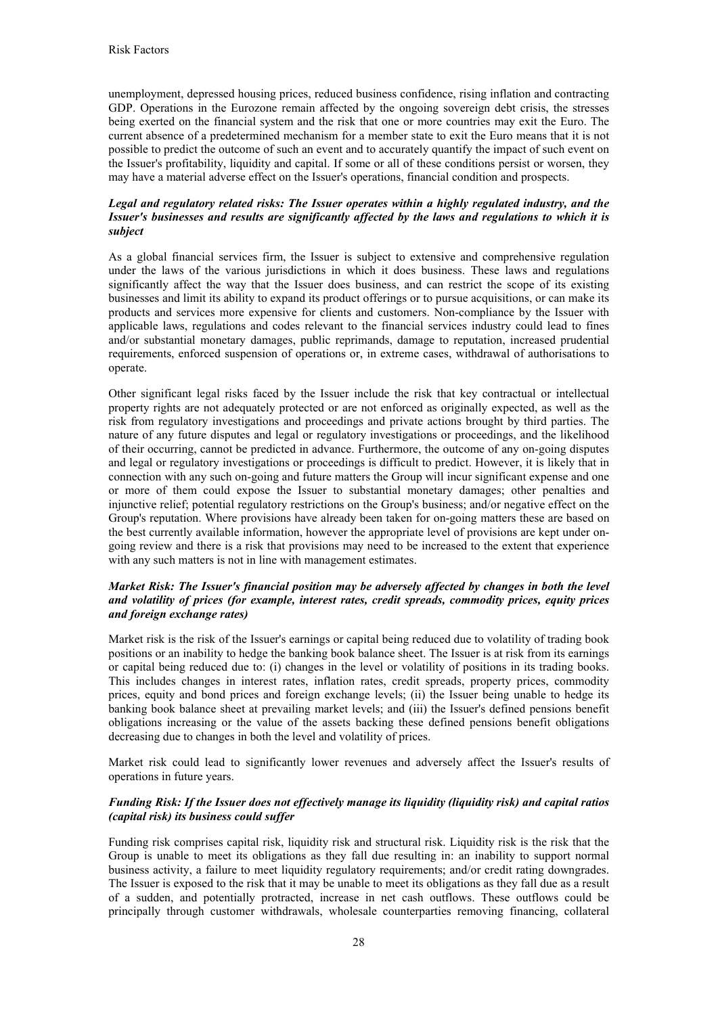unemployment, depressed housing prices, reduced business confidence, rising inflation and contracting GDP. Operations in the Eurozone remain affected by the ongoing sovereign debt crisis, the stresses being exerted on the financial system and the risk that one or more countries may exit the Euro. The current absence of a predetermined mechanism for a member state to exit the Euro means that it is not possible to predict the outcome of such an event and to accurately quantify the impact of such event on the Issuer's profitability, liquidity and capital. If some or all of these conditions persist or worsen, they may have a material adverse effect on the Issuer's operations, financial condition and prospects.

# *Legal and regulatory related risks: The Issuer operates within a highly regulated industry, and the Issuer's businesses and results are significantly affected by the laws and regulations to which it is subject*

As a global financial services firm, the Issuer is subject to extensive and comprehensive regulation under the laws of the various jurisdictions in which it does business. These laws and regulations significantly affect the way that the Issuer does business, and can restrict the scope of its existing businesses and limit its ability to expand its product offerings or to pursue acquisitions, or can make its products and services more expensive for clients and customers. Non-compliance by the Issuer with applicable laws, regulations and codes relevant to the financial services industry could lead to fines and/or substantial monetary damages, public reprimands, damage to reputation, increased prudential requirements, enforced suspension of operations or, in extreme cases, withdrawal of authorisations to operate.

Other significant legal risks faced by the Issuer include the risk that key contractual or intellectual property rights are not adequately protected or are not enforced as originally expected, as well as the risk from regulatory investigations and proceedings and private actions brought by third parties. The nature of any future disputes and legal or regulatory investigations or proceedings, and the likelihood of their occurring, cannot be predicted in advance. Furthermore, the outcome of any on-going disputes and legal or regulatory investigations or proceedings is difficult to predict. However, it is likely that in connection with any such on-going and future matters the Group will incur significant expense and one or more of them could expose the Issuer to substantial monetary damages; other penalties and injunctive relief; potential regulatory restrictions on the Group's business; and/or negative effect on the Group's reputation. Where provisions have already been taken for on-going matters these are based on the best currently available information, however the appropriate level of provisions are kept under ongoing review and there is a risk that provisions may need to be increased to the extent that experience with any such matters is not in line with management estimates.

# *Market Risk: The Issuer's financial position may be adversely affected by changes in both the level and volatility of prices (for example, interest rates, credit spreads, commodity prices, equity prices and foreign exchange rates)*

Market risk is the risk of the Issuer's earnings or capital being reduced due to volatility of trading book positions or an inability to hedge the banking book balance sheet. The Issuer is at risk from its earnings or capital being reduced due to: (i) changes in the level or volatility of positions in its trading books. This includes changes in interest rates, inflation rates, credit spreads, property prices, commodity prices, equity and bond prices and foreign exchange levels; (ii) the Issuer being unable to hedge its banking book balance sheet at prevailing market levels; and (iii) the Issuer's defined pensions benefit obligations increasing or the value of the assets backing these defined pensions benefit obligations decreasing due to changes in both the level and volatility of prices.

Market risk could lead to significantly lower revenues and adversely affect the Issuer's results of operations in future years.

## *Funding Risk: If the Issuer does not effectively manage its liquidity (liquidity risk) and capital ratios (capital risk) its business could suffer*

Funding risk comprises capital risk, liquidity risk and structural risk. Liquidity risk is the risk that the Group is unable to meet its obligations as they fall due resulting in: an inability to support normal business activity, a failure to meet liquidity regulatory requirements; and/or credit rating downgrades. The Issuer is exposed to the risk that it may be unable to meet its obligations as they fall due as a result of a sudden, and potentially protracted, increase in net cash outflows. These outflows could be principally through customer withdrawals, wholesale counterparties removing financing, collateral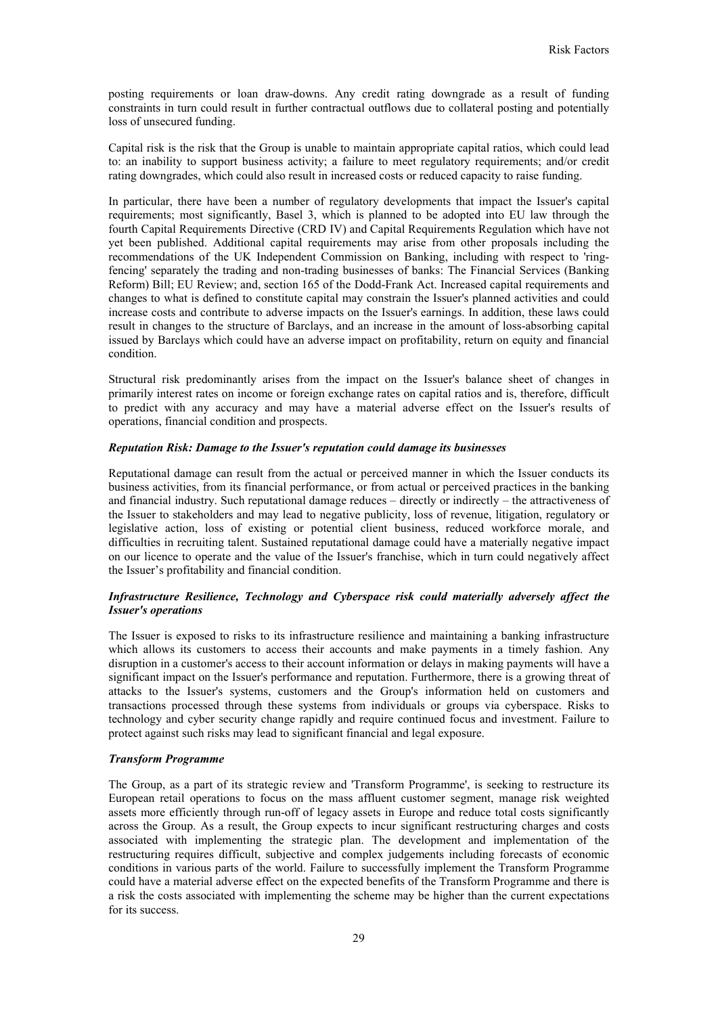posting requirements or loan draw-downs. Any credit rating downgrade as a result of funding constraints in turn could result in further contractual outflows due to collateral posting and potentially loss of unsecured funding.

Capital risk is the risk that the Group is unable to maintain appropriate capital ratios, which could lead to: an inability to support business activity; a failure to meet regulatory requirements; and/or credit rating downgrades, which could also result in increased costs or reduced capacity to raise funding.

In particular, there have been a number of regulatory developments that impact the Issuer's capital requirements; most significantly, Basel 3, which is planned to be adopted into EU law through the fourth Capital Requirements Directive (CRD IV) and Capital Requirements Regulation which have not yet been published. Additional capital requirements may arise from other proposals including the recommendations of the UK Independent Commission on Banking, including with respect to 'ringfencing' separately the trading and non-trading businesses of banks: The Financial Services (Banking Reform) Bill; EU Review; and, section 165 of the Dodd-Frank Act. Increased capital requirements and changes to what is defined to constitute capital may constrain the Issuer's planned activities and could increase costs and contribute to adverse impacts on the Issuer's earnings. In addition, these laws could result in changes to the structure of Barclays, and an increase in the amount of loss-absorbing capital issued by Barclays which could have an adverse impact on profitability, return on equity and financial condition.

Structural risk predominantly arises from the impact on the Issuer's balance sheet of changes in primarily interest rates on income or foreign exchange rates on capital ratios and is, therefore, difficult to predict with any accuracy and may have a material adverse effect on the Issuer's results of operations, financial condition and prospects.

## *Reputation Risk: Damage to the Issuer's reputation could damage its businesses*

Reputational damage can result from the actual or perceived manner in which the Issuer conducts its business activities, from its financial performance, or from actual or perceived practices in the banking and financial industry. Such reputational damage reduces – directly or indirectly – the attractiveness of the Issuer to stakeholders and may lead to negative publicity, loss of revenue, litigation, regulatory or legislative action, loss of existing or potential client business, reduced workforce morale, and difficulties in recruiting talent. Sustained reputational damage could have a materially negative impact on our licence to operate and the value of the Issuer's franchise, which in turn could negatively affect the Issuer's profitability and financial condition.

## *Infrastructure Resilience, Technology and Cyberspace risk could materially adversely affect the Issuer's operations*

The Issuer is exposed to risks to its infrastructure resilience and maintaining a banking infrastructure which allows its customers to access their accounts and make payments in a timely fashion. Any disruption in a customer's access to their account information or delays in making payments will have a significant impact on the Issuer's performance and reputation. Furthermore, there is a growing threat of attacks to the Issuer's systems, customers and the Group's information held on customers and transactions processed through these systems from individuals or groups via cyberspace. Risks to technology and cyber security change rapidly and require continued focus and investment. Failure to protect against such risks may lead to significant financial and legal exposure.

### *Transform Programme*

The Group, as a part of its strategic review and 'Transform Programme', is seeking to restructure its European retail operations to focus on the mass affluent customer segment, manage risk weighted assets more efficiently through run-off of legacy assets in Europe and reduce total costs significantly across the Group. As a result, the Group expects to incur significant restructuring charges and costs associated with implementing the strategic plan. The development and implementation of the restructuring requires difficult, subjective and complex judgements including forecasts of economic conditions in various parts of the world. Failure to successfully implement the Transform Programme could have a material adverse effect on the expected benefits of the Transform Programme and there is a risk the costs associated with implementing the scheme may be higher than the current expectations for its success.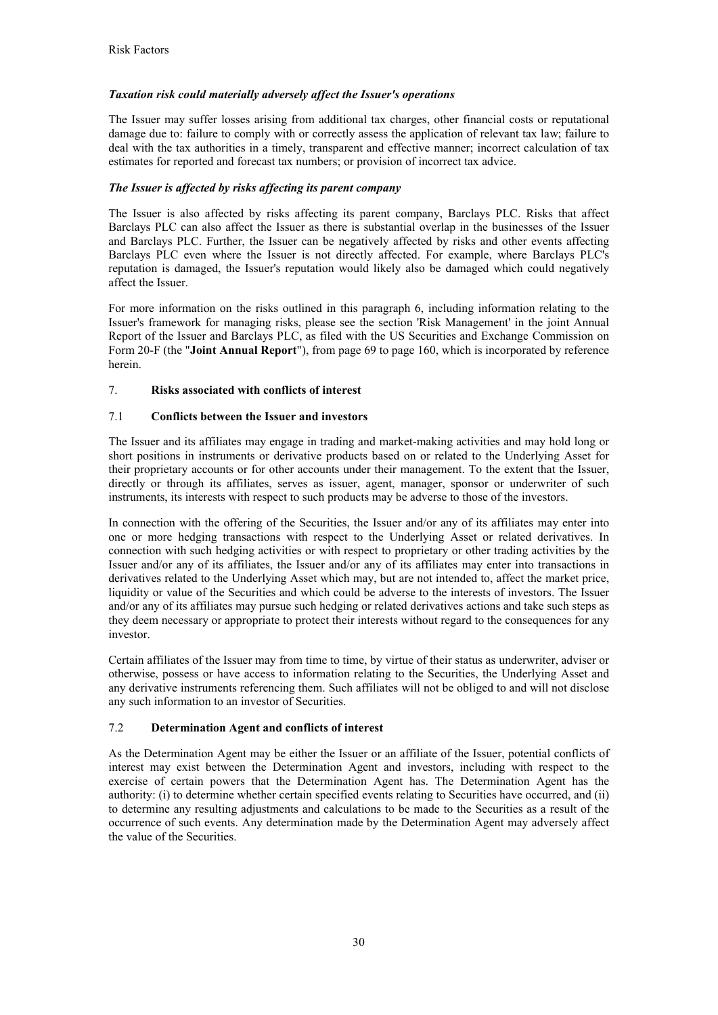# *Taxation risk could materially adversely affect the Issuer's operations*

The Issuer may suffer losses arising from additional tax charges, other financial costs or reputational damage due to: failure to comply with or correctly assess the application of relevant tax law; failure to deal with the tax authorities in a timely, transparent and effective manner; incorrect calculation of tax estimates for reported and forecast tax numbers; or provision of incorrect tax advice.

## *The Issuer is affected by risks affecting its parent company*

The Issuer is also affected by risks affecting its parent company, Barclays PLC. Risks that affect Barclays PLC can also affect the Issuer as there is substantial overlap in the businesses of the Issuer and Barclays PLC. Further, the Issuer can be negatively affected by risks and other events affecting Barclays PLC even where the Issuer is not directly affected. For example, where Barclays PLC's reputation is damaged, the Issuer's reputation would likely also be damaged which could negatively affect the Issuer.

For more information on the risks outlined in this paragraph 6, including information relating to the Issuer's framework for managing risks, please see the section 'Risk Management' in the joint Annual Report of the Issuer and Barclays PLC, as filed with the US Securities and Exchange Commission on Form 20-F (the "**Joint Annual Report**"), from page 69 to page 160, which is incorporated by reference herein.

## 7. **Risks associated with conflicts of interest**

# 7.1 **Conflicts between the Issuer and investors**

The Issuer and its affiliates may engage in trading and market-making activities and may hold long or short positions in instruments or derivative products based on or related to the Underlying Asset for their proprietary accounts or for other accounts under their management. To the extent that the Issuer, directly or through its affiliates, serves as issuer, agent, manager, sponsor or underwriter of such instruments, its interests with respect to such products may be adverse to those of the investors.

In connection with the offering of the Securities, the Issuer and/or any of its affiliates may enter into one or more hedging transactions with respect to the Underlying Asset or related derivatives. In connection with such hedging activities or with respect to proprietary or other trading activities by the Issuer and/or any of its affiliates, the Issuer and/or any of its affiliates may enter into transactions in derivatives related to the Underlying Asset which may, but are not intended to, affect the market price, liquidity or value of the Securities and which could be adverse to the interests of investors. The Issuer and/or any of its affiliates may pursue such hedging or related derivatives actions and take such steps as they deem necessary or appropriate to protect their interests without regard to the consequences for any investor.

Certain affiliates of the Issuer may from time to time, by virtue of their status as underwriter, adviser or otherwise, possess or have access to information relating to the Securities, the Underlying Asset and any derivative instruments referencing them. Such affiliates will not be obliged to and will not disclose any such information to an investor of Securities.

## 7.2 **Determination Agent and conflicts of interest**

As the Determination Agent may be either the Issuer or an affiliate of the Issuer, potential conflicts of interest may exist between the Determination Agent and investors, including with respect to the exercise of certain powers that the Determination Agent has. The Determination Agent has the authority: (i) to determine whether certain specified events relating to Securities have occurred, and (ii) to determine any resulting adjustments and calculations to be made to the Securities as a result of the occurrence of such events. Any determination made by the Determination Agent may adversely affect the value of the Securities.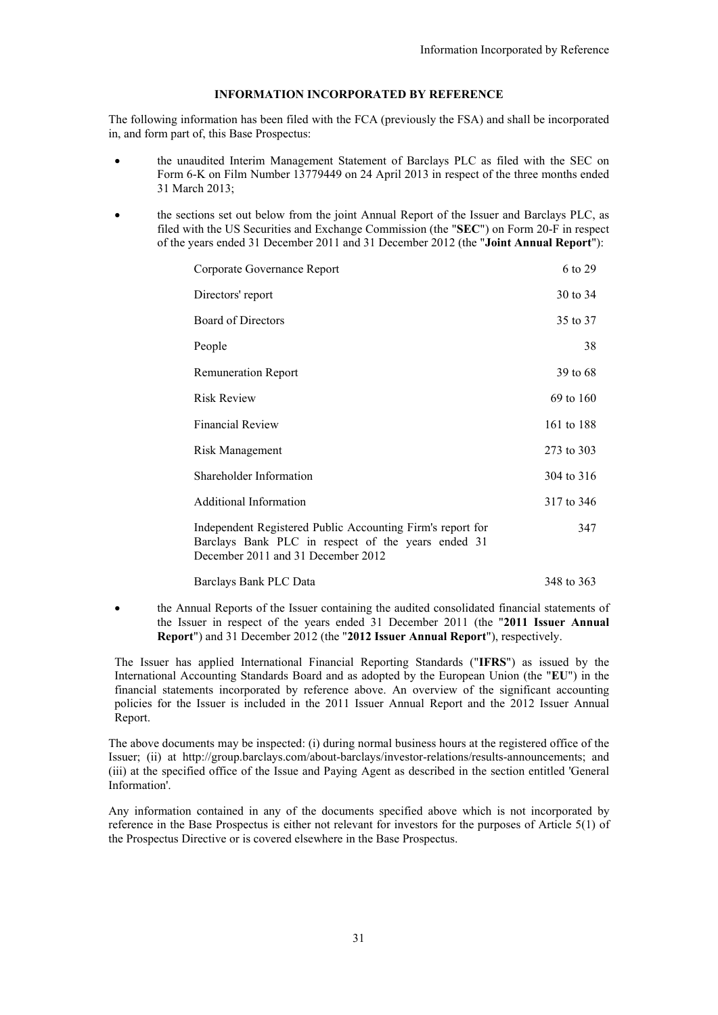## **INFORMATION INCORPORATED BY REFERENCE**

The following information has been filed with the FCA (previously the FSA) and shall be incorporated in, and form part of, this Base Prospectus:

- the unaudited Interim Management Statement of Barclays PLC as filed with the SEC on Form 6-K on Film Number 13779449 on 24 April 2013 in respect of the three months ended 31 March 2013;
- the sections set out below from the joint Annual Report of the Issuer and Barclays PLC, as filed with the US Securities and Exchange Commission (the "**SEC**") on Form 20-F in respect of the years ended 31 December 2011 and 31 December 2012 (the "**Joint Annual Report**"):

| Corporate Governance Report                                                                                                                            | 6 to 29    |
|--------------------------------------------------------------------------------------------------------------------------------------------------------|------------|
| Directors' report                                                                                                                                      | 30 to 34   |
| Board of Directors                                                                                                                                     | 35 to 37   |
| People                                                                                                                                                 | 38         |
| <b>Remuneration Report</b>                                                                                                                             | 39 to 68   |
| <b>Risk Review</b>                                                                                                                                     | 69 to 160  |
| <b>Financial Review</b>                                                                                                                                | 161 to 188 |
| Risk Management                                                                                                                                        | 273 to 303 |
| Shareholder Information                                                                                                                                | 304 to 316 |
| <b>Additional Information</b>                                                                                                                          | 317 to 346 |
| Independent Registered Public Accounting Firm's report for<br>Barclays Bank PLC in respect of the years ended 31<br>December 2011 and 31 December 2012 | 347        |
| Barclays Bank PLC Data                                                                                                                                 | 348 to 363 |

 the Annual Reports of the Issuer containing the audited consolidated financial statements of the Issuer in respect of the years ended 31 December 2011 (the "**2011 Issuer Annual Report**") and 31 December 2012 (the "**2012 Issuer Annual Report**"), respectively.

The Issuer has applied International Financial Reporting Standards ("**IFRS**") as issued by the International Accounting Standards Board and as adopted by the European Union (the "**EU**") in the financial statements incorporated by reference above. An overview of the significant accounting policies for the Issuer is included in the 2011 Issuer Annual Report and the 2012 Issuer Annual Report.

The above documents may be inspected: (i) during normal business hours at the registered office of the Issuer; (ii) at http://group.barclays.com/about-barclays/investor-relations/results-announcements; and (iii) at the specified office of the Issue and Paying Agent as described in the section entitled 'General Information'.

Any information contained in any of the documents specified above which is not incorporated by reference in the Base Prospectus is either not relevant for investors for the purposes of Article 5(1) of the Prospectus Directive or is covered elsewhere in the Base Prospectus.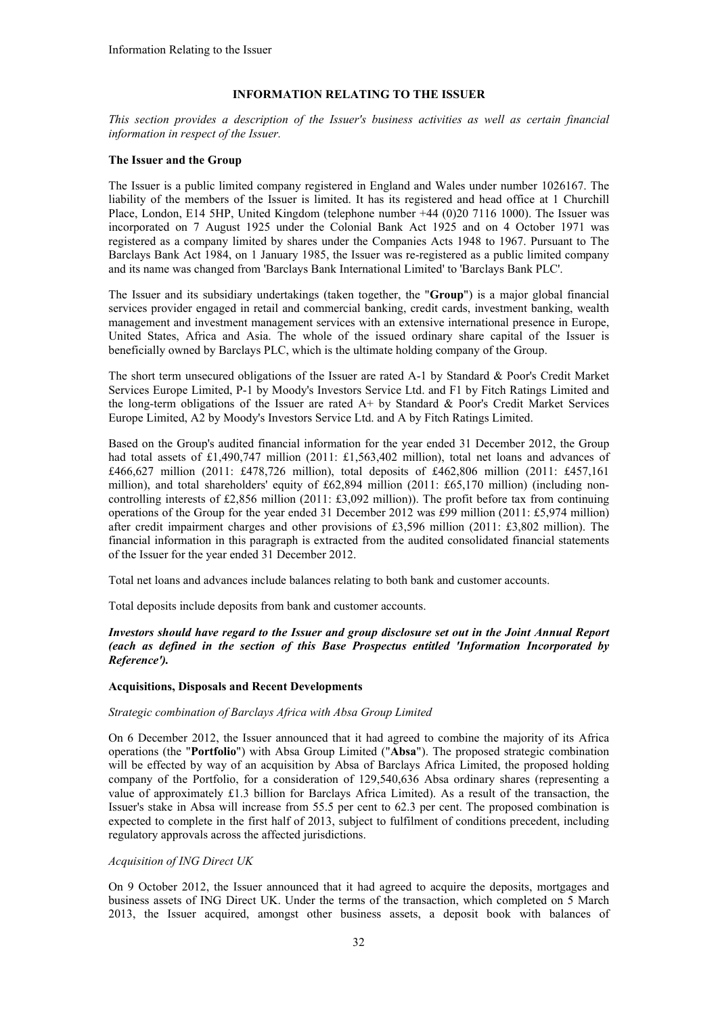# **INFORMATION RELATING TO THE ISSUER**

*This section provides a description of the Issuer's business activities as well as certain financial information in respect of the Issuer.*

## **The Issuer and the Group**

The Issuer is a public limited company registered in England and Wales under number 1026167. The liability of the members of the Issuer is limited. It has its registered and head office at 1 Churchill Place, London, E14 5HP, United Kingdom (telephone number +44 (0)20 7116 1000). The Issuer was incorporated on 7 August 1925 under the Colonial Bank Act 1925 and on 4 October 1971 was registered as a company limited by shares under the Companies Acts 1948 to 1967. Pursuant to The Barclays Bank Act 1984, on 1 January 1985, the Issuer was re-registered as a public limited company and its name was changed from 'Barclays Bank International Limited' to 'Barclays Bank PLC'.

The Issuer and its subsidiary undertakings (taken together, the "**Group**") is a major global financial services provider engaged in retail and commercial banking, credit cards, investment banking, wealth management and investment management services with an extensive international presence in Europe, United States, Africa and Asia. The whole of the issued ordinary share capital of the Issuer is beneficially owned by Barclays PLC, which is the ultimate holding company of the Group.

The short term unsecured obligations of the Issuer are rated A-1 by Standard & Poor's Credit Market Services Europe Limited, P-1 by Moody's Investors Service Ltd. and F1 by Fitch Ratings Limited and the long-term obligations of the Issuer are rated A+ by Standard & Poor's Credit Market Services Europe Limited, A2 by Moody's Investors Service Ltd. and A by Fitch Ratings Limited.

Based on the Group's audited financial information for the year ended 31 December 2012, the Group had total assets of £1,490,747 million (2011: £1,563,402 million), total net loans and advances of £466,627 million (2011: £478,726 million), total deposits of £462,806 million (2011: £457,161 million), and total shareholders' equity of £62,894 million (2011: £65,170 million) (including noncontrolling interests of £2,856 million (2011: £3,092 million)). The profit before tax from continuing operations of the Group for the year ended 31 December 2012 was £99 million (2011: £5,974 million) after credit impairment charges and other provisions of £3,596 million (2011: £3,802 million). The financial information in this paragraph is extracted from the audited consolidated financial statements of the Issuer for the year ended 31 December 2012.

Total net loans and advances include balances relating to both bank and customer accounts.

Total deposits include deposits from bank and customer accounts.

*Investors should have regard to the Issuer and group disclosure set out in the Joint Annual Report (each as defined in the section of this Base Prospectus entitled 'Information Incorporated by Reference').*

## **Acquisitions, Disposals and Recent Developments**

### *Strategic combination of Barclays Africa with Absa Group Limited*

On 6 December 2012, the Issuer announced that it had agreed to combine the majority of its Africa operations (the "**Portfolio**") with Absa Group Limited ("**Absa**"). The proposed strategic combination will be effected by way of an acquisition by Absa of Barclays Africa Limited, the proposed holding company of the Portfolio, for a consideration of 129,540,636 Absa ordinary shares (representing a value of approximately £1.3 billion for Barclays Africa Limited). As a result of the transaction, the Issuer's stake in Absa will increase from 55.5 per cent to 62.3 per cent. The proposed combination is expected to complete in the first half of 2013, subject to fulfilment of conditions precedent, including regulatory approvals across the affected jurisdictions.

## *Acquisition of ING Direct UK*

On 9 October 2012, the Issuer announced that it had agreed to acquire the deposits, mortgages and business assets of ING Direct UK. Under the terms of the transaction, which completed on 5 March 2013, the Issuer acquired, amongst other business assets, a deposit book with balances of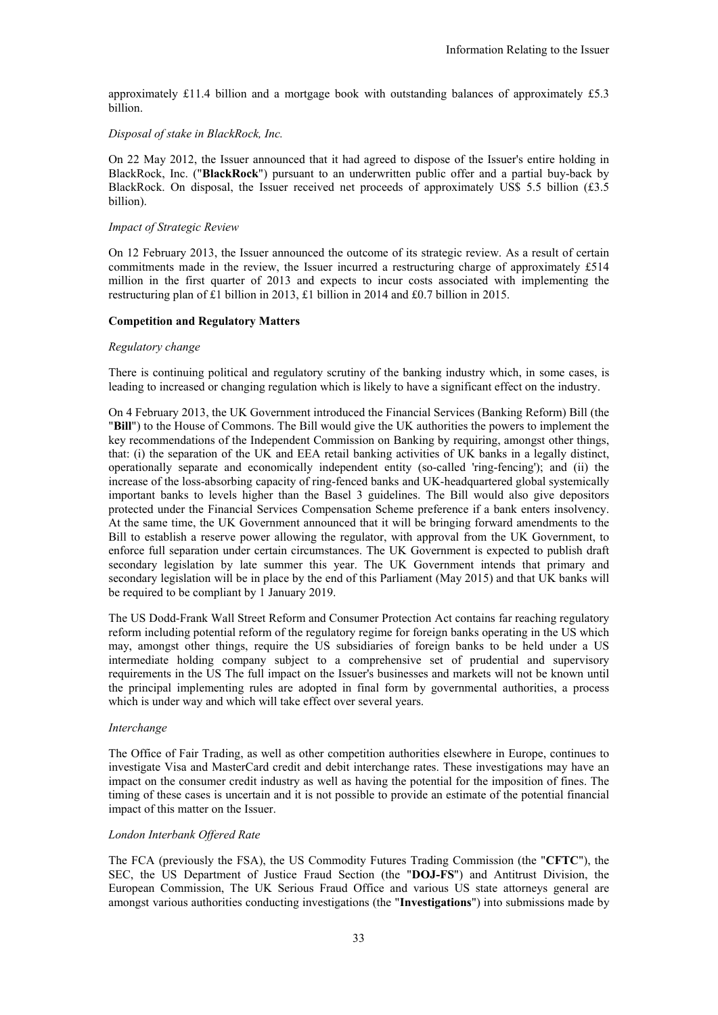approximately £11.4 billion and a mortgage book with outstanding balances of approximately £5.3 billion.

### *Disposal of stake in BlackRock, Inc.*

On 22 May 2012, the Issuer announced that it had agreed to dispose of the Issuer's entire holding in BlackRock, Inc. ("**BlackRock**") pursuant to an underwritten public offer and a partial buy-back by BlackRock. On disposal, the Issuer received net proceeds of approximately US\$ 5.5 billion (£3.5 billion).

### *Impact of Strategic Review*

On 12 February 2013, the Issuer announced the outcome of its strategic review. As a result of certain commitments made in the review, the Issuer incurred a restructuring charge of approximately £514 million in the first quarter of 2013 and expects to incur costs associated with implementing the restructuring plan of £1 billion in 2013, £1 billion in 2014 and £0.7 billion in 2015.

### **Competition and Regulatory Matters**

#### *Regulatory change*

There is continuing political and regulatory scrutiny of the banking industry which, in some cases, is leading to increased or changing regulation which is likely to have a significant effect on the industry.

On 4 February 2013, the UK Government introduced the Financial Services (Banking Reform) Bill (the "**Bill**") to the House of Commons. The Bill would give the UK authorities the powers to implement the key recommendations of the Independent Commission on Banking by requiring, amongst other things, that: (i) the separation of the UK and EEA retail banking activities of UK banks in a legally distinct, operationally separate and economically independent entity (so-called 'ring-fencing'); and (ii) the increase of the loss-absorbing capacity of ring-fenced banks and UK-headquartered global systemically important banks to levels higher than the Basel 3 guidelines. The Bill would also give depositors protected under the Financial Services Compensation Scheme preference if a bank enters insolvency. At the same time, the UK Government announced that it will be bringing forward amendments to the Bill to establish a reserve power allowing the regulator, with approval from the UK Government, to enforce full separation under certain circumstances. The UK Government is expected to publish draft secondary legislation by late summer this year. The UK Government intends that primary and secondary legislation will be in place by the end of this Parliament (May 2015) and that UK banks will be required to be compliant by 1 January 2019.

The US Dodd-Frank Wall Street Reform and Consumer Protection Act contains far reaching regulatory reform including potential reform of the regulatory regime for foreign banks operating in the US which may, amongst other things, require the US subsidiaries of foreign banks to be held under a US intermediate holding company subject to a comprehensive set of prudential and supervisory requirements in the US The full impact on the Issuer's businesses and markets will not be known until the principal implementing rules are adopted in final form by governmental authorities, a process which is under way and which will take effect over several years.

#### *Interchange*

The Office of Fair Trading, as well as other competition authorities elsewhere in Europe, continues to investigate Visa and MasterCard credit and debit interchange rates. These investigations may have an impact on the consumer credit industry as well as having the potential for the imposition of fines. The timing of these cases is uncertain and it is not possible to provide an estimate of the potential financial impact of this matter on the Issuer.

#### *London Interbank Offered Rate*

The FCA (previously the FSA), the US Commodity Futures Trading Commission (the "**CFTC**"), the SEC, the US Department of Justice Fraud Section (the "**DOJ-FS**") and Antitrust Division, the European Commission, The UK Serious Fraud Office and various US state attorneys general are amongst various authorities conducting investigations (the "**Investigations**") into submissions made by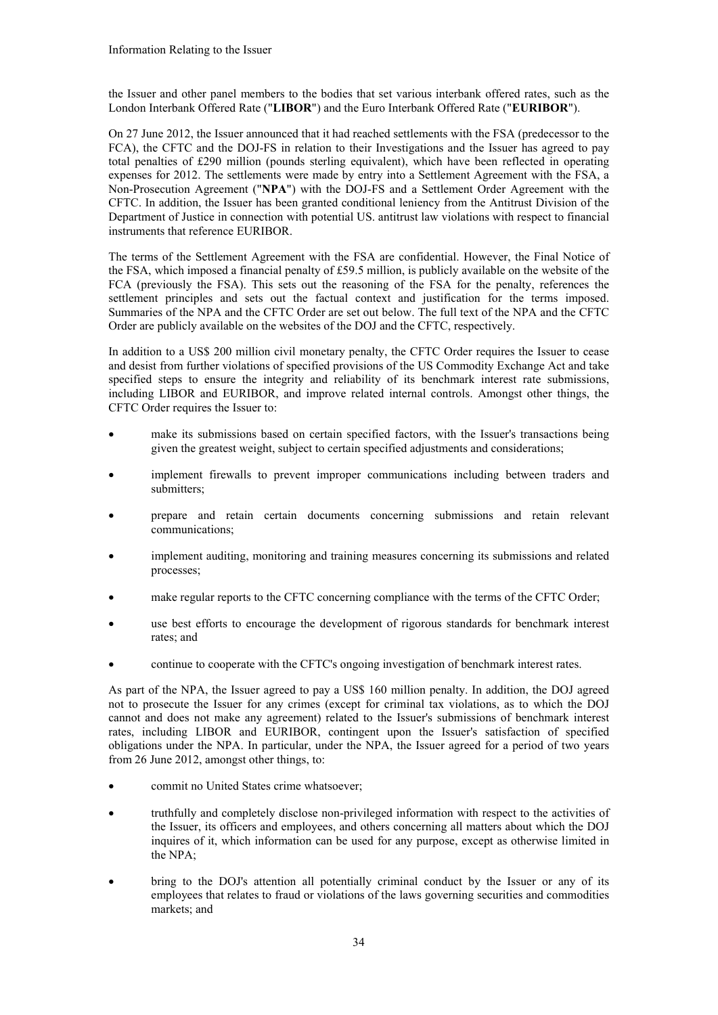the Issuer and other panel members to the bodies that set various interbank offered rates, such as the London Interbank Offered Rate ("**LIBOR**") and the Euro Interbank Offered Rate ("**EURIBOR**").

On 27 June 2012, the Issuer announced that it had reached settlements with the FSA (predecessor to the FCA), the CFTC and the DOJ-FS in relation to their Investigations and the Issuer has agreed to pay total penalties of £290 million (pounds sterling equivalent), which have been reflected in operating expenses for 2012. The settlements were made by entry into a Settlement Agreement with the FSA, a Non-Prosecution Agreement ("**NPA**") with the DOJ-FS and a Settlement Order Agreement with the CFTC. In addition, the Issuer has been granted conditional leniency from the Antitrust Division of the Department of Justice in connection with potential US. antitrust law violations with respect to financial instruments that reference EURIBOR.

The terms of the Settlement Agreement with the FSA are confidential. However, the Final Notice of the FSA, which imposed a financial penalty of £59.5 million, is publicly available on the website of the FCA (previously the FSA). This sets out the reasoning of the FSA for the penalty, references the settlement principles and sets out the factual context and justification for the terms imposed. Summaries of the NPA and the CFTC Order are set out below. The full text of the NPA and the CFTC Order are publicly available on the websites of the DOJ and the CFTC, respectively.

In addition to a US\$ 200 million civil monetary penalty, the CFTC Order requires the Issuer to cease and desist from further violations of specified provisions of the US Commodity Exchange Act and take specified steps to ensure the integrity and reliability of its benchmark interest rate submissions, including LIBOR and EURIBOR, and improve related internal controls. Amongst other things, the CFTC Order requires the Issuer to:

- make its submissions based on certain specified factors, with the Issuer's transactions being given the greatest weight, subject to certain specified adjustments and considerations;
- implement firewalls to prevent improper communications including between traders and submitters;
- prepare and retain certain documents concerning submissions and retain relevant communications;
- implement auditing, monitoring and training measures concerning its submissions and related processes;
- make regular reports to the CFTC concerning compliance with the terms of the CFTC Order;
- use best efforts to encourage the development of rigorous standards for benchmark interest rates; and
- continue to cooperate with the CFTC's ongoing investigation of benchmark interest rates.

As part of the NPA, the Issuer agreed to pay a US\$ 160 million penalty. In addition, the DOJ agreed not to prosecute the Issuer for any crimes (except for criminal tax violations, as to which the DOJ cannot and does not make any agreement) related to the Issuer's submissions of benchmark interest rates, including LIBOR and EURIBOR, contingent upon the Issuer's satisfaction of specified obligations under the NPA. In particular, under the NPA, the Issuer agreed for a period of two years from 26 June 2012, amongst other things, to:

- commit no United States crime whatsoever;
- truthfully and completely disclose non-privileged information with respect to the activities of the Issuer, its officers and employees, and others concerning all matters about which the DOJ inquires of it, which information can be used for any purpose, except as otherwise limited in the NPA;
- bring to the DOJ's attention all potentially criminal conduct by the Issuer or any of its employees that relates to fraud or violations of the laws governing securities and commodities markets; and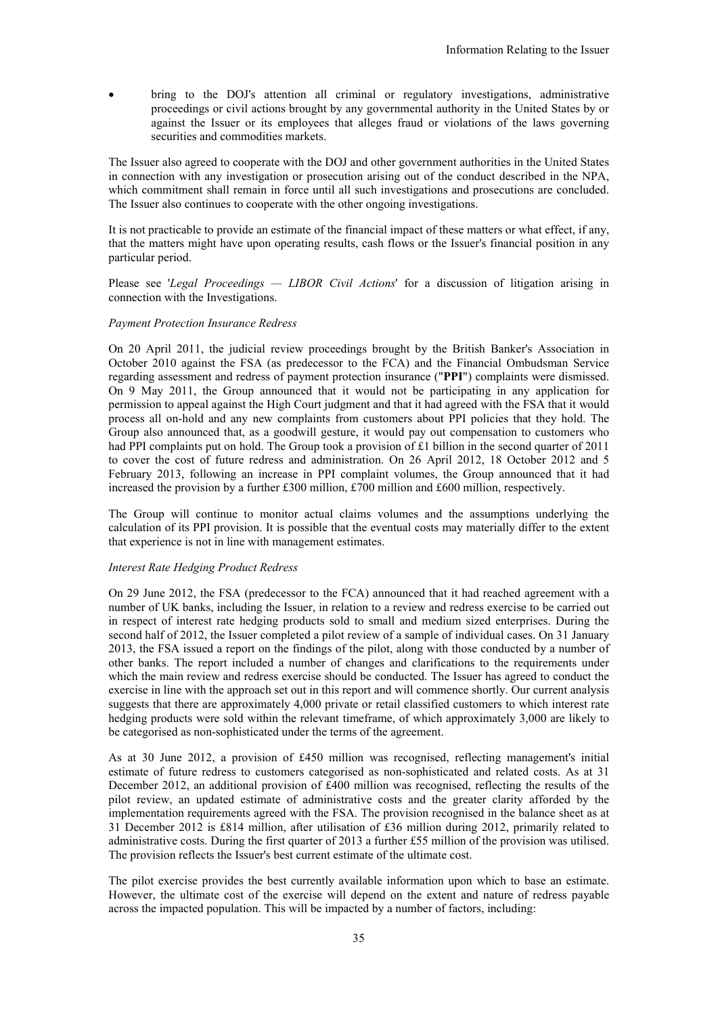bring to the DOJ's attention all criminal or regulatory investigations, administrative proceedings or civil actions brought by any governmental authority in the United States by or against the Issuer or its employees that alleges fraud or violations of the laws governing securities and commodities markets.

The Issuer also agreed to cooperate with the DOJ and other government authorities in the United States in connection with any investigation or prosecution arising out of the conduct described in the NPA, which commitment shall remain in force until all such investigations and prosecutions are concluded. The Issuer also continues to cooperate with the other ongoing investigations.

It is not practicable to provide an estimate of the financial impact of these matters or what effect, if any, that the matters might have upon operating results, cash flows or the Issuer's financial position in any particular period.

Please see '*Legal Proceedings — LIBOR Civil Actions*' for a discussion of litigation arising in connection with the Investigations.

### *Payment Protection Insurance Redress*

On 20 April 2011, the judicial review proceedings brought by the British Banker's Association in October 2010 against the FSA (as predecessor to the FCA) and the Financial Ombudsman Service regarding assessment and redress of payment protection insurance ("**PPI**") complaints were dismissed. On 9 May 2011, the Group announced that it would not be participating in any application for permission to appeal against the High Court judgment and that it had agreed with the FSA that it would process all on-hold and any new complaints from customers about PPI policies that they hold. The Group also announced that, as a goodwill gesture, it would pay out compensation to customers who had PPI complaints put on hold. The Group took a provision of £1 billion in the second quarter of 2011 to cover the cost of future redress and administration. On 26 April 2012, 18 October 2012 and 5 February 2013, following an increase in PPI complaint volumes, the Group announced that it had increased the provision by a further £300 million, £700 million and £600 million, respectively.

The Group will continue to monitor actual claims volumes and the assumptions underlying the calculation of its PPI provision. It is possible that the eventual costs may materially differ to the extent that experience is not in line with management estimates.

#### *Interest Rate Hedging Product Redress*

On 29 June 2012, the FSA (predecessor to the FCA) announced that it had reached agreement with a number of UK banks, including the Issuer, in relation to a review and redress exercise to be carried out in respect of interest rate hedging products sold to small and medium sized enterprises. During the second half of 2012, the Issuer completed a pilot review of a sample of individual cases. On 31 January 2013, the FSA issued a report on the findings of the pilot, along with those conducted by a number of other banks. The report included a number of changes and clarifications to the requirements under which the main review and redress exercise should be conducted. The Issuer has agreed to conduct the exercise in line with the approach set out in this report and will commence shortly. Our current analysis suggests that there are approximately 4,000 private or retail classified customers to which interest rate hedging products were sold within the relevant timeframe, of which approximately 3,000 are likely to be categorised as non-sophisticated under the terms of the agreement.

As at 30 June 2012, a provision of £450 million was recognised, reflecting management's initial estimate of future redress to customers categorised as non-sophisticated and related costs. As at 31 December 2012, an additional provision of £400 million was recognised, reflecting the results of the pilot review, an updated estimate of administrative costs and the greater clarity afforded by the implementation requirements agreed with the FSA. The provision recognised in the balance sheet as at 31 December 2012 is £814 million, after utilisation of £36 million during 2012, primarily related to administrative costs. During the first quarter of 2013 a further £55 million of the provision was utilised. The provision reflects the Issuer's best current estimate of the ultimate cost.

The pilot exercise provides the best currently available information upon which to base an estimate. However, the ultimate cost of the exercise will depend on the extent and nature of redress payable across the impacted population. This will be impacted by a number of factors, including: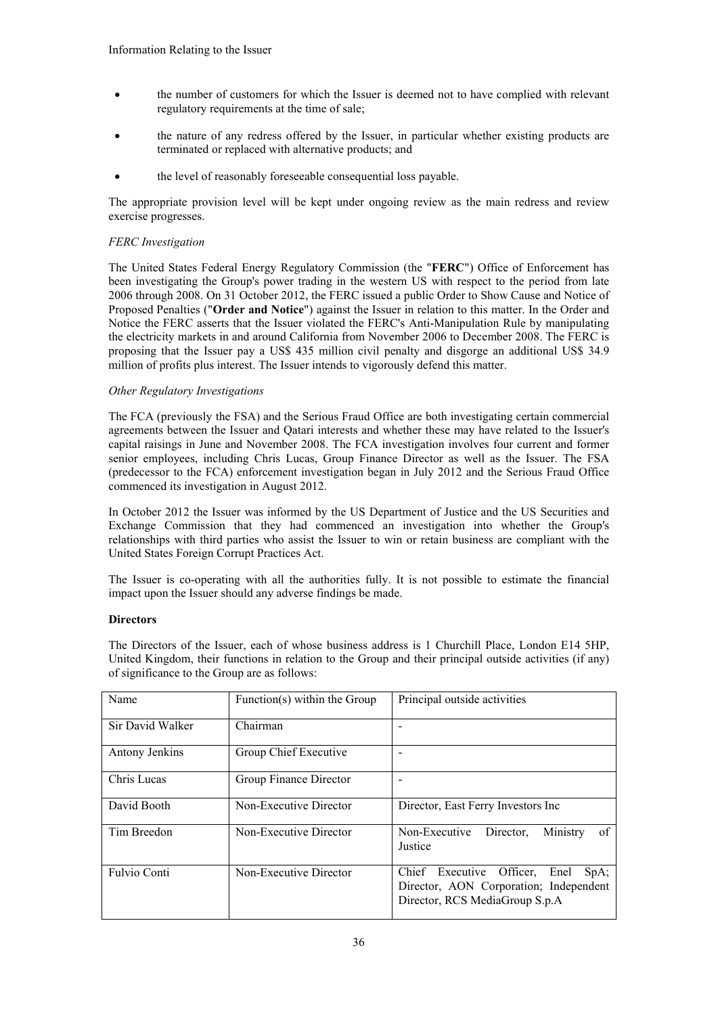- the number of customers for which the Issuer is deemed not to have complied with relevant regulatory requirements at the time of sale;
- the nature of any redress offered by the Issuer, in particular whether existing products are terminated or replaced with alternative products; and
- the level of reasonably foreseeable consequential loss payable.

The appropriate provision level will be kept under ongoing review as the main redress and review exercise progresses.

## *FERC Investigation*

The United States Federal Energy Regulatory Commission (the "**FERC**") Office of Enforcement has been investigating the Group's power trading in the western US with respect to the period from late 2006 through 2008. On 31 October 2012, the FERC issued a public Order to Show Cause and Notice of Proposed Penalties ("**Order and Notice**") against the Issuer in relation to this matter. In the Order and Notice the FERC asserts that the Issuer violated the FERC's Anti-Manipulation Rule by manipulating the electricity markets in and around California from November 2006 to December 2008. The FERC is proposing that the Issuer pay a US\$ 435 million civil penalty and disgorge an additional US\$ 34.9 million of profits plus interest. The Issuer intends to vigorously defend this matter.

## *Other Regulatory Investigations*

The FCA (previously the FSA) and the Serious Fraud Office are both investigating certain commercial agreements between the Issuer and Qatari interests and whether these may have related to the Issuer's capital raisings in June and November 2008. The FCA investigation involves four current and former senior employees, including Chris Lucas, Group Finance Director as well as the Issuer. The FSA (predecessor to the FCA) enforcement investigation began in July 2012 and the Serious Fraud Office commenced its investigation in August 2012.

In October 2012 the Issuer was informed by the US Department of Justice and the US Securities and Exchange Commission that they had commenced an investigation into whether the Group's relationships with third parties who assist the Issuer to win or retain business are compliant with the United States Foreign Corrupt Practices Act.

The Issuer is co-operating with all the authorities fully. It is not possible to estimate the financial impact upon the Issuer should any adverse findings be made.

# **Directors**

The Directors of the Issuer, each of whose business address is 1 Churchill Place, London E14 5HP, United Kingdom, their functions in relation to the Group and their principal outside activities (if any) of significance to the Group are as follows:

| Name                | Function(s) within the Group | Principal outside activities                                                                                                  |
|---------------------|------------------------------|-------------------------------------------------------------------------------------------------------------------------------|
| Sir David Walker    | Chairman                     |                                                                                                                               |
| Antony Jenkins      | Group Chief Executive        |                                                                                                                               |
| Chris Lucas         | Group Finance Director       |                                                                                                                               |
| David Booth         | Non-Executive Director       | Director, East Ferry Investors Inc.                                                                                           |
| Tim Breedon         | Non-Executive Director       | οf<br>Director.<br>Ministry<br>Non-Executive<br>Justice                                                                       |
| <b>Fulvio Conti</b> | Non-Executive Director       | Chief<br>Officer,<br>Executive<br>Enel<br>$SpA$ ;<br>Director, AON Corporation; Independent<br>Director, RCS MediaGroup S.p.A |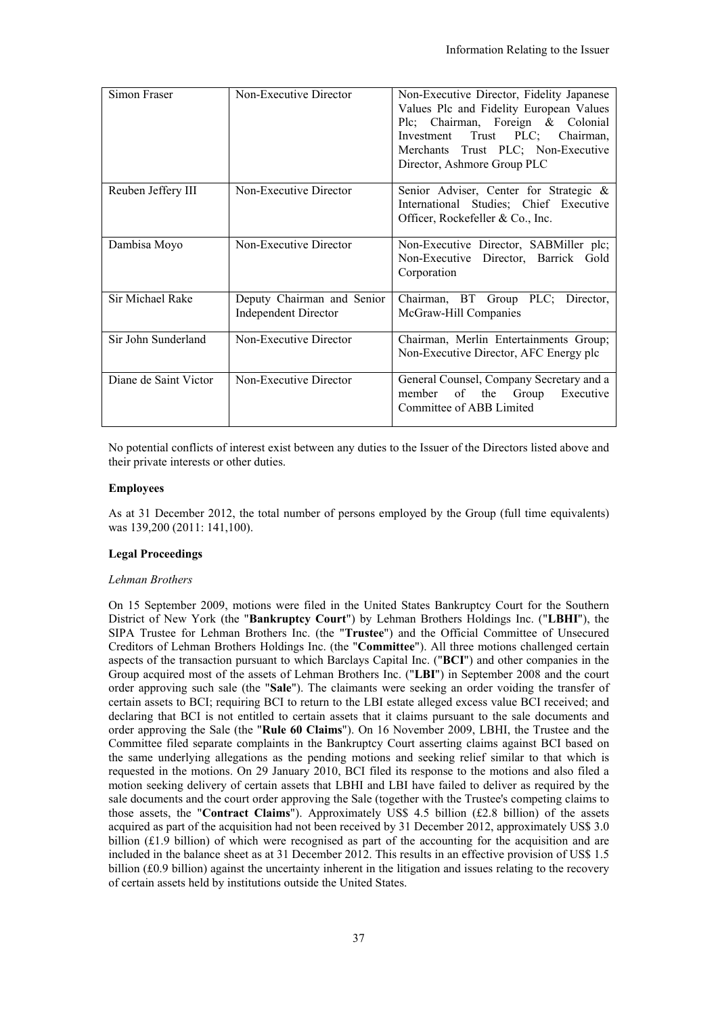| Simon Fraser          | Non-Executive Director                                    | Non-Executive Director, Fidelity Japanese<br>Values Plc and Fidelity European Values<br>Plc; Chairman, Foreign & Colonial<br>Investment Trust PLC; Chairman,<br>Merchants Trust PLC; Non-Executive<br>Director, Ashmore Group PLC |
|-----------------------|-----------------------------------------------------------|-----------------------------------------------------------------------------------------------------------------------------------------------------------------------------------------------------------------------------------|
| Reuben Jeffery III    | Non-Executive Director                                    | Senior Adviser, Center for Strategic &<br>International Studies; Chief Executive<br>Officer, Rockefeller & Co., Inc.                                                                                                              |
| Dambisa Moyo          | Non-Executive Director                                    | Non-Executive Director, SABMiller plc;<br>Non-Executive Director, Barrick Gold<br>Corporation                                                                                                                                     |
| Sir Michael Rake      | Deputy Chairman and Senior<br><b>Independent Director</b> | Chairman, BT Group PLC; Director,<br>McGraw-Hill Companies                                                                                                                                                                        |
| Sir John Sunderland   | Non-Executive Director                                    | Chairman, Merlin Entertainments Group;<br>Non-Executive Director, AFC Energy plc                                                                                                                                                  |
| Diane de Saint Victor | Non-Executive Director                                    | General Counsel, Company Secretary and a<br>member of the Group Executive<br>Committee of ABB Limited                                                                                                                             |

No potential conflicts of interest exist between any duties to the Issuer of the Directors listed above and their private interests or other duties.

#### **Employees**

As at 31 December 2012, the total number of persons employed by the Group (full time equivalents) was 139,200 (2011: 141,100).

#### **Legal Proceedings**

#### *Lehman Brothers*

On 15 September 2009, motions were filed in the United States Bankruptcy Court for the Southern District of New York (the "**Bankruptcy Court**") by Lehman Brothers Holdings Inc. ("**LBHI**"), the SIPA Trustee for Lehman Brothers Inc. (the "**Trustee**") and the Official Committee of Unsecured Creditors of Lehman Brothers Holdings Inc. (the "**Committee**"). All three motions challenged certain aspects of the transaction pursuant to which Barclays Capital Inc. ("**BCI**") and other companies in the Group acquired most of the assets of Lehman Brothers Inc. ("**LBI**") in September 2008 and the court order approving such sale (the "**Sale**"). The claimants were seeking an order voiding the transfer of certain assets to BCI; requiring BCI to return to the LBI estate alleged excess value BCI received; and declaring that BCI is not entitled to certain assets that it claims pursuant to the sale documents and order approving the Sale (the "**Rule 60 Claims**"). On 16 November 2009, LBHI, the Trustee and the Committee filed separate complaints in the Bankruptcy Court asserting claims against BCI based on the same underlying allegations as the pending motions and seeking relief similar to that which is requested in the motions. On 29 January 2010, BCI filed its response to the motions and also filed a motion seeking delivery of certain assets that LBHI and LBI have failed to deliver as required by the sale documents and the court order approving the Sale (together with the Trustee's competing claims to those assets, the "**Contract Claims**"). Approximately US\$ 4.5 billion (£2.8 billion) of the assets acquired as part of the acquisition had not been received by 31 December 2012, approximately US\$ 3.0 billion (£1.9 billion) of which were recognised as part of the accounting for the acquisition and are included in the balance sheet as at 31 December 2012. This results in an effective provision of US\$ 1.5 billion (£0.9 billion) against the uncertainty inherent in the litigation and issues relating to the recovery of certain assets held by institutions outside the United States.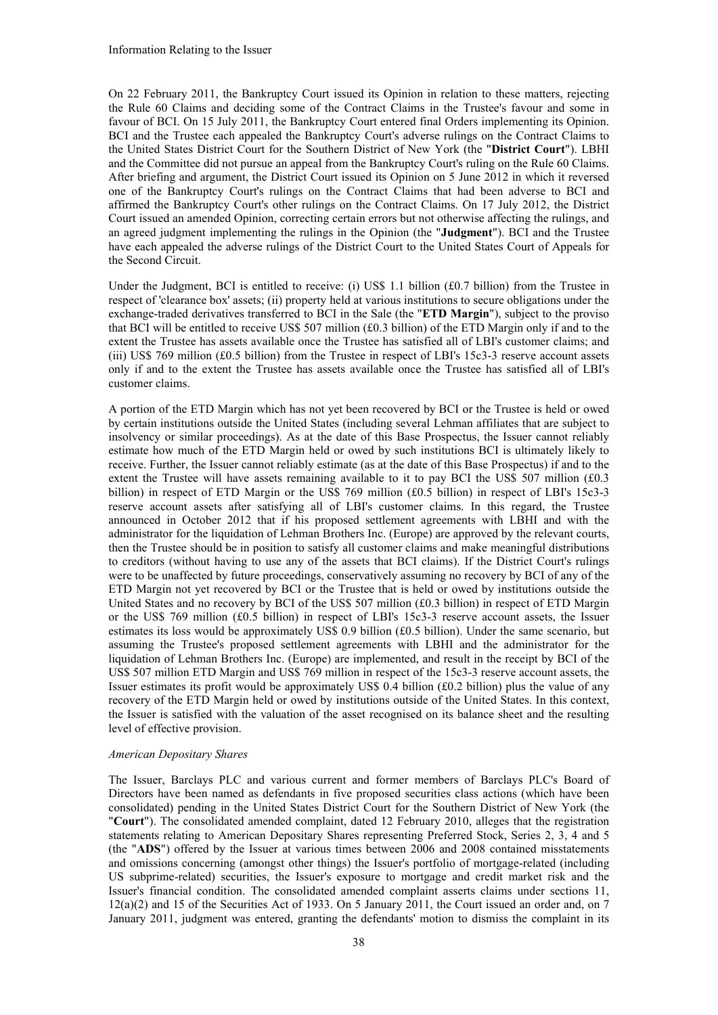On 22 February 2011, the Bankruptcy Court issued its Opinion in relation to these matters, rejecting the Rule 60 Claims and deciding some of the Contract Claims in the Trustee's favour and some in favour of BCI. On 15 July 2011, the Bankruptcy Court entered final Orders implementing its Opinion. BCI and the Trustee each appealed the Bankruptcy Court's adverse rulings on the Contract Claims to the United States District Court for the Southern District of New York (the "**District Court**"). LBHI and the Committee did not pursue an appeal from the Bankruptcy Court's ruling on the Rule 60 Claims. After briefing and argument, the District Court issued its Opinion on 5 June 2012 in which it reversed one of the Bankruptcy Court's rulings on the Contract Claims that had been adverse to BCI and affirmed the Bankruptcy Court's other rulings on the Contract Claims. On 17 July 2012, the District Court issued an amended Opinion, correcting certain errors but not otherwise affecting the rulings, and an agreed judgment implementing the rulings in the Opinion (the "**Judgment**"). BCI and the Trustee have each appealed the adverse rulings of the District Court to the United States Court of Appeals for the Second Circuit.

Under the Judgment, BCI is entitled to receive: (i) US\$ 1.1 billion (£0.7 billion) from the Trustee in respect of 'clearance box' assets; (ii) property held at various institutions to secure obligations under the exchange-traded derivatives transferred to BCI in the Sale (the "**ETD Margin**"), subject to the proviso that BCI will be entitled to receive US\$ 507 million (£0.3 billion) of the ETD Margin only if and to the extent the Trustee has assets available once the Trustee has satisfied all of LBI's customer claims; and (iii) US\$ 769 million (£0.5 billion) from the Trustee in respect of LBI's 15c3-3 reserve account assets only if and to the extent the Trustee has assets available once the Trustee has satisfied all of LBI's customer claims.

A portion of the ETD Margin which has not yet been recovered by BCI or the Trustee is held or owed by certain institutions outside the United States (including several Lehman affiliates that are subject to insolvency or similar proceedings). As at the date of this Base Prospectus, the Issuer cannot reliably estimate how much of the ETD Margin held or owed by such institutions BCI is ultimately likely to receive. Further, the Issuer cannot reliably estimate (as at the date of this Base Prospectus) if and to the extent the Trustee will have assets remaining available to it to pay BCI the US\$ 507 million  $(£0.3)$ billion) in respect of ETD Margin or the US\$ 769 million (£0.5 billion) in respect of LBI's 15c3-3 reserve account assets after satisfying all of LBI's customer claims. In this regard, the Trustee announced in October 2012 that if his proposed settlement agreements with LBHI and with the administrator for the liquidation of Lehman Brothers Inc. (Europe) are approved by the relevant courts, then the Trustee should be in position to satisfy all customer claims and make meaningful distributions to creditors (without having to use any of the assets that BCI claims). If the District Court's rulings were to be unaffected by future proceedings, conservatively assuming no recovery by BCI of any of the ETD Margin not yet recovered by BCI or the Trustee that is held or owed by institutions outside the United States and no recovery by BCI of the US\$ 507 million (£0.3 billion) in respect of ETD Margin or the US\$ 769 million (£0.5 billion) in respect of LBI's 15c3-3 reserve account assets, the Issuer estimates its loss would be approximately US\$ 0.9 billion (£0.5 billion). Under the same scenario, but assuming the Trustee's proposed settlement agreements with LBHI and the administrator for the liquidation of Lehman Brothers Inc. (Europe) are implemented, and result in the receipt by BCI of the US\$ 507 million ETD Margin and US\$ 769 million in respect of the 15c3-3 reserve account assets, the Issuer estimates its profit would be approximately US\$ 0.4 billion (£0.2 billion) plus the value of any recovery of the ETD Margin held or owed by institutions outside of the United States. In this context, the Issuer is satisfied with the valuation of the asset recognised on its balance sheet and the resulting level of effective provision.

#### *American Depositary Shares*

The Issuer, Barclays PLC and various current and former members of Barclays PLC's Board of Directors have been named as defendants in five proposed securities class actions (which have been consolidated) pending in the United States District Court for the Southern District of New York (the "**Court**"). The consolidated amended complaint, dated 12 February 2010, alleges that the registration statements relating to American Depositary Shares representing Preferred Stock, Series 2, 3, 4 and 5 (the "**ADS**") offered by the Issuer at various times between 2006 and 2008 contained misstatements and omissions concerning (amongst other things) the Issuer's portfolio of mortgage-related (including US subprime-related) securities, the Issuer's exposure to mortgage and credit market risk and the Issuer's financial condition. The consolidated amended complaint asserts claims under sections 11, 12(a)(2) and 15 of the Securities Act of 1933. On 5 January 2011, the Court issued an order and, on 7 January 2011, judgment was entered, granting the defendants' motion to dismiss the complaint in its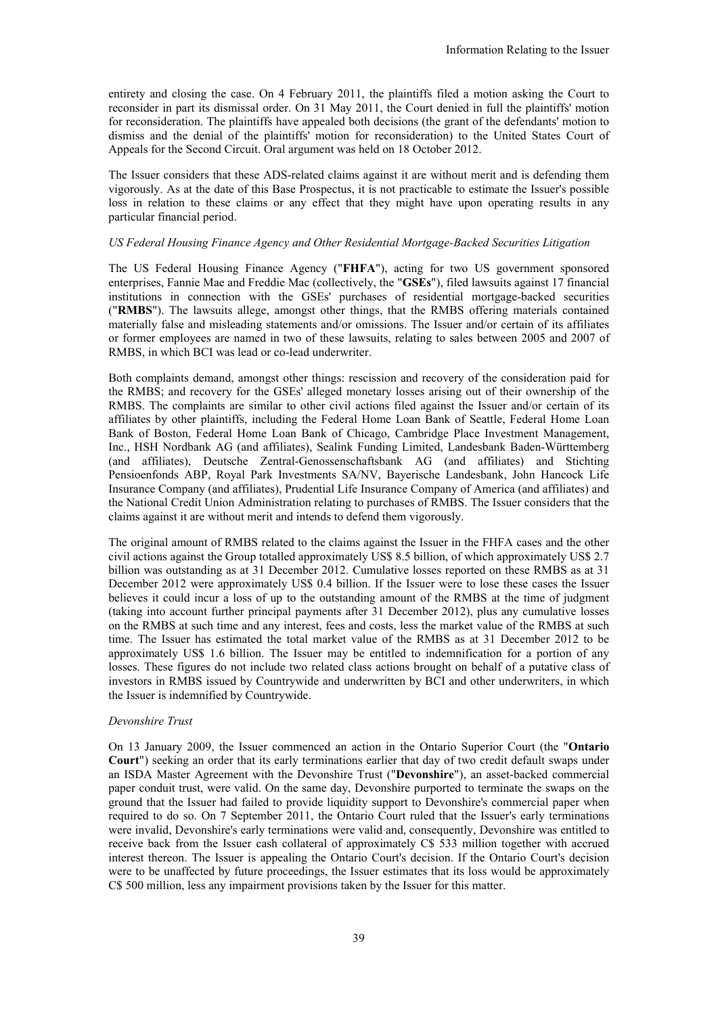entirety and closing the case. On 4 February 2011, the plaintiffs filed a motion asking the Court to reconsider in part its dismissal order. On 31 May 2011, the Court denied in full the plaintiffs' motion for reconsideration. The plaintiffs have appealed both decisions (the grant of the defendants' motion to dismiss and the denial of the plaintiffs' motion for reconsideration) to the United States Court of Appeals for the Second Circuit. Oral argument was held on 18 October 2012.

The Issuer considers that these ADS-related claims against it are without merit and is defending them vigorously. As at the date of this Base Prospectus, it is not practicable to estimate the Issuer's possible loss in relation to these claims or any effect that they might have upon operating results in any particular financial period.

# *US Federal Housing Finance Agency and Other Residential Mortgage-Backed Securities Litigation*

The US Federal Housing Finance Agency ("**FHFA**"), acting for two US government sponsored enterprises, Fannie Mae and Freddie Mac (collectively, the "**GSEs**"), filed lawsuits against 17 financial institutions in connection with the GSEs' purchases of residential mortgage-backed securities ("**RMBS**"). The lawsuits allege, amongst other things, that the RMBS offering materials contained materially false and misleading statements and/or omissions. The Issuer and/or certain of its affiliates or former employees are named in two of these lawsuits, relating to sales between 2005 and 2007 of RMBS, in which BCI was lead or co-lead underwriter.

Both complaints demand, amongst other things: rescission and recovery of the consideration paid for the RMBS; and recovery for the GSEs' alleged monetary losses arising out of their ownership of the RMBS. The complaints are similar to other civil actions filed against the Issuer and/or certain of its affiliates by other plaintiffs, including the Federal Home Loan Bank of Seattle, Federal Home Loan Bank of Boston, Federal Home Loan Bank of Chicago, Cambridge Place Investment Management, Inc., HSH Nordbank AG (and affiliates), Sealink Funding Limited, Landesbank Baden-Württemberg (and affiliates), Deutsche Zentral-Genossenschaftsbank AG (and affiliates) and Stichting Pensioenfonds ABP, Royal Park Investments SA/NV, Bayerische Landesbank, John Hancock Life Insurance Company (and affiliates), Prudential Life Insurance Company of America (and affiliates) and the National Credit Union Administration relating to purchases of RMBS. The Issuer considers that the claims against it are without merit and intends to defend them vigorously.

The original amount of RMBS related to the claims against the Issuer in the FHFA cases and the other civil actions against the Group totalled approximately US\$ 8.5 billion, of which approximately US\$ 2.7 billion was outstanding as at 31 December 2012. Cumulative losses reported on these RMBS as at 31 December 2012 were approximately US\$ 0.4 billion. If the Issuer were to lose these cases the Issuer believes it could incur a loss of up to the outstanding amount of the RMBS at the time of judgment (taking into account further principal payments after 31 December 2012), plus any cumulative losses on the RMBS at such time and any interest, fees and costs, less the market value of the RMBS at such time. The Issuer has estimated the total market value of the RMBS as at 31 December 2012 to be approximately US\$ 1.6 billion. The Issuer may be entitled to indemnification for a portion of any losses. These figures do not include two related class actions brought on behalf of a putative class of investors in RMBS issued by Countrywide and underwritten by BCI and other underwriters, in which the Issuer is indemnified by Countrywide.

## *Devonshire Trust*

On 13 January 2009, the Issuer commenced an action in the Ontario Superior Court (the "**Ontario Court**") seeking an order that its early terminations earlier that day of two credit default swaps under an ISDA Master Agreement with the Devonshire Trust ("**Devonshire**"), an asset-backed commercial paper conduit trust, were valid. On the same day, Devonshire purported to terminate the swaps on the ground that the Issuer had failed to provide liquidity support to Devonshire's commercial paper when required to do so. On 7 September 2011, the Ontario Court ruled that the Issuer's early terminations were invalid, Devonshire's early terminations were valid and, consequently, Devonshire was entitled to receive back from the Issuer cash collateral of approximately C\$ 533 million together with accrued interest thereon. The Issuer is appealing the Ontario Court's decision. If the Ontario Court's decision were to be unaffected by future proceedings, the Issuer estimates that its loss would be approximately C\$ 500 million, less any impairment provisions taken by the Issuer for this matter.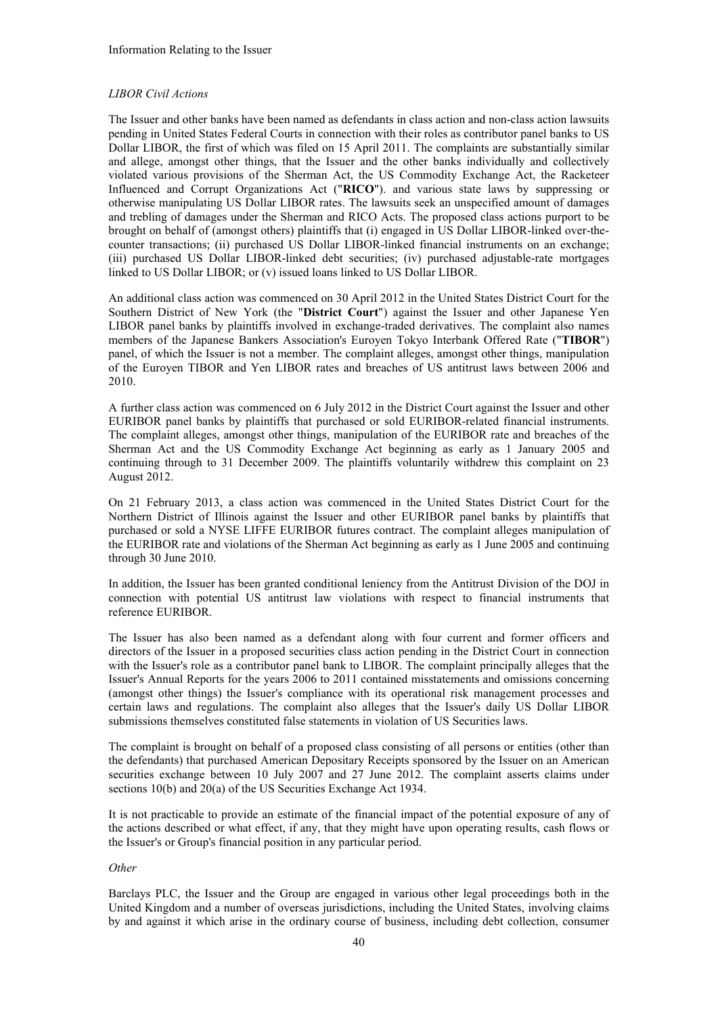## *LIBOR Civil Actions*

The Issuer and other banks have been named as defendants in class action and non-class action lawsuits pending in United States Federal Courts in connection with their roles as contributor panel banks to US Dollar LIBOR, the first of which was filed on 15 April 2011. The complaints are substantially similar and allege, amongst other things, that the Issuer and the other banks individually and collectively violated various provisions of the Sherman Act, the US Commodity Exchange Act, the Racketeer Influenced and Corrupt Organizations Act ("**RICO**"). and various state laws by suppressing or otherwise manipulating US Dollar LIBOR rates. The lawsuits seek an unspecified amount of damages and trebling of damages under the Sherman and RICO Acts. The proposed class actions purport to be brought on behalf of (amongst others) plaintiffs that (i) engaged in US Dollar LIBOR-linked over-thecounter transactions; (ii) purchased US Dollar LIBOR-linked financial instruments on an exchange; (iii) purchased US Dollar LIBOR-linked debt securities; (iv) purchased adjustable-rate mortgages linked to US Dollar LIBOR; or (v) issued loans linked to US Dollar LIBOR.

An additional class action was commenced on 30 April 2012 in the United States District Court for the Southern District of New York (the "**District Court**") against the Issuer and other Japanese Yen LIBOR panel banks by plaintiffs involved in exchange-traded derivatives. The complaint also names members of the Japanese Bankers Association's Euroyen Tokyo Interbank Offered Rate ("**TIBOR**") panel, of which the Issuer is not a member. The complaint alleges, amongst other things, manipulation of the Euroyen TIBOR and Yen LIBOR rates and breaches of US antitrust laws between 2006 and 2010.

A further class action was commenced on 6 July 2012 in the District Court against the Issuer and other EURIBOR panel banks by plaintiffs that purchased or sold EURIBOR-related financial instruments. The complaint alleges, amongst other things, manipulation of the EURIBOR rate and breaches of the Sherman Act and the US Commodity Exchange Act beginning as early as 1 January 2005 and continuing through to 31 December 2009. The plaintiffs voluntarily withdrew this complaint on 23 August 2012.

On 21 February 2013, a class action was commenced in the United States District Court for the Northern District of Illinois against the Issuer and other EURIBOR panel banks by plaintiffs that purchased or sold a NYSE LIFFE EURIBOR futures contract. The complaint alleges manipulation of the EURIBOR rate and violations of the Sherman Act beginning as early as 1 June 2005 and continuing through 30 June 2010.

In addition, the Issuer has been granted conditional leniency from the Antitrust Division of the DOJ in connection with potential US antitrust law violations with respect to financial instruments that reference EURIBOR.

The Issuer has also been named as a defendant along with four current and former officers and directors of the Issuer in a proposed securities class action pending in the District Court in connection with the Issuer's role as a contributor panel bank to LIBOR. The complaint principally alleges that the Issuer's Annual Reports for the years 2006 to 2011 contained misstatements and omissions concerning (amongst other things) the Issuer's compliance with its operational risk management processes and certain laws and regulations. The complaint also alleges that the Issuer's daily US Dollar LIBOR submissions themselves constituted false statements in violation of US Securities laws.

The complaint is brought on behalf of a proposed class consisting of all persons or entities (other than the defendants) that purchased American Depositary Receipts sponsored by the Issuer on an American securities exchange between 10 July 2007 and 27 June 2012. The complaint asserts claims under sections 10(b) and 20(a) of the US Securities Exchange Act 1934.

It is not practicable to provide an estimate of the financial impact of the potential exposure of any of the actions described or what effect, if any, that they might have upon operating results, cash flows or the Issuer's or Group's financial position in any particular period.

#### *Other*

Barclays PLC, the Issuer and the Group are engaged in various other legal proceedings both in the United Kingdom and a number of overseas jurisdictions, including the United States, involving claims by and against it which arise in the ordinary course of business, including debt collection, consumer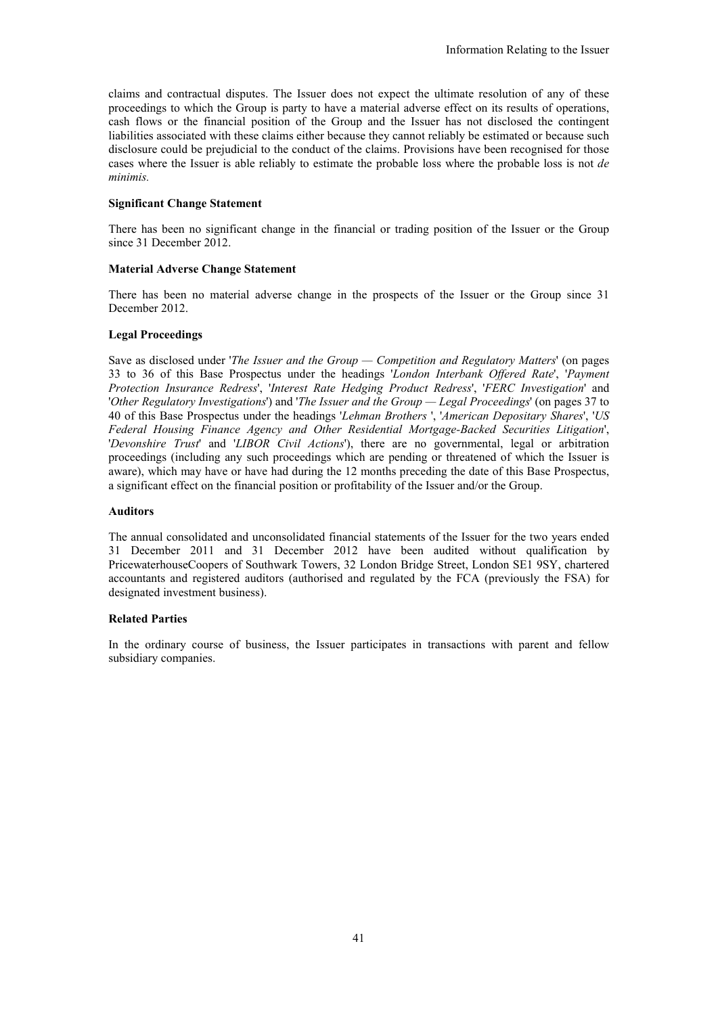claims and contractual disputes. The Issuer does not expect the ultimate resolution of any of these proceedings to which the Group is party to have a material adverse effect on its results of operations, cash flows or the financial position of the Group and the Issuer has not disclosed the contingent liabilities associated with these claims either because they cannot reliably be estimated or because such disclosure could be prejudicial to the conduct of the claims. Provisions have been recognised for those cases where the Issuer is able reliably to estimate the probable loss where the probable loss is not *de minimis.*

## **Significant Change Statement**

There has been no significant change in the financial or trading position of the Issuer or the Group since 31 December 2012.

## **Material Adverse Change Statement**

There has been no material adverse change in the prospects of the Issuer or the Group since 31 December 2012.

## **Legal Proceedings**

Save as disclosed under '*The Issuer and the Group — Competition and Regulatory Matters*' (on pages 33 to 36 of this Base Prospectus under the headings '*London Interbank Offered Rate*', '*Payment Protection Insurance Redress*', '*Interest Rate Hedging Product Redress*', '*FERC Investigation*' and '*Other Regulatory Investigations*') and '*The Issuer and the Group — Legal Proceedings*' (on pages 37 to 40 of this Base Prospectus under the headings '*Lehman Brothers* ', '*American Depositary Shares*', '*US Federal Housing Finance Agency and Other Residential Mortgage-Backed Securities Litigation*', '*Devonshire Trust*' and '*LIBOR Civil Actions*'), there are no governmental, legal or arbitration proceedings (including any such proceedings which are pending or threatened of which the Issuer is aware), which may have or have had during the 12 months preceding the date of this Base Prospectus, a significant effect on the financial position or profitability of the Issuer and/or the Group.

## **Auditors**

The annual consolidated and unconsolidated financial statements of the Issuer for the two years ended 31 December 2011 and 31 December 2012 have been audited without qualification by PricewaterhouseCoopers of Southwark Towers, 32 London Bridge Street, London SE1 9SY, chartered accountants and registered auditors (authorised and regulated by the FCA (previously the FSA) for designated investment business).

#### **Related Parties**

In the ordinary course of business, the Issuer participates in transactions with parent and fellow subsidiary companies.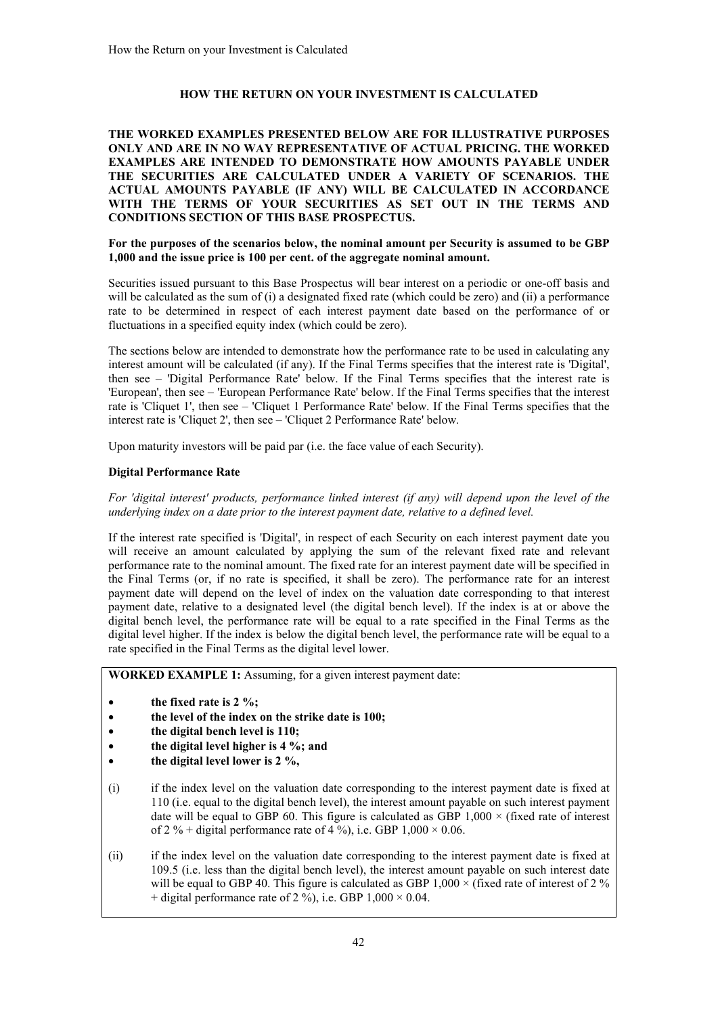# **HOW THE RETURN ON YOUR INVESTMENT IS CALCULATED**

**THE WORKED EXAMPLES PRESENTED BELOW ARE FOR ILLUSTRATIVE PURPOSES ONLY AND ARE IN NO WAY REPRESENTATIVE OF ACTUAL PRICING. THE WORKED EXAMPLES ARE INTENDED TO DEMONSTRATE HOW AMOUNTS PAYABLE UNDER THE SECURITIES ARE CALCULATED UNDER A VARIETY OF SCENARIOS. THE ACTUAL AMOUNTS PAYABLE (IF ANY) WILL BE CALCULATED IN ACCORDANCE WITH THE TERMS OF YOUR SECURITIES AS SET OUT IN THE TERMS AND CONDITIONS SECTION OF THIS BASE PROSPECTUS.**

## **For the purposes of the scenarios below, the nominal amount per Security is assumed to be GBP 1,000 and the issue price is 100 per cent. of the aggregate nominal amount.**

Securities issued pursuant to this Base Prospectus will bear interest on a periodic or one-off basis and will be calculated as the sum of (i) a designated fixed rate (which could be zero) and (ii) a performance rate to be determined in respect of each interest payment date based on the performance of or fluctuations in a specified equity index (which could be zero).

The sections below are intended to demonstrate how the performance rate to be used in calculating any interest amount will be calculated (if any). If the Final Terms specifies that the interest rate is 'Digital', then see – 'Digital Performance Rate' below. If the Final Terms specifies that the interest rate is 'European', then see – 'European Performance Rate' below. If the Final Terms specifies that the interest rate is 'Cliquet 1', then see – 'Cliquet 1 Performance Rate' below. If the Final Terms specifies that the interest rate is 'Cliquet 2', then see – 'Cliquet 2 Performance Rate' below.

Upon maturity investors will be paid par (i.e. the face value of each Security).

## **Digital Performance Rate**

## *For 'digital interest' products, performance linked interest (if any) will depend upon the level of the underlying index on a date prior to the interest payment date, relative to a defined level.*

If the interest rate specified is 'Digital', in respect of each Security on each interest payment date you will receive an amount calculated by applying the sum of the relevant fixed rate and relevant performance rate to the nominal amount. The fixed rate for an interest payment date will be specified in the Final Terms (or, if no rate is specified, it shall be zero). The performance rate for an interest payment date will depend on the level of index on the valuation date corresponding to that interest payment date, relative to a designated level (the digital bench level). If the index is at or above the digital bench level, the performance rate will be equal to a rate specified in the Final Terms as the digital level higher. If the index is below the digital bench level, the performance rate will be equal to a rate specified in the Final Terms as the digital level lower.

**WORKED EXAMPLE 1:** Assuming, for a given interest payment date:

- **the fixed rate is 2 %;**
- **the level of the index on the strike date is 100;**
- **the digital bench level is 110;**
- **the digital level higher is 4 %; and**
- **the digital level lower is 2 %,**
- (i) if the index level on the valuation date corresponding to the interest payment date is fixed at 110 (i.e. equal to the digital bench level), the interest amount payable on such interest payment date will be equal to GBP 60. This figure is calculated as GBP  $1.000 \times$  (fixed rate of interest of 2 % + digital performance rate of 4 %), i.e. GBP  $1,000 \times 0.06$ .
- (ii) if the index level on the valuation date corresponding to the interest payment date is fixed at 109.5 (i.e. less than the digital bench level), the interest amount payable on such interest date will be equal to GBP 40. This figure is calculated as GBP 1,000  $\times$  (fixed rate of interest of 2 % + digital performance rate of 2 %), i.e. GBP  $1,000 \times 0.04$ .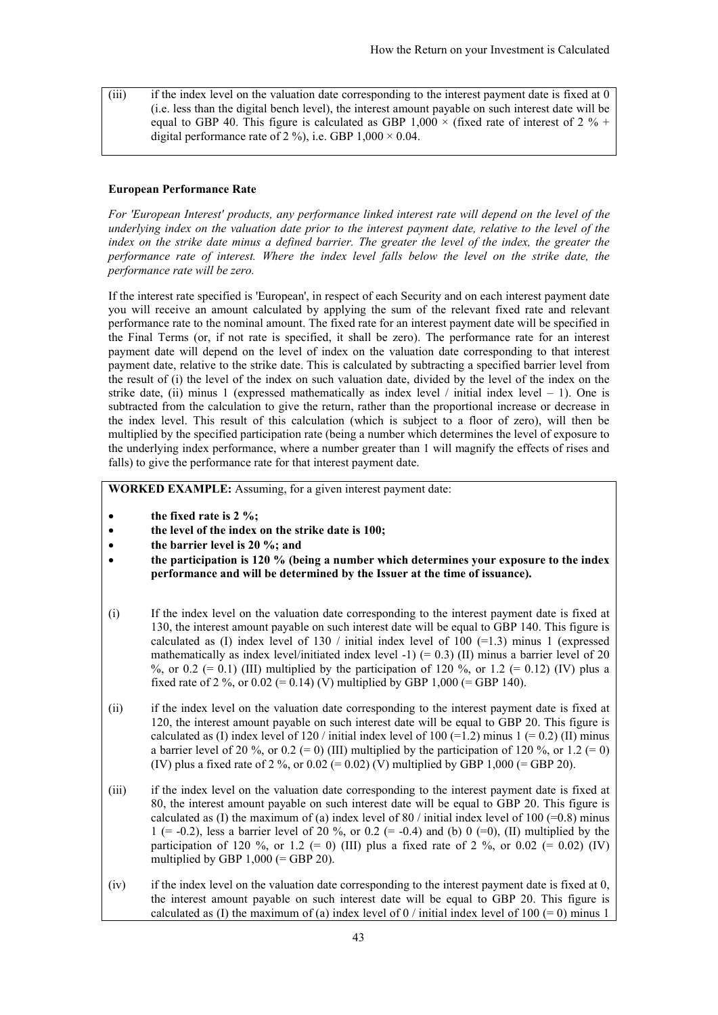(iii) if the index level on the valuation date corresponding to the interest payment date is fixed at 0 (i.e. less than the digital bench level), the interest amount payable on such interest date will be equal to GBP 40. This figure is calculated as GBP  $1,000 \times$  (fixed rate of interest of 2 % + digital performance rate of 2 %), i.e. GBP  $1,000 \times 0.04$ .

#### **European Performance Rate**

*For 'European Interest' products, any performance linked interest rate will depend on the level of the underlying index on the valuation date prior to the interest payment date, relative to the level of the index on the strike date minus a defined barrier. The greater the level of the index, the greater the performance rate of interest. Where the index level falls below the level on the strike date, the performance rate will be zero.*

If the interest rate specified is 'European', in respect of each Security and on each interest payment date you will receive an amount calculated by applying the sum of the relevant fixed rate and relevant performance rate to the nominal amount. The fixed rate for an interest payment date will be specified in the Final Terms (or, if not rate is specified, it shall be zero). The performance rate for an interest payment date will depend on the level of index on the valuation date corresponding to that interest payment date, relative to the strike date. This is calculated by subtracting a specified barrier level from the result of (i) the level of the index on such valuation date, divided by the level of the index on the strike date, (ii) minus 1 (expressed mathematically as index level  $/$  initial index level  $-1$ ). One is subtracted from the calculation to give the return, rather than the proportional increase or decrease in the index level. This result of this calculation (which is subject to a floor of zero), will then be multiplied by the specified participation rate (being a number which determines the level of exposure to the underlying index performance, where a number greater than 1 will magnify the effects of rises and falls) to give the performance rate for that interest payment date.

**WORKED EXAMPLE:** Assuming, for a given interest payment date:

- **the fixed rate is 2 %;**
- **the level of the index on the strike date is 100;**
- **the barrier level is 20 %; and**
- **the participation is 120 % (being a number which determines your exposure to the index performance and will be determined by the Issuer at the time of issuance).**
- (i) If the index level on the valuation date corresponding to the interest payment date is fixed at 130, the interest amount payable on such interest date will be equal to GBP 140. This figure is calculated as (I) index level of  $130 /$  initial index level of  $100 (=1.3)$  minus 1 (expressed mathematically as index level/initiated index level  $-1$ ) (= 0.3) (II) minus a barrier level of 20 %, or 0.2 (= 0.1) (III) multiplied by the participation of 120 %, or 1.2 (= 0.12) (IV) plus a fixed rate of 2 %, or  $0.02 (= 0.14)$  (V) multiplied by GBP 1,000 (= GBP 140).
- (ii) if the index level on the valuation date corresponding to the interest payment date is fixed at 120, the interest amount payable on such interest date will be equal to GBP 20. This figure is calculated as (I) index level of 120 / initial index level of 100 (=1.2) minus 1 (= 0.2) (II) minus a barrier level of 20 %, or 0.2 (= 0) (III) multiplied by the participation of 120 %, or 1.2 (= 0) (IV) plus a fixed rate of 2 %, or  $0.02 (= 0.02)$  (V) multiplied by GBP 1,000 (= GBP 20).
- (iii) if the index level on the valuation date corresponding to the interest payment date is fixed at 80, the interest amount payable on such interest date will be equal to GBP 20. This figure is calculated as (I) the maximum of (a) index level of 80 / initial index level of 100 (=0.8) minus 1 (= -0.2), less a barrier level of 20 %, or 0.2 (= -0.4) and (b) 0 (=0), (II) multiplied by the participation of 120 %, or 1.2 (= 0) (III) plus a fixed rate of 2 %, or 0.02 (= 0.02) (IV) multiplied by GBP  $1,000$  (= GBP  $20$ ).
- (iv) if the index level on the valuation date corresponding to the interest payment date is fixed at 0, the interest amount payable on such interest date will be equal to GBP 20. This figure is calculated as (I) the maximum of (a) index level of 0 / initial index level of 100 (= 0) minus 1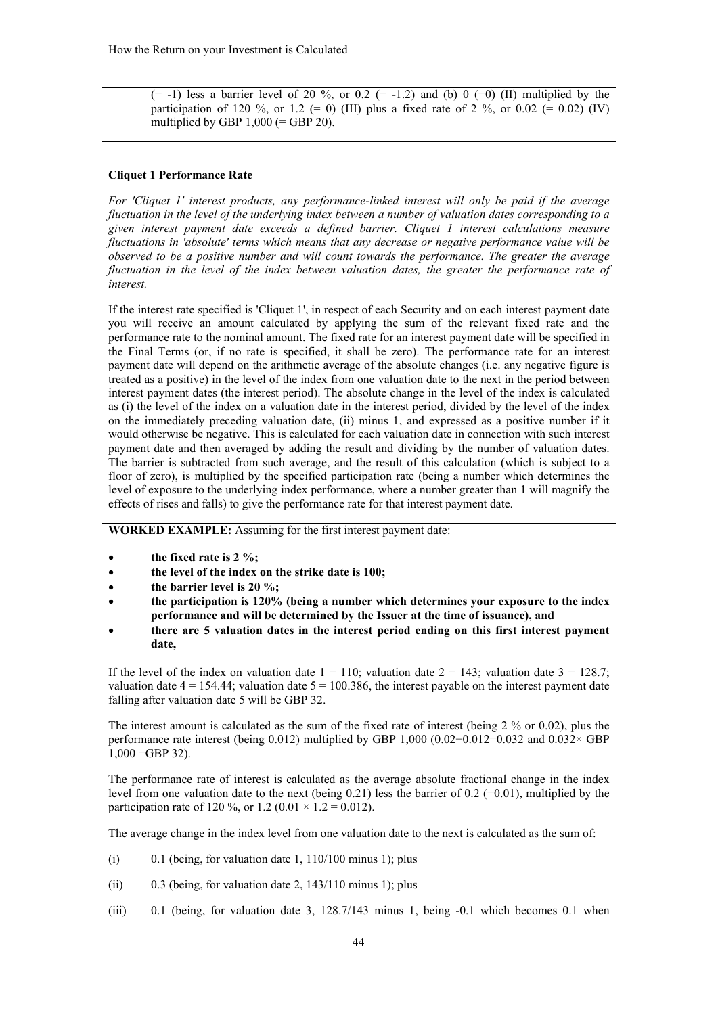$(= -1)$  less a barrier level of 20 %, or 0.2  $(= -1.2)$  and (b) 0  $(= 0)$  (II) multiplied by the participation of 120 %, or 1.2 (= 0) (III) plus a fixed rate of 2 %, or 0.02 (= 0.02) (IV) multiplied by GBP  $1,000$  (= GBP 20).

## **Cliquet 1 Performance Rate**

*For 'Cliquet 1' interest products, any performance-linked interest will only be paid if the average fluctuation in the level of the underlying index between a number of valuation dates corresponding to a given interest payment date exceeds a defined barrier. Cliquet 1 interest calculations measure fluctuations in 'absolute' terms which means that any decrease or negative performance value will be observed to be a positive number and will count towards the performance. The greater the average fluctuation in the level of the index between valuation dates, the greater the performance rate of interest.*

If the interest rate specified is 'Cliquet 1', in respect of each Security and on each interest payment date you will receive an amount calculated by applying the sum of the relevant fixed rate and the performance rate to the nominal amount. The fixed rate for an interest payment date will be specified in the Final Terms (or, if no rate is specified, it shall be zero). The performance rate for an interest payment date will depend on the arithmetic average of the absolute changes (i.e. any negative figure is treated as a positive) in the level of the index from one valuation date to the next in the period between interest payment dates (the interest period). The absolute change in the level of the index is calculated as (i) the level of the index on a valuation date in the interest period, divided by the level of the index on the immediately preceding valuation date, (ii) minus 1, and expressed as a positive number if it would otherwise be negative. This is calculated for each valuation date in connection with such interest payment date and then averaged by adding the result and dividing by the number of valuation dates. The barrier is subtracted from such average, and the result of this calculation (which is subject to a floor of zero), is multiplied by the specified participation rate (being a number which determines the level of exposure to the underlying index performance, where a number greater than 1 will magnify the effects of rises and falls) to give the performance rate for that interest payment date.

**WORKED EXAMPLE:** Assuming for the first interest payment date:

- **the fixed rate is 2 %;**
- **the level of the index on the strike date is 100;**
- **the barrier level is 20 %;**
- **the participation is 120% (being a number which determines your exposure to the index performance and will be determined by the Issuer at the time of issuance), and**
- **there are 5 valuation dates in the interest period ending on this first interest payment date,**

If the level of the index on valuation date  $1 = 110$ ; valuation date  $2 = 143$ ; valuation date  $3 = 128.7$ ; valuation date  $4 = 154.44$ ; valuation date  $5 = 100.386$ , the interest payable on the interest payment date falling after valuation date 5 will be GBP 32.

The interest amount is calculated as the sum of the fixed rate of interest (being 2 % or 0.02), plus the performance rate interest (being 0.012) multiplied by GBP 1,000 (0.02+0.012=0.032 and 0.032× GBP  $1,000 = GBP 32$ ).

The performance rate of interest is calculated as the average absolute fractional change in the index level from one valuation date to the next (being  $0.21$ ) less the barrier of  $0.2$  (=0.01), multiplied by the participation rate of 120 %, or 1.2 (0.01  $\times$  1.2 = 0.012).

The average change in the index level from one valuation date to the next is calculated as the sum of:

- (i)  $0.1$  (being, for valuation date 1,  $110/100$  minus 1); plus
- (ii)  $0.3$  (being, for valuation date 2,  $143/110$  minus 1); plus
- (iii) 0.1 (being, for valuation date 3, 128.7/143 minus 1, being -0.1 which becomes 0.1 when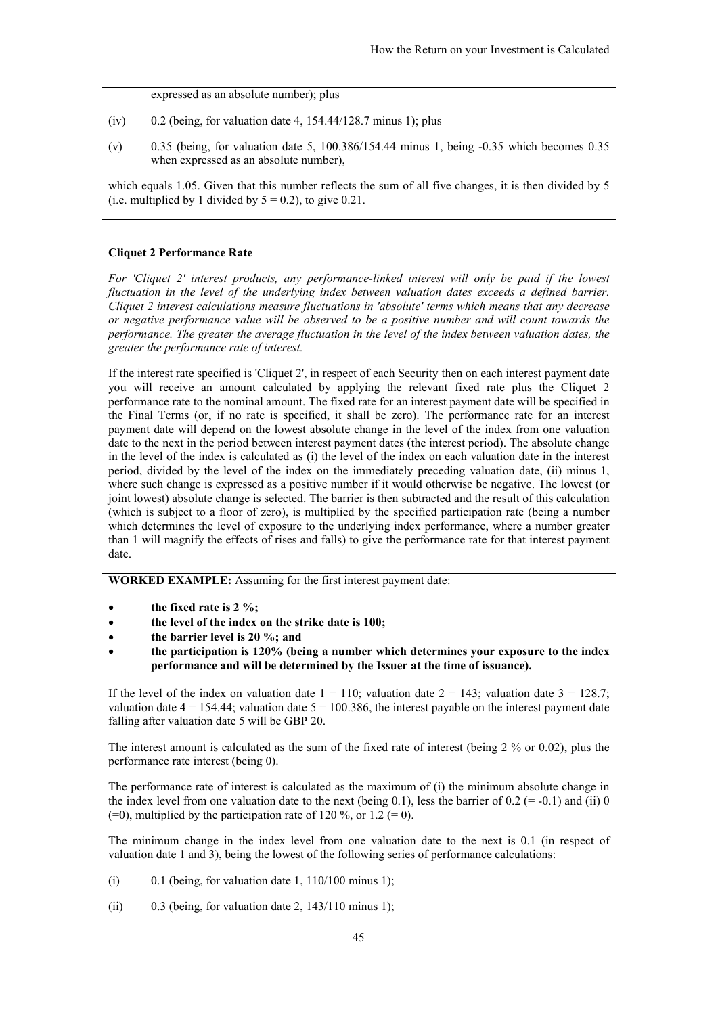expressed as an absolute number); plus

- (iv)  $0.2$  (being, for valuation date 4, 154.44/128.7 minus 1); plus
- (v) 0.35 (being, for valuation date 5, 100.386/154.44 minus 1, being -0.35 which becomes 0.35 when expressed as an absolute number),

which equals 1.05. Given that this number reflects the sum of all five changes, it is then divided by 5 (i.e. multiplied by 1 divided by  $5 = 0.2$ ), to give 0.21.

# **Cliquet 2 Performance Rate**

*For 'Cliquet 2' interest products, any performance-linked interest will only be paid if the lowest fluctuation in the level of the underlying index between valuation dates exceeds a defined barrier. Cliquet 2 interest calculations measure fluctuations in 'absolute' terms which means that any decrease or negative performance value will be observed to be a positive number and will count towards the performance. The greater the average fluctuation in the level of the index between valuation dates, the greater the performance rate of interest.*

If the interest rate specified is 'Cliquet 2', in respect of each Security then on each interest payment date you will receive an amount calculated by applying the relevant fixed rate plus the Cliquet 2 performance rate to the nominal amount. The fixed rate for an interest payment date will be specified in the Final Terms (or, if no rate is specified, it shall be zero). The performance rate for an interest payment date will depend on the lowest absolute change in the level of the index from one valuation date to the next in the period between interest payment dates (the interest period). The absolute change in the level of the index is calculated as (i) the level of the index on each valuation date in the interest period, divided by the level of the index on the immediately preceding valuation date, (ii) minus 1, where such change is expressed as a positive number if it would otherwise be negative. The lowest (or joint lowest) absolute change is selected. The barrier is then subtracted and the result of this calculation (which is subject to a floor of zero), is multiplied by the specified participation rate (being a number which determines the level of exposure to the underlying index performance, where a number greater than 1 will magnify the effects of rises and falls) to give the performance rate for that interest payment date.

**WORKED EXAMPLE:** Assuming for the first interest payment date:

- **the fixed rate is 2 %;**
- **the level of the index on the strike date is 100;**
- **the barrier level is 20 %; and**
- **the participation is 120% (being a number which determines your exposure to the index performance and will be determined by the Issuer at the time of issuance).**

If the level of the index on valuation date  $1 = 110$ ; valuation date  $2 = 143$ ; valuation date  $3 = 128.7$ ; valuation date  $4 = 154.44$ ; valuation date  $5 = 100.386$ , the interest payable on the interest payment date falling after valuation date 5 will be GBP 20.

The interest amount is calculated as the sum of the fixed rate of interest (being 2 % or 0.02), plus the performance rate interest (being 0).

The performance rate of interest is calculated as the maximum of (i) the minimum absolute change in the index level from one valuation date to the next (being 0.1), less the barrier of  $0.2$  (= -0.1) and (ii) 0  $(=0)$ , multiplied by the participation rate of 120 %, or 1.2  $(= 0)$ .

The minimum change in the index level from one valuation date to the next is 0.1 (in respect of valuation date 1 and 3), being the lowest of the following series of performance calculations:

- (i)  $0.1$  (being, for valuation date 1,  $110/100$  minus 1);
- (ii) 0.3 (being, for valuation date 2,  $143/110$  minus 1);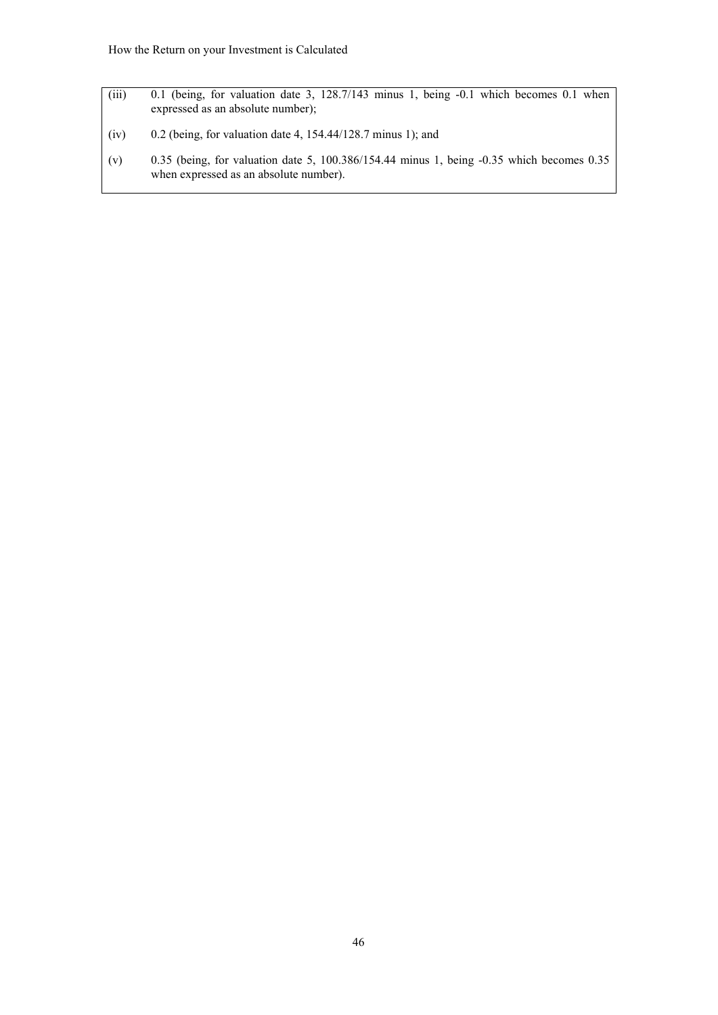- (iii) 0.1 (being, for valuation date 3, 128.7/143 minus 1, being -0.1 which becomes 0.1 when expressed as an absolute number);
- (iv)  $0.2$  (being, for valuation date 4, 154.44/128.7 minus 1); and
- (v) 0.35 (being, for valuation date 5, 100.386/154.44 minus 1, being -0.35 which becomes 0.35 when expressed as an absolute number).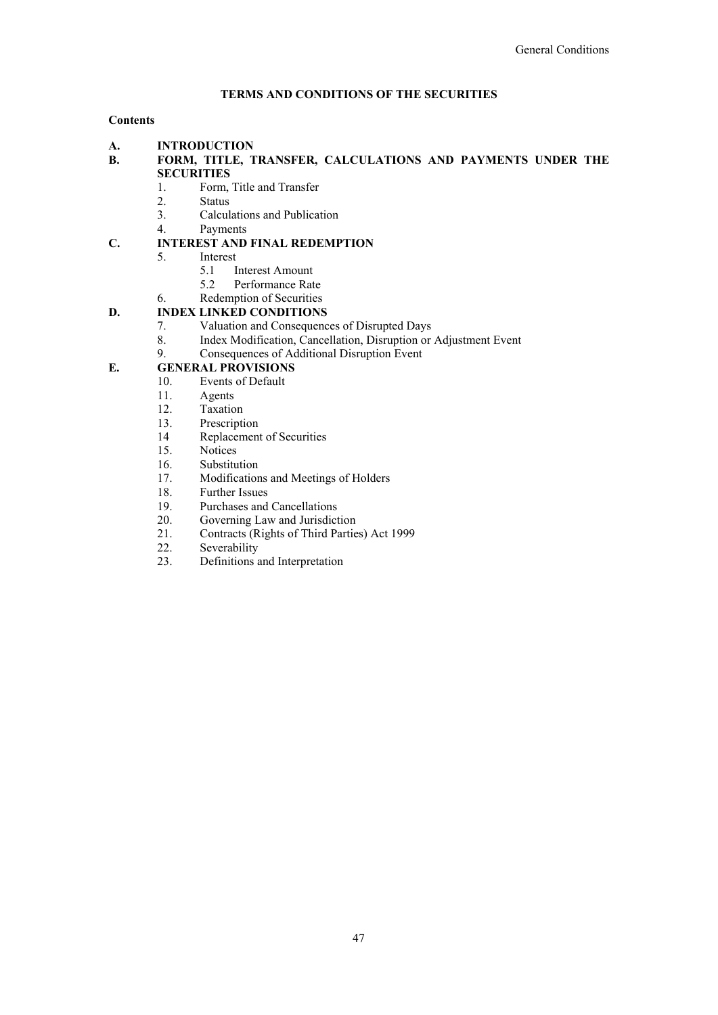# **TERMS AND CONDITIONS OF THE SECURITIES**

# **Contents**

**A. INTRODUCTION**

- **B. FORM, TITLE, TRANSFER, CALCULATIONS AND PAYMENTS UNDER THE SECURITIES** 
	- 1. Form, Title and Transfer
	- 2. Status
	- 3. Calculations and Publication
	- 4. Payments

# **C. INTEREST AND FINAL REDEMPTION**

- 5. Interest
	- 5.1 Interest Amount
	- 5.2 Performance Rate
- 6. Redemption of Securities

# **D. INDEX LINKED CONDITIONS**

- 7. Valuation and Consequences of Disrupted Days
- 8. Index Modification, Cancellation, Disruption or Adjustment Event
- 9. Consequences of Additional Disruption Event

# **E. GENERAL PROVISIONS**<br>10. **Events of Default**

- Events of Default
- 11. Agents
- 12. Taxation
- 13. Prescription
- 14 Replacement of Securities
- 15. Notices
- 16. Substitution
- 17. Modifications and Meetings of Holders
- 18. Further Issues
- 19. Purchases and Cancellations<br>20. Governing Law and Jurisdict
- 
- 20. Governing Law and Jurisdiction<br>21. Contracts (Rights of Third Partie 21. Contracts (Rights of Third Parties) Act 1999<br>22. Severability
- Severability
- 23. Definitions and Interpretation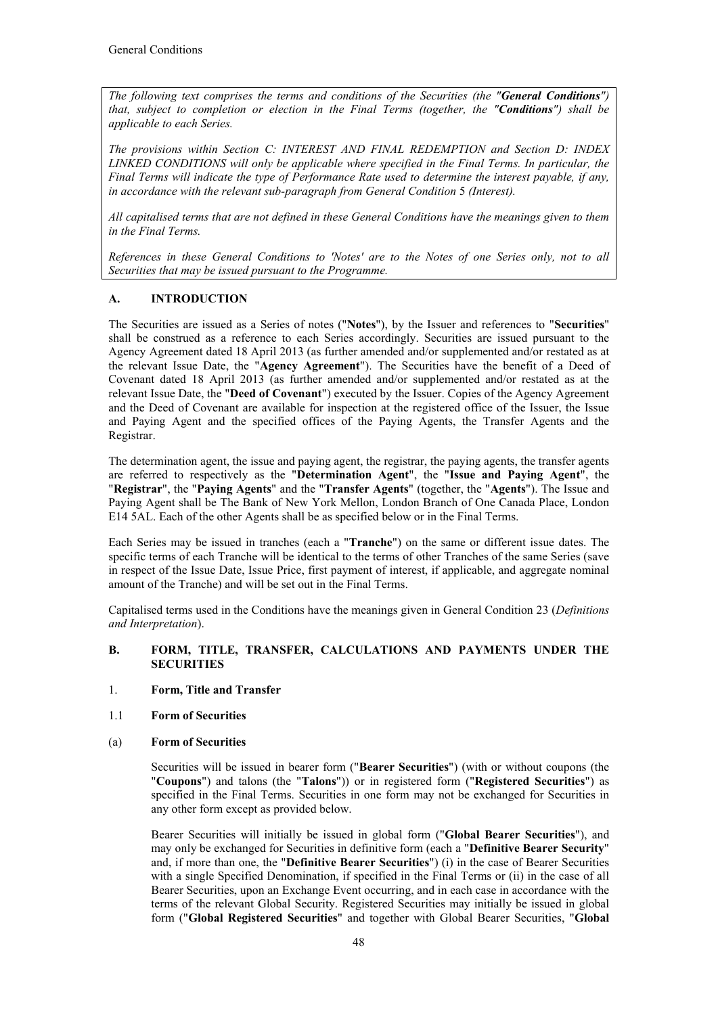*The following text comprises the terms and conditions of the Securities (the "General Conditions") that, subject to completion or election in the Final Terms (together, the "Conditions") shall be applicable to each Series.* 

*The provisions within Section C: INTEREST AND FINAL REDEMPTION and Section D: INDEX LINKED CONDITIONS will only be applicable where specified in the Final Terms. In particular, the Final Terms will indicate the type of Performance Rate used to determine the interest payable, if any,*  in accordance with the relevant sub-paragraph from General Condition 5 (Interest).

*All capitalised terms that are not defined in these General Conditions have the meanings given to them in the Final Terms.*

*References in these General Conditions to 'Notes' are to the Notes of one Series only, not to all Securities that may be issued pursuant to the Programme.* 

# **A. INTRODUCTION**

The Securities are issued as a Series of notes ("**Notes**"), by the Issuer and references to "**Securities**" shall be construed as a reference to each Series accordingly. Securities are issued pursuant to the Agency Agreement dated 18 April 2013 (as further amended and/or supplemented and/or restated as at the relevant Issue Date, the "**Agency Agreement**"). The Securities have the benefit of a Deed of Covenant dated 18 April 2013 (as further amended and/or supplemented and/or restated as at the relevant Issue Date, the "**Deed of Covenant**") executed by the Issuer. Copies of the Agency Agreement and the Deed of Covenant are available for inspection at the registered office of the Issuer, the Issue and Paying Agent and the specified offices of the Paying Agents, the Transfer Agents and the Registrar.

The determination agent, the issue and paying agent, the registrar, the paying agents, the transfer agents are referred to respectively as the "**Determination Agent**", the "**Issue and Paying Agent**", the "**Registrar**", the "**Paying Agents**" and the "**Transfer Agents**" (together, the "**Agents**"). The Issue and Paying Agent shall be The Bank of New York Mellon, London Branch of One Canada Place, London E14 5AL. Each of the other Agents shall be as specified below or in the Final Terms.

Each Series may be issued in tranches (each a "**Tranche**") on the same or different issue dates. The specific terms of each Tranche will be identical to the terms of other Tranches of the same Series (save in respect of the Issue Date, Issue Price, first payment of interest, if applicable, and aggregate nominal amount of the Tranche) and will be set out in the Final Terms.

Capitalised terms used in the Conditions have the meanings given in General Condition 23 (*Definitions and Interpretation*).

# **B. FORM, TITLE, TRANSFER, CALCULATIONS AND PAYMENTS UNDER THE SECURITIES**

## 1. **Form, Title and Transfer**

1.1 **Form of Securities**

## (a) **Form of Securities**

Securities will be issued in bearer form ("**Bearer Securities**") (with or without coupons (the "**Coupons**") and talons (the "**Talons**")) or in registered form ("**Registered Securities**") as specified in the Final Terms. Securities in one form may not be exchanged for Securities in any other form except as provided below.

Bearer Securities will initially be issued in global form ("**Global Bearer Securities**"), and may only be exchanged for Securities in definitive form (each a "**Definitive Bearer Security**" and, if more than one, the "**Definitive Bearer Securities**") (i) in the case of Bearer Securities with a single Specified Denomination, if specified in the Final Terms or (ii) in the case of all Bearer Securities, upon an Exchange Event occurring, and in each case in accordance with the terms of the relevant Global Security. Registered Securities may initially be issued in global form ("**Global Registered Securities**" and together with Global Bearer Securities, "**Global**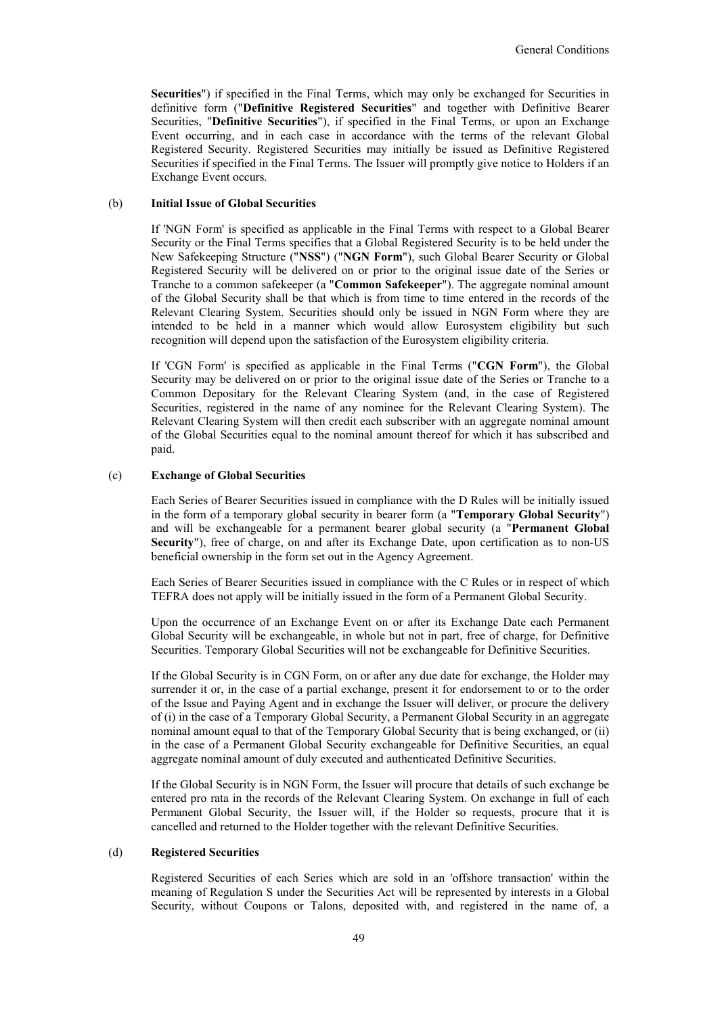**Securities**") if specified in the Final Terms, which may only be exchanged for Securities in definitive form ("**Definitive Registered Securities**" and together with Definitive Bearer Securities, "**Definitive Securities**"), if specified in the Final Terms, or upon an Exchange Event occurring, and in each case in accordance with the terms of the relevant Global Registered Security. Registered Securities may initially be issued as Definitive Registered Securities if specified in the Final Terms. The Issuer will promptly give notice to Holders if an Exchange Event occurs.

## (b) **Initial Issue of Global Securities**

If 'NGN Form' is specified as applicable in the Final Terms with respect to a Global Bearer Security or the Final Terms specifies that a Global Registered Security is to be held under the New Safekeeping Structure ("**NSS**") ("**NGN Form**"), such Global Bearer Security or Global Registered Security will be delivered on or prior to the original issue date of the Series or Tranche to a common safekeeper (a "**Common Safekeeper**"). The aggregate nominal amount of the Global Security shall be that which is from time to time entered in the records of the Relevant Clearing System. Securities should only be issued in NGN Form where they are intended to be held in a manner which would allow Eurosystem eligibility but such recognition will depend upon the satisfaction of the Eurosystem eligibility criteria.

If 'CGN Form' is specified as applicable in the Final Terms ("**CGN Form**"), the Global Security may be delivered on or prior to the original issue date of the Series or Tranche to a Common Depositary for the Relevant Clearing System (and, in the case of Registered Securities, registered in the name of any nominee for the Relevant Clearing System). The Relevant Clearing System will then credit each subscriber with an aggregate nominal amount of the Global Securities equal to the nominal amount thereof for which it has subscribed and paid.

## (c) **Exchange of Global Securities**

Each Series of Bearer Securities issued in compliance with the D Rules will be initially issued in the form of a temporary global security in bearer form (a "**Temporary Global Security**") and will be exchangeable for a permanent bearer global security (a "**Permanent Global Security**"), free of charge, on and after its Exchange Date, upon certification as to non-US beneficial ownership in the form set out in the Agency Agreement.

Each Series of Bearer Securities issued in compliance with the C Rules or in respect of which TEFRA does not apply will be initially issued in the form of a Permanent Global Security.

Upon the occurrence of an Exchange Event on or after its Exchange Date each Permanent Global Security will be exchangeable, in whole but not in part, free of charge, for Definitive Securities. Temporary Global Securities will not be exchangeable for Definitive Securities.

If the Global Security is in CGN Form, on or after any due date for exchange, the Holder may surrender it or, in the case of a partial exchange, present it for endorsement to or to the order of the Issue and Paying Agent and in exchange the Issuer will deliver, or procure the delivery of (i) in the case of a Temporary Global Security, a Permanent Global Security in an aggregate nominal amount equal to that of the Temporary Global Security that is being exchanged, or (ii) in the case of a Permanent Global Security exchangeable for Definitive Securities, an equal aggregate nominal amount of duly executed and authenticated Definitive Securities.

If the Global Security is in NGN Form, the Issuer will procure that details of such exchange be entered pro rata in the records of the Relevant Clearing System. On exchange in full of each Permanent Global Security, the Issuer will, if the Holder so requests, procure that it is cancelled and returned to the Holder together with the relevant Definitive Securities.

## (d) **Registered Securities**

Registered Securities of each Series which are sold in an 'offshore transaction' within the meaning of Regulation S under the Securities Act will be represented by interests in a Global Security, without Coupons or Talons, deposited with, and registered in the name of, a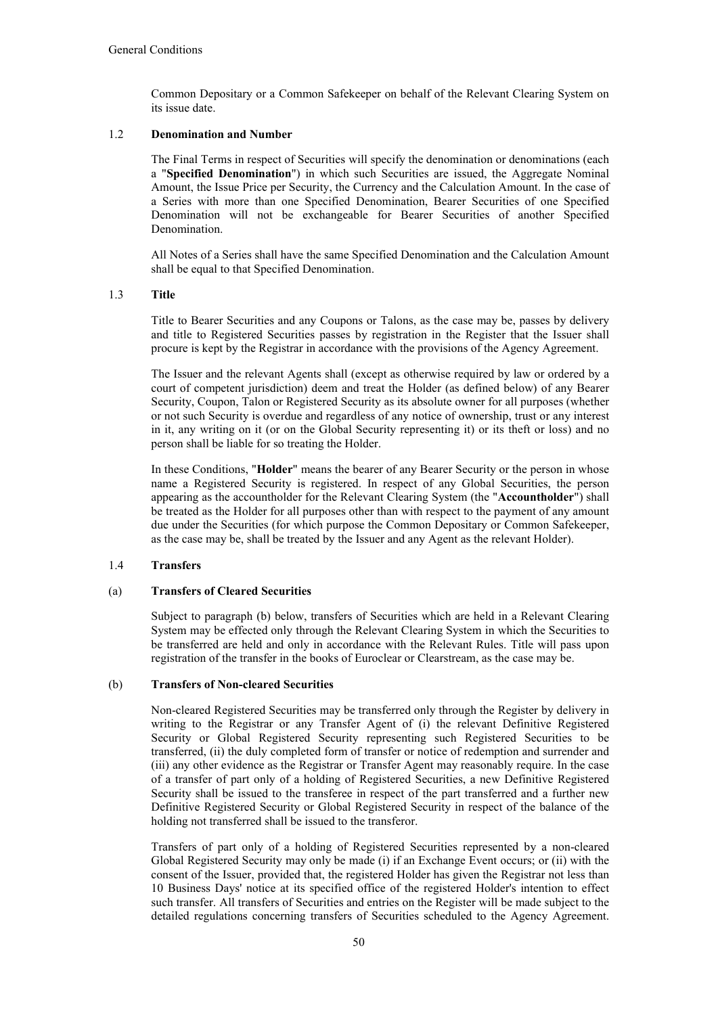Common Depositary or a Common Safekeeper on behalf of the Relevant Clearing System on its issue date.

## 1.2 **Denomination and Number**

The Final Terms in respect of Securities will specify the denomination or denominations (each a "**Specified Denomination**") in which such Securities are issued, the Aggregate Nominal Amount, the Issue Price per Security, the Currency and the Calculation Amount. In the case of a Series with more than one Specified Denomination, Bearer Securities of one Specified Denomination will not be exchangeable for Bearer Securities of another Specified Denomination.

All Notes of a Series shall have the same Specified Denomination and the Calculation Amount shall be equal to that Specified Denomination.

## 1.3 **Title**

Title to Bearer Securities and any Coupons or Talons, as the case may be, passes by delivery and title to Registered Securities passes by registration in the Register that the Issuer shall procure is kept by the Registrar in accordance with the provisions of the Agency Agreement.

The Issuer and the relevant Agents shall (except as otherwise required by law or ordered by a court of competent jurisdiction) deem and treat the Holder (as defined below) of any Bearer Security, Coupon, Talon or Registered Security as its absolute owner for all purposes (whether or not such Security is overdue and regardless of any notice of ownership, trust or any interest in it, any writing on it (or on the Global Security representing it) or its theft or loss) and no person shall be liable for so treating the Holder.

In these Conditions, "**Holder**" means the bearer of any Bearer Security or the person in whose name a Registered Security is registered. In respect of any Global Securities, the person appearing as the accountholder for the Relevant Clearing System (the "**Accountholder**") shall be treated as the Holder for all purposes other than with respect to the payment of any amount due under the Securities (for which purpose the Common Depositary or Common Safekeeper, as the case may be, shall be treated by the Issuer and any Agent as the relevant Holder).

## 1.4 **Transfers**

## (a) **Transfers of Cleared Securities**

Subject to paragraph (b) below, transfers of Securities which are held in a Relevant Clearing System may be effected only through the Relevant Clearing System in which the Securities to be transferred are held and only in accordance with the Relevant Rules. Title will pass upon registration of the transfer in the books of Euroclear or Clearstream, as the case may be.

## (b) **Transfers of Non-cleared Securities**

Non-cleared Registered Securities may be transferred only through the Register by delivery in writing to the Registrar or any Transfer Agent of (i) the relevant Definitive Registered Security or Global Registered Security representing such Registered Securities to be transferred, (ii) the duly completed form of transfer or notice of redemption and surrender and (iii) any other evidence as the Registrar or Transfer Agent may reasonably require. In the case of a transfer of part only of a holding of Registered Securities, a new Definitive Registered Security shall be issued to the transferee in respect of the part transferred and a further new Definitive Registered Security or Global Registered Security in respect of the balance of the holding not transferred shall be issued to the transferor.

Transfers of part only of a holding of Registered Securities represented by a non-cleared Global Registered Security may only be made (i) if an Exchange Event occurs; or (ii) with the consent of the Issuer, provided that, the registered Holder has given the Registrar not less than 10 Business Days' notice at its specified office of the registered Holder's intention to effect such transfer. All transfers of Securities and entries on the Register will be made subject to the detailed regulations concerning transfers of Securities scheduled to the Agency Agreement.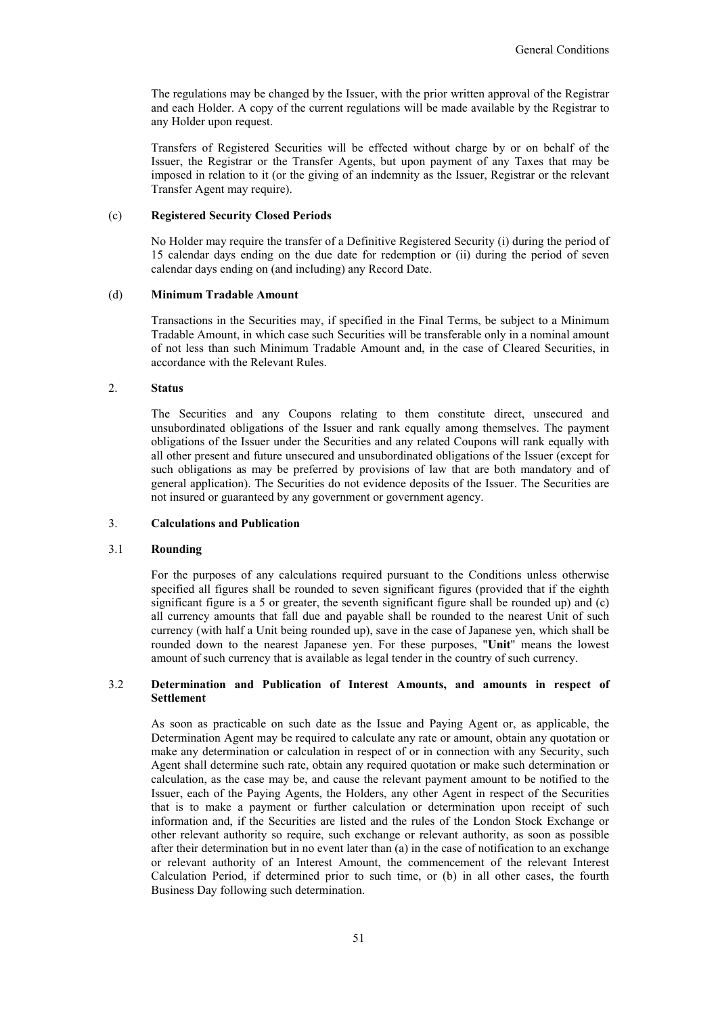The regulations may be changed by the Issuer, with the prior written approval of the Registrar and each Holder. A copy of the current regulations will be made available by the Registrar to any Holder upon request.

Transfers of Registered Securities will be effected without charge by or on behalf of the Issuer, the Registrar or the Transfer Agents, but upon payment of any Taxes that may be imposed in relation to it (or the giving of an indemnity as the Issuer, Registrar or the relevant Transfer Agent may require).

#### (c) **Registered Security Closed Periods**

No Holder may require the transfer of a Definitive Registered Security (i) during the period of 15 calendar days ending on the due date for redemption or (ii) during the period of seven calendar days ending on (and including) any Record Date.

#### (d) **Minimum Tradable Amount**

Transactions in the Securities may, if specified in the Final Terms, be subject to a Minimum Tradable Amount, in which case such Securities will be transferable only in a nominal amount of not less than such Minimum Tradable Amount and, in the case of Cleared Securities, in accordance with the Relevant Rules.

# 2. **Status**

The Securities and any Coupons relating to them constitute direct, unsecured and unsubordinated obligations of the Issuer and rank equally among themselves. The payment obligations of the Issuer under the Securities and any related Coupons will rank equally with all other present and future unsecured and unsubordinated obligations of the Issuer (except for such obligations as may be preferred by provisions of law that are both mandatory and of general application). The Securities do not evidence deposits of the Issuer. The Securities are not insured or guaranteed by any government or government agency.

## 3. **Calculations and Publication**

## 3.1 **Rounding**

For the purposes of any calculations required pursuant to the Conditions unless otherwise specified all figures shall be rounded to seven significant figures (provided that if the eighth significant figure is a 5 or greater, the seventh significant figure shall be rounded up) and (c) all currency amounts that fall due and payable shall be rounded to the nearest Unit of such currency (with half a Unit being rounded up), save in the case of Japanese yen, which shall be rounded down to the nearest Japanese yen. For these purposes, "**Unit**" means the lowest amount of such currency that is available as legal tender in the country of such currency.

## 3.2 **Determination and Publication of Interest Amounts, and amounts in respect of Settlement**

As soon as practicable on such date as the Issue and Paying Agent or, as applicable, the Determination Agent may be required to calculate any rate or amount, obtain any quotation or make any determination or calculation in respect of or in connection with any Security, such Agent shall determine such rate, obtain any required quotation or make such determination or calculation, as the case may be, and cause the relevant payment amount to be notified to the Issuer, each of the Paying Agents, the Holders, any other Agent in respect of the Securities that is to make a payment or further calculation or determination upon receipt of such information and, if the Securities are listed and the rules of the London Stock Exchange or other relevant authority so require, such exchange or relevant authority, as soon as possible after their determination but in no event later than (a) in the case of notification to an exchange or relevant authority of an Interest Amount, the commencement of the relevant Interest Calculation Period, if determined prior to such time, or (b) in all other cases, the fourth Business Day following such determination.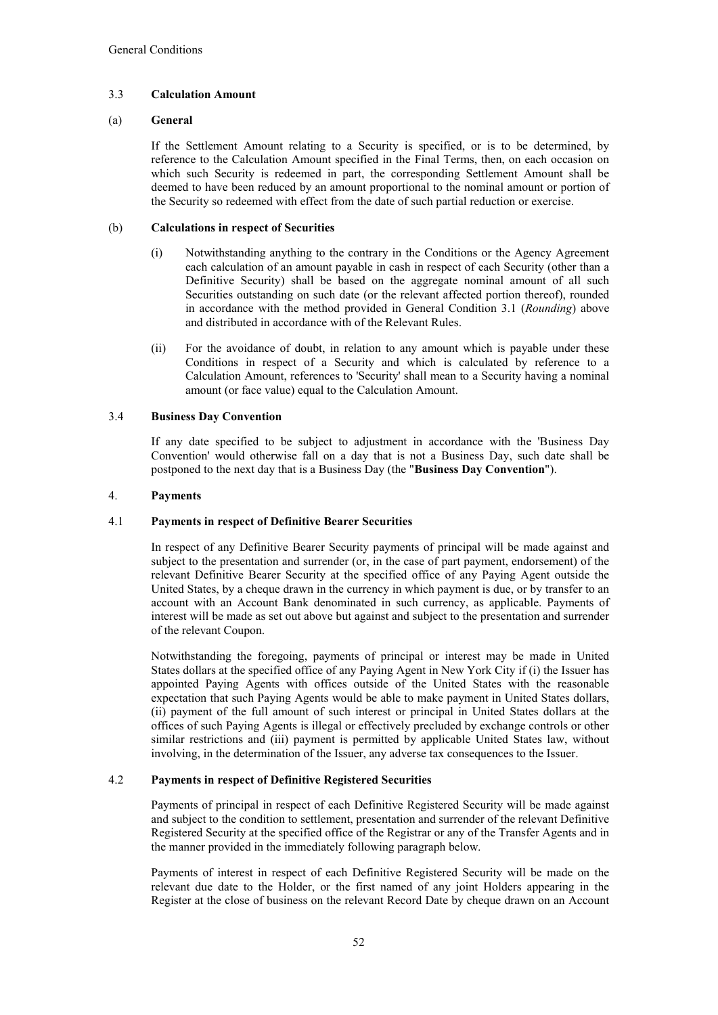# 3.3 **Calculation Amount**

## (a) **General**

If the Settlement Amount relating to a Security is specified, or is to be determined, by reference to the Calculation Amount specified in the Final Terms, then, on each occasion on which such Security is redeemed in part, the corresponding Settlement Amount shall be deemed to have been reduced by an amount proportional to the nominal amount or portion of the Security so redeemed with effect from the date of such partial reduction or exercise.

## (b) **Calculations in respect of Securities**

- (i) Notwithstanding anything to the contrary in the Conditions or the Agency Agreement each calculation of an amount payable in cash in respect of each Security (other than a Definitive Security) shall be based on the aggregate nominal amount of all such Securities outstanding on such date (or the relevant affected portion thereof), rounded in accordance with the method provided in General Condition 3.1 (*Rounding*) above and distributed in accordance with of the Relevant Rules.
- (ii) For the avoidance of doubt, in relation to any amount which is payable under these Conditions in respect of a Security and which is calculated by reference to a Calculation Amount, references to 'Security' shall mean to a Security having a nominal amount (or face value) equal to the Calculation Amount.

## 3.4 **Business Day Convention**

If any date specified to be subject to adjustment in accordance with the 'Business Day Convention' would otherwise fall on a day that is not a Business Day, such date shall be postponed to the next day that is a Business Day (the "**Business Day Convention**").

# 4. **Payments**

## 4.1 **Payments in respect of Definitive Bearer Securities**

In respect of any Definitive Bearer Security payments of principal will be made against and subject to the presentation and surrender (or, in the case of part payment, endorsement) of the relevant Definitive Bearer Security at the specified office of any Paying Agent outside the United States, by a cheque drawn in the currency in which payment is due, or by transfer to an account with an Account Bank denominated in such currency, as applicable. Payments of interest will be made as set out above but against and subject to the presentation and surrender of the relevant Coupon.

Notwithstanding the foregoing, payments of principal or interest may be made in United States dollars at the specified office of any Paying Agent in New York City if (i) the Issuer has appointed Paying Agents with offices outside of the United States with the reasonable expectation that such Paying Agents would be able to make payment in United States dollars, (ii) payment of the full amount of such interest or principal in United States dollars at the offices of such Paying Agents is illegal or effectively precluded by exchange controls or other similar restrictions and (iii) payment is permitted by applicable United States law, without involving, in the determination of the Issuer, any adverse tax consequences to the Issuer.

## 4.2 **Payments in respect of Definitive Registered Securities**

Payments of principal in respect of each Definitive Registered Security will be made against and subject to the condition to settlement, presentation and surrender of the relevant Definitive Registered Security at the specified office of the Registrar or any of the Transfer Agents and in the manner provided in the immediately following paragraph below.

Payments of interest in respect of each Definitive Registered Security will be made on the relevant due date to the Holder, or the first named of any joint Holders appearing in the Register at the close of business on the relevant Record Date by cheque drawn on an Account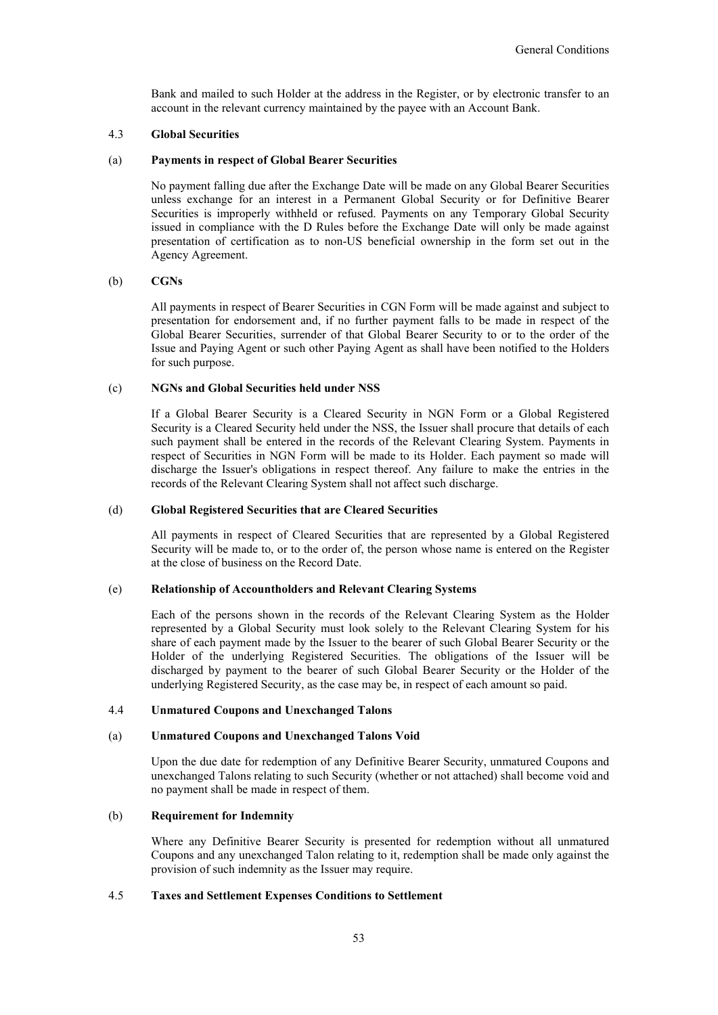Bank and mailed to such Holder at the address in the Register, or by electronic transfer to an account in the relevant currency maintained by the payee with an Account Bank.

#### 4.3 **Global Securities**

#### (a) **Payments in respect of Global Bearer Securities**

No payment falling due after the Exchange Date will be made on any Global Bearer Securities unless exchange for an interest in a Permanent Global Security or for Definitive Bearer Securities is improperly withheld or refused. Payments on any Temporary Global Security issued in compliance with the D Rules before the Exchange Date will only be made against presentation of certification as to non-US beneficial ownership in the form set out in the Agency Agreement.

#### (b) **CGNs**

All payments in respect of Bearer Securities in CGN Form will be made against and subject to presentation for endorsement and, if no further payment falls to be made in respect of the Global Bearer Securities, surrender of that Global Bearer Security to or to the order of the Issue and Paying Agent or such other Paying Agent as shall have been notified to the Holders for such purpose.

## (c) **NGNs and Global Securities held under NSS**

If a Global Bearer Security is a Cleared Security in NGN Form or a Global Registered Security is a Cleared Security held under the NSS, the Issuer shall procure that details of each such payment shall be entered in the records of the Relevant Clearing System. Payments in respect of Securities in NGN Form will be made to its Holder. Each payment so made will discharge the Issuer's obligations in respect thereof. Any failure to make the entries in the records of the Relevant Clearing System shall not affect such discharge.

#### (d) **Global Registered Securities that are Cleared Securities**

All payments in respect of Cleared Securities that are represented by a Global Registered Security will be made to, or to the order of, the person whose name is entered on the Register at the close of business on the Record Date.

## (e) **Relationship of Accountholders and Relevant Clearing Systems**

Each of the persons shown in the records of the Relevant Clearing System as the Holder represented by a Global Security must look solely to the Relevant Clearing System for his share of each payment made by the Issuer to the bearer of such Global Bearer Security or the Holder of the underlying Registered Securities. The obligations of the Issuer will be discharged by payment to the bearer of such Global Bearer Security or the Holder of the underlying Registered Security, as the case may be, in respect of each amount so paid.

#### 4.4 **Unmatured Coupons and Unexchanged Talons**

#### (a) **Unmatured Coupons and Unexchanged Talons Void**

Upon the due date for redemption of any Definitive Bearer Security, unmatured Coupons and unexchanged Talons relating to such Security (whether or not attached) shall become void and no payment shall be made in respect of them.

# (b) **Requirement for Indemnity**

Where any Definitive Bearer Security is presented for redemption without all unmatured Coupons and any unexchanged Talon relating to it, redemption shall be made only against the provision of such indemnity as the Issuer may require.

## 4.5 **Taxes and Settlement Expenses Conditions to Settlement**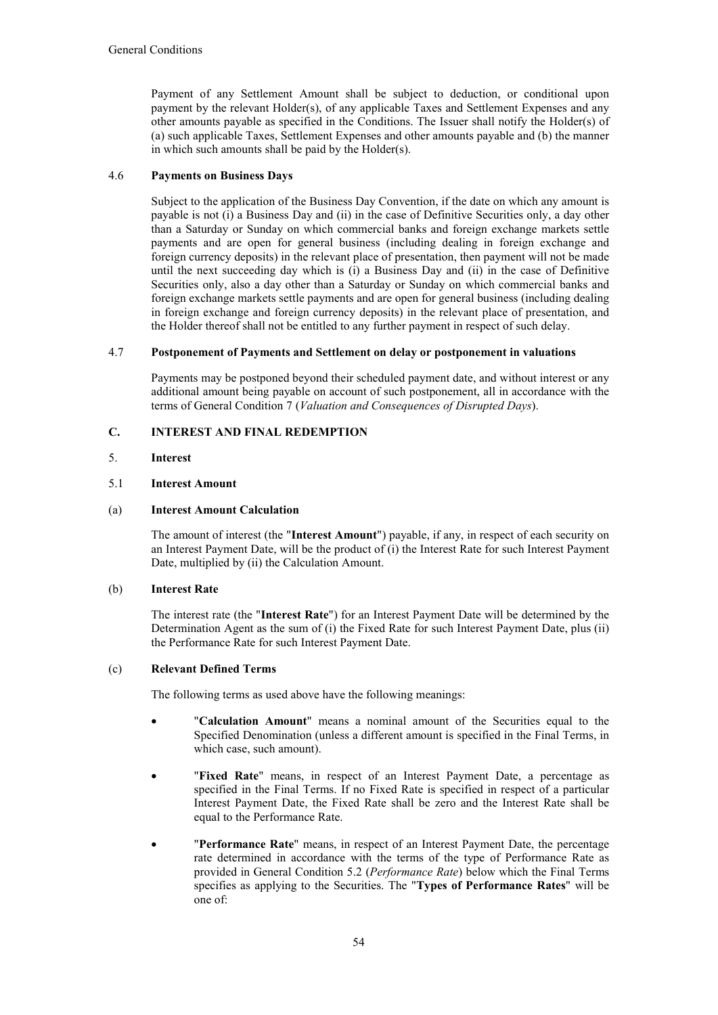Payment of any Settlement Amount shall be subject to deduction, or conditional upon payment by the relevant Holder(s), of any applicable Taxes and Settlement Expenses and any other amounts payable as specified in the Conditions. The Issuer shall notify the Holder(s) of (a) such applicable Taxes, Settlement Expenses and other amounts payable and (b) the manner in which such amounts shall be paid by the Holder(s).

# 4.6 **Payments on Business Days**

Subject to the application of the Business Day Convention, if the date on which any amount is payable is not (i) a Business Day and (ii) in the case of Definitive Securities only, a day other than a Saturday or Sunday on which commercial banks and foreign exchange markets settle payments and are open for general business (including dealing in foreign exchange and foreign currency deposits) in the relevant place of presentation, then payment will not be made until the next succeeding day which is (i) a Business Day and (ii) in the case of Definitive Securities only, also a day other than a Saturday or Sunday on which commercial banks and foreign exchange markets settle payments and are open for general business (including dealing in foreign exchange and foreign currency deposits) in the relevant place of presentation, and the Holder thereof shall not be entitled to any further payment in respect of such delay.

## 4.7 **Postponement of Payments and Settlement on delay or postponement in valuations**

Payments may be postponed beyond their scheduled payment date, and without interest or any additional amount being payable on account of such postponement, all in accordance with the terms of General Condition 7 (*Valuation and Consequences of Disrupted Days*).

# **C. INTEREST AND FINAL REDEMPTION**

## 5. **Interest**

## 5.1 **Interest Amount**

## (a) **Interest Amount Calculation**

The amount of interest (the "**Interest Amount**") payable, if any, in respect of each security on an Interest Payment Date, will be the product of (i) the Interest Rate for such Interest Payment Date, multiplied by (ii) the Calculation Amount.

# (b) **Interest Rate**

The interest rate (the "**Interest Rate**") for an Interest Payment Date will be determined by the Determination Agent as the sum of (i) the Fixed Rate for such Interest Payment Date, plus (ii) the Performance Rate for such Interest Payment Date.

## (c) **Relevant Defined Terms**

The following terms as used above have the following meanings:

- "**Calculation Amount**" means a nominal amount of the Securities equal to the Specified Denomination (unless a different amount is specified in the Final Terms, in which case, such amount).
- "**Fixed Rate**" means, in respect of an Interest Payment Date, a percentage as specified in the Final Terms. If no Fixed Rate is specified in respect of a particular Interest Payment Date, the Fixed Rate shall be zero and the Interest Rate shall be equal to the Performance Rate.
- "**Performance Rate**" means, in respect of an Interest Payment Date, the percentage rate determined in accordance with the terms of the type of Performance Rate as provided in General Condition 5.2 (*Performance Rate*) below which the Final Terms specifies as applying to the Securities. The "**Types of Performance Rates**" will be one of: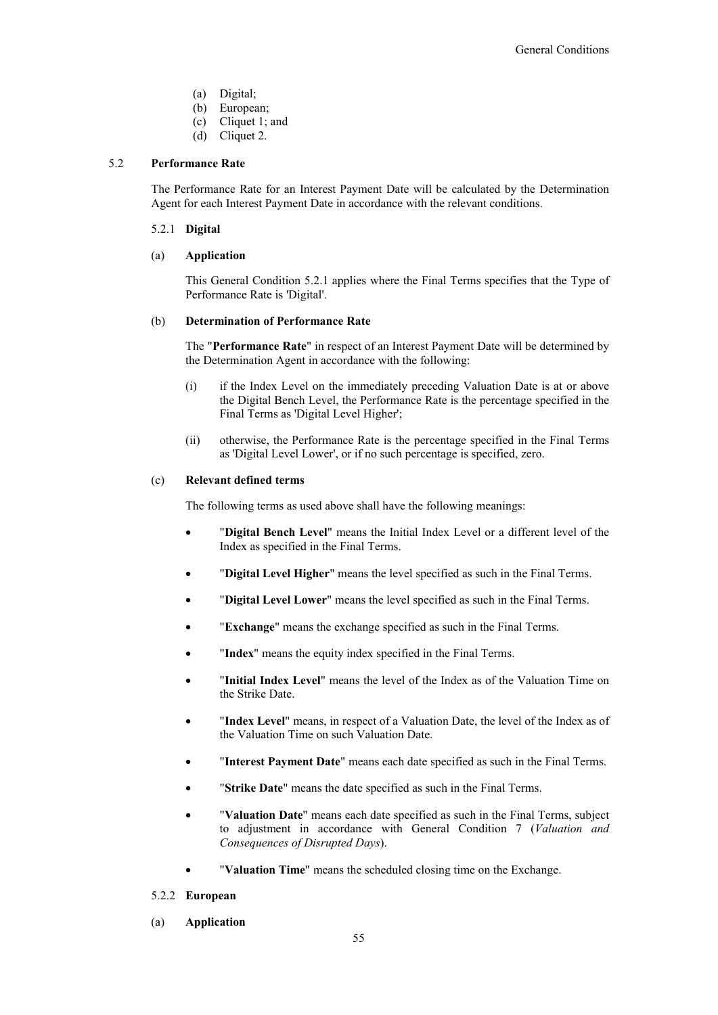- (a) Digital;
- (b) European;
- (c) Cliquet 1; and
- (d) Cliquet 2.

#### 5.2 **Performance Rate**

The Performance Rate for an Interest Payment Date will be calculated by the Determination Agent for each Interest Payment Date in accordance with the relevant conditions.

#### 5.2.1 **Digital**

#### (a) **Application**

This General Condition 5.2.1 applies where the Final Terms specifies that the Type of Performance Rate is 'Digital'.

#### (b) **Determination of Performance Rate**

The "**Performance Rate**" in respect of an Interest Payment Date will be determined by the Determination Agent in accordance with the following:

- (i) if the Index Level on the immediately preceding Valuation Date is at or above the Digital Bench Level, the Performance Rate is the percentage specified in the Final Terms as 'Digital Level Higher';
- (ii) otherwise, the Performance Rate is the percentage specified in the Final Terms as 'Digital Level Lower', or if no such percentage is specified, zero.

## (c) **Relevant defined terms**

The following terms as used above shall have the following meanings:

- "**Digital Bench Level**" means the Initial Index Level or a different level of the Index as specified in the Final Terms.
- "**Digital Level Higher**" means the level specified as such in the Final Terms.
- "**Digital Level Lower**" means the level specified as such in the Final Terms.
- "**Exchange**" means the exchange specified as such in the Final Terms.
- "**Index**" means the equity index specified in the Final Terms.
- "**Initial Index Level**" means the level of the Index as of the Valuation Time on the Strike Date.
- "**Index Level**" means, in respect of a Valuation Date, the level of the Index as of the Valuation Time on such Valuation Date.
- "**Interest Payment Date**" means each date specified as such in the Final Terms.
- "**Strike Date**" means the date specified as such in the Final Terms.
- "**Valuation Date**" means each date specified as such in the Final Terms, subject to adjustment in accordance with General Condition 7 (*Valuation and Consequences of Disrupted Days*).
- "**Valuation Time**" means the scheduled closing time on the Exchange.

#### 5.2.2 **European**

(a) **Application**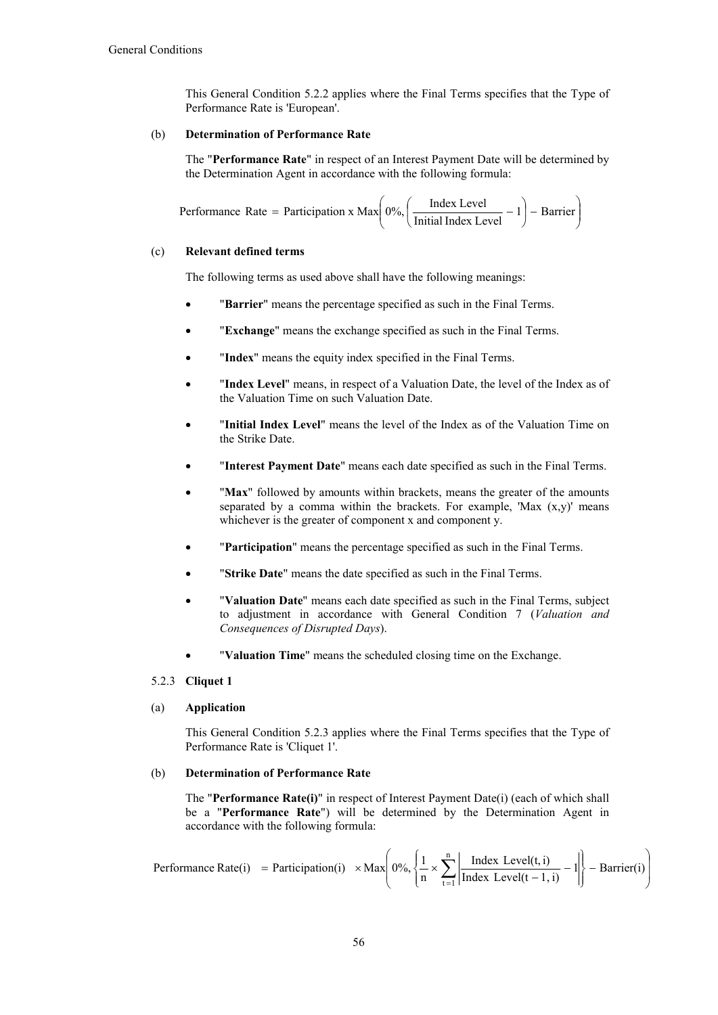This General Condition 5.2.2 applies where the Final Terms specifies that the Type of Performance Rate is 'European'.

## (b) **Determination of Performance Rate**

The "**Performance Rate**" in respect of an Interest Payment Date will be determined by the Determination Agent in accordance with the following formula:

Performance Rate = Participants 
$$
x Max \left( 0\%, \left( \frac{Index Level}{Initial Index Level} - 1 \right) - Barrier \right)
$$

# (c) **Relevant defined terms**

The following terms as used above shall have the following meanings:

- "**Barrier**" means the percentage specified as such in the Final Terms.
- "**Exchange**" means the exchange specified as such in the Final Terms.
- "**Index**" means the equity index specified in the Final Terms.
- "**Index Level**" means, in respect of a Valuation Date, the level of the Index as of the Valuation Time on such Valuation Date.
- "**Initial Index Level**" means the level of the Index as of the Valuation Time on the Strike Date.
- "**Interest Payment Date**" means each date specified as such in the Final Terms.
- "Max" followed by amounts within brackets, means the greater of the amounts separated by a comma within the brackets. For example, 'Max  $(x,y)$ ' means whichever is the greater of component x and component y.
- "**Participation**" means the percentage specified as such in the Final Terms.
- "**Strike Date**" means the date specified as such in the Final Terms.
- "**Valuation Date**" means each date specified as such in the Final Terms, subject to adjustment in accordance with General Condition 7 (*Valuation and Consequences of Disrupted Days*).
- "**Valuation Time**" means the scheduled closing time on the Exchange.

## 5.2.3 **Cliquet 1**

#### (a) **Application**

This General Condition 5.2.3 applies where the Final Terms specifies that the Type of Performance Rate is 'Cliquet 1'.

## (b) **Determination of Performance Rate**

The "**Performance Rate(i)**" in respect of Interest Payment Date(i) (each of which shall be a "**Performance Rate**") will be determined by the Determination Agent in accordance with the following formula:

$$
Performance Rate(i) = Partitionation(i) \times Max \left(0\%, \left\{\frac{1}{n} \times \sum_{t=1}^{n} \left| \frac{Index Level(t, i)}{Index Level(t-1, i)} - 1 \right| \right\} - Barrier(i) \right)
$$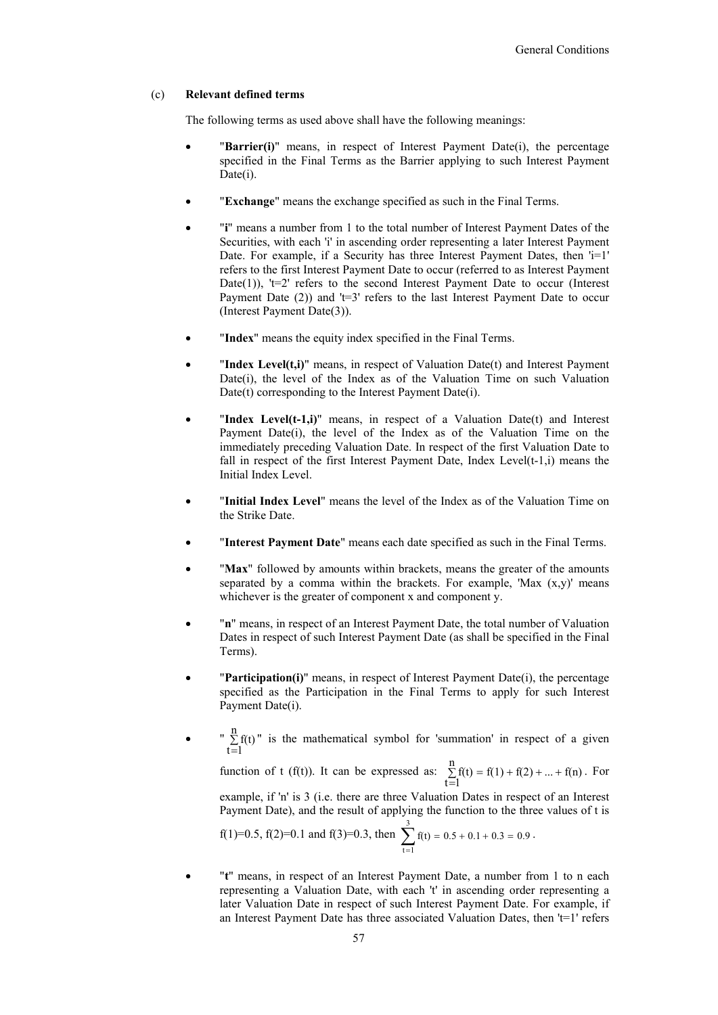#### (c) **Relevant defined terms**

The following terms as used above shall have the following meanings:

- "**Barrier(i)**" means, in respect of Interest Payment Date(i), the percentage specified in the Final Terms as the Barrier applying to such Interest Payment Date(i).
- "**Exchange**" means the exchange specified as such in the Final Terms.
- "**i**" means a number from 1 to the total number of Interest Payment Dates of the Securities, with each 'i' in ascending order representing a later Interest Payment Date. For example, if a Security has three Interest Payment Dates, then 'i=1' refers to the first Interest Payment Date to occur (referred to as Interest Payment Date(1)), ' $t=2$ ' refers to the second Interest Payment Date to occur (Interest Payment Date  $(2)$ ) and 't=3' refers to the last Interest Payment Date to occur (Interest Payment Date(3)).
- "**Index**" means the equity index specified in the Final Terms.
- "**Index Level(t,i)**" means, in respect of Valuation Date(t) and Interest Payment Date(i), the level of the Index as of the Valuation Time on such Valuation Date(t) corresponding to the Interest Payment Date(i).
- "**Index Level(t-1,i)**" means, in respect of a Valuation Date(t) and Interest Payment Date(i), the level of the Index as of the Valuation Time on the immediately preceding Valuation Date. In respect of the first Valuation Date to fall in respect of the first Interest Payment Date, Index Level(t-1,i) means the Initial Index Level.
- "**Initial Index Level**" means the level of the Index as of the Valuation Time on the Strike Date.
- "**Interest Payment Date**" means each date specified as such in the Final Terms.
- "**Max**" followed by amounts within brackets, means the greater of the amounts separated by a comma within the brackets. For example, 'Max  $(x,y)$ ' means whichever is the greater of component x and component y.
- "**n**" means, in respect of an Interest Payment Date, the total number of Valuation Dates in respect of such Interest Payment Date (as shall be specified in the Final Terms).
- "**Participation(i)**" means, in respect of Interest Payment Date(i), the percentage specified as the Participation in the Final Terms to apply for such Interest Payment Date(i).
- $\bullet$  "  $\sum$  $\equiv$ n  $t=1$  $f(t)$ " is the mathematical symbol for 'summation' in respect of a given

function of t (f(t)). It can be expressed as:  $\sum_{r=1}^{n} f(t) = f(1) + f(2) + ... + f(n)$  $t = 1$  $\sum f(t) = f(1) + f(2) + ... +$  $\equiv$ . For

example, if 'n' is 3 (i.e. there are three Valuation Dates in respect of an Interest Payment Date), and the result of applying the function to the three values of t is

f(1)=0.5, f(2)=0.1 and f(3)=0.3, then 
$$
\sum_{t=1}^{3} f(t) = 0.5 + 0.1 + 0.3 = 0.9.
$$

 "**t**" means, in respect of an Interest Payment Date, a number from 1 to n each representing a Valuation Date, with each 't' in ascending order representing a later Valuation Date in respect of such Interest Payment Date. For example, if an Interest Payment Date has three associated Valuation Dates, then 't=1' refers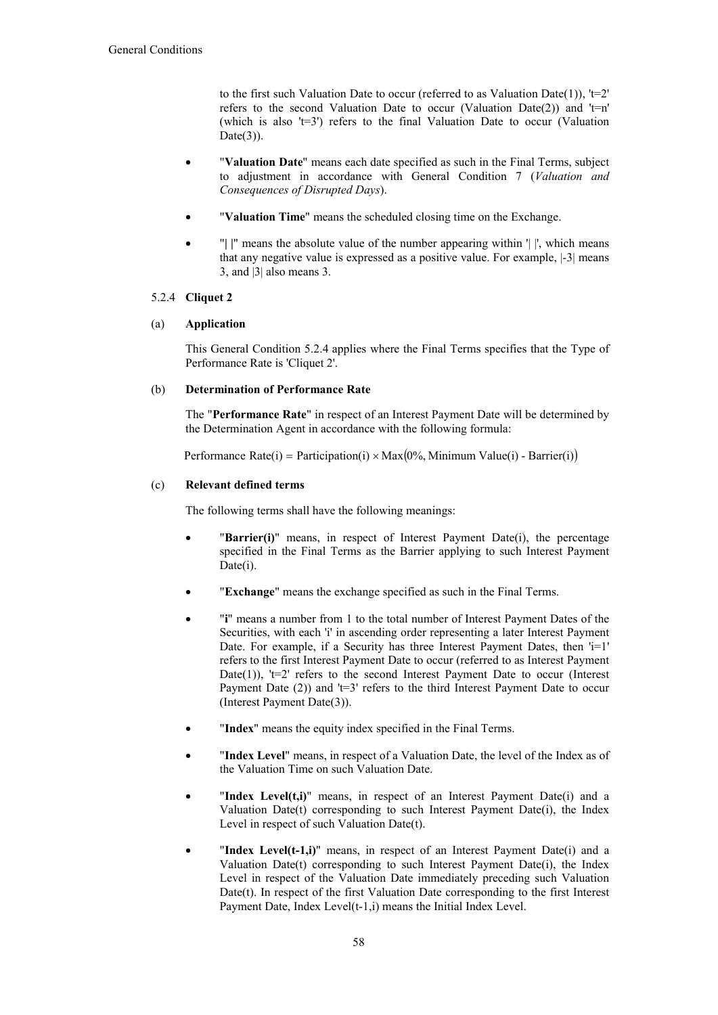to the first such Valuation Date to occur (referred to as Valuation Date(1)),  $t=2$ ' refers to the second Valuation Date to occur (Valuation Date(2)) and ' $t=n'$ (which is also ' $t=3$ ') refers to the final Valuation Date to occur (Valuation  $Date(3)$ ).

- "**Valuation Date**" means each date specified as such in the Final Terms, subject to adjustment in accordance with General Condition 7 (*Valuation and Consequences of Disrupted Days*).
- "**Valuation Time**" means the scheduled closing time on the Exchange.
- "**| |**" means the absolute value of the number appearing within '| |', which means that any negative value is expressed as a positive value. For example, |-3| means 3, and |3| also means 3.

## 5.2.4 **Cliquet 2**

# (a) **Application**

This General Condition 5.2.4 applies where the Final Terms specifies that the Type of Performance Rate is 'Cliquet 2'.

# (b) **Determination of Performance Rate**

The "**Performance Rate**" in respect of an Interest Payment Date will be determined by the Determination Agent in accordance with the following formula:

Performance Rate(i) = Participation(i)  $\times$  Max(0%, Minimum Value(i) - Barrier(i))

# (c) **Relevant defined terms**

The following terms shall have the following meanings:

- "**Barrier(i)**" means, in respect of Interest Payment Date(i), the percentage specified in the Final Terms as the Barrier applying to such Interest Payment Date(i).
- "**Exchange**" means the exchange specified as such in the Final Terms.
- "**i**" means a number from 1 to the total number of Interest Payment Dates of the Securities, with each 'i' in ascending order representing a later Interest Payment Date. For example, if a Security has three Interest Payment Dates, then  $i=1'$ refers to the first Interest Payment Date to occur (referred to as Interest Payment Date(1)), ' $t=2$ ' refers to the second Interest Payment Date to occur (Interest Payment Date  $(2)$ ) and 't=3' refers to the third Interest Payment Date to occur (Interest Payment Date(3)).
- "**Index**" means the equity index specified in the Final Terms.
- "**Index Level**" means, in respect of a Valuation Date, the level of the Index as of the Valuation Time on such Valuation Date.
- "**Index Level(t,i)**" means, in respect of an Interest Payment Date(i) and a Valuation Date(t) corresponding to such Interest Payment Date(i), the Index Level in respect of such Valuation Date(t).
- "**Index Level(t-1,i)**" means, in respect of an Interest Payment Date(i) and a Valuation Date(t) corresponding to such Interest Payment Date(i), the Index Level in respect of the Valuation Date immediately preceding such Valuation Date(t). In respect of the first Valuation Date corresponding to the first Interest Payment Date, Index Level(t-1,i) means the Initial Index Level.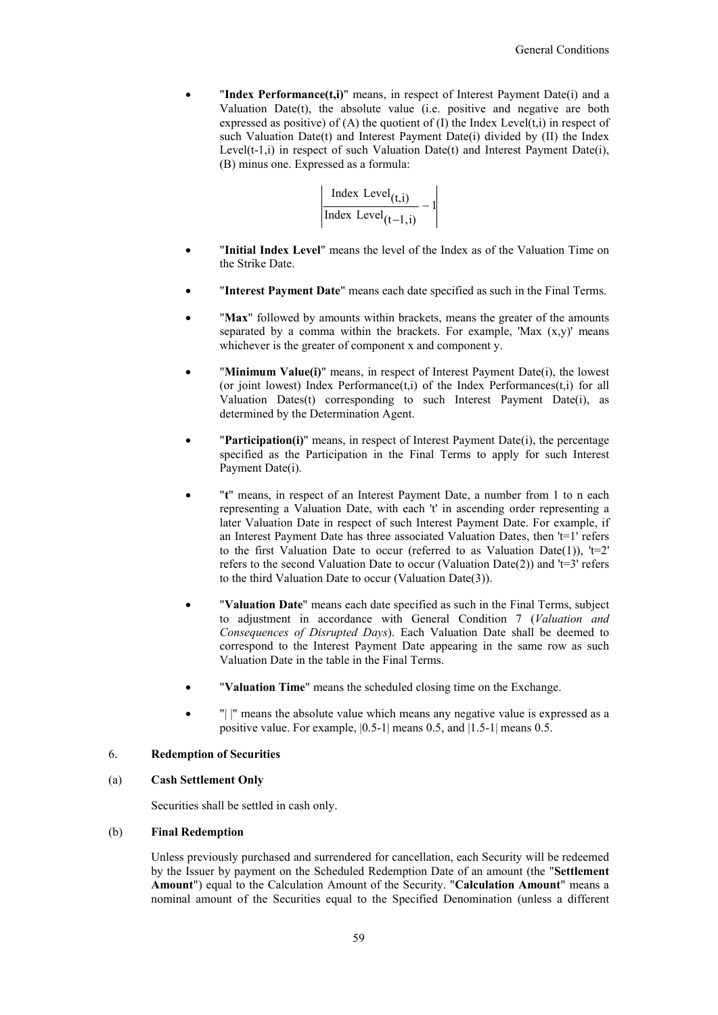"**Index Performance(t,i)**" means, in respect of Interest Payment Date(i) and a Valuation Date(t), the absolute value (i.e. positive and negative are both expressed as positive) of  $(A)$  the quotient of  $(I)$  the Index Level $(t,i)$  in respect of such Valuation Date(t) and Interest Payment Date(i) divided by (II) the Index Level(t-1,i) in respect of such Valuation Date(t) and Interest Payment Date(i), (B) minus one. Expressed as a formula:

$$
\frac{\text{Index Level}_{(t,i)}}{\text{Index Level}_{(t-1,i)}} - 1
$$

- "**Initial Index Level**" means the level of the Index as of the Valuation Time on the Strike Date.
- "**Interest Payment Date**" means each date specified as such in the Final Terms.
- "**Max**" followed by amounts within brackets, means the greater of the amounts separated by a comma within the brackets. For example, 'Max  $(x,y)$ ' means whichever is the greater of component x and component y.
- "**Minimum Value(i)**" means, in respect of Interest Payment Date(i), the lowest (or joint lowest) Index Performance $(t,i)$  of the Index Performances $(t,i)$  for all Valuation Dates(t) corresponding to such Interest Payment Date(i), as determined by the Determination Agent.
- **Participation(i)**" means, in respect of Interest Payment Date(i), the percentage specified as the Participation in the Final Terms to apply for such Interest Payment Date(i).
- "**t**" means, in respect of an Interest Payment Date, a number from 1 to n each representing a Valuation Date, with each 't' in ascending order representing a later Valuation Date in respect of such Interest Payment Date. For example, if an Interest Payment Date has three associated Valuation Dates, then 't=1' refers to the first Valuation Date to occur (referred to as Valuation Date(1)),  $t=2$ ' refers to the second Valuation Date to occur (Valuation Date(2)) and  $t=3$  refers to the third Valuation Date to occur (Valuation Date(3)).
- "**Valuation Date**" means each date specified as such in the Final Terms, subject to adjustment in accordance with General Condition 7 (*Valuation and Consequences of Disrupted Days*). Each Valuation Date shall be deemed to correspond to the Interest Payment Date appearing in the same row as such Valuation Date in the table in the Final Terms.
- "**Valuation Time**" means the scheduled closing time on the Exchange.
- "| |" means the absolute value which means any negative value is expressed as a positive value. For example, |0.5-1| means 0.5, and |1.5-1| means 0.5.

#### 6. **Redemption of Securities**

#### (a) **Cash Settlement Only**

Securities shall be settled in cash only.

#### (b) **Final Redemption**

Unless previously purchased and surrendered for cancellation, each Security will be redeemed by the Issuer by payment on the Scheduled Redemption Date of an amount (the "**Settlement Amount**") equal to the Calculation Amount of the Security. "**Calculation Amount**" means a nominal amount of the Securities equal to the Specified Denomination (unless a different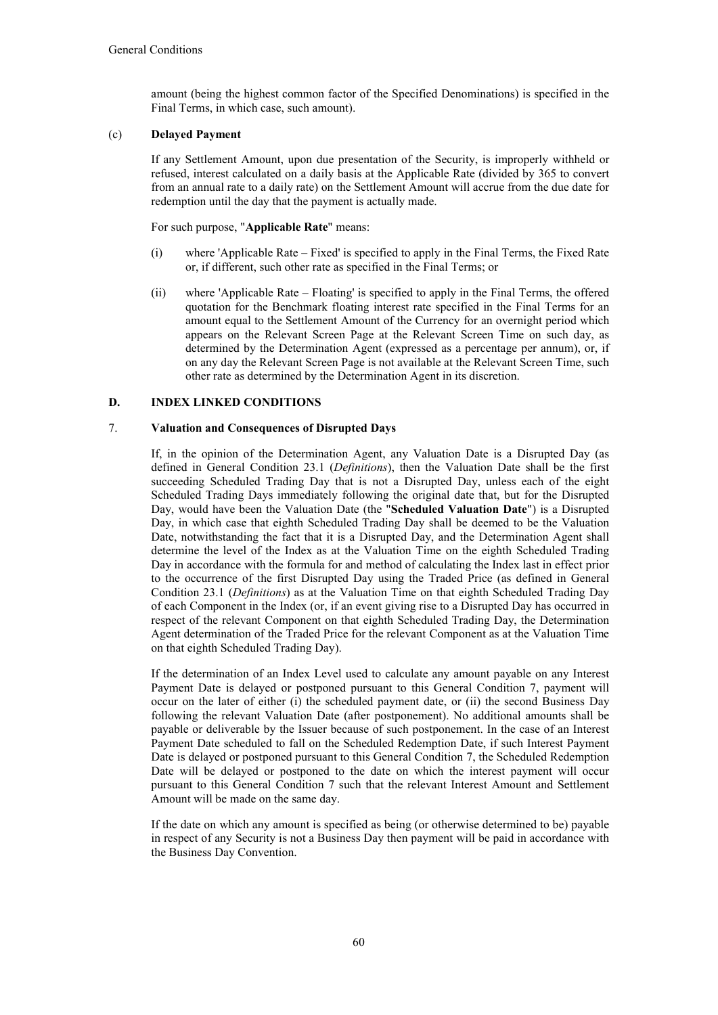amount (being the highest common factor of the Specified Denominations) is specified in the Final Terms, in which case, such amount).

## (c) **Delayed Payment**

If any Settlement Amount, upon due presentation of the Security, is improperly withheld or refused, interest calculated on a daily basis at the Applicable Rate (divided by 365 to convert from an annual rate to a daily rate) on the Settlement Amount will accrue from the due date for redemption until the day that the payment is actually made.

For such purpose, "**Applicable Rate**" means:

- (i) where 'Applicable Rate Fixed' is specified to apply in the Final Terms, the Fixed Rate or, if different, such other rate as specified in the Final Terms; or
- (ii) where 'Applicable Rate Floating' is specified to apply in the Final Terms, the offered quotation for the Benchmark floating interest rate specified in the Final Terms for an amount equal to the Settlement Amount of the Currency for an overnight period which appears on the Relevant Screen Page at the Relevant Screen Time on such day, as determined by the Determination Agent (expressed as a percentage per annum), or, if on any day the Relevant Screen Page is not available at the Relevant Screen Time, such other rate as determined by the Determination Agent in its discretion.

## **D. INDEX LINKED CONDITIONS**

## 7. **Valuation and Consequences of Disrupted Days**

If, in the opinion of the Determination Agent, any Valuation Date is a Disrupted Day (as defined in General Condition 23.1 (*Definitions*), then the Valuation Date shall be the first succeeding Scheduled Trading Day that is not a Disrupted Day, unless each of the eight Scheduled Trading Days immediately following the original date that, but for the Disrupted Day, would have been the Valuation Date (the "**Scheduled Valuation Date**") is a Disrupted Day, in which case that eighth Scheduled Trading Day shall be deemed to be the Valuation Date, notwithstanding the fact that it is a Disrupted Day, and the Determination Agent shall determine the level of the Index as at the Valuation Time on the eighth Scheduled Trading Day in accordance with the formula for and method of calculating the Index last in effect prior to the occurrence of the first Disrupted Day using the Traded Price (as defined in General Condition 23.1 (*Definitions*) as at the Valuation Time on that eighth Scheduled Trading Day of each Component in the Index (or, if an event giving rise to a Disrupted Day has occurred in respect of the relevant Component on that eighth Scheduled Trading Day, the Determination Agent determination of the Traded Price for the relevant Component as at the Valuation Time on that eighth Scheduled Trading Day).

If the determination of an Index Level used to calculate any amount payable on any Interest Payment Date is delayed or postponed pursuant to this General Condition 7, payment will occur on the later of either (i) the scheduled payment date, or (ii) the second Business Day following the relevant Valuation Date (after postponement). No additional amounts shall be payable or deliverable by the Issuer because of such postponement. In the case of an Interest Payment Date scheduled to fall on the Scheduled Redemption Date, if such Interest Payment Date is delayed or postponed pursuant to this General Condition 7, the Scheduled Redemption Date will be delayed or postponed to the date on which the interest payment will occur pursuant to this General Condition 7 such that the relevant Interest Amount and Settlement Amount will be made on the same day.

If the date on which any amount is specified as being (or otherwise determined to be) payable in respect of any Security is not a Business Day then payment will be paid in accordance with the Business Day Convention.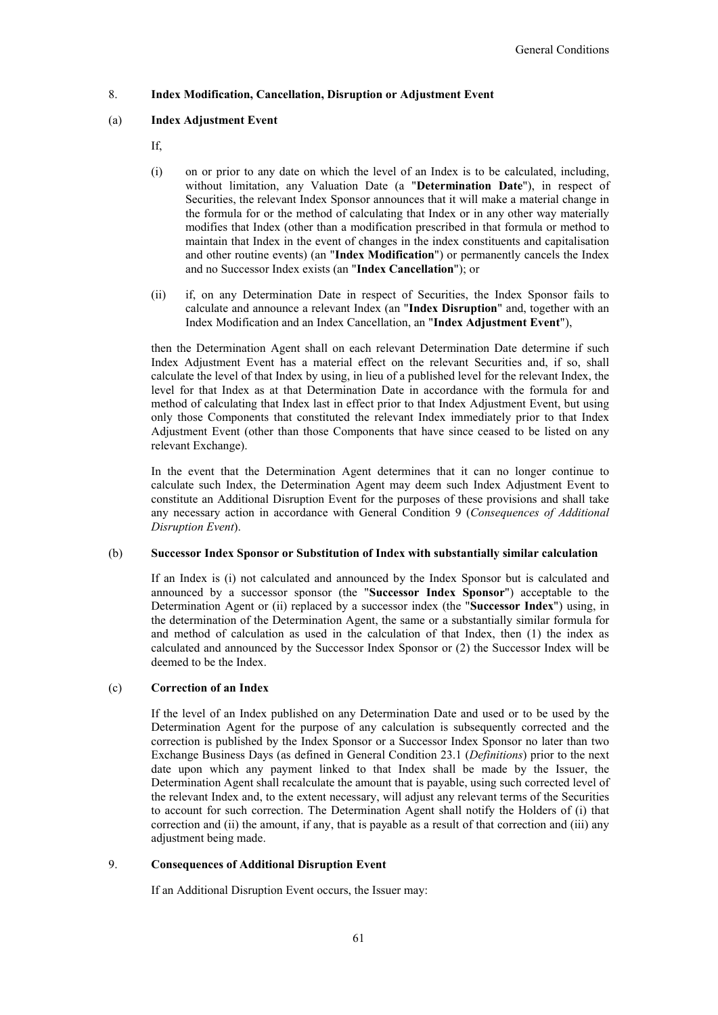## 8. **Index Modification, Cancellation, Disruption or Adjustment Event**

## (a) **Index Adjustment Event**

- If,
- (i) on or prior to any date on which the level of an Index is to be calculated, including, without limitation, any Valuation Date (a "**Determination Date**"), in respect of Securities, the relevant Index Sponsor announces that it will make a material change in the formula for or the method of calculating that Index or in any other way materially modifies that Index (other than a modification prescribed in that formula or method to maintain that Index in the event of changes in the index constituents and capitalisation and other routine events) (an "**Index Modification**") or permanently cancels the Index and no Successor Index exists (an "**Index Cancellation**"); or
- (ii) if, on any Determination Date in respect of Securities, the Index Sponsor fails to calculate and announce a relevant Index (an "**Index Disruption**" and, together with an Index Modification and an Index Cancellation, an "**Index Adjustment Event**"),

then the Determination Agent shall on each relevant Determination Date determine if such Index Adjustment Event has a material effect on the relevant Securities and, if so, shall calculate the level of that Index by using, in lieu of a published level for the relevant Index, the level for that Index as at that Determination Date in accordance with the formula for and method of calculating that Index last in effect prior to that Index Adjustment Event, but using only those Components that constituted the relevant Index immediately prior to that Index Adjustment Event (other than those Components that have since ceased to be listed on any relevant Exchange).

In the event that the Determination Agent determines that it can no longer continue to calculate such Index, the Determination Agent may deem such Index Adjustment Event to constitute an Additional Disruption Event for the purposes of these provisions and shall take any necessary action in accordance with General Condition 9 (*Consequences of Additional Disruption Event*).

#### (b) **Successor Index Sponsor or Substitution of Index with substantially similar calculation**

If an Index is (i) not calculated and announced by the Index Sponsor but is calculated and announced by a successor sponsor (the "**Successor Index Sponsor**") acceptable to the Determination Agent or (ii) replaced by a successor index (the "**Successor Index**") using, in the determination of the Determination Agent, the same or a substantially similar formula for and method of calculation as used in the calculation of that Index, then (1) the index as calculated and announced by the Successor Index Sponsor or (2) the Successor Index will be deemed to be the Index.

#### (c) **Correction of an Index**

If the level of an Index published on any Determination Date and used or to be used by the Determination Agent for the purpose of any calculation is subsequently corrected and the correction is published by the Index Sponsor or a Successor Index Sponsor no later than two Exchange Business Days (as defined in General Condition 23.1 (*Definitions*) prior to the next date upon which any payment linked to that Index shall be made by the Issuer, the Determination Agent shall recalculate the amount that is payable, using such corrected level of the relevant Index and, to the extent necessary, will adjust any relevant terms of the Securities to account for such correction. The Determination Agent shall notify the Holders of (i) that correction and (ii) the amount, if any, that is payable as a result of that correction and (iii) any adjustment being made.

## 9. **Consequences of Additional Disruption Event**

If an Additional Disruption Event occurs, the Issuer may: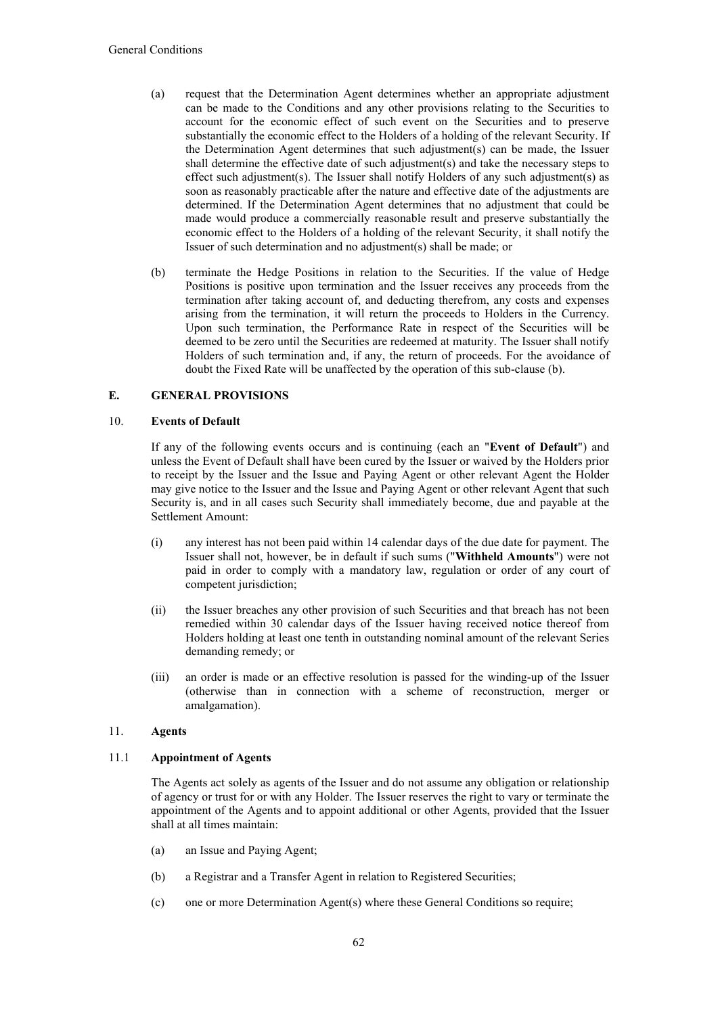- (a) request that the Determination Agent determines whether an appropriate adjustment can be made to the Conditions and any other provisions relating to the Securities to account for the economic effect of such event on the Securities and to preserve substantially the economic effect to the Holders of a holding of the relevant Security. If the Determination Agent determines that such adjustment(s) can be made, the Issuer shall determine the effective date of such adjustment(s) and take the necessary steps to effect such adjustment(s). The Issuer shall notify Holders of any such adjustment(s) as soon as reasonably practicable after the nature and effective date of the adjustments are determined. If the Determination Agent determines that no adjustment that could be made would produce a commercially reasonable result and preserve substantially the economic effect to the Holders of a holding of the relevant Security, it shall notify the Issuer of such determination and no adjustment(s) shall be made; or
- (b) terminate the Hedge Positions in relation to the Securities. If the value of Hedge Positions is positive upon termination and the Issuer receives any proceeds from the termination after taking account of, and deducting therefrom, any costs and expenses arising from the termination, it will return the proceeds to Holders in the Currency. Upon such termination, the Performance Rate in respect of the Securities will be deemed to be zero until the Securities are redeemed at maturity. The Issuer shall notify Holders of such termination and, if any, the return of proceeds. For the avoidance of doubt the Fixed Rate will be unaffected by the operation of this sub-clause (b).

# **E. GENERAL PROVISIONS**

## 10. **Events of Default**

If any of the following events occurs and is continuing (each an "**Event of Default**") and unless the Event of Default shall have been cured by the Issuer or waived by the Holders prior to receipt by the Issuer and the Issue and Paying Agent or other relevant Agent the Holder may give notice to the Issuer and the Issue and Paying Agent or other relevant Agent that such Security is, and in all cases such Security shall immediately become, due and payable at the Settlement Amount:

- (i) any interest has not been paid within 14 calendar days of the due date for payment. The Issuer shall not, however, be in default if such sums ("**Withheld Amounts**") were not paid in order to comply with a mandatory law, regulation or order of any court of competent jurisdiction;
- (ii) the Issuer breaches any other provision of such Securities and that breach has not been remedied within 30 calendar days of the Issuer having received notice thereof from Holders holding at least one tenth in outstanding nominal amount of the relevant Series demanding remedy; or
- (iii) an order is made or an effective resolution is passed for the winding-up of the Issuer (otherwise than in connection with a scheme of reconstruction, merger or amalgamation).

# 11. **Agents**

## 11.1 **Appointment of Agents**

The Agents act solely as agents of the Issuer and do not assume any obligation or relationship of agency or trust for or with any Holder. The Issuer reserves the right to vary or terminate the appointment of the Agents and to appoint additional or other Agents, provided that the Issuer shall at all times maintain:

- (a) an Issue and Paying Agent;
- (b) a Registrar and a Transfer Agent in relation to Registered Securities;
- (c) one or more Determination Agent(s) where these General Conditions so require;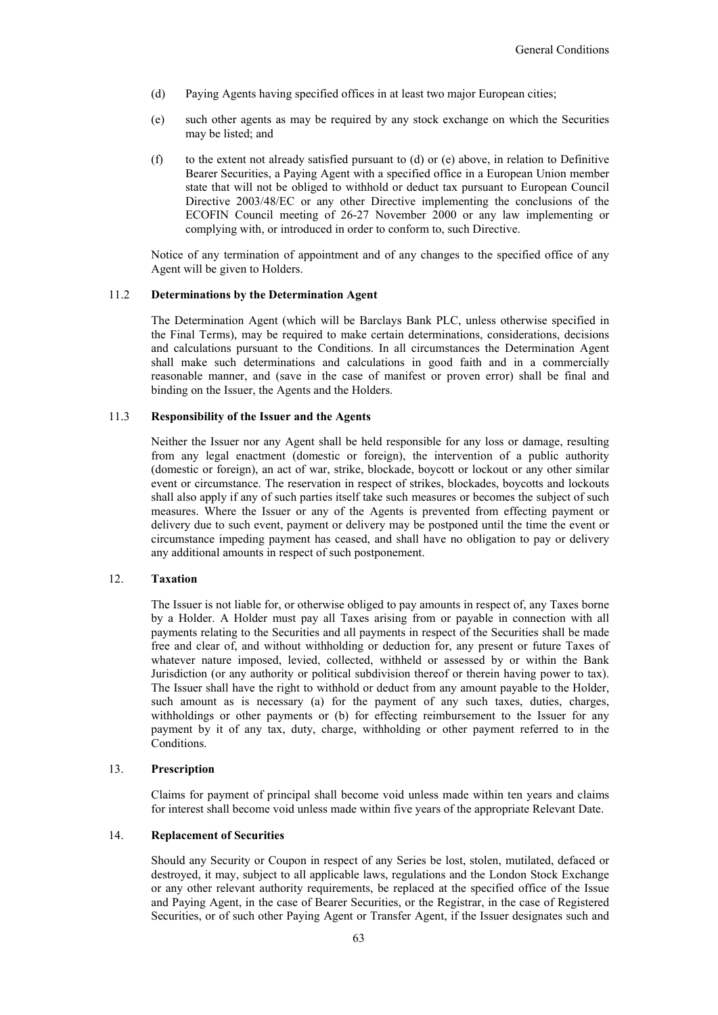- (d) Paying Agents having specified offices in at least two major European cities;
- (e) such other agents as may be required by any stock exchange on which the Securities may be listed; and
- (f) to the extent not already satisfied pursuant to (d) or (e) above, in relation to Definitive Bearer Securities, a Paying Agent with a specified office in a European Union member state that will not be obliged to withhold or deduct tax pursuant to European Council Directive 2003/48/EC or any other Directive implementing the conclusions of the ECOFIN Council meeting of 26-27 November 2000 or any law implementing or complying with, or introduced in order to conform to, such Directive.

Notice of any termination of appointment and of any changes to the specified office of any Agent will be given to Holders.

#### 11.2 **Determinations by the Determination Agent**

The Determination Agent (which will be Barclays Bank PLC, unless otherwise specified in the Final Terms), may be required to make certain determinations, considerations, decisions and calculations pursuant to the Conditions. In all circumstances the Determination Agent shall make such determinations and calculations in good faith and in a commercially reasonable manner, and (save in the case of manifest or proven error) shall be final and binding on the Issuer, the Agents and the Holders.

## 11.3 **Responsibility of the Issuer and the Agents**

Neither the Issuer nor any Agent shall be held responsible for any loss or damage, resulting from any legal enactment (domestic or foreign), the intervention of a public authority (domestic or foreign), an act of war, strike, blockade, boycott or lockout or any other similar event or circumstance. The reservation in respect of strikes, blockades, boycotts and lockouts shall also apply if any of such parties itself take such measures or becomes the subject of such measures. Where the Issuer or any of the Agents is prevented from effecting payment or delivery due to such event, payment or delivery may be postponed until the time the event or circumstance impeding payment has ceased, and shall have no obligation to pay or delivery any additional amounts in respect of such postponement.

## 12. **Taxation**

The Issuer is not liable for, or otherwise obliged to pay amounts in respect of, any Taxes borne by a Holder. A Holder must pay all Taxes arising from or payable in connection with all payments relating to the Securities and all payments in respect of the Securities shall be made free and clear of, and without withholding or deduction for, any present or future Taxes of whatever nature imposed, levied, collected, withheld or assessed by or within the Bank Jurisdiction (or any authority or political subdivision thereof or therein having power to tax). The Issuer shall have the right to withhold or deduct from any amount payable to the Holder, such amount as is necessary (a) for the payment of any such taxes, duties, charges, withholdings or other payments or (b) for effecting reimbursement to the Issuer for any payment by it of any tax, duty, charge, withholding or other payment referred to in the Conditions.

## 13. **Prescription**

Claims for payment of principal shall become void unless made within ten years and claims for interest shall become void unless made within five years of the appropriate Relevant Date.

## 14. **Replacement of Securities**

Should any Security or Coupon in respect of any Series be lost, stolen, mutilated, defaced or destroyed, it may, subject to all applicable laws, regulations and the London Stock Exchange or any other relevant authority requirements, be replaced at the specified office of the Issue and Paying Agent, in the case of Bearer Securities, or the Registrar, in the case of Registered Securities, or of such other Paying Agent or Transfer Agent, if the Issuer designates such and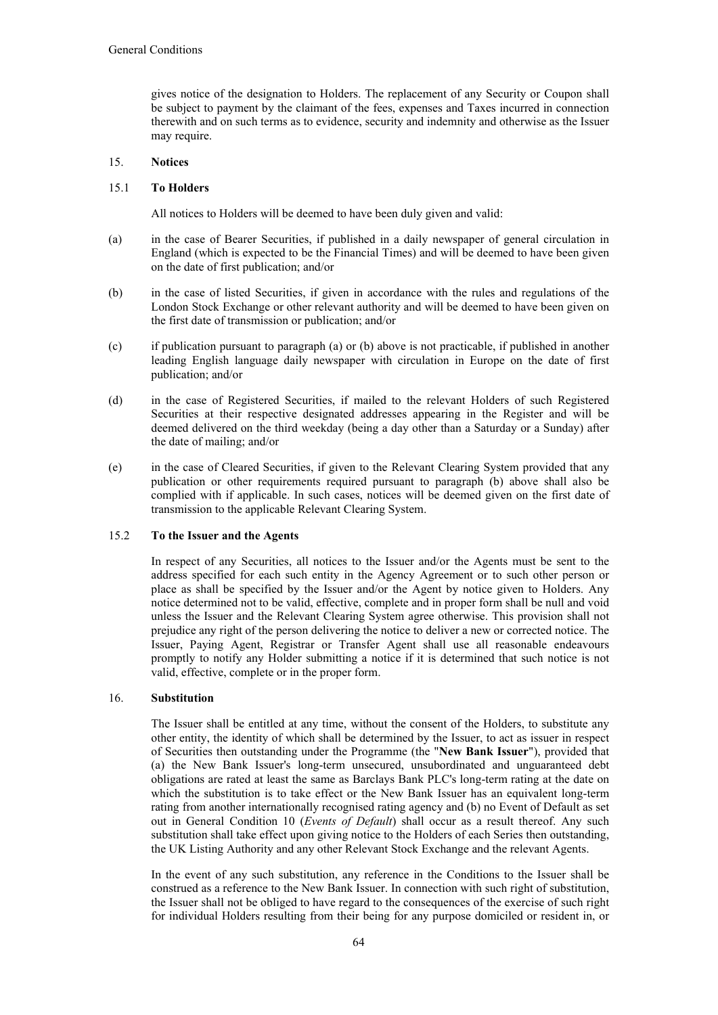gives notice of the designation to Holders. The replacement of any Security or Coupon shall be subject to payment by the claimant of the fees, expenses and Taxes incurred in connection therewith and on such terms as to evidence, security and indemnity and otherwise as the Issuer may require.

## 15. **Notices**

## 15.1 **To Holders**

All notices to Holders will be deemed to have been duly given and valid:

- (a) in the case of Bearer Securities, if published in a daily newspaper of general circulation in England (which is expected to be the Financial Times) and will be deemed to have been given on the date of first publication; and/or
- (b) in the case of listed Securities, if given in accordance with the rules and regulations of the London Stock Exchange or other relevant authority and will be deemed to have been given on the first date of transmission or publication; and/or
- (c) if publication pursuant to paragraph (a) or (b) above is not practicable, if published in another leading English language daily newspaper with circulation in Europe on the date of first publication; and/or
- (d) in the case of Registered Securities, if mailed to the relevant Holders of such Registered Securities at their respective designated addresses appearing in the Register and will be deemed delivered on the third weekday (being a day other than a Saturday or a Sunday) after the date of mailing; and/or
- (e) in the case of Cleared Securities, if given to the Relevant Clearing System provided that any publication or other requirements required pursuant to paragraph (b) above shall also be complied with if applicable. In such cases, notices will be deemed given on the first date of transmission to the applicable Relevant Clearing System.

## 15.2 **To the Issuer and the Agents**

In respect of any Securities, all notices to the Issuer and/or the Agents must be sent to the address specified for each such entity in the Agency Agreement or to such other person or place as shall be specified by the Issuer and/or the Agent by notice given to Holders. Any notice determined not to be valid, effective, complete and in proper form shall be null and void unless the Issuer and the Relevant Clearing System agree otherwise. This provision shall not prejudice any right of the person delivering the notice to deliver a new or corrected notice. The Issuer, Paying Agent, Registrar or Transfer Agent shall use all reasonable endeavours promptly to notify any Holder submitting a notice if it is determined that such notice is not valid, effective, complete or in the proper form.

#### 16. **Substitution**

The Issuer shall be entitled at any time, without the consent of the Holders, to substitute any other entity, the identity of which shall be determined by the Issuer, to act as issuer in respect of Securities then outstanding under the Programme (the "**New Bank Issuer**"), provided that (a) the New Bank Issuer's long-term unsecured, unsubordinated and unguaranteed debt obligations are rated at least the same as Barclays Bank PLC's long-term rating at the date on which the substitution is to take effect or the New Bank Issuer has an equivalent long-term rating from another internationally recognised rating agency and (b) no Event of Default as set out in General Condition 10 (*Events of Default*) shall occur as a result thereof. Any such substitution shall take effect upon giving notice to the Holders of each Series then outstanding, the UK Listing Authority and any other Relevant Stock Exchange and the relevant Agents.

In the event of any such substitution, any reference in the Conditions to the Issuer shall be construed as a reference to the New Bank Issuer. In connection with such right of substitution, the Issuer shall not be obliged to have regard to the consequences of the exercise of such right for individual Holders resulting from their being for any purpose domiciled or resident in, or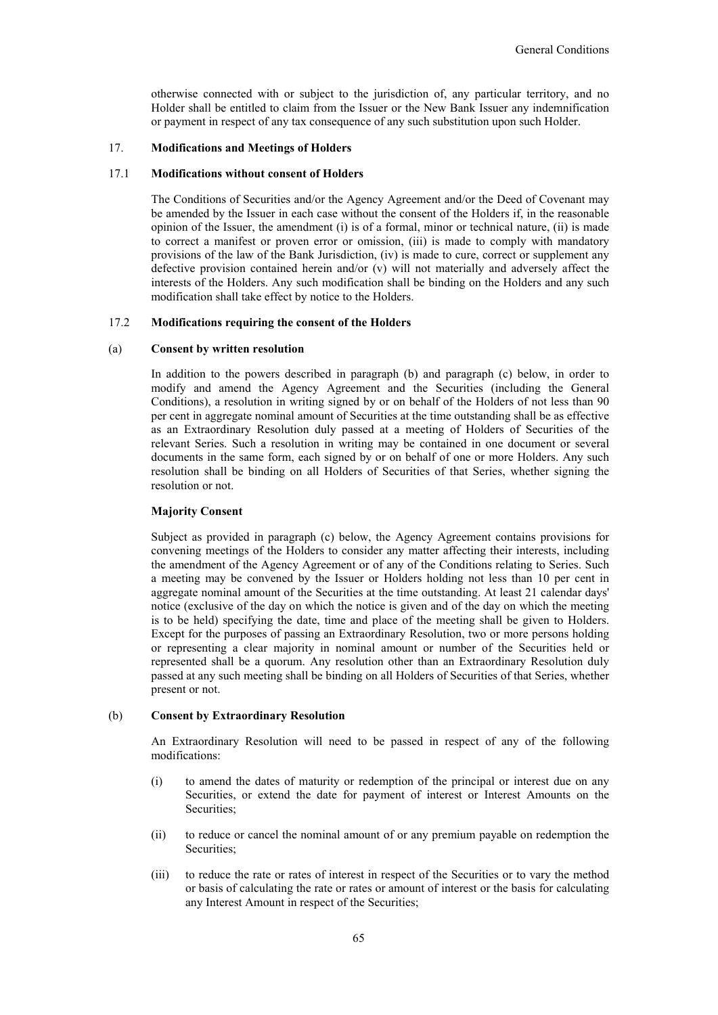otherwise connected with or subject to the jurisdiction of, any particular territory, and no Holder shall be entitled to claim from the Issuer or the New Bank Issuer any indemnification or payment in respect of any tax consequence of any such substitution upon such Holder.

## 17. **Modifications and Meetings of Holders**

## 17.1 **Modifications without consent of Holders**

The Conditions of Securities and/or the Agency Agreement and/or the Deed of Covenant may be amended by the Issuer in each case without the consent of the Holders if, in the reasonable opinion of the Issuer, the amendment (i) is of a formal, minor or technical nature, (ii) is made to correct a manifest or proven error or omission, (iii) is made to comply with mandatory provisions of the law of the Bank Jurisdiction, (iv) is made to cure, correct or supplement any defective provision contained herein and/or (v) will not materially and adversely affect the interests of the Holders. Any such modification shall be binding on the Holders and any such modification shall take effect by notice to the Holders.

## 17.2 **Modifications requiring the consent of the Holders**

#### (a) **Consent by written resolution**

In addition to the powers described in paragraph (b) and paragraph (c) below, in order to modify and amend the Agency Agreement and the Securities (including the General Conditions), a resolution in writing signed by or on behalf of the Holders of not less than 90 per cent in aggregate nominal amount of Securities at the time outstanding shall be as effective as an Extraordinary Resolution duly passed at a meeting of Holders of Securities of the relevant Series. Such a resolution in writing may be contained in one document or several documents in the same form, each signed by or on behalf of one or more Holders. Any such resolution shall be binding on all Holders of Securities of that Series, whether signing the resolution or not.

## **Majority Consent**

Subject as provided in paragraph (c) below, the Agency Agreement contains provisions for convening meetings of the Holders to consider any matter affecting their interests, including the amendment of the Agency Agreement or of any of the Conditions relating to Series. Such a meeting may be convened by the Issuer or Holders holding not less than 10 per cent in aggregate nominal amount of the Securities at the time outstanding. At least 21 calendar days' notice (exclusive of the day on which the notice is given and of the day on which the meeting is to be held) specifying the date, time and place of the meeting shall be given to Holders. Except for the purposes of passing an Extraordinary Resolution, two or more persons holding or representing a clear majority in nominal amount or number of the Securities held or represented shall be a quorum. Any resolution other than an Extraordinary Resolution duly passed at any such meeting shall be binding on all Holders of Securities of that Series, whether present or not.

#### (b) **Consent by Extraordinary Resolution**

An Extraordinary Resolution will need to be passed in respect of any of the following modifications:

- (i) to amend the dates of maturity or redemption of the principal or interest due on any Securities, or extend the date for payment of interest or Interest Amounts on the Securities;
- (ii) to reduce or cancel the nominal amount of or any premium payable on redemption the Securities;
- (iii) to reduce the rate or rates of interest in respect of the Securities or to vary the method or basis of calculating the rate or rates or amount of interest or the basis for calculating any Interest Amount in respect of the Securities;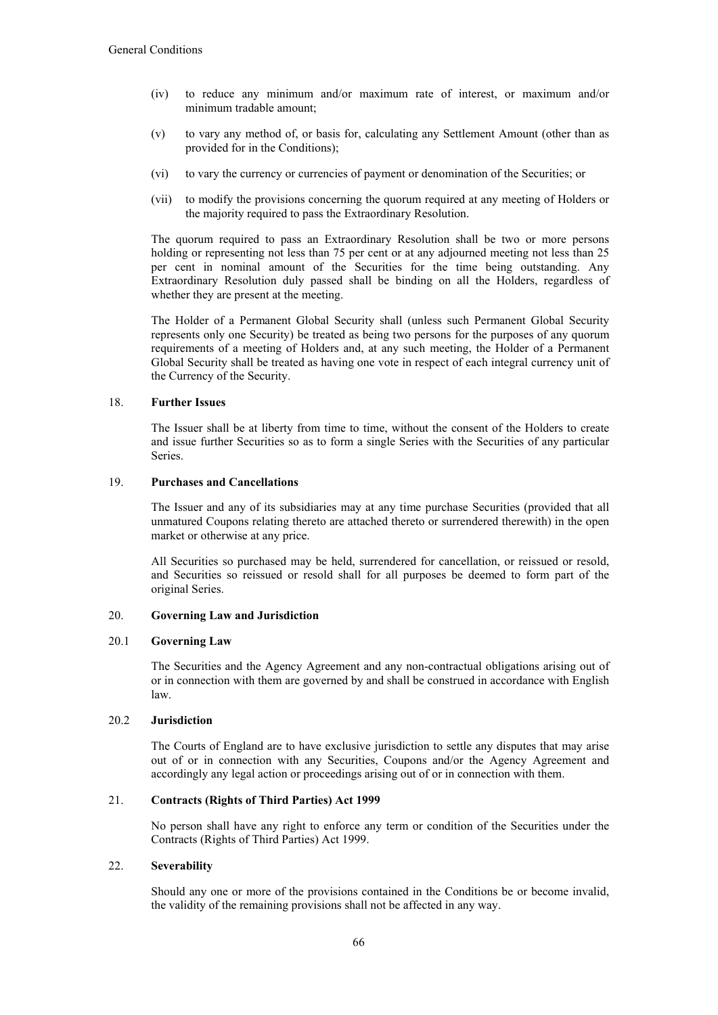- (iv) to reduce any minimum and/or maximum rate of interest, or maximum and/or minimum tradable amount;
- (v) to vary any method of, or basis for, calculating any Settlement Amount (other than as provided for in the Conditions);
- (vi) to vary the currency or currencies of payment or denomination of the Securities; or
- (vii) to modify the provisions concerning the quorum required at any meeting of Holders or the majority required to pass the Extraordinary Resolution.

The quorum required to pass an Extraordinary Resolution shall be two or more persons holding or representing not less than 75 per cent or at any adjourned meeting not less than 25 per cent in nominal amount of the Securities for the time being outstanding. Any Extraordinary Resolution duly passed shall be binding on all the Holders, regardless of whether they are present at the meeting.

The Holder of a Permanent Global Security shall (unless such Permanent Global Security represents only one Security) be treated as being two persons for the purposes of any quorum requirements of a meeting of Holders and, at any such meeting, the Holder of a Permanent Global Security shall be treated as having one vote in respect of each integral currency unit of the Currency of the Security.

## 18. **Further Issues**

The Issuer shall be at liberty from time to time, without the consent of the Holders to create and issue further Securities so as to form a single Series with the Securities of any particular **Series**.

# 19. **Purchases and Cancellations**

The Issuer and any of its subsidiaries may at any time purchase Securities (provided that all unmatured Coupons relating thereto are attached thereto or surrendered therewith) in the open market or otherwise at any price.

All Securities so purchased may be held, surrendered for cancellation, or reissued or resold, and Securities so reissued or resold shall for all purposes be deemed to form part of the original Series.

## 20. **Governing Law and Jurisdiction**

## 20.1 **Governing Law**

The Securities and the Agency Agreement and any non-contractual obligations arising out of or in connection with them are governed by and shall be construed in accordance with English law.

## 20.2 **Jurisdiction**

The Courts of England are to have exclusive jurisdiction to settle any disputes that may arise out of or in connection with any Securities, Coupons and/or the Agency Agreement and accordingly any legal action or proceedings arising out of or in connection with them.

# 21. **Contracts (Rights of Third Parties) Act 1999**

No person shall have any right to enforce any term or condition of the Securities under the Contracts (Rights of Third Parties) Act 1999.

# 22. **Severability**

Should any one or more of the provisions contained in the Conditions be or become invalid, the validity of the remaining provisions shall not be affected in any way.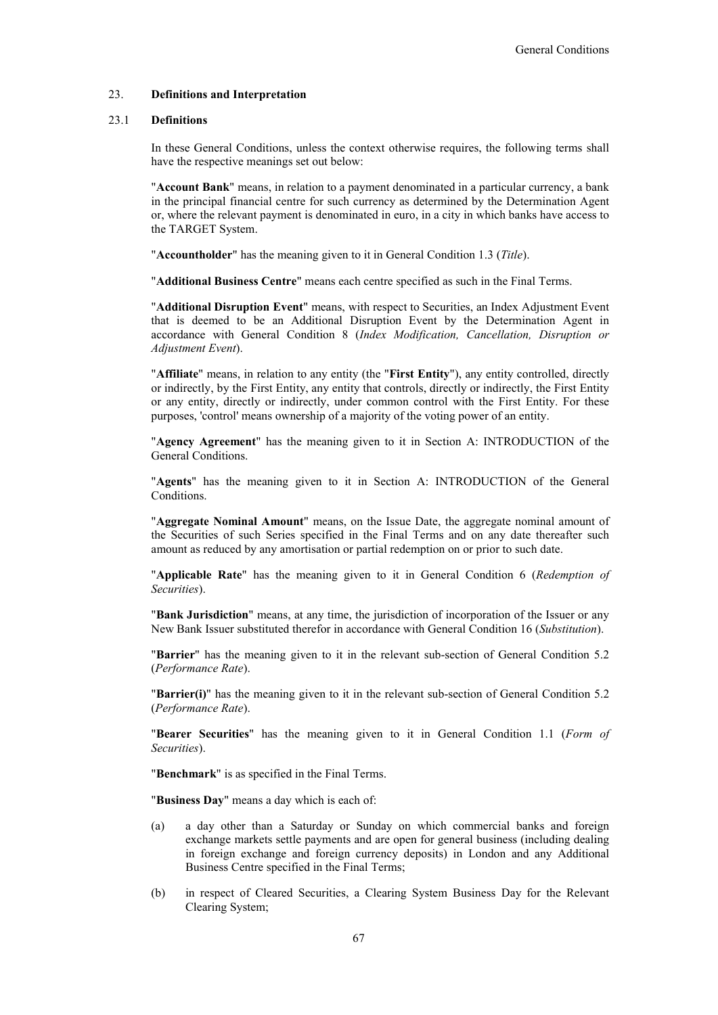#### 23. **Definitions and Interpretation**

## 23.1 **Definitions**

In these General Conditions, unless the context otherwise requires, the following terms shall have the respective meanings set out below:

"**Account Bank**" means, in relation to a payment denominated in a particular currency, a bank in the principal financial centre for such currency as determined by the Determination Agent or, where the relevant payment is denominated in euro, in a city in which banks have access to the TARGET System.

"**Accountholder**" has the meaning given to it in General Condition 1.3 (*Title*).

"**Additional Business Centre**" means each centre specified as such in the Final Terms.

"**Additional Disruption Event**" means, with respect to Securities, an Index Adjustment Event that is deemed to be an Additional Disruption Event by the Determination Agent in accordance with General Condition 8 (*Index Modification, Cancellation, Disruption or Adjustment Event*).

"**Affiliate**" means, in relation to any entity (the "**First Entity**"), any entity controlled, directly or indirectly, by the First Entity, any entity that controls, directly or indirectly, the First Entity or any entity, directly or indirectly, under common control with the First Entity. For these purposes, 'control' means ownership of a majority of the voting power of an entity.

"**Agency Agreement**" has the meaning given to it in Section A: INTRODUCTION of the General Conditions.

"**Agents**" has the meaning given to it in Section A: INTRODUCTION of the General Conditions.

"**Aggregate Nominal Amount**" means, on the Issue Date, the aggregate nominal amount of the Securities of such Series specified in the Final Terms and on any date thereafter such amount as reduced by any amortisation or partial redemption on or prior to such date.

"**Applicable Rate**" has the meaning given to it in General Condition 6 (*Redemption of Securities*).

"**Bank Jurisdiction**" means, at any time, the jurisdiction of incorporation of the Issuer or any New Bank Issuer substituted therefor in accordance with General Condition 16 (*Substitution*).

"**Barrier**" has the meaning given to it in the relevant sub-section of General Condition 5.2 (*Performance Rate*).

"**Barrier(i)**" has the meaning given to it in the relevant sub-section of General Condition 5.2 (*Performance Rate*).

"**Bearer Securities**" has the meaning given to it in General Condition 1.1 (*Form of Securities*).

"**Benchmark**" is as specified in the Final Terms.

"**Business Day**" means a day which is each of:

- (a) a day other than a Saturday or Sunday on which commercial banks and foreign exchange markets settle payments and are open for general business (including dealing in foreign exchange and foreign currency deposits) in London and any Additional Business Centre specified in the Final Terms;
- (b) in respect of Cleared Securities, a Clearing System Business Day for the Relevant Clearing System;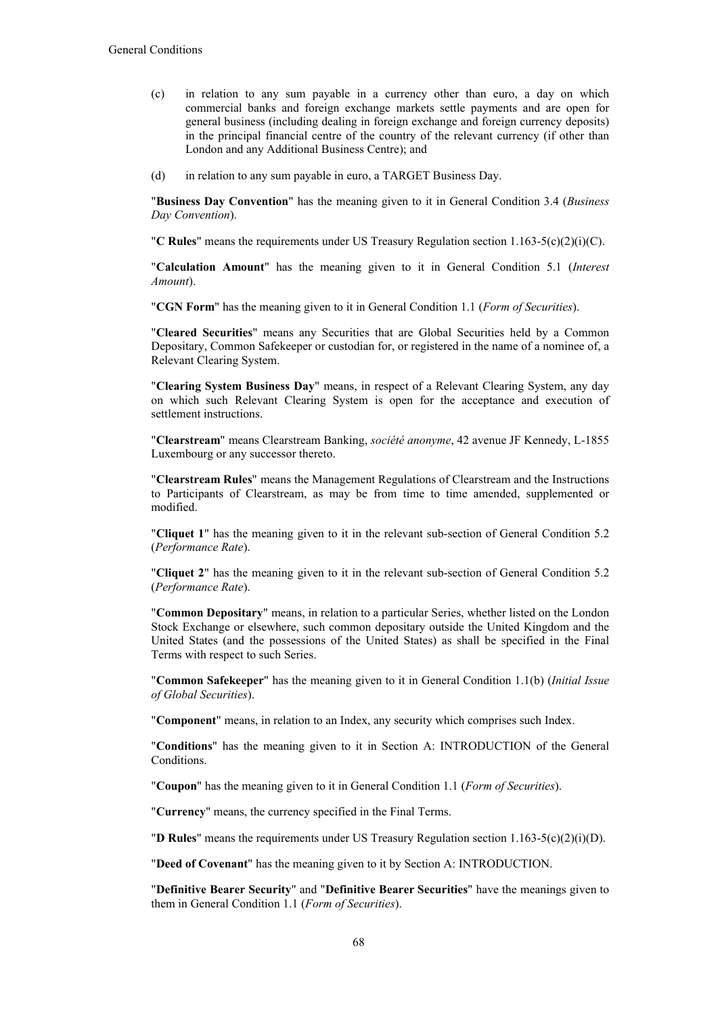- (c) in relation to any sum payable in a currency other than euro, a day on which commercial banks and foreign exchange markets settle payments and are open for general business (including dealing in foreign exchange and foreign currency deposits) in the principal financial centre of the country of the relevant currency (if other than London and any Additional Business Centre); and
- (d) in relation to any sum payable in euro, a TARGET Business Day.

"**Business Day Convention**" has the meaning given to it in General Condition 3.4 (*Business Day Convention*).

"**C Rules**" means the requirements under US Treasury Regulation section 1.163-5(c)(2)(i)(C).

"**Calculation Amount**" has the meaning given to it in General Condition 5.1 (*Interest Amount*).

"**CGN Form**" has the meaning given to it in General Condition 1.1 (*Form of Securities*).

"**Cleared Securities**" means any Securities that are Global Securities held by a Common Depositary, Common Safekeeper or custodian for, or registered in the name of a nominee of, a Relevant Clearing System.

"**Clearing System Business Day**" means, in respect of a Relevant Clearing System, any day on which such Relevant Clearing System is open for the acceptance and execution of settlement instructions.

"**Clearstream**" means Clearstream Banking, *société anonyme*, 42 avenue JF Kennedy, L-1855 Luxembourg or any successor thereto.

"**Clearstream Rules**" means the Management Regulations of Clearstream and the Instructions to Participants of Clearstream, as may be from time to time amended, supplemented or modified.

"**Cliquet 1**" has the meaning given to it in the relevant sub-section of General Condition 5.2 (*Performance Rate*).

"**Cliquet 2**" has the meaning given to it in the relevant sub-section of General Condition 5.2 (*Performance Rate*).

"**Common Depositary**" means, in relation to a particular Series, whether listed on the London Stock Exchange or elsewhere, such common depositary outside the United Kingdom and the United States (and the possessions of the United States) as shall be specified in the Final Terms with respect to such Series.

"**Common Safekeeper**" has the meaning given to it in General Condition 1.1(b) (*Initial Issue of Global Securities*).

"**Component**" means, in relation to an Index, any security which comprises such Index.

"**Conditions**" has the meaning given to it in Section A: INTRODUCTION of the General Conditions.

"**Coupon**" has the meaning given to it in General Condition 1.1 (*Form of Securities*).

"**Currency**" means, the currency specified in the Final Terms.

"**D Rules**" means the requirements under US Treasury Regulation section 1.163-5(c)(2)(i)(D).

"**Deed of Covenant**" has the meaning given to it by Section A: INTRODUCTION.

"**Definitive Bearer Security**" and "**Definitive Bearer Securities**" have the meanings given to them in General Condition 1.1 (*Form of Securities*).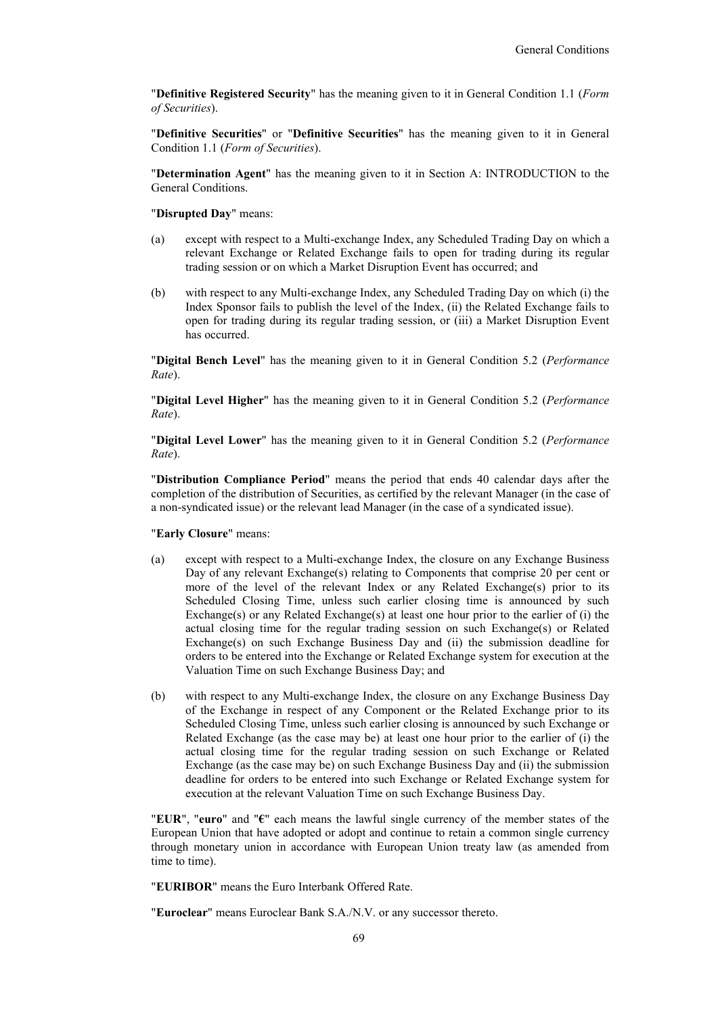"**Definitive Registered Security**" has the meaning given to it in General Condition 1.1 (*Form of Securities*).

"**Definitive Securities**" or "**Definitive Securities**" has the meaning given to it in General Condition 1.1 (*Form of Securities*).

"**Determination Agent**" has the meaning given to it in Section A: INTRODUCTION to the General Conditions.

"**Disrupted Day**" means:

- (a) except with respect to a Multi-exchange Index, any Scheduled Trading Day on which a relevant Exchange or Related Exchange fails to open for trading during its regular trading session or on which a Market Disruption Event has occurred; and
- (b) with respect to any Multi-exchange Index, any Scheduled Trading Day on which (i) the Index Sponsor fails to publish the level of the Index, (ii) the Related Exchange fails to open for trading during its regular trading session, or (iii) a Market Disruption Event has occurred.

"**Digital Bench Level**" has the meaning given to it in General Condition 5.2 (*Performance Rate*).

"**Digital Level Higher**" has the meaning given to it in General Condition 5.2 (*Performance Rate*).

"**Digital Level Lower**" has the meaning given to it in General Condition 5.2 (*Performance Rate*).

"**Distribution Compliance Period**" means the period that ends 40 calendar days after the completion of the distribution of Securities, as certified by the relevant Manager (in the case of a non-syndicated issue) or the relevant lead Manager (in the case of a syndicated issue).

#### "**Early Closure**" means:

- (a) except with respect to a Multi-exchange Index, the closure on any Exchange Business Day of any relevant Exchange(s) relating to Components that comprise 20 per cent or more of the level of the relevant Index or any Related Exchange(s) prior to its Scheduled Closing Time, unless such earlier closing time is announced by such Exchange(s) or any Related Exchange(s) at least one hour prior to the earlier of (i) the actual closing time for the regular trading session on such Exchange(s) or Related Exchange(s) on such Exchange Business Day and (ii) the submission deadline for orders to be entered into the Exchange or Related Exchange system for execution at the Valuation Time on such Exchange Business Day; and
- (b) with respect to any Multi-exchange Index, the closure on any Exchange Business Day of the Exchange in respect of any Component or the Related Exchange prior to its Scheduled Closing Time, unless such earlier closing is announced by such Exchange or Related Exchange (as the case may be) at least one hour prior to the earlier of (i) the actual closing time for the regular trading session on such Exchange or Related Exchange (as the case may be) on such Exchange Business Day and (ii) the submission deadline for orders to be entered into such Exchange or Related Exchange system for execution at the relevant Valuation Time on such Exchange Business Day.

"**EUR**", "**euro**" and "**€**" each means the lawful single currency of the member states of the European Union that have adopted or adopt and continue to retain a common single currency through monetary union in accordance with European Union treaty law (as amended from time to time).

"**EURIBOR**" means the Euro Interbank Offered Rate.

"**Euroclear**" means Euroclear Bank S.A./N.V. or any successor thereto.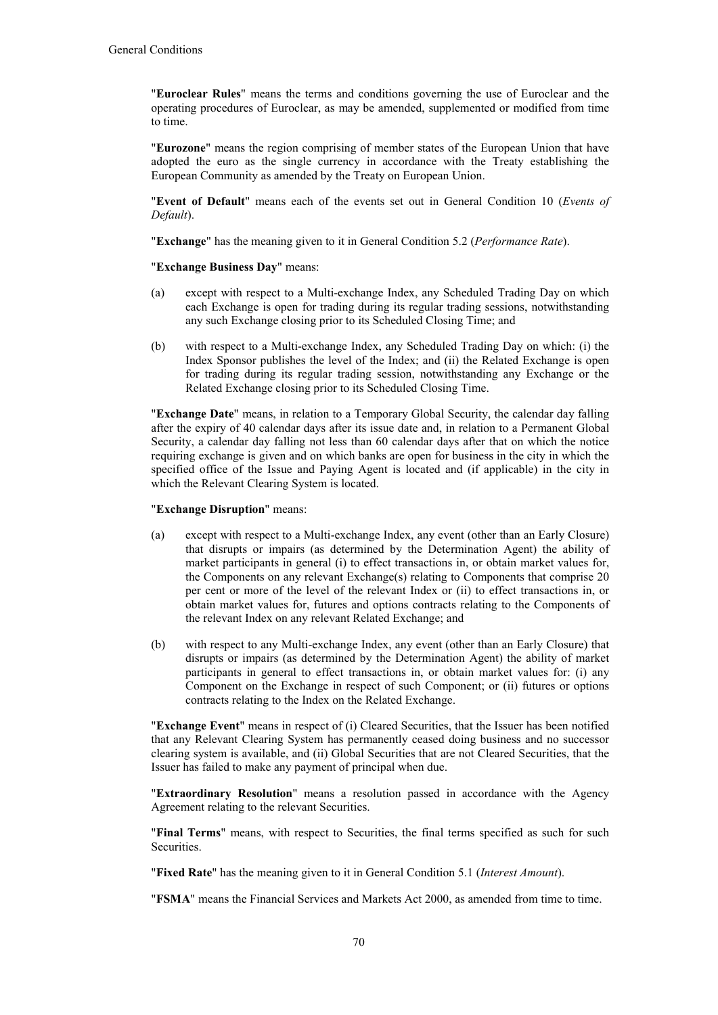"**Euroclear Rules**" means the terms and conditions governing the use of Euroclear and the operating procedures of Euroclear, as may be amended, supplemented or modified from time to time.

"**Eurozone**" means the region comprising of member states of the European Union that have adopted the euro as the single currency in accordance with the Treaty establishing the European Community as amended by the Treaty on European Union.

"**Event of Default**" means each of the events set out in General Condition 10 (*Events of Default*).

"**Exchange**" has the meaning given to it in General Condition 5.2 (*Performance Rate*).

"**Exchange Business Day**" means:

- (a) except with respect to a Multi-exchange Index, any Scheduled Trading Day on which each Exchange is open for trading during its regular trading sessions, notwithstanding any such Exchange closing prior to its Scheduled Closing Time; and
- (b) with respect to a Multi-exchange Index, any Scheduled Trading Day on which: (i) the Index Sponsor publishes the level of the Index; and (ii) the Related Exchange is open for trading during its regular trading session, notwithstanding any Exchange or the Related Exchange closing prior to its Scheduled Closing Time.

"**Exchange Date**" means, in relation to a Temporary Global Security, the calendar day falling after the expiry of 40 calendar days after its issue date and, in relation to a Permanent Global Security, a calendar day falling not less than 60 calendar days after that on which the notice requiring exchange is given and on which banks are open for business in the city in which the specified office of the Issue and Paying Agent is located and (if applicable) in the city in which the Relevant Clearing System is located.

## "**Exchange Disruption**" means:

- (a) except with respect to a Multi-exchange Index, any event (other than an Early Closure) that disrupts or impairs (as determined by the Determination Agent) the ability of market participants in general (i) to effect transactions in, or obtain market values for, the Components on any relevant Exchange(s) relating to Components that comprise 20 per cent or more of the level of the relevant Index or (ii) to effect transactions in, or obtain market values for, futures and options contracts relating to the Components of the relevant Index on any relevant Related Exchange; and
- (b) with respect to any Multi-exchange Index, any event (other than an Early Closure) that disrupts or impairs (as determined by the Determination Agent) the ability of market participants in general to effect transactions in, or obtain market values for: (i) any Component on the Exchange in respect of such Component; or (ii) futures or options contracts relating to the Index on the Related Exchange.

"**Exchange Event**" means in respect of (i) Cleared Securities, that the Issuer has been notified that any Relevant Clearing System has permanently ceased doing business and no successor clearing system is available, and (ii) Global Securities that are not Cleared Securities, that the Issuer has failed to make any payment of principal when due.

"**Extraordinary Resolution**" means a resolution passed in accordance with the Agency Agreement relating to the relevant Securities.

"**Final Terms**" means, with respect to Securities, the final terms specified as such for such Securities.

"**Fixed Rate**" has the meaning given to it in General Condition 5.1 (*Interest Amount*).

"**FSMA**" means the Financial Services and Markets Act 2000, as amended from time to time.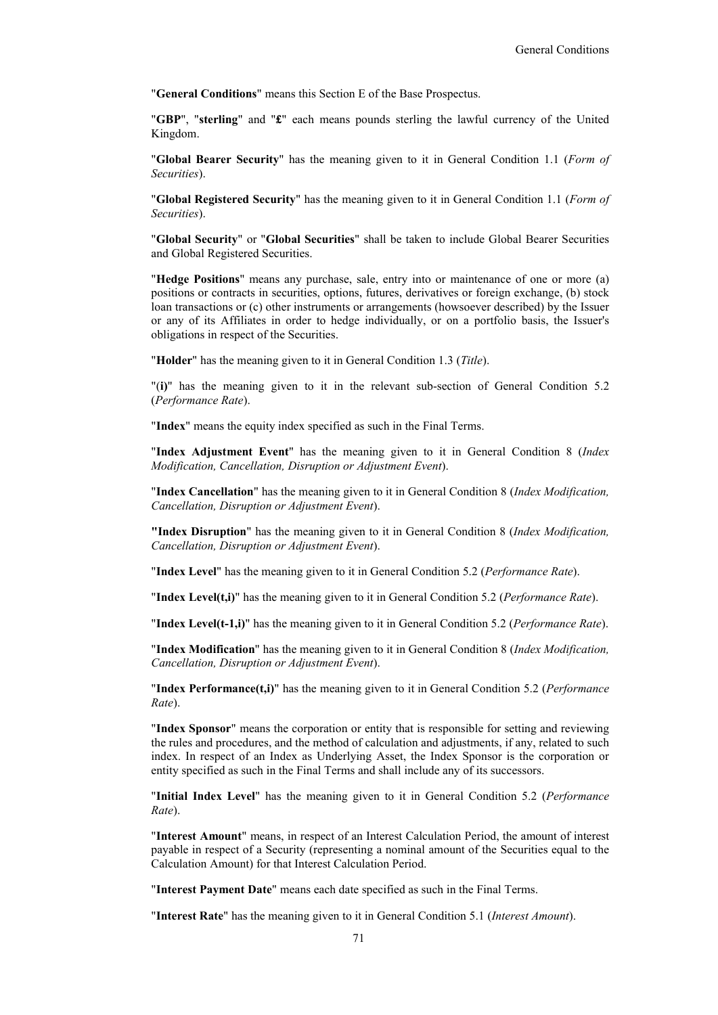"**General Conditions**" means this Section E of the Base Prospectus.

"**GBP**", "**sterling**" and "**£**" each means pounds sterling the lawful currency of the United Kingdom.

"**Global Bearer Security**" has the meaning given to it in General Condition 1.1 (*Form of Securities*).

"**Global Registered Security**" has the meaning given to it in General Condition 1.1 (*Form of Securities*).

"**Global Security**" or "**Global Securities**" shall be taken to include Global Bearer Securities and Global Registered Securities.

"**Hedge Positions**" means any purchase, sale, entry into or maintenance of one or more (a) positions or contracts in securities, options, futures, derivatives or foreign exchange, (b) stock loan transactions or (c) other instruments or arrangements (howsoever described) by the Issuer or any of its Affiliates in order to hedge individually, or on a portfolio basis, the Issuer's obligations in respect of the Securities.

"**Holder**" has the meaning given to it in General Condition 1.3 (*Title*).

"(**i)**" has the meaning given to it in the relevant sub-section of General Condition 5.2 (*Performance Rate*).

"**Index**" means the equity index specified as such in the Final Terms.

"**Index Adjustment Event**" has the meaning given to it in General Condition 8 (*Index Modification, Cancellation, Disruption or Adjustment Event*).

"**Index Cancellation**" has the meaning given to it in General Condition 8 (*Index Modification, Cancellation, Disruption or Adjustment Event*).

**"Index Disruption**" has the meaning given to it in General Condition 8 (*Index Modification, Cancellation, Disruption or Adjustment Event*).

"**Index Level**" has the meaning given to it in General Condition 5.2 (*Performance Rate*).

"**Index Level(t,i)**" has the meaning given to it in General Condition 5.2 (*Performance Rate*).

"**Index Level(t-1,i)**" has the meaning given to it in General Condition 5.2 (*Performance Rate*).

"**Index Modification**" has the meaning given to it in General Condition 8 (*Index Modification, Cancellation, Disruption or Adjustment Event*).

"**Index Performance(t,i)**" has the meaning given to it in General Condition 5.2 (*Performance Rate*).

"**Index Sponsor**" means the corporation or entity that is responsible for setting and reviewing the rules and procedures, and the method of calculation and adjustments, if any, related to such index. In respect of an Index as Underlying Asset, the Index Sponsor is the corporation or entity specified as such in the Final Terms and shall include any of its successors.

"**Initial Index Level**" has the meaning given to it in General Condition 5.2 (*Performance Rate*).

"**Interest Amount**" means, in respect of an Interest Calculation Period, the amount of interest payable in respect of a Security (representing a nominal amount of the Securities equal to the Calculation Amount) for that Interest Calculation Period.

"**Interest Payment Date**" means each date specified as such in the Final Terms.

"**Interest Rate**" has the meaning given to it in General Condition 5.1 (*Interest Amount*).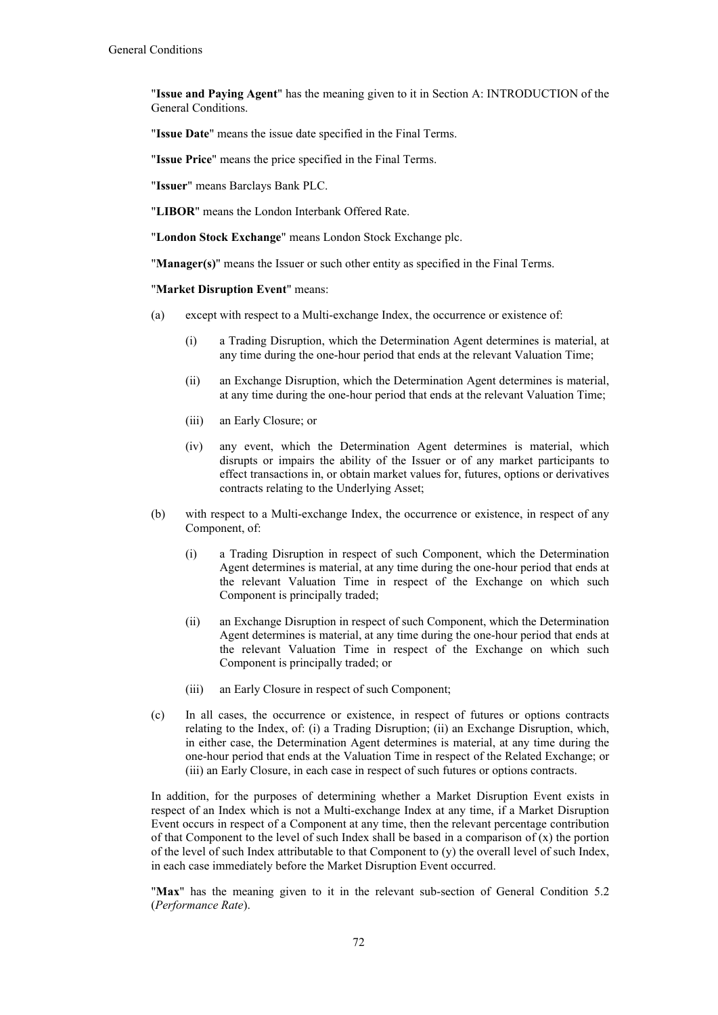"**Issue and Paying Agent**" has the meaning given to it in Section A: INTRODUCTION of the General Conditions.

"**Issue Date**" means the issue date specified in the Final Terms.

"**Issue Price**" means the price specified in the Final Terms.

"**Issuer**" means Barclays Bank PLC.

"**LIBOR**" means the London Interbank Offered Rate.

"**London Stock Exchange**" means London Stock Exchange plc.

"**Manager(s)**" means the Issuer or such other entity as specified in the Final Terms.

"**Market Disruption Event**" means:

- (a) except with respect to a Multi-exchange Index, the occurrence or existence of:
	- (i) a Trading Disruption, which the Determination Agent determines is material, at any time during the one-hour period that ends at the relevant Valuation Time;
	- (ii) an Exchange Disruption, which the Determination Agent determines is material, at any time during the one-hour period that ends at the relevant Valuation Time;
	- (iii) an Early Closure; or
	- (iv) any event, which the Determination Agent determines is material, which disrupts or impairs the ability of the Issuer or of any market participants to effect transactions in, or obtain market values for, futures, options or derivatives contracts relating to the Underlying Asset;
- (b) with respect to a Multi-exchange Index, the occurrence or existence, in respect of any Component, of:
	- (i) a Trading Disruption in respect of such Component, which the Determination Agent determines is material, at any time during the one-hour period that ends at the relevant Valuation Time in respect of the Exchange on which such Component is principally traded;
	- (ii) an Exchange Disruption in respect of such Component, which the Determination Agent determines is material, at any time during the one-hour period that ends at the relevant Valuation Time in respect of the Exchange on which such Component is principally traded; or
	- (iii) an Early Closure in respect of such Component;
- (c) In all cases, the occurrence or existence, in respect of futures or options contracts relating to the Index, of: (i) a Trading Disruption; (ii) an Exchange Disruption, which, in either case, the Determination Agent determines is material, at any time during the one-hour period that ends at the Valuation Time in respect of the Related Exchange; or (iii) an Early Closure, in each case in respect of such futures or options contracts.

In addition, for the purposes of determining whether a Market Disruption Event exists in respect of an Index which is not a Multi-exchange Index at any time, if a Market Disruption Event occurs in respect of a Component at any time, then the relevant percentage contribution of that Component to the level of such Index shall be based in a comparison of  $(x)$  the portion of the level of such Index attributable to that Component to (y) the overall level of such Index, in each case immediately before the Market Disruption Event occurred.

"Max" has the meaning given to it in the relevant sub-section of General Condition 5.2 (*Performance Rate*).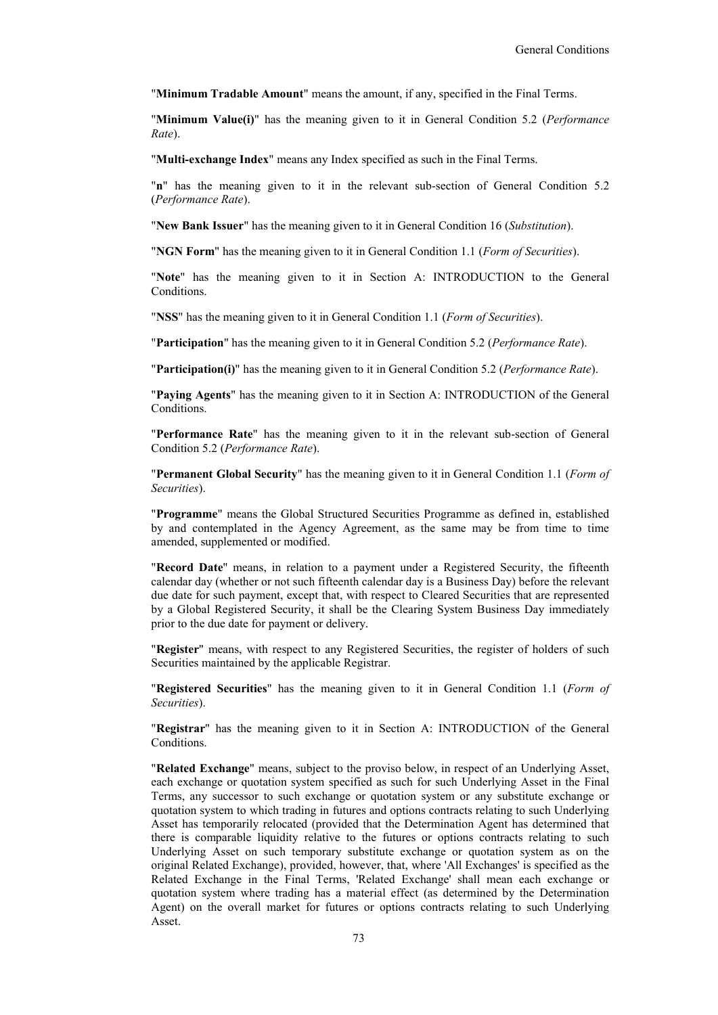"**Minimum Tradable Amount**" means the amount, if any, specified in the Final Terms.

"**Minimum Value(i)**" has the meaning given to it in General Condition 5.2 (*Performance Rate*).

"**Multi-exchange Index**" means any Index specified as such in the Final Terms.

"**n**" has the meaning given to it in the relevant sub-section of General Condition 5.2 (*Performance Rate*).

"**New Bank Issuer**" has the meaning given to it in General Condition 16 (*Substitution*).

"**NGN Form**" has the meaning given to it in General Condition 1.1 (*Form of Securities*).

"**Note**" has the meaning given to it in Section A: INTRODUCTION to the General Conditions.

"**NSS**" has the meaning given to it in General Condition 1.1 (*Form of Securities*).

"**Participation**" has the meaning given to it in General Condition 5.2 (*Performance Rate*).

"**Participation(i)**" has the meaning given to it in General Condition 5.2 (*Performance Rate*).

"**Paying Agents**" has the meaning given to it in Section A: INTRODUCTION of the General Conditions.

"**Performance Rate**" has the meaning given to it in the relevant sub-section of General Condition 5.2 (*Performance Rate*).

"**Permanent Global Security**" has the meaning given to it in General Condition 1.1 (*Form of Securities*).

"**Programme**" means the Global Structured Securities Programme as defined in, established by and contemplated in the Agency Agreement, as the same may be from time to time amended, supplemented or modified.

"**Record Date**" means, in relation to a payment under a Registered Security, the fifteenth calendar day (whether or not such fifteenth calendar day is a Business Day) before the relevant due date for such payment, except that, with respect to Cleared Securities that are represented by a Global Registered Security, it shall be the Clearing System Business Day immediately prior to the due date for payment or delivery.

"**Register**" means, with respect to any Registered Securities, the register of holders of such Securities maintained by the applicable Registrar.

"**Registered Securities**" has the meaning given to it in General Condition 1.1 (*Form of Securities*).

"**Registrar**" has the meaning given to it in Section A: INTRODUCTION of the General Conditions.

"**Related Exchange**" means, subject to the proviso below, in respect of an Underlying Asset, each exchange or quotation system specified as such for such Underlying Asset in the Final Terms, any successor to such exchange or quotation system or any substitute exchange or quotation system to which trading in futures and options contracts relating to such Underlying Asset has temporarily relocated (provided that the Determination Agent has determined that there is comparable liquidity relative to the futures or options contracts relating to such Underlying Asset on such temporary substitute exchange or quotation system as on the original Related Exchange), provided, however, that, where 'All Exchanges' is specified as the Related Exchange in the Final Terms, 'Related Exchange' shall mean each exchange or quotation system where trading has a material effect (as determined by the Determination Agent) on the overall market for futures or options contracts relating to such Underlying Asset.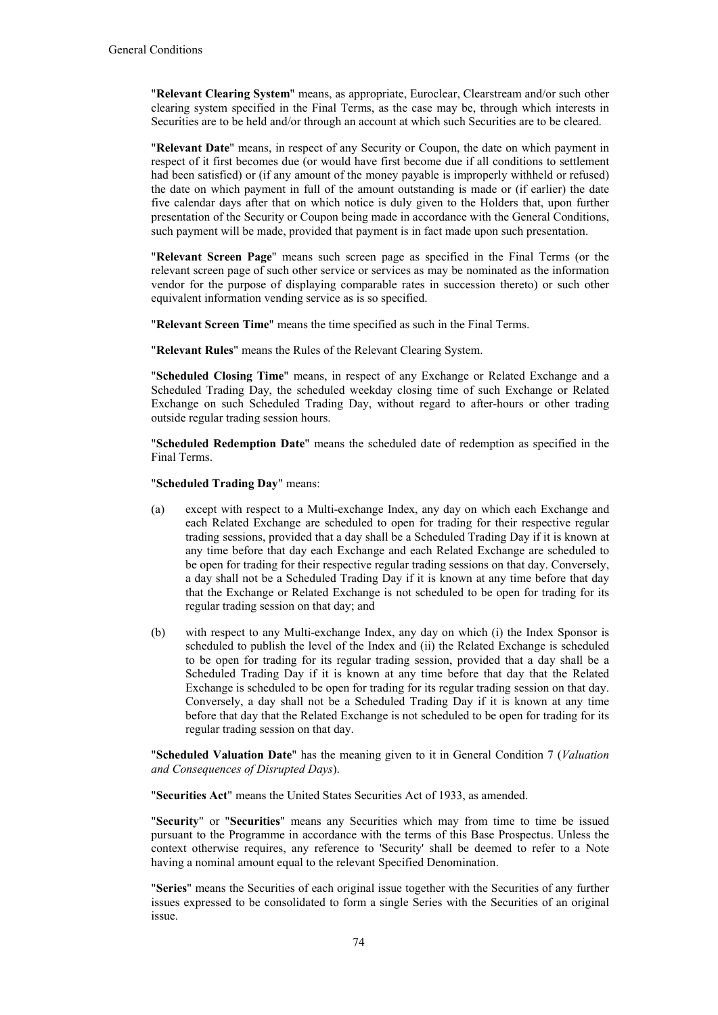"**Relevant Clearing System**" means, as appropriate, Euroclear, Clearstream and/or such other clearing system specified in the Final Terms, as the case may be, through which interests in Securities are to be held and/or through an account at which such Securities are to be cleared.

"**Relevant Date**" means, in respect of any Security or Coupon, the date on which payment in respect of it first becomes due (or would have first become due if all conditions to settlement had been satisfied) or (if any amount of the money payable is improperly withheld or refused) the date on which payment in full of the amount outstanding is made or (if earlier) the date five calendar days after that on which notice is duly given to the Holders that, upon further presentation of the Security or Coupon being made in accordance with the General Conditions, such payment will be made, provided that payment is in fact made upon such presentation.

"**Relevant Screen Page**" means such screen page as specified in the Final Terms (or the relevant screen page of such other service or services as may be nominated as the information vendor for the purpose of displaying comparable rates in succession thereto) or such other equivalent information vending service as is so specified.

"**Relevant Screen Time**" means the time specified as such in the Final Terms.

"**Relevant Rules**" means the Rules of the Relevant Clearing System.

"**Scheduled Closing Time**" means, in respect of any Exchange or Related Exchange and a Scheduled Trading Day, the scheduled weekday closing time of such Exchange or Related Exchange on such Scheduled Trading Day, without regard to after-hours or other trading outside regular trading session hours.

"**Scheduled Redemption Date**" means the scheduled date of redemption as specified in the Final Terms.

"**Scheduled Trading Day**" means:

- (a) except with respect to a Multi-exchange Index, any day on which each Exchange and each Related Exchange are scheduled to open for trading for their respective regular trading sessions, provided that a day shall be a Scheduled Trading Day if it is known at any time before that day each Exchange and each Related Exchange are scheduled to be open for trading for their respective regular trading sessions on that day. Conversely, a day shall not be a Scheduled Trading Day if it is known at any time before that day that the Exchange or Related Exchange is not scheduled to be open for trading for its regular trading session on that day; and
- (b) with respect to any Multi-exchange Index, any day on which (i) the Index Sponsor is scheduled to publish the level of the Index and (ii) the Related Exchange is scheduled to be open for trading for its regular trading session, provided that a day shall be a Scheduled Trading Day if it is known at any time before that day that the Related Exchange is scheduled to be open for trading for its regular trading session on that day. Conversely, a day shall not be a Scheduled Trading Day if it is known at any time before that day that the Related Exchange is not scheduled to be open for trading for its regular trading session on that day.

"**Scheduled Valuation Date**" has the meaning given to it in General Condition 7 (*Valuation and Consequences of Disrupted Days*).

"**Securities Act**" means the United States Securities Act of 1933, as amended.

"**Security**" or "**Securities**" means any Securities which may from time to time be issued pursuant to the Programme in accordance with the terms of this Base Prospectus. Unless the context otherwise requires, any reference to 'Security' shall be deemed to refer to a Note having a nominal amount equal to the relevant Specified Denomination.

"**Series**" means the Securities of each original issue together with the Securities of any further issues expressed to be consolidated to form a single Series with the Securities of an original issue.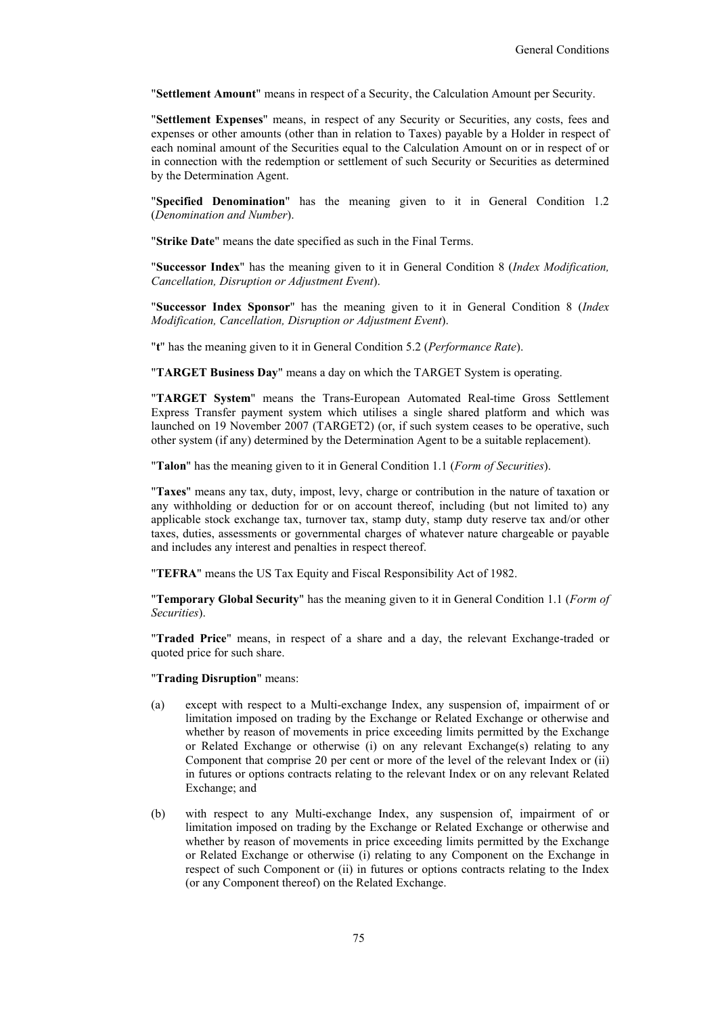"**Settlement Amount**" means in respect of a Security, the Calculation Amount per Security.

"**Settlement Expenses**" means, in respect of any Security or Securities, any costs, fees and expenses or other amounts (other than in relation to Taxes) payable by a Holder in respect of each nominal amount of the Securities equal to the Calculation Amount on or in respect of or in connection with the redemption or settlement of such Security or Securities as determined by the Determination Agent.

"**Specified Denomination**" has the meaning given to it in General Condition 1.2 (*Denomination and Number*).

"**Strike Date**" means the date specified as such in the Final Terms.

"**Successor Index**" has the meaning given to it in General Condition 8 (*Index Modification, Cancellation, Disruption or Adjustment Event*).

"**Successor Index Sponsor**" has the meaning given to it in General Condition 8 (*Index Modification, Cancellation, Disruption or Adjustment Event*).

"**t**" has the meaning given to it in General Condition 5.2 (*Performance Rate*).

"**TARGET Business Day**" means a day on which the TARGET System is operating.

"**TARGET System**" means the Trans-European Automated Real-time Gross Settlement Express Transfer payment system which utilises a single shared platform and which was launched on 19 November 2007 (TARGET2) (or, if such system ceases to be operative, such other system (if any) determined by the Determination Agent to be a suitable replacement).

"**Talon**" has the meaning given to it in General Condition 1.1 (*Form of Securities*).

"**Taxes**" means any tax, duty, impost, levy, charge or contribution in the nature of taxation or any withholding or deduction for or on account thereof, including (but not limited to) any applicable stock exchange tax, turnover tax, stamp duty, stamp duty reserve tax and/or other taxes, duties, assessments or governmental charges of whatever nature chargeable or payable and includes any interest and penalties in respect thereof.

"**TEFRA**" means the US Tax Equity and Fiscal Responsibility Act of 1982.

"**Temporary Global Security**" has the meaning given to it in General Condition 1.1 (*Form of Securities*).

"**Traded Price**" means, in respect of a share and a day, the relevant Exchange-traded or quoted price for such share.

"**Trading Disruption**" means:

- (a) except with respect to a Multi-exchange Index, any suspension of, impairment of or limitation imposed on trading by the Exchange or Related Exchange or otherwise and whether by reason of movements in price exceeding limits permitted by the Exchange or Related Exchange or otherwise (i) on any relevant Exchange(s) relating to any Component that comprise 20 per cent or more of the level of the relevant Index or (ii) in futures or options contracts relating to the relevant Index or on any relevant Related Exchange; and
- (b) with respect to any Multi-exchange Index, any suspension of, impairment of or limitation imposed on trading by the Exchange or Related Exchange or otherwise and whether by reason of movements in price exceeding limits permitted by the Exchange or Related Exchange or otherwise (i) relating to any Component on the Exchange in respect of such Component or (ii) in futures or options contracts relating to the Index (or any Component thereof) on the Related Exchange.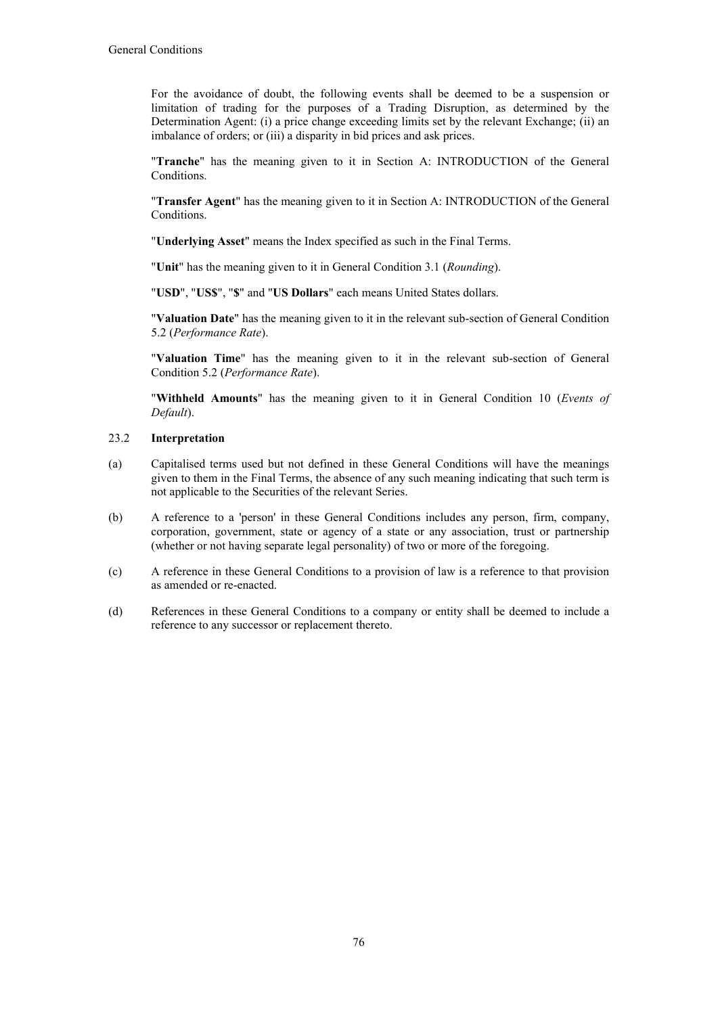For the avoidance of doubt, the following events shall be deemed to be a suspension or limitation of trading for the purposes of a Trading Disruption, as determined by the Determination Agent: (i) a price change exceeding limits set by the relevant Exchange; (ii) an imbalance of orders; or (iii) a disparity in bid prices and ask prices.

"**Tranche**" has the meaning given to it in Section A: INTRODUCTION of the General Conditions.

"**Transfer Agent**" has the meaning given to it in Section A: INTRODUCTION of the General **Conditions** 

"**Underlying Asset**" means the Index specified as such in the Final Terms.

"**Unit**" has the meaning given to it in General Condition 3.1 (*Rounding*).

"**USD**", "**US\$**", "**\$**" and "**US Dollars**" each means United States dollars.

"**Valuation Date**" has the meaning given to it in the relevant sub-section of General Condition 5.2 (*Performance Rate*).

"**Valuation Time**" has the meaning given to it in the relevant sub-section of General Condition 5.2 (*Performance Rate*).

"**Withheld Amounts**" has the meaning given to it in General Condition 10 (*Events of Default*).

### 23.2 **Interpretation**

- (a) Capitalised terms used but not defined in these General Conditions will have the meanings given to them in the Final Terms, the absence of any such meaning indicating that such term is not applicable to the Securities of the relevant Series.
- (b) A reference to a 'person' in these General Conditions includes any person, firm, company, corporation, government, state or agency of a state or any association, trust or partnership (whether or not having separate legal personality) of two or more of the foregoing.
- (c) A reference in these General Conditions to a provision of law is a reference to that provision as amended or re-enacted.
- (d) References in these General Conditions to a company or entity shall be deemed to include a reference to any successor or replacement thereto.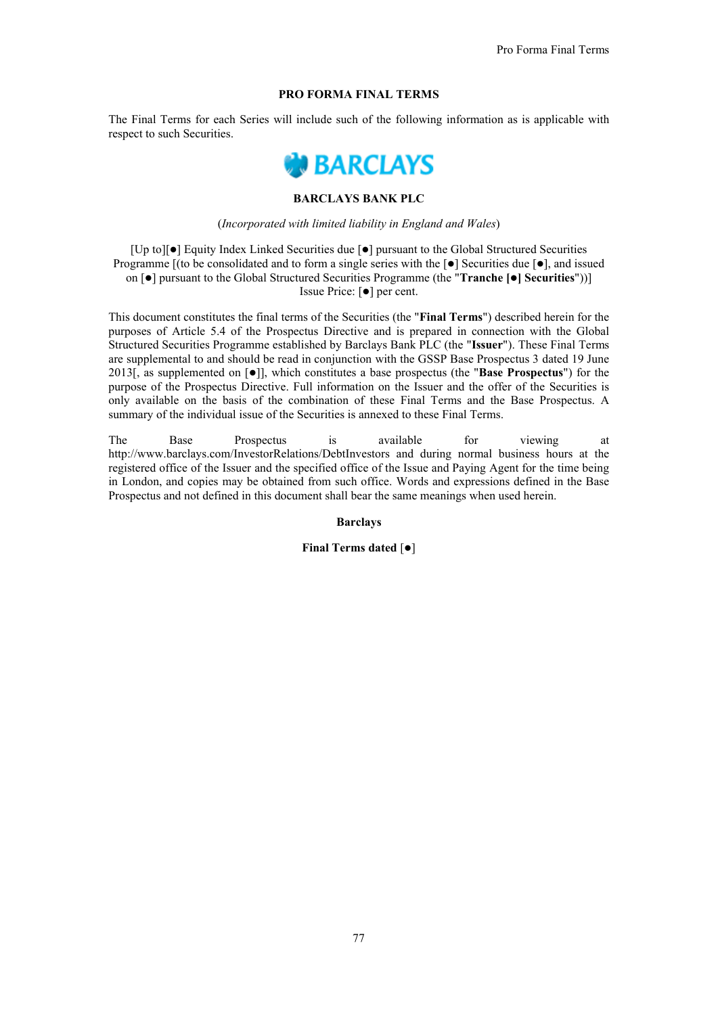### **PRO FORMA FINAL TERMS**

The Final Terms for each Series will include such of the following information as is applicable with respect to such Securities.



# **BARCLAYS BANK PLC**

### (*Incorporated with limited liability in England and Wales*)

 $[Up\text{ to }T]$  Equity Index Linked Securities due  $\lceil \bullet \rceil$  pursuant to the Global Structured Securities Programme  $[(to be considered and to form a single series with the  $\lceil \bullet \rceil]$  Securities due  $\lceil \bullet \rceil$ , and issued$ on [] pursuant to the Global Structured Securities Programme (the "**Tranche [] Securities**"))] Issue Price: [ $\bullet$ ] per cent.

This document constitutes the final terms of the Securities (the "**Final Terms**") described herein for the purposes of Article 5.4 of the Prospectus Directive and is prepared in connection with the Global Structured Securities Programme established by Barclays Bank PLC (the "**Issuer**"). These Final Terms are supplemental to and should be read in conjunction with the GSSP Base Prospectus 3 dated 19 June 2013[, as supplemented on  $\lceil \bullet \rceil$ ], which constitutes a base prospectus (the "**Base Prospectus**") for the purpose of the Prospectus Directive. Full information on the Issuer and the offer of the Securities is only available on the basis of the combination of these Final Terms and the Base Prospectus. A summary of the individual issue of the Securities is annexed to these Final Terms.

The Base Prospectus is available for viewing at http://www.barclays.com/InvestorRelations/DebtInvestors and during normal business hours at the registered office of the Issuer and the specified office of the Issue and Paying Agent for the time being in London, and copies may be obtained from such office. Words and expressions defined in the Base Prospectus and not defined in this document shall bear the same meanings when used herein.

### **Barclays**

**Final Terms dated [** $\bullet$ **]**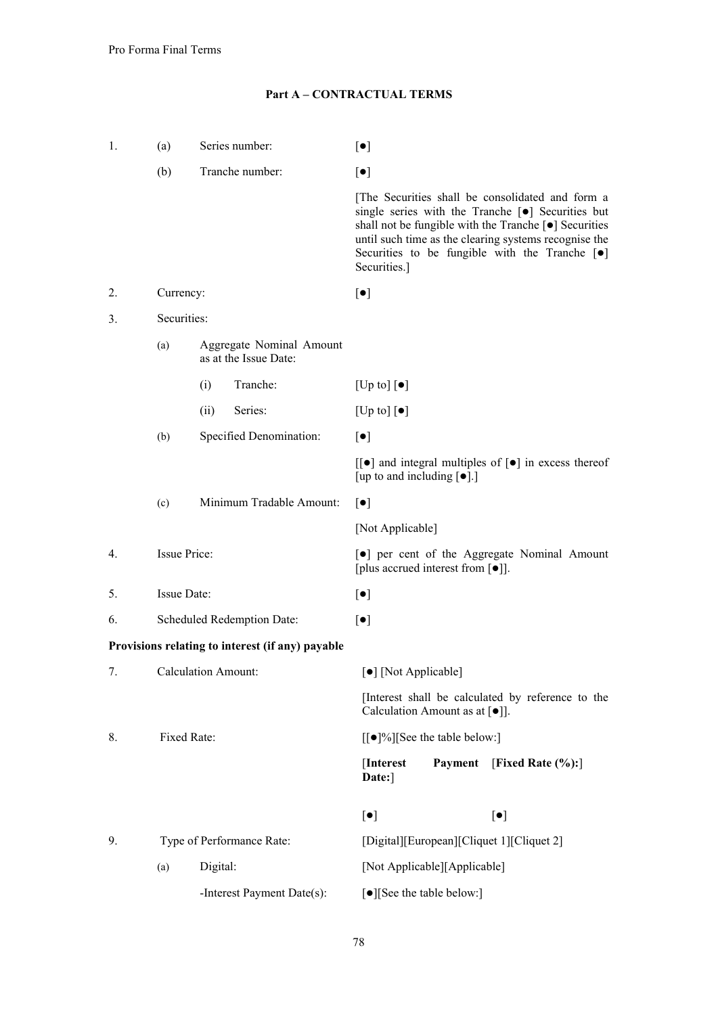# **Part A – CONTRACTUAL TERMS**

| 1.   | (a)          | Series number:                                    | $\lbrack \bullet \rbrack$                                                                                                                                                                                                                                                                                          |  |  |
|------|--------------|---------------------------------------------------|--------------------------------------------------------------------------------------------------------------------------------------------------------------------------------------------------------------------------------------------------------------------------------------------------------------------|--|--|
|      | (b)          | Tranche number:                                   | $[\bullet]$                                                                                                                                                                                                                                                                                                        |  |  |
|      |              |                                                   | The Securities shall be consolidated and form a<br>single series with the Tranche [ $\bullet$ ] Securities but<br>shall not be fungible with the Tranche $[\bullet]$ Securities<br>until such time as the clearing systems recognise the<br>Securities to be fungible with the Tranche $[\bullet]$<br>Securities.] |  |  |
| 2.   | Currency:    |                                                   | $\lbrack \bullet \rbrack$                                                                                                                                                                                                                                                                                          |  |  |
| 3.   | Securities:  |                                                   |                                                                                                                                                                                                                                                                                                                    |  |  |
|      | (a)          | Aggregate Nominal Amount<br>as at the Issue Date: |                                                                                                                                                                                                                                                                                                                    |  |  |
|      |              | Tranche:<br>(i)                                   | [Up to] $\left[\bullet\right]$                                                                                                                                                                                                                                                                                     |  |  |
|      |              | Series:<br>(ii)                                   | $[Up \text{ to }] [\bullet]$                                                                                                                                                                                                                                                                                       |  |  |
|      | (b)          | Specified Denomination:                           | $[\bullet]$                                                                                                                                                                                                                                                                                                        |  |  |
|      |              |                                                   | $\lceil \cdot \rceil$ and integral multiples of $\lceil \cdot \rceil$ in excess thereof<br>[up to and including $[\bullet]$ .]                                                                                                                                                                                     |  |  |
|      | (c)          | Minimum Tradable Amount:                          | $\lceil \bullet \rceil$                                                                                                                                                                                                                                                                                            |  |  |
|      |              |                                                   | [Not Applicable]                                                                                                                                                                                                                                                                                                   |  |  |
| 4.   | Issue Price: |                                                   | [ $\bullet$ ] per cent of the Aggregate Nominal Amount<br>[plus accrued interest from [ $\bullet$ ]].                                                                                                                                                                                                              |  |  |
| 5.   | Issue Date:  |                                                   | $[\bullet]$                                                                                                                                                                                                                                                                                                        |  |  |
| 6.   |              | Scheduled Redemption Date:                        | $\lbrack \bullet \rbrack$                                                                                                                                                                                                                                                                                          |  |  |
|      |              | Provisions relating to interest (if any) payable  |                                                                                                                                                                                                                                                                                                                    |  |  |
| 7. . |              | Calculation Amount:                               | [●] [Not Applicable]                                                                                                                                                                                                                                                                                               |  |  |
|      |              |                                                   | [Interest shall be calculated by reference to the<br>Calculation Amount as at $[\bullet]$ ].                                                                                                                                                                                                                       |  |  |
| 8.   |              | Fixed Rate:                                       | [[ $\bullet$ ]%][See the table below:]                                                                                                                                                                                                                                                                             |  |  |
|      |              |                                                   | Payment<br>[Interest]<br>[Fixed Rate $(\%):$ ]<br>Date:]                                                                                                                                                                                                                                                           |  |  |
|      |              |                                                   | $[\bullet]$<br>$[\bullet]$                                                                                                                                                                                                                                                                                         |  |  |
| 9.   |              | Type of Performance Rate:                         | [Digital][European][Cliquet 1][Cliquet 2]                                                                                                                                                                                                                                                                          |  |  |
|      | (a)          | Digital:                                          | [Not Applicable][Applicable]                                                                                                                                                                                                                                                                                       |  |  |
|      |              | -Interest Payment Date(s):                        | [•][See the table below:]                                                                                                                                                                                                                                                                                          |  |  |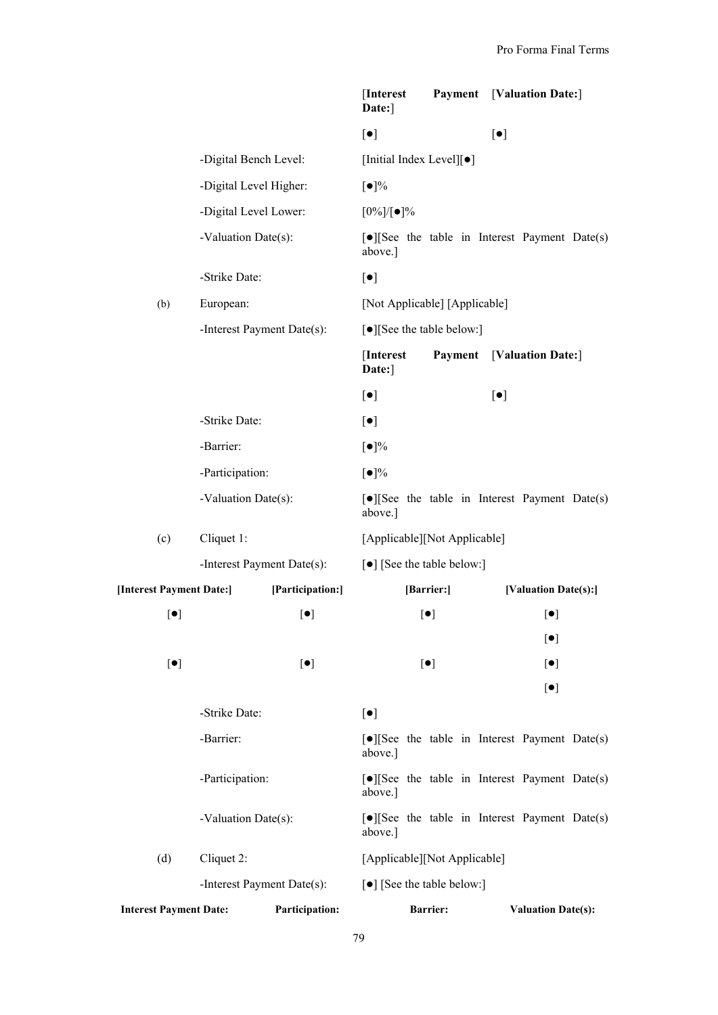|                               |                            |                            | [Interest]<br>Date:]                 |                           |             | <b>Payment</b> [Valuation Date:]                                  |  |
|-------------------------------|----------------------------|----------------------------|--------------------------------------|---------------------------|-------------|-------------------------------------------------------------------|--|
|                               |                            |                            | $\lbrack \bullet \rbrack$            |                           | $[\bullet]$ |                                                                   |  |
|                               | -Digital Bench Level:      |                            | [Initial Index Level][•]             |                           |             |                                                                   |  |
|                               | -Digital Level Higher:     |                            | $\lbrack \bullet \rbrack\%$          |                           |             |                                                                   |  |
|                               | -Digital Level Lower:      |                            | $[0\%]/[•]\%$                        |                           |             |                                                                   |  |
|                               | -Valuation Date(s):        |                            | above.]                              |                           |             | $\lceil \bullet \rceil$ See the table in Interest Payment Date(s) |  |
|                               | -Strike Date:              |                            | $[\bullet]$                          |                           |             |                                                                   |  |
| (b)                           | European:                  |                            | [Not Applicable] [Applicable]        |                           |             |                                                                   |  |
|                               | -Interest Payment Date(s): |                            | [•][See the table below:]            |                           |             |                                                                   |  |
|                               |                            |                            | [Interest]<br>Date:]                 | Payment                   |             | [Valuation Date:]                                                 |  |
|                               |                            |                            | $[\bullet]$                          |                           | $[\bullet]$ |                                                                   |  |
|                               | -Strike Date:              |                            | $[\bullet]$                          |                           |             |                                                                   |  |
|                               | -Barrier:                  |                            | $\lbrack \bullet \rbrack\%$          |                           |             |                                                                   |  |
|                               | -Participation:            |                            | $\lbrack \bullet \rbrack\%$          |                           |             |                                                                   |  |
|                               | -Valuation Date(s):        |                            | above.]                              |                           |             | [•][See the table in Interest Payment Date(s)                     |  |
| (c)                           | Cliquet 1:                 |                            | [Applicable][Not Applicable]         |                           |             |                                                                   |  |
|                               |                            | -Interest Payment Date(s): | [ $\bullet$ ] [See the table below:] |                           |             |                                                                   |  |
| [Interest Payment Date:]      |                            | [Participation:]           |                                      | [Barrier:]                |             | [Valuation Date(s):]                                              |  |
| $[\bullet]$                   |                            | $[\bullet]$                |                                      | $[\bullet]$               |             | $[\bullet]$                                                       |  |
|                               |                            |                            |                                      |                           |             | $[\bullet]$                                                       |  |
| $[\bullet]$                   |                            | $[\bullet]$                |                                      | $\lbrack \bullet \rbrack$ |             | $\left[\bullet\right]$                                            |  |
|                               |                            |                            |                                      |                           |             | $[\bullet]$                                                       |  |
|                               | -Strike Date:              |                            | $[\bullet]$                          |                           |             |                                                                   |  |
|                               | -Barrier:                  |                            | above.]                              |                           |             | $\lceil \bullet \rceil$ See the table in Interest Payment Date(s) |  |
|                               | -Participation:            |                            | above.]                              |                           |             | $\lceil \bullet \rceil$ See the table in Interest Payment Date(s) |  |
|                               | -Valuation Date(s):        |                            | above.]                              |                           |             | $\lceil \bullet \rceil$ See the table in Interest Payment Date(s) |  |
| (d)                           | Cliquet 2:                 |                            | [Applicable][Not Applicable]         |                           |             |                                                                   |  |
|                               | -Interest Payment Date(s): |                            | [ $\bullet$ ] [See the table below:] |                           |             |                                                                   |  |
| <b>Interest Payment Date:</b> |                            | Participation:             |                                      | <b>Barrier:</b>           |             | <b>Valuation Date(s):</b>                                         |  |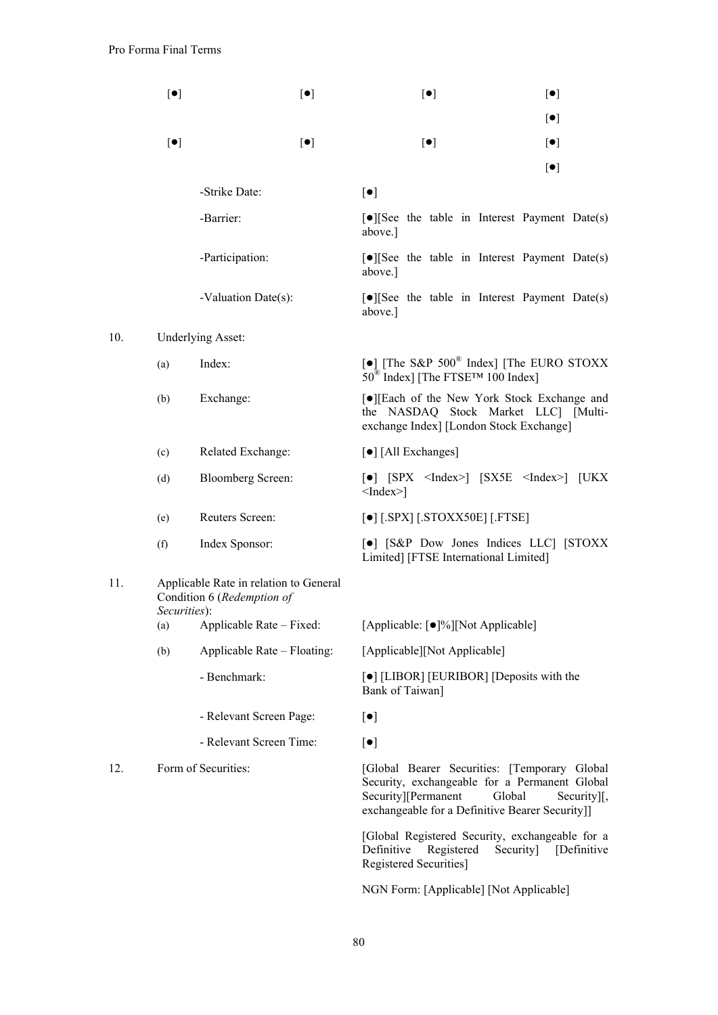$10.$ 

|     | $\left[\bullet\right]$ | $\lbrack \bullet \rbrack$                                                                    | $[\bullet]$                                                                                                                                                                                              | $\left[\bullet\right]$ |
|-----|------------------------|----------------------------------------------------------------------------------------------|----------------------------------------------------------------------------------------------------------------------------------------------------------------------------------------------------------|------------------------|
|     |                        |                                                                                              |                                                                                                                                                                                                          | $[\bullet]$            |
|     | $[\bullet]$            | $[\bullet]$                                                                                  | $\lbrack \bullet \rbrack$                                                                                                                                                                                | $[\bullet]$            |
|     |                        |                                                                                              |                                                                                                                                                                                                          | $\left[\bullet\right]$ |
|     |                        | -Strike Date:                                                                                | $[\bullet]$                                                                                                                                                                                              |                        |
|     |                        | -Barrier:                                                                                    | $\lceil \bullet \rceil$ See the table in Interest Payment Date(s)<br>above.]                                                                                                                             |                        |
|     |                        | -Participation:                                                                              | [.][See the table in Interest Payment Date(s)<br>above.]                                                                                                                                                 |                        |
|     |                        | -Valuation Date(s):                                                                          | $\lceil \bullet \rceil$ See the table in Interest Payment Date(s)<br>above.]                                                                                                                             |                        |
| 10. |                        | <b>Underlying Asset:</b>                                                                     |                                                                                                                                                                                                          |                        |
|     | (a)                    | Index:                                                                                       | [•] [The S&P 500 <sup>®</sup> Index] [The EURO STOXX<br>$50^{\circledR}$ Index] [The FTSE <sup>TM</sup> 100 Index]                                                                                       |                        |
|     | (b)                    | Exchange:                                                                                    | [●][Each of the New York Stock Exchange and<br>the NASDAQ Stock Market LLC] [Multi-<br>exchange Index] [London Stock Exchange]                                                                           |                        |
|     | (c)                    | Related Exchange:                                                                            | [•] [All Exchanges]                                                                                                                                                                                      |                        |
|     | (d)                    | <b>Bloomberg Screen:</b>                                                                     | $\lceil \bullet \rceil$ $\lceil$ SPX <index><math>\rceil</math> <math>\lceil</math> SX5E <index><math>\rceil</math> <math>\lceil</math> UKX<br/><math>\leq</math>Index<math>\geq</math>]</index></index> |                        |
|     | (e)                    | Reuters Screen:                                                                              | $\lceil \bullet \rceil$ [.SPX] [.STOXX50E] [.FTSE]                                                                                                                                                       |                        |
|     | (f)                    | Index Sponsor:                                                                               | [•] [S&P Dow Jones Indices LLC] [STOXX<br>Limited] [FTSE International Limited]                                                                                                                          |                        |
| 11. |                        | Applicable Rate in relation to General<br>Condition 6 (Redemption of<br><i>Securities</i> ): |                                                                                                                                                                                                          |                        |
|     | (a)                    | Applicable Rate – Fixed:                                                                     | [Applicable: [ $\bullet$ ]%][Not Applicable]                                                                                                                                                             |                        |
|     | (b)                    | Applicable Rate – Floating:                                                                  | [Applicable][Not Applicable]                                                                                                                                                                             |                        |
|     |                        | - Benchmark:                                                                                 | [•] [LIBOR] [EURIBOR] [Deposits with the<br>Bank of Taiwan]                                                                                                                                              |                        |
|     |                        | - Relevant Screen Page:                                                                      | $\left[\bullet\right]$                                                                                                                                                                                   |                        |
|     |                        | - Relevant Screen Time:                                                                      | $\left[\bullet\right]$                                                                                                                                                                                   |                        |
| 12. |                        | Form of Securities:                                                                          | [Global Bearer Securities: [Temporary Global]<br>Security, exchangeable for a Permanent Global<br>Security][Permanent<br>Global<br>exchangeable for a Definitive Bearer Security]]                       | Security][,            |
|     |                        |                                                                                              | [Global Registered Security, exchangeable for a<br>Definitive<br>Registered<br>Security]<br>Registered Securities]                                                                                       | [Definitive]           |

NGN Form: [Applicable] [Not Applicable]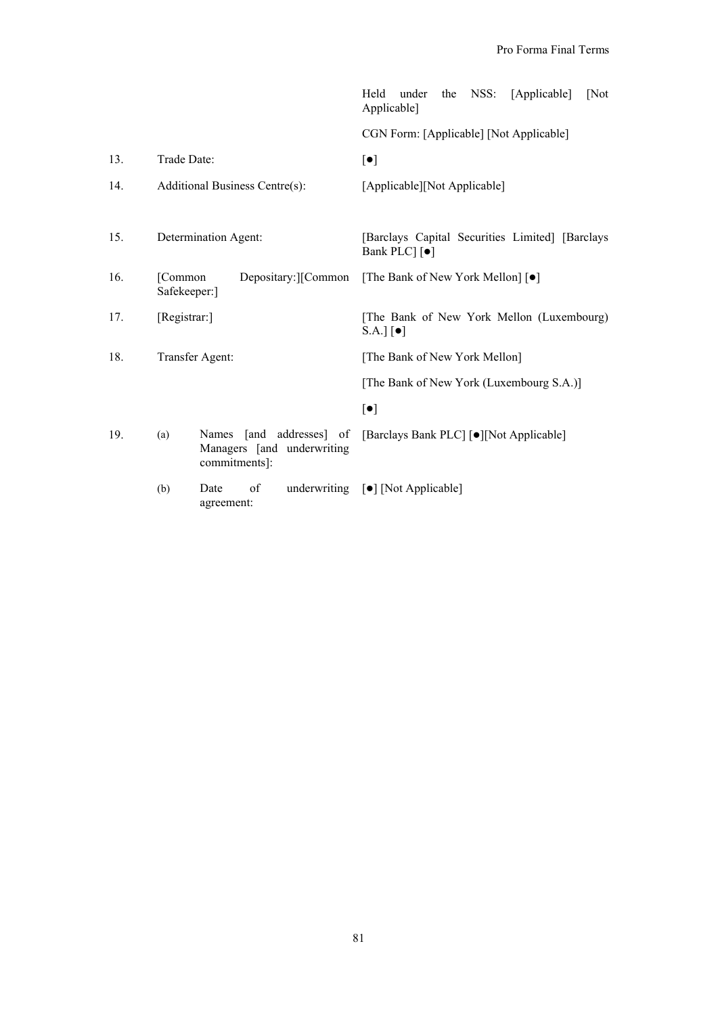|     |                         |                                                                                   | Held<br>under<br>NSS:<br>[Applicable]<br>[Not]<br>the<br>Applicable]           |
|-----|-------------------------|-----------------------------------------------------------------------------------|--------------------------------------------------------------------------------|
|     |                         |                                                                                   | CGN Form: [Applicable] [Not Applicable]                                        |
| 13. | Trade Date:             |                                                                                   | $\lbrack \bullet \rbrack$                                                      |
| 14. |                         | Additional Business Centre(s):                                                    | [Applicable][Not Applicable]                                                   |
| 15. |                         | Determination Agent:                                                              | [Barclays Capital Securities Limited] [Barclays]<br>Bank PLC [ $\bullet$ ]     |
| 16. | [Common<br>Safekeeper:] | Depositary: [Common]                                                              | [The Bank of New York Mellon] [ $\bullet$ ]                                    |
| 17. | [Registrar:]            |                                                                                   | [The Bank of New York Mellon (Luxembourg)<br>$S.A.]$ $\lbrack \bullet \rbrack$ |
| 18. |                         | Transfer Agent:                                                                   | [The Bank of New York Mellon]                                                  |
|     |                         |                                                                                   | [The Bank of New York (Luxembourg S.A.)]                                       |
|     |                         |                                                                                   | $\left[\bullet\right]$                                                         |
| 19. | (a)                     | [and addresses] of<br><b>Names</b><br>Managers [and underwriting<br>commitments]: | [Barclays Bank PLC] [·][Not Applicable]                                        |
|     | (b)                     | of<br>Date<br>agreement:                                                          | underwriting [ $\bullet$ ] [Not Applicable]                                    |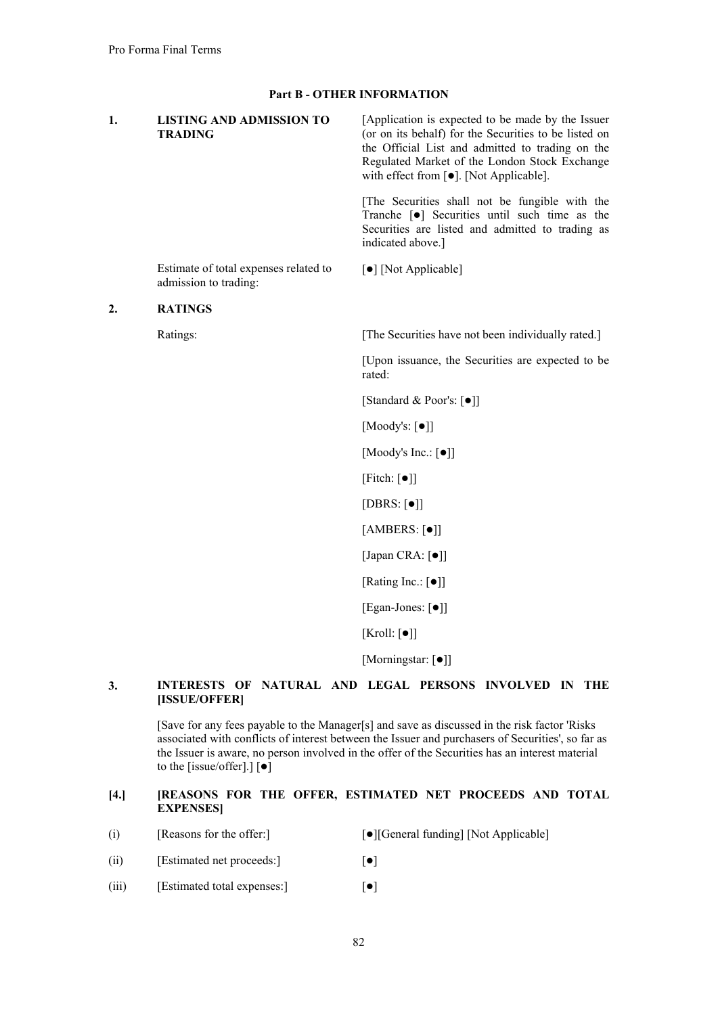| 1. | <b>LISTING AND ADMISSION TO</b><br><b>TRADING</b>              | [Application is expected to be made by the Issuer<br>(or on its behalf) for the Securities to be listed on<br>the Official List and admitted to trading on the<br>Regulated Market of the London Stock Exchange<br>with effect from [ $\bullet$ ]. [Not Applicable]. |
|----|----------------------------------------------------------------|----------------------------------------------------------------------------------------------------------------------------------------------------------------------------------------------------------------------------------------------------------------------|
|    |                                                                | [The Securities shall not be fungible with the<br>Tranche [ $\bullet$ ] Securities until such time as the<br>Securities are listed and admitted to trading as<br>indicated above.]                                                                                   |
|    | Estimate of total expenses related to<br>admission to trading: | [ $\bullet$ ] [Not Applicable]                                                                                                                                                                                                                                       |
| 2. | <b>RATINGS</b>                                                 |                                                                                                                                                                                                                                                                      |
|    | Ratings:                                                       | [The Securities have not been individually rated.]                                                                                                                                                                                                                   |
|    |                                                                | [Upon issuance, the Securities are expected to be<br>rated:                                                                                                                                                                                                          |
|    |                                                                | [Standard & Poor's: [ $\bullet$ ]]                                                                                                                                                                                                                                   |
|    |                                                                | [Moody's: $[\bullet]$ ]                                                                                                                                                                                                                                              |
|    |                                                                | [Moody's Inc.: $[\bullet]$ ]                                                                                                                                                                                                                                         |
|    |                                                                | [Fitch: $\lceil \bullet \rceil$ ]                                                                                                                                                                                                                                    |
|    |                                                                | [DBRS: $[•]$ ]                                                                                                                                                                                                                                                       |
|    |                                                                | [AMBERS: $[•]$ ]                                                                                                                                                                                                                                                     |
|    |                                                                | [Japan CRA: [ $\bullet$ ]]                                                                                                                                                                                                                                           |
|    |                                                                | [Rating Inc.: $\lceil \bullet \rceil$ ]                                                                                                                                                                                                                              |
|    |                                                                | [Egan-Jones: [ $\bullet$ ]]                                                                                                                                                                                                                                          |
|    |                                                                | [Kroll: $[\bullet]$ ]                                                                                                                                                                                                                                                |
|    |                                                                | [Morningstar: [ $\bullet$ ]]                                                                                                                                                                                                                                         |

# **3. INTERESTS OF NATURAL AND LEGAL PERSONS INVOLVED IN THE [ISSUE/OFFER]**

[Save for any fees payable to the Manager[s] and save as discussed in the risk factor 'Risks associated with conflicts of interest between the Issuer and purchasers of Securities', so far as the Issuer is aware, no person involved in the offer of the Securities has an interest material to the [issue/offer].]  $\left[\bullet\right]$ 

# **[4.] [REASONS FOR THE OFFER, ESTIMATED NET PROCEEDS AND TOTAL EXPENSES]**

- (i) [Reasons for the offer:] [O][General funding] [Not Applicable]
- (ii) [Estimated net proceeds:]  $[•]$
- (iii) [Estimated total expenses:]  $[•]$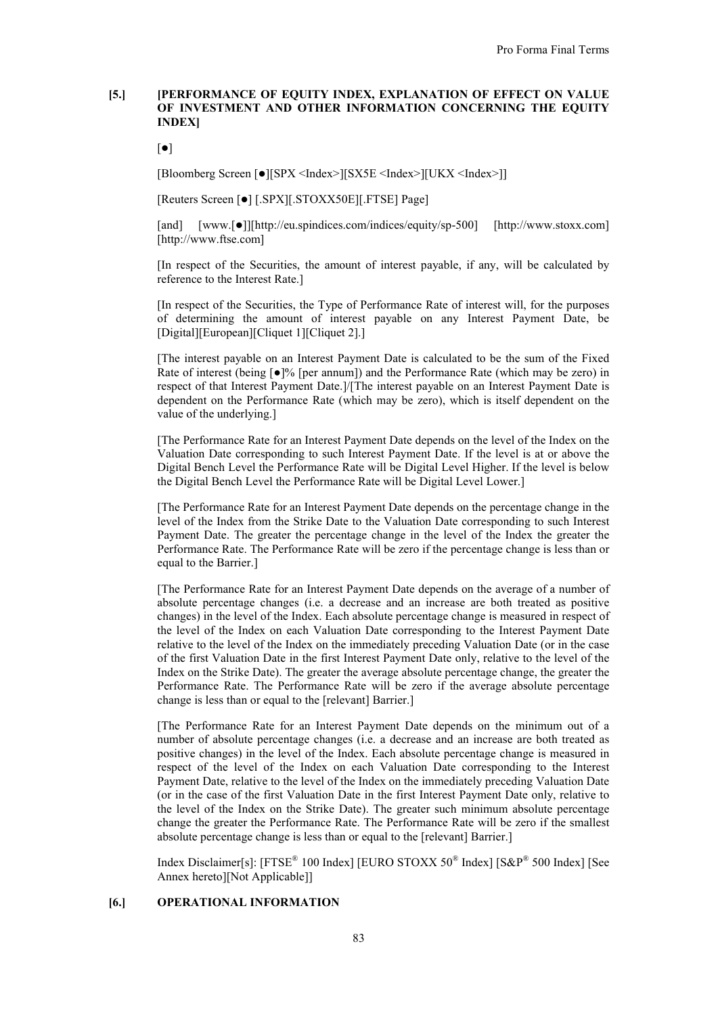# **[5.] [PERFORMANCE OF EQUITY INDEX, EXPLANATION OF EFFECT ON VALUE OF INVESTMENT AND OTHER INFORMATION CONCERNING THE EQUITY INDEX]**

 $\lceil \bullet \rceil$ 

[Bloomberg Screen [ $\bullet$ ][SPX <Index>][SX5E <Index>][UKX <Index>]]

[Reuters Screen [ $\bullet$ ] [.SPX][.STOXX50E][.FTSE] Page]

[and] [www.[ $\bullet$ ]][http://eu.spindices.com/indices/equity/sp-500] [http://www.stoxx.com] [http://www.ftse.com]

[In respect of the Securities, the amount of interest payable, if any, will be calculated by reference to the Interest Rate.]

[In respect of the Securities, the Type of Performance Rate of interest will, for the purposes of determining the amount of interest payable on any Interest Payment Date, be [Digital][European][Cliquet 1][Cliquet 2].]

[The interest payable on an Interest Payment Date is calculated to be the sum of the Fixed Rate of interest (being  $\lceil \bullet \rceil\%$  [per annum]) and the Performance Rate (which may be zero) in respect of that Interest Payment Date.]/[The interest payable on an Interest Payment Date is dependent on the Performance Rate (which may be zero), which is itself dependent on the value of the underlying.]

[The Performance Rate for an Interest Payment Date depends on the level of the Index on the Valuation Date corresponding to such Interest Payment Date. If the level is at or above the Digital Bench Level the Performance Rate will be Digital Level Higher. If the level is below the Digital Bench Level the Performance Rate will be Digital Level Lower.]

[The Performance Rate for an Interest Payment Date depends on the percentage change in the level of the Index from the Strike Date to the Valuation Date corresponding to such Interest Payment Date. The greater the percentage change in the level of the Index the greater the Performance Rate. The Performance Rate will be zero if the percentage change is less than or equal to the Barrier.]

[The Performance Rate for an Interest Payment Date depends on the average of a number of absolute percentage changes (i.e. a decrease and an increase are both treated as positive changes) in the level of the Index. Each absolute percentage change is measured in respect of the level of the Index on each Valuation Date corresponding to the Interest Payment Date relative to the level of the Index on the immediately preceding Valuation Date (or in the case of the first Valuation Date in the first Interest Payment Date only, relative to the level of the Index on the Strike Date). The greater the average absolute percentage change, the greater the Performance Rate. The Performance Rate will be zero if the average absolute percentage change is less than or equal to the [relevant] Barrier.]

[The Performance Rate for an Interest Payment Date depends on the minimum out of a number of absolute percentage changes (i.e. a decrease and an increase are both treated as positive changes) in the level of the Index. Each absolute percentage change is measured in respect of the level of the Index on each Valuation Date corresponding to the Interest Payment Date, relative to the level of the Index on the immediately preceding Valuation Date (or in the case of the first Valuation Date in the first Interest Payment Date only, relative to the level of the Index on the Strike Date). The greater such minimum absolute percentage change the greater the Performance Rate. The Performance Rate will be zero if the smallest absolute percentage change is less than or equal to the [relevant] Barrier.]

Index Disclaimer[s]: [FTSE<sup>®</sup> 100 Index] [EURO STOXX 50<sup>®</sup> Index] [S&P<sup>®</sup> 500 Index] [See Annex hereto][Not Applicable]]

# **[6.] OPERATIONAL INFORMATION**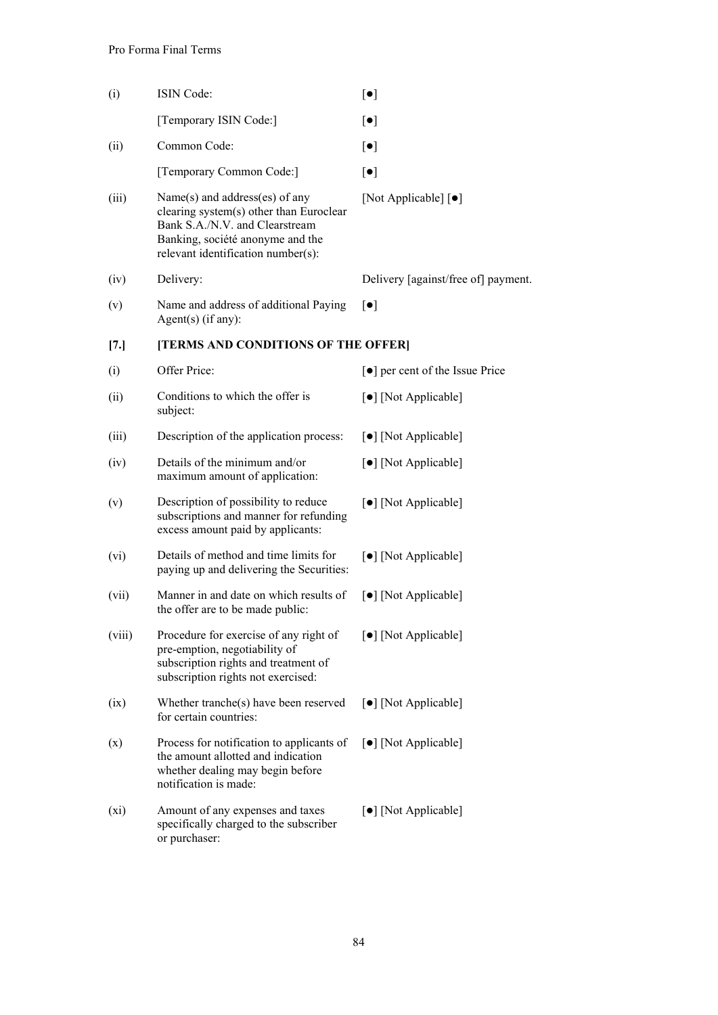| (i)    | ISIN Code:                                                                                                                                                                            | $[\bullet]$                         |
|--------|---------------------------------------------------------------------------------------------------------------------------------------------------------------------------------------|-------------------------------------|
|        | [Temporary ISIN Code:]                                                                                                                                                                | $\lbrack \bullet \rbrack$           |
| (ii)   | Common Code:                                                                                                                                                                          | $\lbrack \bullet \rbrack$           |
|        | [Temporary Common Code:]                                                                                                                                                              | $\lbrack \bullet \rbrack$           |
| (iii)  | Name(s) and address(es) of any<br>clearing system(s) other than Euroclear<br>Bank S.A./N.V. and Clearstream<br>Banking, société anonyme and the<br>relevant identification number(s): | [Not Applicable] [ $\bullet$ ]      |
| (iv)   | Delivery:                                                                                                                                                                             | Delivery [against/free of] payment. |
| (v)    | Name and address of additional Paying<br>Agent $(s)$ (if any):                                                                                                                        | $\lceil \bullet \rceil$             |
| [7.]   | [TERMS AND CONDITIONS OF THE OFFER]                                                                                                                                                   |                                     |
| (i)    | Offer Price:                                                                                                                                                                          | [●] per cent of the Issue Price     |
| (ii)   | Conditions to which the offer is<br>subject:                                                                                                                                          | [•] [Not Applicable]                |
| (iii)  | Description of the application process:                                                                                                                                               | [•] [Not Applicable]                |
| (iv)   | Details of the minimum and/or<br>maximum amount of application:                                                                                                                       | [•] [Not Applicable]                |
| (v)    | Description of possibility to reduce<br>subscriptions and manner for refunding<br>excess amount paid by applicants:                                                                   | [•] [Not Applicable]                |
| (vi)   | Details of method and time limits for<br>paying up and delivering the Securities:                                                                                                     | [•] [Not Applicable]                |
| (vii)  | Manner in and date on which results of<br>the offer are to be made public:                                                                                                            | [•] [Not Applicable]                |
| (viii) | Procedure for exercise of any right of<br>pre-emption, negotiability of<br>subscription rights and treatment of<br>subscription rights not exercised:                                 | [ $\bullet$ ] [Not Applicable]      |
| (ix)   | Whether tranche(s) have been reserved<br>for certain countries:                                                                                                                       | [•] [Not Applicable]                |
| (x)    | Process for notification to applicants of<br>the amount allotted and indication<br>whether dealing may begin before<br>notification is made:                                          | [ $\bullet$ ] [Not Applicable]      |
| (xi)   | Amount of any expenses and taxes<br>specifically charged to the subscriber<br>or purchaser:                                                                                           | [•] [Not Applicable]                |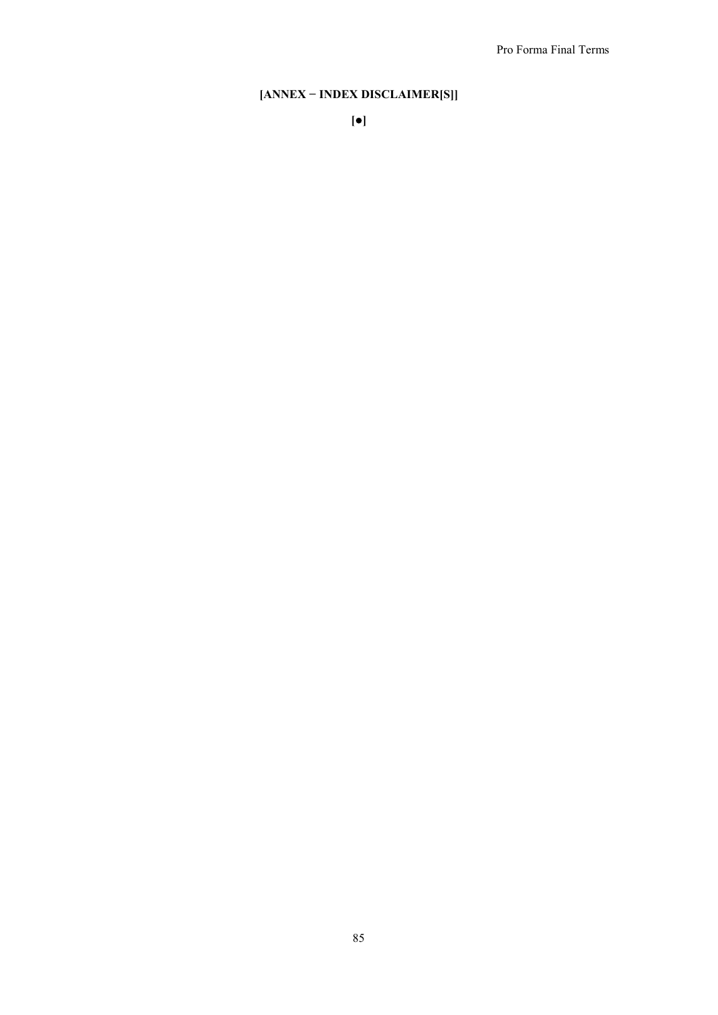# **[ANNEX − INDEX DISCLAIMER[S]]**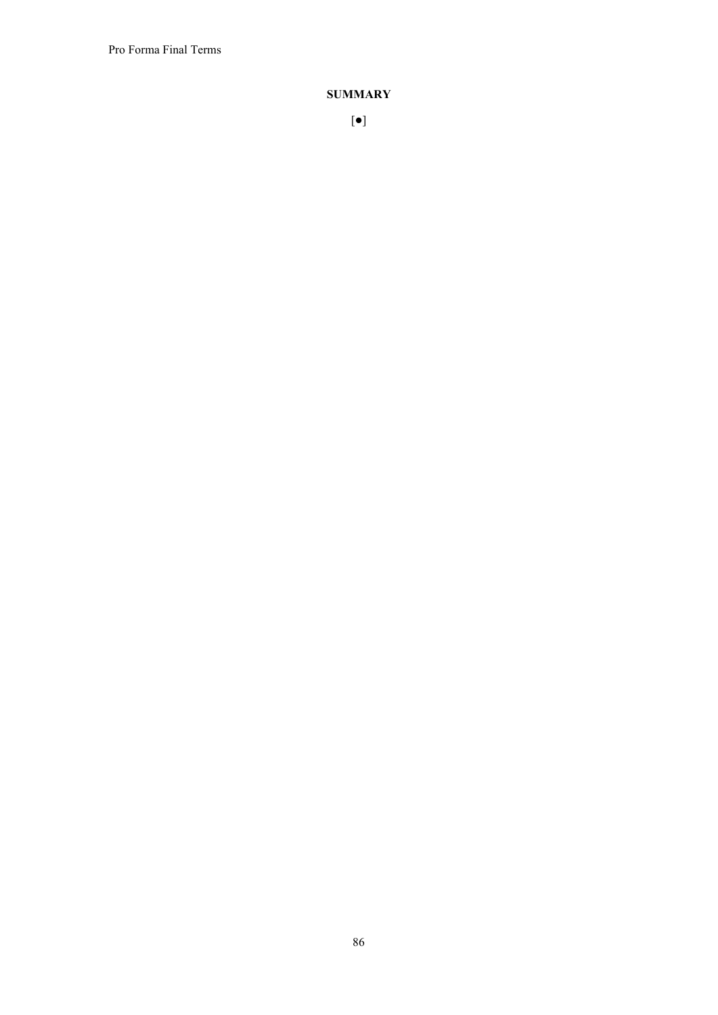Pro Forma Final Terms

# **SUMMARY**

86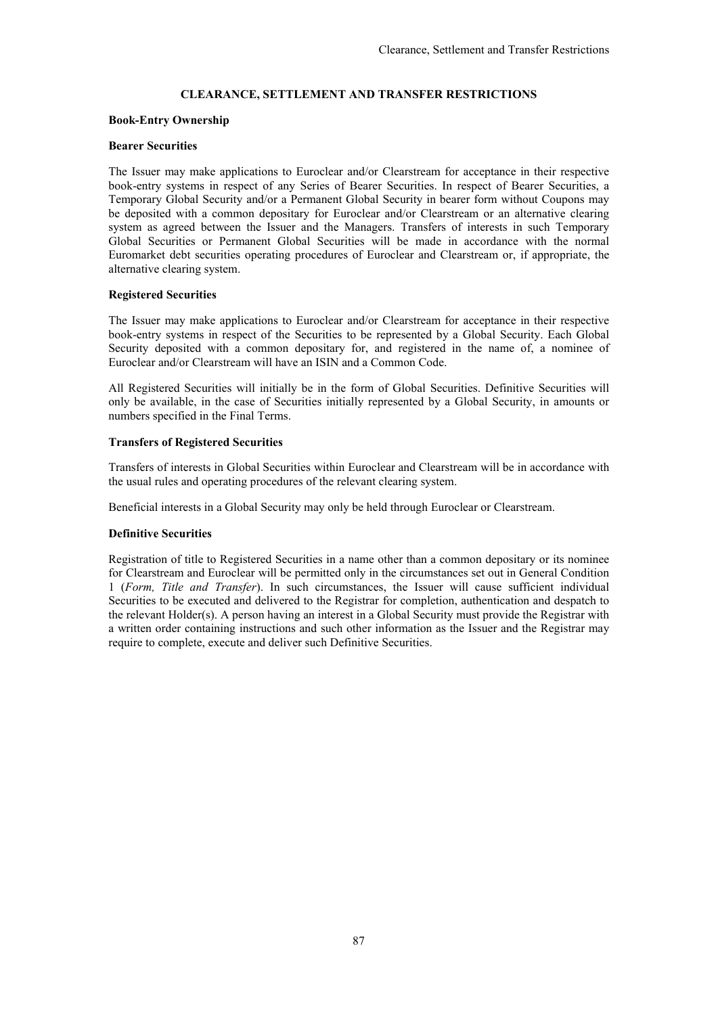# **CLEARANCE, SETTLEMENT AND TRANSFER RESTRICTIONS**

### **Book-Entry Ownership**

### **Bearer Securities**

The Issuer may make applications to Euroclear and/or Clearstream for acceptance in their respective book-entry systems in respect of any Series of Bearer Securities. In respect of Bearer Securities, a Temporary Global Security and/or a Permanent Global Security in bearer form without Coupons may be deposited with a common depositary for Euroclear and/or Clearstream or an alternative clearing system as agreed between the Issuer and the Managers. Transfers of interests in such Temporary Global Securities or Permanent Global Securities will be made in accordance with the normal Euromarket debt securities operating procedures of Euroclear and Clearstream or, if appropriate, the alternative clearing system.

### **Registered Securities**

The Issuer may make applications to Euroclear and/or Clearstream for acceptance in their respective book-entry systems in respect of the Securities to be represented by a Global Security. Each Global Security deposited with a common depositary for, and registered in the name of, a nominee of Euroclear and/or Clearstream will have an ISIN and a Common Code.

All Registered Securities will initially be in the form of Global Securities. Definitive Securities will only be available, in the case of Securities initially represented by a Global Security, in amounts or numbers specified in the Final Terms.

# **Transfers of Registered Securities**

Transfers of interests in Global Securities within Euroclear and Clearstream will be in accordance with the usual rules and operating procedures of the relevant clearing system.

Beneficial interests in a Global Security may only be held through Euroclear or Clearstream.

#### **Definitive Securities**

Registration of title to Registered Securities in a name other than a common depositary or its nominee for Clearstream and Euroclear will be permitted only in the circumstances set out in General Condition 1 (*Form, Title and Transfer*). In such circumstances, the Issuer will cause sufficient individual Securities to be executed and delivered to the Registrar for completion, authentication and despatch to the relevant Holder(s). A person having an interest in a Global Security must provide the Registrar with a written order containing instructions and such other information as the Issuer and the Registrar may require to complete, execute and deliver such Definitive Securities.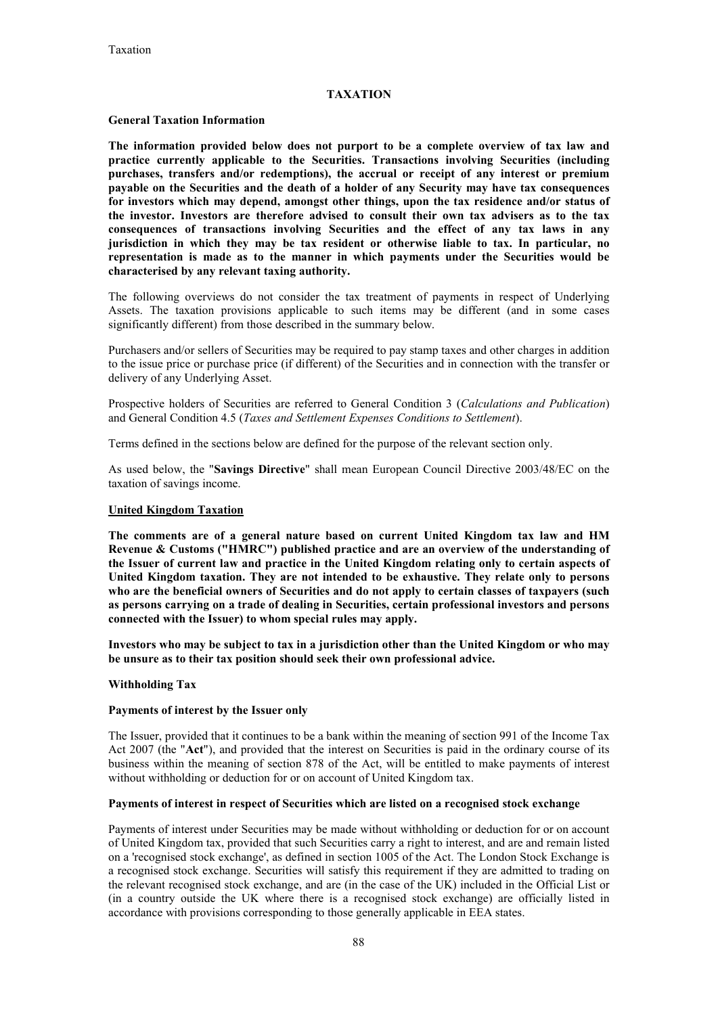# **TAXATION**

### **General Taxation Information**

**The information provided below does not purport to be a complete overview of tax law and practice currently applicable to the Securities. Transactions involving Securities (including purchases, transfers and/or redemptions), the accrual or receipt of any interest or premium payable on the Securities and the death of a holder of any Security may have tax consequences for investors which may depend, amongst other things, upon the tax residence and/or status of the investor. Investors are therefore advised to consult their own tax advisers as to the tax consequences of transactions involving Securities and the effect of any tax laws in any jurisdiction in which they may be tax resident or otherwise liable to tax. In particular, no representation is made as to the manner in which payments under the Securities would be characterised by any relevant taxing authority.**

The following overviews do not consider the tax treatment of payments in respect of Underlying Assets. The taxation provisions applicable to such items may be different (and in some cases significantly different) from those described in the summary below.

Purchasers and/or sellers of Securities may be required to pay stamp taxes and other charges in addition to the issue price or purchase price (if different) of the Securities and in connection with the transfer or delivery of any Underlying Asset.

Prospective holders of Securities are referred to General Condition 3 (*Calculations and Publication*) and General Condition 4.5 (*Taxes and Settlement Expenses Conditions to Settlement*).

Terms defined in the sections below are defined for the purpose of the relevant section only.

As used below, the "**Savings Directive**" shall mean European Council Directive 2003/48/EC on the taxation of savings income.

### **United Kingdom Taxation**

**The comments are of a general nature based on current United Kingdom tax law and HM Revenue & Customs ("HMRC") published practice and are an overview of the understanding of the Issuer of current law and practice in the United Kingdom relating only to certain aspects of United Kingdom taxation. They are not intended to be exhaustive. They relate only to persons who are the beneficial owners of Securities and do not apply to certain classes of taxpayers (such as persons carrying on a trade of dealing in Securities, certain professional investors and persons connected with the Issuer) to whom special rules may apply.**

**Investors who may be subject to tax in a jurisdiction other than the United Kingdom or who may be unsure as to their tax position should seek their own professional advice.**

#### **Withholding Tax**

#### **Payments of interest by the Issuer only**

The Issuer, provided that it continues to be a bank within the meaning of section 991 of the Income Tax Act 2007 (the "**Act**"), and provided that the interest on Securities is paid in the ordinary course of its business within the meaning of section 878 of the Act, will be entitled to make payments of interest without withholding or deduction for or on account of United Kingdom tax.

#### **Payments of interest in respect of Securities which are listed on a recognised stock exchange**

Payments of interest under Securities may be made without withholding or deduction for or on account of United Kingdom tax, provided that such Securities carry a right to interest, and are and remain listed on a 'recognised stock exchange', as defined in section 1005 of the Act. The London Stock Exchange is a recognised stock exchange. Securities will satisfy this requirement if they are admitted to trading on the relevant recognised stock exchange, and are (in the case of the UK) included in the Official List or (in a country outside the UK where there is a recognised stock exchange) are officially listed in accordance with provisions corresponding to those generally applicable in EEA states.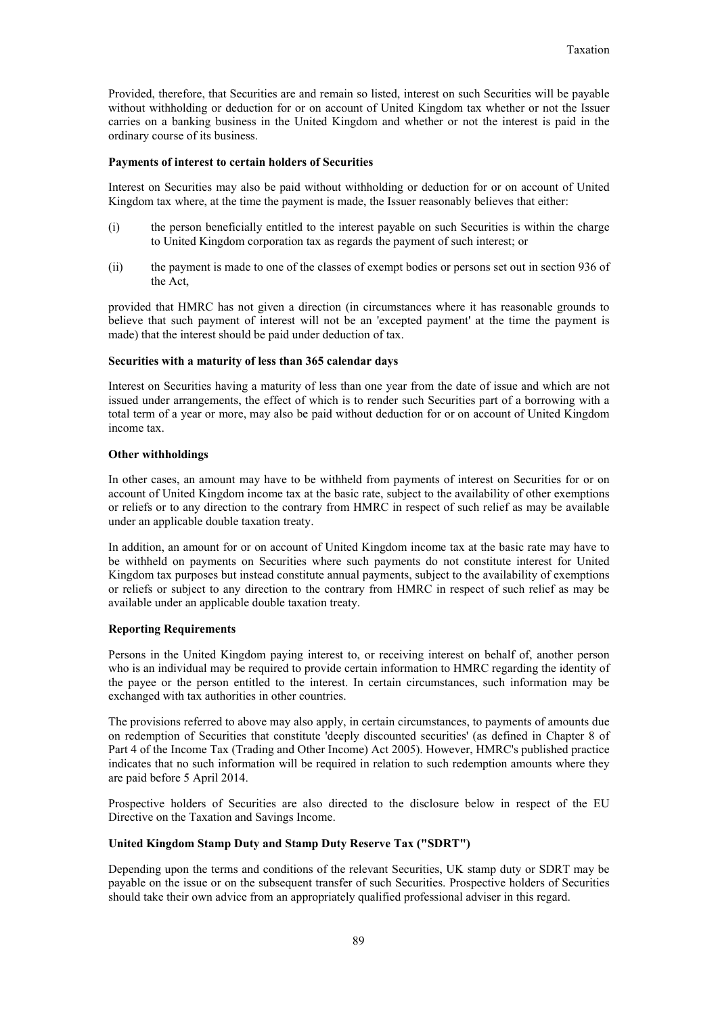Provided, therefore, that Securities are and remain so listed, interest on such Securities will be payable without withholding or deduction for or on account of United Kingdom tax whether or not the Issuer carries on a banking business in the United Kingdom and whether or not the interest is paid in the ordinary course of its business.

#### **Payments of interest to certain holders of Securities**

Interest on Securities may also be paid without withholding or deduction for or on account of United Kingdom tax where, at the time the payment is made, the Issuer reasonably believes that either:

- (i) the person beneficially entitled to the interest payable on such Securities is within the charge to United Kingdom corporation tax as regards the payment of such interest; or
- (ii) the payment is made to one of the classes of exempt bodies or persons set out in section 936 of the Act,

provided that HMRC has not given a direction (in circumstances where it has reasonable grounds to believe that such payment of interest will not be an 'excepted payment' at the time the payment is made) that the interest should be paid under deduction of tax.

### **Securities with a maturity of less than 365 calendar days**

Interest on Securities having a maturity of less than one year from the date of issue and which are not issued under arrangements, the effect of which is to render such Securities part of a borrowing with a total term of a year or more, may also be paid without deduction for or on account of United Kingdom income tax.

### **Other withholdings**

In other cases, an amount may have to be withheld from payments of interest on Securities for or on account of United Kingdom income tax at the basic rate, subject to the availability of other exemptions or reliefs or to any direction to the contrary from HMRC in respect of such relief as may be available under an applicable double taxation treaty.

In addition, an amount for or on account of United Kingdom income tax at the basic rate may have to be withheld on payments on Securities where such payments do not constitute interest for United Kingdom tax purposes but instead constitute annual payments, subject to the availability of exemptions or reliefs or subject to any direction to the contrary from HMRC in respect of such relief as may be available under an applicable double taxation treaty.

#### **Reporting Requirements**

Persons in the United Kingdom paying interest to, or receiving interest on behalf of, another person who is an individual may be required to provide certain information to HMRC regarding the identity of the payee or the person entitled to the interest. In certain circumstances, such information may be exchanged with tax authorities in other countries.

The provisions referred to above may also apply, in certain circumstances, to payments of amounts due on redemption of Securities that constitute 'deeply discounted securities' (as defined in Chapter 8 of Part 4 of the Income Tax (Trading and Other Income) Act 2005). However, HMRC's published practice indicates that no such information will be required in relation to such redemption amounts where they are paid before 5 April 2014.

Prospective holders of Securities are also directed to the disclosure below in respect of the EU Directive on the Taxation and Savings Income.

# **United Kingdom Stamp Duty and Stamp Duty Reserve Tax ("SDRT")**

Depending upon the terms and conditions of the relevant Securities, UK stamp duty or SDRT may be payable on the issue or on the subsequent transfer of such Securities. Prospective holders of Securities should take their own advice from an appropriately qualified professional adviser in this regard.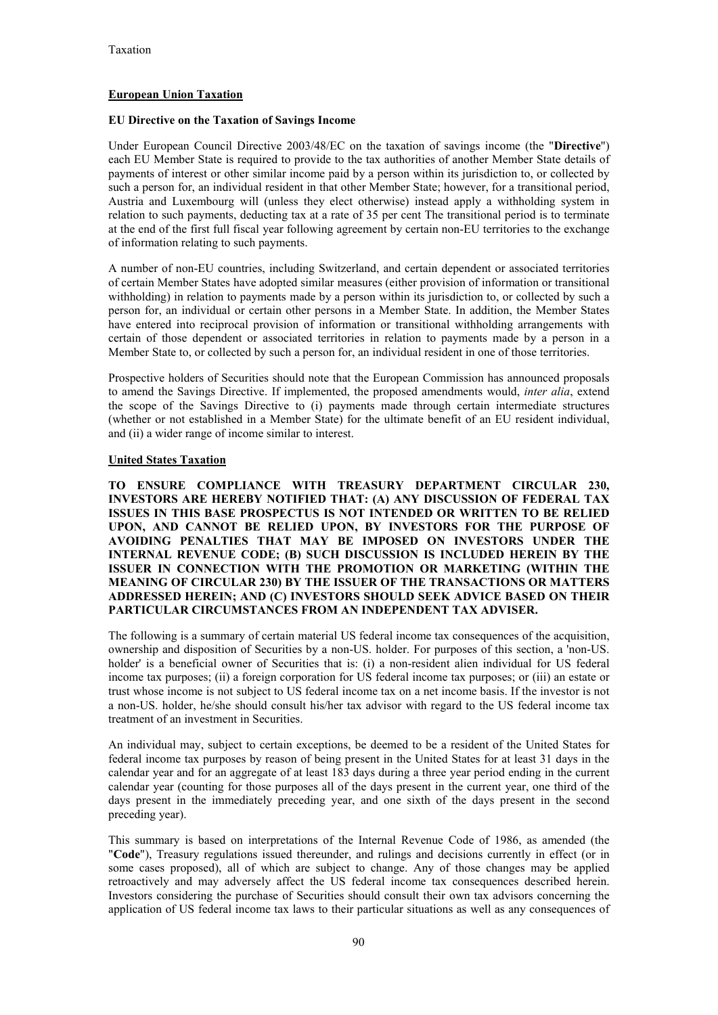# **European Union Taxation**

# **EU Directive on the Taxation of Savings Income**

Under European Council Directive 2003/48/EC on the taxation of savings income (the "**Directive**") each EU Member State is required to provide to the tax authorities of another Member State details of payments of interest or other similar income paid by a person within its jurisdiction to, or collected by such a person for, an individual resident in that other Member State; however, for a transitional period, Austria and Luxembourg will (unless they elect otherwise) instead apply a withholding system in relation to such payments, deducting tax at a rate of 35 per cent The transitional period is to terminate at the end of the first full fiscal year following agreement by certain non-EU territories to the exchange of information relating to such payments.

A number of non-EU countries, including Switzerland, and certain dependent or associated territories of certain Member States have adopted similar measures (either provision of information or transitional withholding) in relation to payments made by a person within its jurisdiction to, or collected by such a person for, an individual or certain other persons in a Member State. In addition, the Member States have entered into reciprocal provision of information or transitional withholding arrangements with certain of those dependent or associated territories in relation to payments made by a person in a Member State to, or collected by such a person for, an individual resident in one of those territories.

Prospective holders of Securities should note that the European Commission has announced proposals to amend the Savings Directive. If implemented, the proposed amendments would, *inter alia*, extend the scope of the Savings Directive to (i) payments made through certain intermediate structures (whether or not established in a Member State) for the ultimate benefit of an EU resident individual, and (ii) a wider range of income similar to interest.

# **United States Taxation**

**TO ENSURE COMPLIANCE WITH TREASURY DEPARTMENT CIRCULAR 230, INVESTORS ARE HEREBY NOTIFIED THAT: (A) ANY DISCUSSION OF FEDERAL TAX ISSUES IN THIS BASE PROSPECTUS IS NOT INTENDED OR WRITTEN TO BE RELIED UPON, AND CANNOT BE RELIED UPON, BY INVESTORS FOR THE PURPOSE OF AVOIDING PENALTIES THAT MAY BE IMPOSED ON INVESTORS UNDER THE INTERNAL REVENUE CODE; (B) SUCH DISCUSSION IS INCLUDED HEREIN BY THE ISSUER IN CONNECTION WITH THE PROMOTION OR MARKETING (WITHIN THE MEANING OF CIRCULAR 230) BY THE ISSUER OF THE TRANSACTIONS OR MATTERS ADDRESSED HEREIN; AND (C) INVESTORS SHOULD SEEK ADVICE BASED ON THEIR PARTICULAR CIRCUMSTANCES FROM AN INDEPENDENT TAX ADVISER.**

The following is a summary of certain material US federal income tax consequences of the acquisition, ownership and disposition of Securities by a non-US. holder. For purposes of this section, a 'non-US. holder' is a beneficial owner of Securities that is: (i) a non-resident alien individual for US federal income tax purposes; (ii) a foreign corporation for US federal income tax purposes; or (iii) an estate or trust whose income is not subject to US federal income tax on a net income basis. If the investor is not a non-US. holder, he/she should consult his/her tax advisor with regard to the US federal income tax treatment of an investment in Securities.

An individual may, subject to certain exceptions, be deemed to be a resident of the United States for federal income tax purposes by reason of being present in the United States for at least 31 days in the calendar year and for an aggregate of at least 183 days during a three year period ending in the current calendar year (counting for those purposes all of the days present in the current year, one third of the days present in the immediately preceding year, and one sixth of the days present in the second preceding year).

This summary is based on interpretations of the Internal Revenue Code of 1986, as amended (the "**Code**"), Treasury regulations issued thereunder, and rulings and decisions currently in effect (or in some cases proposed), all of which are subject to change. Any of those changes may be applied retroactively and may adversely affect the US federal income tax consequences described herein. Investors considering the purchase of Securities should consult their own tax advisors concerning the application of US federal income tax laws to their particular situations as well as any consequences of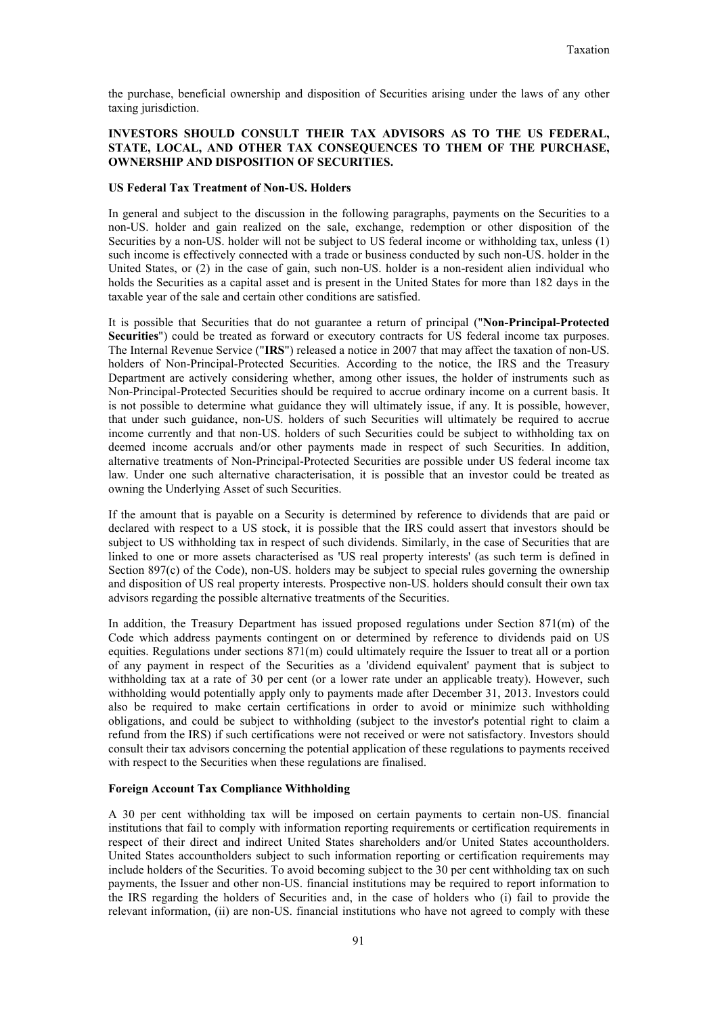the purchase, beneficial ownership and disposition of Securities arising under the laws of any other taxing jurisdiction.

# **INVESTORS SHOULD CONSULT THEIR TAX ADVISORS AS TO THE US FEDERAL, STATE, LOCAL, AND OTHER TAX CONSEQUENCES TO THEM OF THE PURCHASE, OWNERSHIP AND DISPOSITION OF SECURITIES.**

#### **US Federal Tax Treatment of Non-US. Holders**

In general and subject to the discussion in the following paragraphs, payments on the Securities to a non-US. holder and gain realized on the sale, exchange, redemption or other disposition of the Securities by a non-US. holder will not be subject to US federal income or withholding tax, unless (1) such income is effectively connected with a trade or business conducted by such non-US. holder in the United States, or (2) in the case of gain, such non-US. holder is a non-resident alien individual who holds the Securities as a capital asset and is present in the United States for more than 182 days in the taxable year of the sale and certain other conditions are satisfied.

It is possible that Securities that do not guarantee a return of principal ("**Non-Principal-Protected Securities**") could be treated as forward or executory contracts for US federal income tax purposes. The Internal Revenue Service ("**IRS**") released a notice in 2007 that may affect the taxation of non-US. holders of Non-Principal-Protected Securities. According to the notice, the IRS and the Treasury Department are actively considering whether, among other issues, the holder of instruments such as Non-Principal-Protected Securities should be required to accrue ordinary income on a current basis. It is not possible to determine what guidance they will ultimately issue, if any. It is possible, however, that under such guidance, non-US. holders of such Securities will ultimately be required to accrue income currently and that non-US. holders of such Securities could be subject to withholding tax on deemed income accruals and/or other payments made in respect of such Securities. In addition, alternative treatments of Non-Principal-Protected Securities are possible under US federal income tax law. Under one such alternative characterisation, it is possible that an investor could be treated as owning the Underlying Asset of such Securities.

If the amount that is payable on a Security is determined by reference to dividends that are paid or declared with respect to a US stock, it is possible that the IRS could assert that investors should be subject to US withholding tax in respect of such dividends. Similarly, in the case of Securities that are linked to one or more assets characterised as 'US real property interests' (as such term is defined in Section 897(c) of the Code), non-US. holders may be subject to special rules governing the ownership and disposition of US real property interests. Prospective non-US. holders should consult their own tax advisors regarding the possible alternative treatments of the Securities.

In addition, the Treasury Department has issued proposed regulations under Section 871(m) of the Code which address payments contingent on or determined by reference to dividends paid on US equities. Regulations under sections 871(m) could ultimately require the Issuer to treat all or a portion of any payment in respect of the Securities as a 'dividend equivalent' payment that is subject to withholding tax at a rate of 30 per cent (or a lower rate under an applicable treaty). However, such withholding would potentially apply only to payments made after December 31, 2013. Investors could also be required to make certain certifications in order to avoid or minimize such withholding obligations, and could be subject to withholding (subject to the investor's potential right to claim a refund from the IRS) if such certifications were not received or were not satisfactory. Investors should consult their tax advisors concerning the potential application of these regulations to payments received with respect to the Securities when these regulations are finalised.

# **Foreign Account Tax Compliance Withholding**

A 30 per cent withholding tax will be imposed on certain payments to certain non-US. financial institutions that fail to comply with information reporting requirements or certification requirements in respect of their direct and indirect United States shareholders and/or United States accountholders. United States accountholders subject to such information reporting or certification requirements may include holders of the Securities. To avoid becoming subject to the 30 per cent withholding tax on such payments, the Issuer and other non-US. financial institutions may be required to report information to the IRS regarding the holders of Securities and, in the case of holders who (i) fail to provide the relevant information, (ii) are non-US. financial institutions who have not agreed to comply with these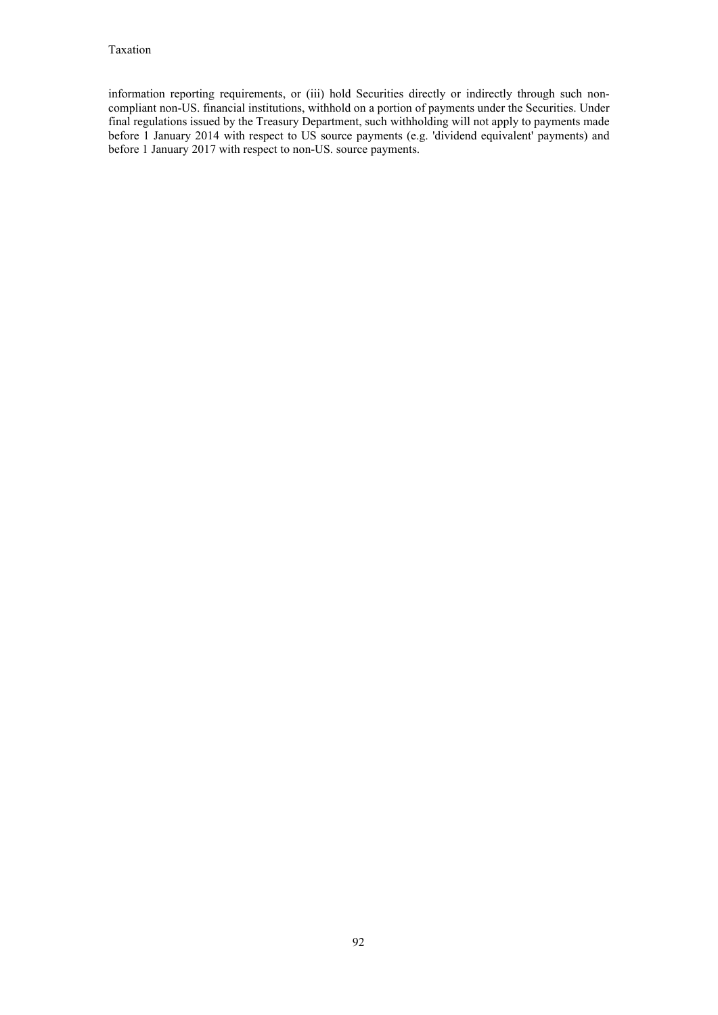information reporting requirements, or (iii) hold Securities directly or indirectly through such noncompliant non-US. financial institutions, withhold on a portion of payments under the Securities. Under final regulations issued by the Treasury Department, such withholding will not apply to payments made final regulations issued by the Treasury Department, such withholding will not apply to payments made before 1 January 2014 with respect to US source payments (e.g. 'dividend equivalent' payments) and before 1 January 2017 with respect to non-US. source payments.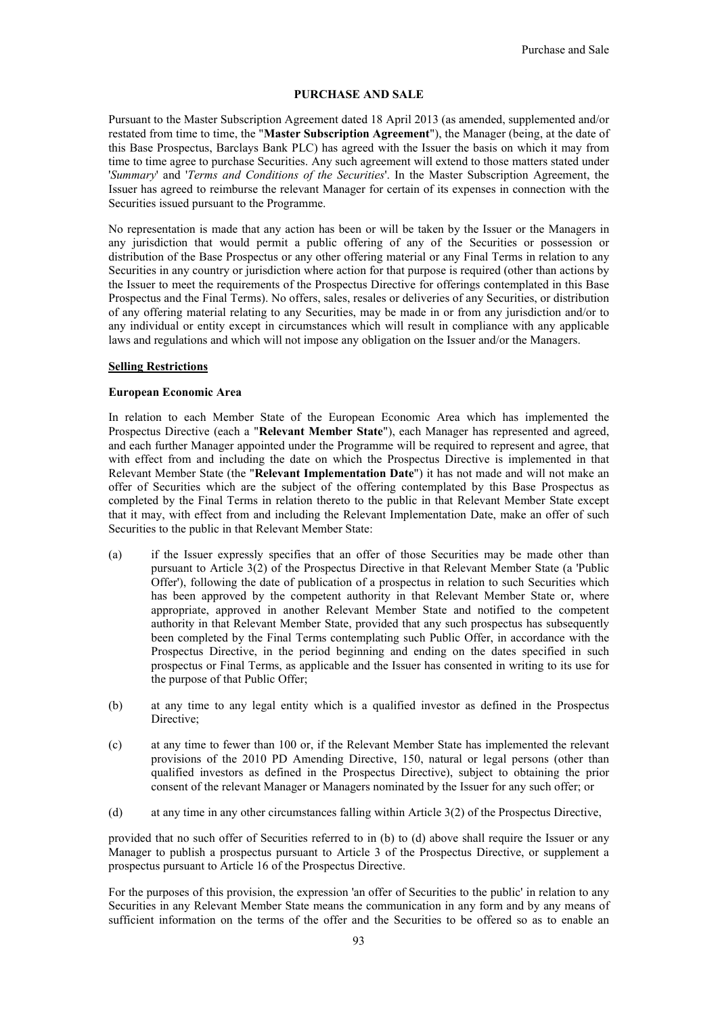#### **PURCHASE AND SALE**

Pursuant to the Master Subscription Agreement dated 18 April 2013 (as amended, supplemented and/or restated from time to time, the "**Master Subscription Agreement**"), the Manager (being, at the date of this Base Prospectus, Barclays Bank PLC) has agreed with the Issuer the basis on which it may from time to time agree to purchase Securities. Any such agreement will extend to those matters stated under '*Summary*' and '*Terms and Conditions of the Securities*'. In the Master Subscription Agreement, the Issuer has agreed to reimburse the relevant Manager for certain of its expenses in connection with the Securities issued pursuant to the Programme.

No representation is made that any action has been or will be taken by the Issuer or the Managers in any jurisdiction that would permit a public offering of any of the Securities or possession or distribution of the Base Prospectus or any other offering material or any Final Terms in relation to any Securities in any country or jurisdiction where action for that purpose is required (other than actions by the Issuer to meet the requirements of the Prospectus Directive for offerings contemplated in this Base Prospectus and the Final Terms). No offers, sales, resales or deliveries of any Securities, or distribution of any offering material relating to any Securities, may be made in or from any jurisdiction and/or to any individual or entity except in circumstances which will result in compliance with any applicable laws and regulations and which will not impose any obligation on the Issuer and/or the Managers.

#### **Selling Restrictions**

#### **European Economic Area**

In relation to each Member State of the European Economic Area which has implemented the Prospectus Directive (each a "**Relevant Member State**"), each Manager has represented and agreed, and each further Manager appointed under the Programme will be required to represent and agree, that with effect from and including the date on which the Prospectus Directive is implemented in that Relevant Member State (the "**Relevant Implementation Date**") it has not made and will not make an offer of Securities which are the subject of the offering contemplated by this Base Prospectus as completed by the Final Terms in relation thereto to the public in that Relevant Member State except that it may, with effect from and including the Relevant Implementation Date, make an offer of such Securities to the public in that Relevant Member State:

- (a) if the Issuer expressly specifies that an offer of those Securities may be made other than pursuant to Article 3(2) of the Prospectus Directive in that Relevant Member State (a 'Public Offer'), following the date of publication of a prospectus in relation to such Securities which has been approved by the competent authority in that Relevant Member State or, where appropriate, approved in another Relevant Member State and notified to the competent authority in that Relevant Member State, provided that any such prospectus has subsequently been completed by the Final Terms contemplating such Public Offer, in accordance with the Prospectus Directive, in the period beginning and ending on the dates specified in such prospectus or Final Terms, as applicable and the Issuer has consented in writing to its use for the purpose of that Public Offer;
- (b) at any time to any legal entity which is a qualified investor as defined in the Prospectus Directive;
- (c) at any time to fewer than 100 or, if the Relevant Member State has implemented the relevant provisions of the 2010 PD Amending Directive, 150, natural or legal persons (other than qualified investors as defined in the Prospectus Directive), subject to obtaining the prior consent of the relevant Manager or Managers nominated by the Issuer for any such offer; or
- (d) at any time in any other circumstances falling within Article 3(2) of the Prospectus Directive,

provided that no such offer of Securities referred to in (b) to (d) above shall require the Issuer or any Manager to publish a prospectus pursuant to Article 3 of the Prospectus Directive, or supplement a prospectus pursuant to Article 16 of the Prospectus Directive.

For the purposes of this provision, the expression 'an offer of Securities to the public' in relation to any Securities in any Relevant Member State means the communication in any form and by any means of sufficient information on the terms of the offer and the Securities to be offered so as to enable an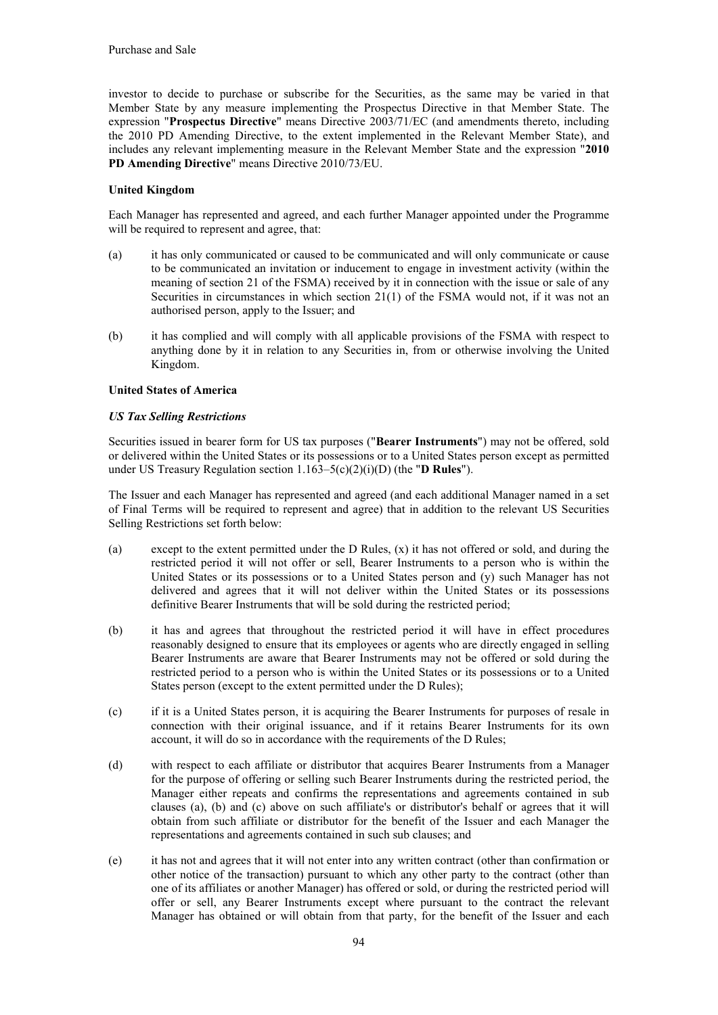investor to decide to purchase or subscribe for the Securities, as the same may be varied in that Member State by any measure implementing the Prospectus Directive in that Member State. The expression "**Prospectus Directive**" means Directive 2003/71/EC (and amendments thereto, including the 2010 PD Amending Directive, to the extent implemented in the Relevant Member State), and includes any relevant implementing measure in the Relevant Member State and the expression "**2010 PD Amending Directive**" means Directive 2010/73/EU.

# **United Kingdom**

Each Manager has represented and agreed, and each further Manager appointed under the Programme will be required to represent and agree, that:

- (a) it has only communicated or caused to be communicated and will only communicate or cause to be communicated an invitation or inducement to engage in investment activity (within the meaning of section 21 of the FSMA) received by it in connection with the issue or sale of any Securities in circumstances in which section 21(1) of the FSMA would not, if it was not an authorised person, apply to the Issuer; and
- (b) it has complied and will comply with all applicable provisions of the FSMA with respect to anything done by it in relation to any Securities in, from or otherwise involving the United Kingdom.

# **United States of America**

# *US Tax Selling Restrictions*

Securities issued in bearer form for US tax purposes ("**Bearer Instruments**") may not be offered, sold or delivered within the United States or its possessions or to a United States person except as permitted under US Treasury Regulation section 1.163–5(c)(2)(i)(D) (the "**D Rules**").

The Issuer and each Manager has represented and agreed (and each additional Manager named in a set of Final Terms will be required to represent and agree) that in addition to the relevant US Securities Selling Restrictions set forth below:

- (a) except to the extent permitted under the D Rules,  $(x)$  it has not offered or sold, and during the restricted period it will not offer or sell, Bearer Instruments to a person who is within the United States or its possessions or to a United States person and (y) such Manager has not delivered and agrees that it will not deliver within the United States or its possessions definitive Bearer Instruments that will be sold during the restricted period;
- (b) it has and agrees that throughout the restricted period it will have in effect procedures reasonably designed to ensure that its employees or agents who are directly engaged in selling Bearer Instruments are aware that Bearer Instruments may not be offered or sold during the restricted period to a person who is within the United States or its possessions or to a United States person (except to the extent permitted under the D Rules);
- (c) if it is a United States person, it is acquiring the Bearer Instruments for purposes of resale in connection with their original issuance, and if it retains Bearer Instruments for its own account, it will do so in accordance with the requirements of the D Rules;
- (d) with respect to each affiliate or distributor that acquires Bearer Instruments from a Manager for the purpose of offering or selling such Bearer Instruments during the restricted period, the Manager either repeats and confirms the representations and agreements contained in sub clauses (a), (b) and (c) above on such affiliate's or distributor's behalf or agrees that it will obtain from such affiliate or distributor for the benefit of the Issuer and each Manager the representations and agreements contained in such sub clauses; and
- (e) it has not and agrees that it will not enter into any written contract (other than confirmation or other notice of the transaction) pursuant to which any other party to the contract (other than one of its affiliates or another Manager) has offered or sold, or during the restricted period will offer or sell, any Bearer Instruments except where pursuant to the contract the relevant Manager has obtained or will obtain from that party, for the benefit of the Issuer and each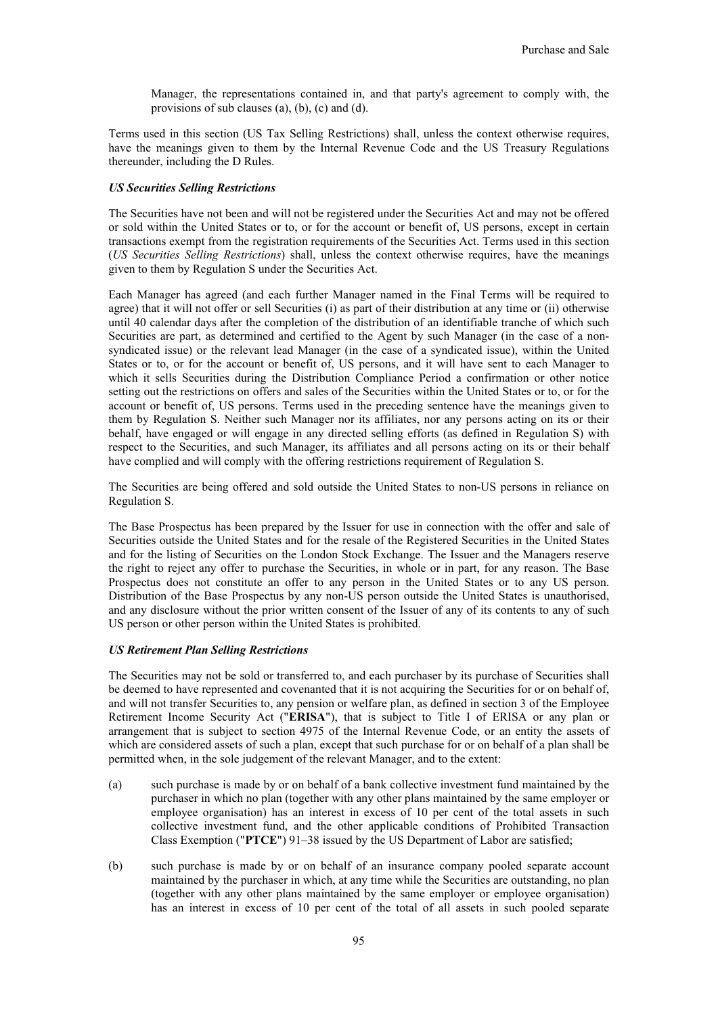Manager, the representations contained in, and that party's agreement to comply with, the provisions of sub clauses (a), (b), (c) and (d).

Terms used in this section (US Tax Selling Restrictions) shall, unless the context otherwise requires, have the meanings given to them by the Internal Revenue Code and the US Treasury Regulations thereunder, including the D Rules.

#### *US Securities Selling Restrictions*

The Securities have not been and will not be registered under the Securities Act and may not be offered or sold within the United States or to, or for the account or benefit of, US persons, except in certain transactions exempt from the registration requirements of the Securities Act. Terms used in this section (*US Securities Selling Restrictions*) shall, unless the context otherwise requires, have the meanings given to them by Regulation S under the Securities Act.

Each Manager has agreed (and each further Manager named in the Final Terms will be required to agree) that it will not offer or sell Securities (i) as part of their distribution at any time or (ii) otherwise until 40 calendar days after the completion of the distribution of an identifiable tranche of which such Securities are part, as determined and certified to the Agent by such Manager (in the case of a nonsyndicated issue) or the relevant lead Manager (in the case of a syndicated issue), within the United States or to, or for the account or benefit of, US persons, and it will have sent to each Manager to which it sells Securities during the Distribution Compliance Period a confirmation or other notice setting out the restrictions on offers and sales of the Securities within the United States or to, or for the account or benefit of, US persons. Terms used in the preceding sentence have the meanings given to them by Regulation S. Neither such Manager nor its affiliates, nor any persons acting on its or their behalf, have engaged or will engage in any directed selling efforts (as defined in Regulation S) with respect to the Securities, and such Manager, its affiliates and all persons acting on its or their behalf have complied and will comply with the offering restrictions requirement of Regulation S.

The Securities are being offered and sold outside the United States to non-US persons in reliance on Regulation S.

The Base Prospectus has been prepared by the Issuer for use in connection with the offer and sale of Securities outside the United States and for the resale of the Registered Securities in the United States and for the listing of Securities on the London Stock Exchange. The Issuer and the Managers reserve the right to reject any offer to purchase the Securities, in whole or in part, for any reason. The Base Prospectus does not constitute an offer to any person in the United States or to any US person. Distribution of the Base Prospectus by any non-US person outside the United States is unauthorised, and any disclosure without the prior written consent of the Issuer of any of its contents to any of such US person or other person within the United States is prohibited.

#### *US Retirement Plan Selling Restrictions*

The Securities may not be sold or transferred to, and each purchaser by its purchase of Securities shall be deemed to have represented and covenanted that it is not acquiring the Securities for or on behalf of, and will not transfer Securities to, any pension or welfare plan, as defined in section 3 of the Employee Retirement Income Security Act ("**ERISA**"), that is subject to Title I of ERISA or any plan or arrangement that is subject to section 4975 of the Internal Revenue Code, or an entity the assets of which are considered assets of such a plan, except that such purchase for or on behalf of a plan shall be permitted when, in the sole judgement of the relevant Manager, and to the extent:

- (a) such purchase is made by or on behalf of a bank collective investment fund maintained by the purchaser in which no plan (together with any other plans maintained by the same employer or employee organisation) has an interest in excess of 10 per cent of the total assets in such collective investment fund, and the other applicable conditions of Prohibited Transaction Class Exemption ("**PTCE**") 91–38 issued by the US Department of Labor are satisfied;
- (b) such purchase is made by or on behalf of an insurance company pooled separate account maintained by the purchaser in which, at any time while the Securities are outstanding, no plan (together with any other plans maintained by the same employer or employee organisation) has an interest in excess of 10 per cent of the total of all assets in such pooled separate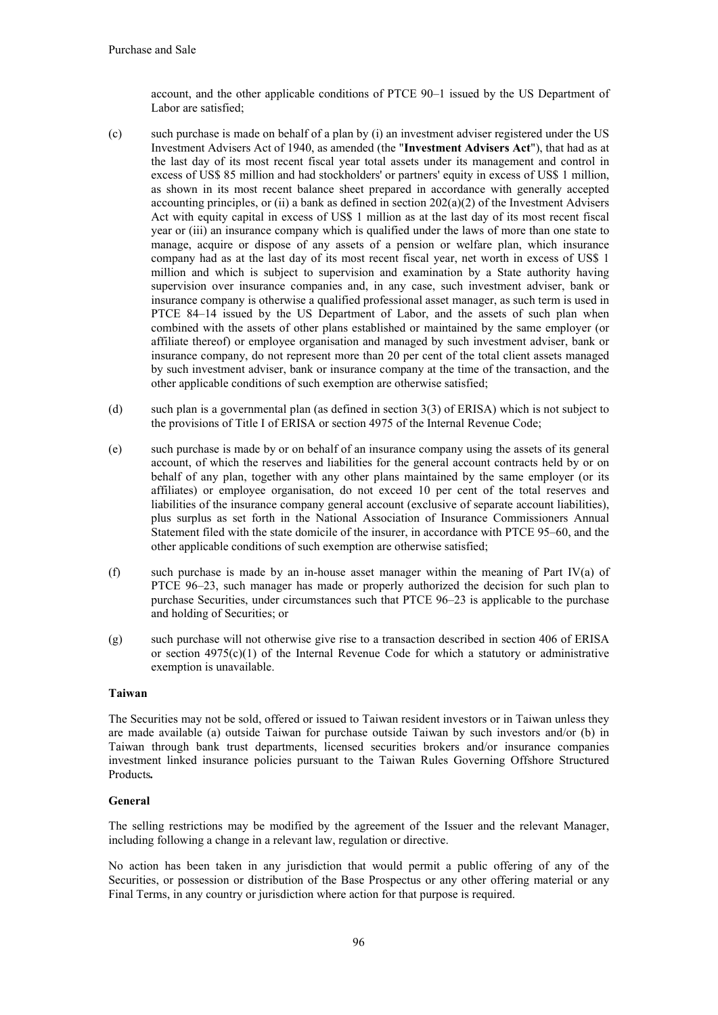account, and the other applicable conditions of PTCE 90–1 issued by the US Department of Labor are satisfied;

- (c) such purchase is made on behalf of a plan by (i) an investment adviser registered under the US Investment Advisers Act of 1940, as amended (the "**Investment Advisers Act**"), that had as at the last day of its most recent fiscal year total assets under its management and control in excess of US\$ 85 million and had stockholders' or partners' equity in excess of US\$ 1 million, as shown in its most recent balance sheet prepared in accordance with generally accepted accounting principles, or (ii) a bank as defined in section  $202(a)(2)$  of the Investment Advisers Act with equity capital in excess of US\$ 1 million as at the last day of its most recent fiscal year or (iii) an insurance company which is qualified under the laws of more than one state to manage, acquire or dispose of any assets of a pension or welfare plan, which insurance company had as at the last day of its most recent fiscal year, net worth in excess of US\$ 1 million and which is subject to supervision and examination by a State authority having supervision over insurance companies and, in any case, such investment adviser, bank or insurance company is otherwise a qualified professional asset manager, as such term is used in PTCE 84–14 issued by the US Department of Labor, and the assets of such plan when combined with the assets of other plans established or maintained by the same employer (or affiliate thereof) or employee organisation and managed by such investment adviser, bank or insurance company, do not represent more than 20 per cent of the total client assets managed by such investment adviser, bank or insurance company at the time of the transaction, and the other applicable conditions of such exemption are otherwise satisfied;
- (d) such plan is a governmental plan (as defined in section 3(3) of ERISA) which is not subject to the provisions of Title I of ERISA or section 4975 of the Internal Revenue Code;
- (e) such purchase is made by or on behalf of an insurance company using the assets of its general account, of which the reserves and liabilities for the general account contracts held by or on behalf of any plan, together with any other plans maintained by the same employer (or its affiliates) or employee organisation, do not exceed 10 per cent of the total reserves and liabilities of the insurance company general account (exclusive of separate account liabilities), plus surplus as set forth in the National Association of Insurance Commissioners Annual Statement filed with the state domicile of the insurer, in accordance with PTCE 95–60, and the other applicable conditions of such exemption are otherwise satisfied;
- (f) such purchase is made by an in-house asset manager within the meaning of Part IV(a) of PTCE 96–23, such manager has made or properly authorized the decision for such plan to purchase Securities, under circumstances such that PTCE 96–23 is applicable to the purchase and holding of Securities; or
- (g) such purchase will not otherwise give rise to a transaction described in section 406 of ERISA or section  $4975(c)(1)$  of the Internal Revenue Code for which a statutory or administrative exemption is unavailable.

### **Taiwan**

The Securities may not be sold, offered or issued to Taiwan resident investors or in Taiwan unless they are made available (a) outside Taiwan for purchase outside Taiwan by such investors and/or (b) in Taiwan through bank trust departments, licensed securities brokers and/or insurance companies investment linked insurance policies pursuant to the Taiwan Rules Governing Offshore Structured Products*.*

# **General**

The selling restrictions may be modified by the agreement of the Issuer and the relevant Manager, including following a change in a relevant law, regulation or directive.

No action has been taken in any jurisdiction that would permit a public offering of any of the Securities, or possession or distribution of the Base Prospectus or any other offering material or any Final Terms, in any country or jurisdiction where action for that purpose is required.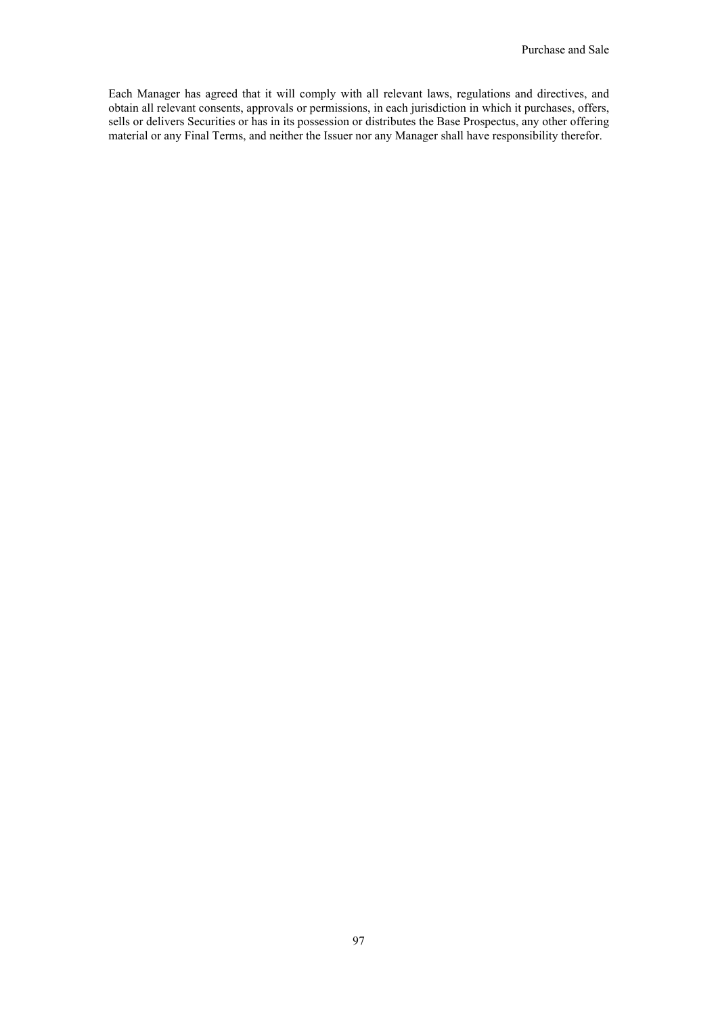Each Manager has agreed that it will comply with all relevant laws, regulations and directives, and obtain all relevant consents, approvals or permissions, in each jurisdiction in which it purchases, offers, sells or delivers Securities or has in its possession or distributes the Base Prospectus, any other offering material or any Final Terms, and neither the Issuer nor any Manager shall have responsibility therefor.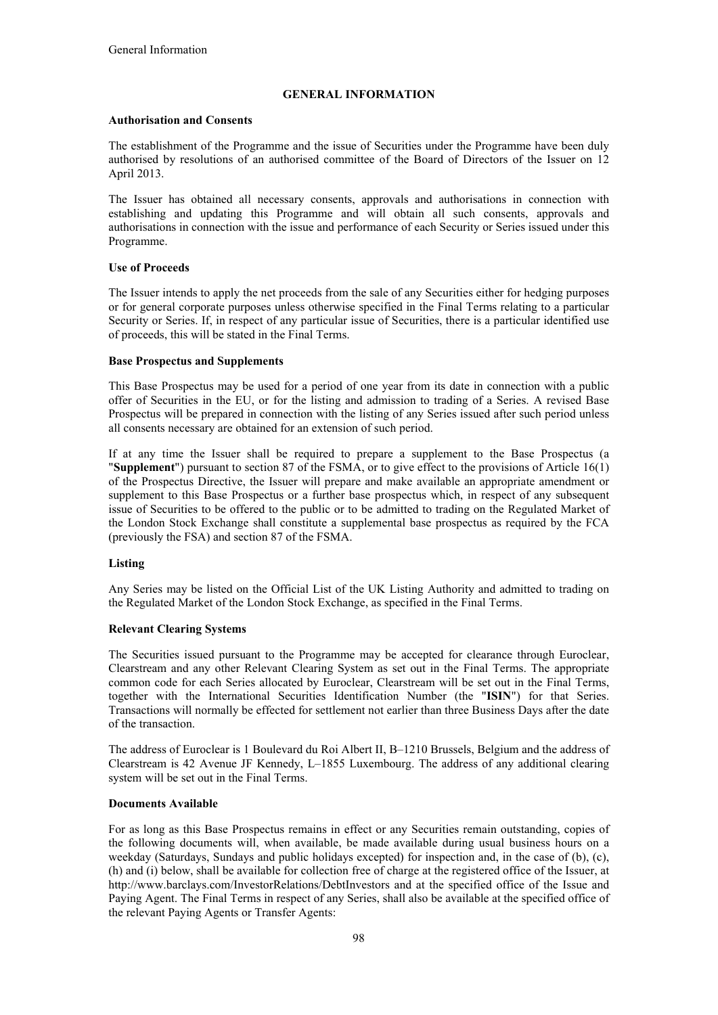# **GENERAL INFORMATION**

### **Authorisation and Consents**

The establishment of the Programme and the issue of Securities under the Programme have been duly authorised by resolutions of an authorised committee of the Board of Directors of the Issuer on 12 April 2013.

The Issuer has obtained all necessary consents, approvals and authorisations in connection with establishing and updating this Programme and will obtain all such consents, approvals and authorisations in connection with the issue and performance of each Security or Series issued under this Programme.

### **Use of Proceeds**

The Issuer intends to apply the net proceeds from the sale of any Securities either for hedging purposes or for general corporate purposes unless otherwise specified in the Final Terms relating to a particular Security or Series. If, in respect of any particular issue of Securities, there is a particular identified use of proceeds, this will be stated in the Final Terms.

### **Base Prospectus and Supplements**

This Base Prospectus may be used for a period of one year from its date in connection with a public offer of Securities in the EU, or for the listing and admission to trading of a Series. A revised Base Prospectus will be prepared in connection with the listing of any Series issued after such period unless all consents necessary are obtained for an extension of such period.

If at any time the Issuer shall be required to prepare a supplement to the Base Prospectus (a "**Supplement**") pursuant to section 87 of the FSMA, or to give effect to the provisions of Article 16(1) of the Prospectus Directive, the Issuer will prepare and make available an appropriate amendment or supplement to this Base Prospectus or a further base prospectus which, in respect of any subsequent issue of Securities to be offered to the public or to be admitted to trading on the Regulated Market of the London Stock Exchange shall constitute a supplemental base prospectus as required by the FCA (previously the FSA) and section 87 of the FSMA.

# **Listing**

Any Series may be listed on the Official List of the UK Listing Authority and admitted to trading on the Regulated Market of the London Stock Exchange, as specified in the Final Terms.

# **Relevant Clearing Systems**

The Securities issued pursuant to the Programme may be accepted for clearance through Euroclear, Clearstream and any other Relevant Clearing System as set out in the Final Terms. The appropriate common code for each Series allocated by Euroclear, Clearstream will be set out in the Final Terms, together with the International Securities Identification Number (the "**ISIN**") for that Series. Transactions will normally be effected for settlement not earlier than three Business Days after the date of the transaction.

The address of Euroclear is 1 Boulevard du Roi Albert II, B–1210 Brussels, Belgium and the address of Clearstream is 42 Avenue JF Kennedy, L–1855 Luxembourg. The address of any additional clearing system will be set out in the Final Terms.

#### **Documents Available**

For as long as this Base Prospectus remains in effect or any Securities remain outstanding, copies of the following documents will, when available, be made available during usual business hours on a weekday (Saturdays, Sundays and public holidays excepted) for inspection and, in the case of (b), (c), (h) and (i) below, shall be available for collection free of charge at the registered office of the Issuer, at http://www.barclays.com/InvestorRelations/DebtInvestors and at the specified office of the Issue and Paying Agent. The Final Terms in respect of any Series, shall also be available at the specified office of the relevant Paying Agents or Transfer Agents: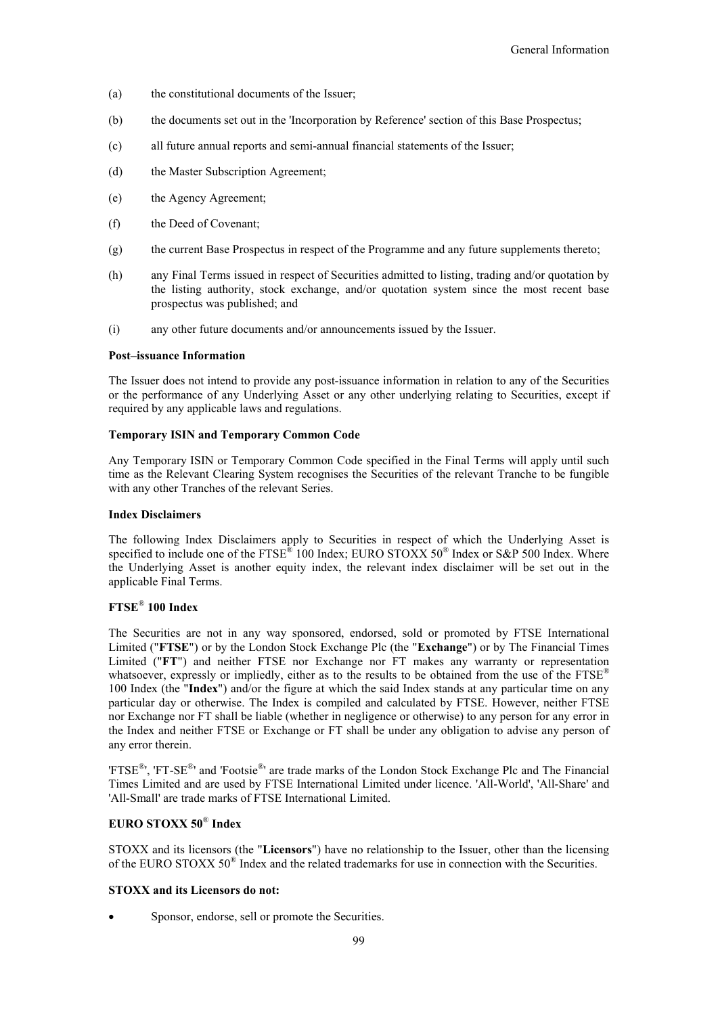- (a) the constitutional documents of the Issuer;
- (b) the documents set out in the 'Incorporation by Reference' section of this Base Prospectus;
- (c) all future annual reports and semi-annual financial statements of the Issuer;
- (d) the Master Subscription Agreement;
- (e) the Agency Agreement;
- (f) the Deed of Covenant;
- (g) the current Base Prospectus in respect of the Programme and any future supplements thereto;
- (h) any Final Terms issued in respect of Securities admitted to listing, trading and/or quotation by the listing authority, stock exchange, and/or quotation system since the most recent base prospectus was published; and
- (i) any other future documents and/or announcements issued by the Issuer.

#### **Post–issuance Information**

The Issuer does not intend to provide any post-issuance information in relation to any of the Securities or the performance of any Underlying Asset or any other underlying relating to Securities, except if required by any applicable laws and regulations.

#### **Temporary ISIN and Temporary Common Code**

Any Temporary ISIN or Temporary Common Code specified in the Final Terms will apply until such time as the Relevant Clearing System recognises the Securities of the relevant Tranche to be fungible with any other Tranches of the relevant Series.

### **Index Disclaimers**

The following Index Disclaimers apply to Securities in respect of which the Underlying Asset is specified to include one of the FTSE<sup>®</sup> 100 Index; EURO STOXX 50<sup>®</sup> Index or S&P 500 Index. Where the Underlying Asset is another equity index, the relevant index disclaimer will be set out in the applicable Final Terms.

# **FTSE**®  **100 Index**

The Securities are not in any way sponsored, endorsed, sold or promoted by FTSE International Limited ("**FTSE**") or by the London Stock Exchange Plc (the "**Exchange**") or by The Financial Times Limited ("**FT**") and neither FTSE nor Exchange nor FT makes any warranty or representation whatsoever, expressly or impliedly, either as to the results to be obtained from the use of the  $FTSE^{\circledast}$ 100 Index (the "**Index**") and/or the figure at which the said Index stands at any particular time on any particular day or otherwise. The Index is compiled and calculated by FTSE. However, neither FTSE nor Exchange nor FT shall be liable (whether in negligence or otherwise) to any person for any error in the Index and neither FTSE or Exchange or FT shall be under any obligation to advise any person of any error therein.

'FTSE<sup>®</sup>', 'FT-SE<sup>®</sup>' and 'Footsie<sup>®</sup>' are trade marks of the London Stock Exchange Plc and The Financial Times Limited and are used by FTSE International Limited under licence. 'All-World', 'All-Share' and 'All-Small' are trade marks of FTSE International Limited.

# **EURO STOXX 50**®  **Index**

STOXX and its licensors (the "**Licensors**") have no relationship to the Issuer, other than the licensing of the EURO STOXX 50<sup>®</sup> Index and the related trademarks for use in connection with the Securities.

# **STOXX and its Licensors do not:**

Sponsor, endorse, sell or promote the Securities.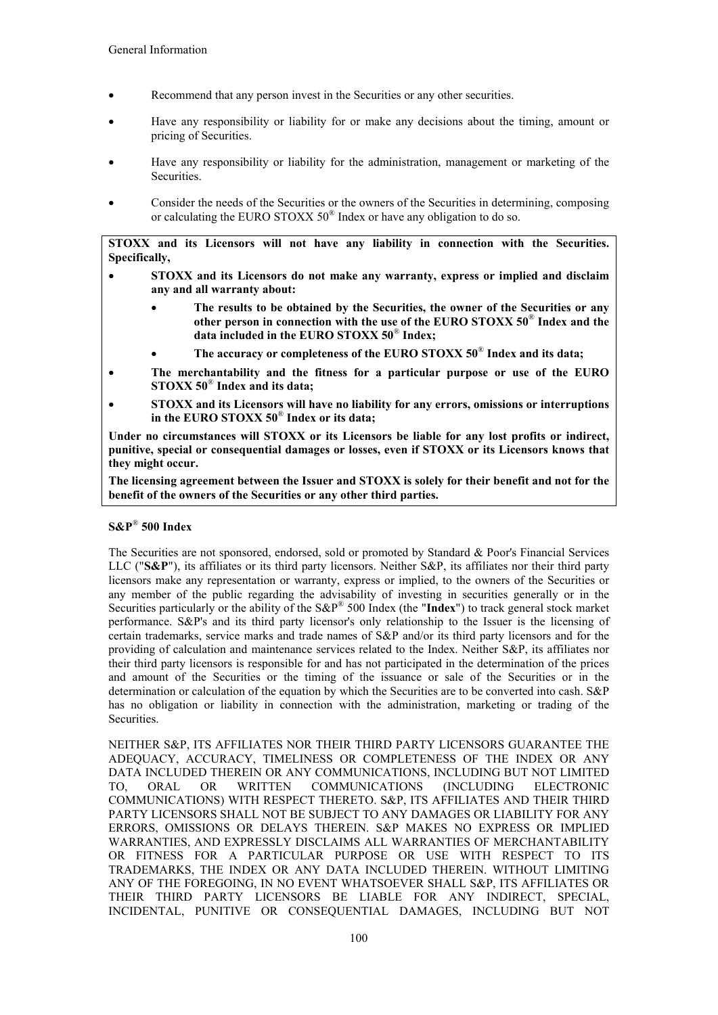- Recommend that any person invest in the Securities or any other securities.
- Have any responsibility or liability for or make any decisions about the timing, amount or pricing of Securities.
- Have any responsibility or liability for the administration, management or marketing of the **Securities**
- Consider the needs of the Securities or the owners of the Securities in determining, composing or calculating the EURO STOXX 50<sup>®</sup> Index or have any obligation to do so.

**STOXX and its Licensors will not have any liability in connection with the Securities. Specifically,**

- **STOXX and its Licensors do not make any warranty, express or implied and disclaim any and all warranty about:**
	- **The results to be obtained by the Securities, the owner of the Securities or any other person in connection with the use of the EURO STOXX 50**®  **Index and the data included in the EURO STOXX 50**®  **Index;**
	- **The accuracy or completeness of the EURO STOXX 50**®  **Index and its data;**
- **The merchantability and the fitness for a particular purpose or use of the EURO STOXX 50**®  **Index and its data;**
- **STOXX and its Licensors will have no liability for any errors, omissions or interruptions in the EURO STOXX 50**®  **Index or its data;**

**Under no circumstances will STOXX or its Licensors be liable for any lost profits or indirect, punitive, special or consequential damages or losses, even if STOXX or its Licensors knows that they might occur.**

**The licensing agreement between the Issuer and STOXX is solely for their benefit and not for the benefit of the owners of the Securities or any other third parties.**

# **S&P**®  **500 Index**

The Securities are not sponsored, endorsed, sold or promoted by Standard & Poor's Financial Services LLC ("**S&P**"), its affiliates or its third party licensors. Neither S&P, its affiliates nor their third party licensors make any representation or warranty, express or implied, to the owners of the Securities or any member of the public regarding the advisability of investing in securities generally or in the Securities particularly or the ability of the S&P® 500 Index (the "**Index**") to track general stock market performance. S&P's and its third party licensor's only relationship to the Issuer is the licensing of certain trademarks, service marks and trade names of S&P and/or its third party licensors and for the providing of calculation and maintenance services related to the Index. Neither S&P, its affiliates nor their third party licensors is responsible for and has not participated in the determination of the prices and amount of the Securities or the timing of the issuance or sale of the Securities or in the determination or calculation of the equation by which the Securities are to be converted into cash. S&P has no obligation or liability in connection with the administration, marketing or trading of the Securities.

NEITHER S&P, ITS AFFILIATES NOR THEIR THIRD PARTY LICENSORS GUARANTEE THE ADEQUACY, ACCURACY, TIMELINESS OR COMPLETENESS OF THE INDEX OR ANY DATA INCLUDED THEREIN OR ANY COMMUNICATIONS, INCLUDING BUT NOT LIMITED TO, ORAL OR WRITTEN COMMUNICATIONS (INCLUDING ELECTRONIC COMMUNICATIONS) WITH RESPECT THERETO. S&P, ITS AFFILIATES AND THEIR THIRD PARTY LICENSORS SHALL NOT BE SUBJECT TO ANY DAMAGES OR LIABILITY FOR ANY ERRORS, OMISSIONS OR DELAYS THEREIN. S&P MAKES NO EXPRESS OR IMPLIED WARRANTIES, AND EXPRESSLY DISCLAIMS ALL WARRANTIES OF MERCHANTABILITY OR FITNESS FOR A PARTICULAR PURPOSE OR USE WITH RESPECT TO ITS TRADEMARKS, THE INDEX OR ANY DATA INCLUDED THEREIN. WITHOUT LIMITING ANY OF THE FOREGOING, IN NO EVENT WHATSOEVER SHALL S&P, ITS AFFILIATES OR THEIR THIRD PARTY LICENSORS BE LIABLE FOR ANY INDIRECT, SPECIAL, INCIDENTAL, PUNITIVE OR CONSEQUENTIAL DAMAGES, INCLUDING BUT NOT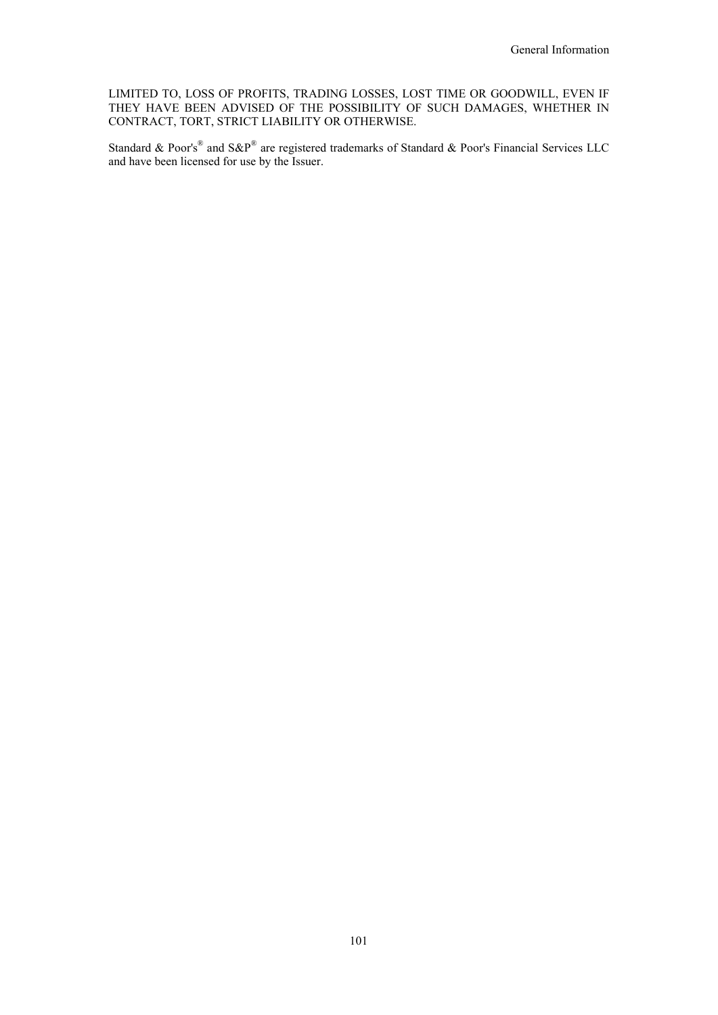LIMITED TO, LOSS OF PROFITS, TRADING LOSSES, LOST TIME OR GOODWILL, EVEN IF THEY HAVE BEEN ADVISED OF THE POSSIBILITY OF SUCH DAMAGES, WHETHER IN CONTRACT, TORT, STRICT LIABILITY OR OTHERWISE.

Standard & Poor's<sup>®</sup> and S&P<sup>®</sup> are registered trademarks of Standard & Poor's Financial Services LLC and have been licensed for use by the Issuer.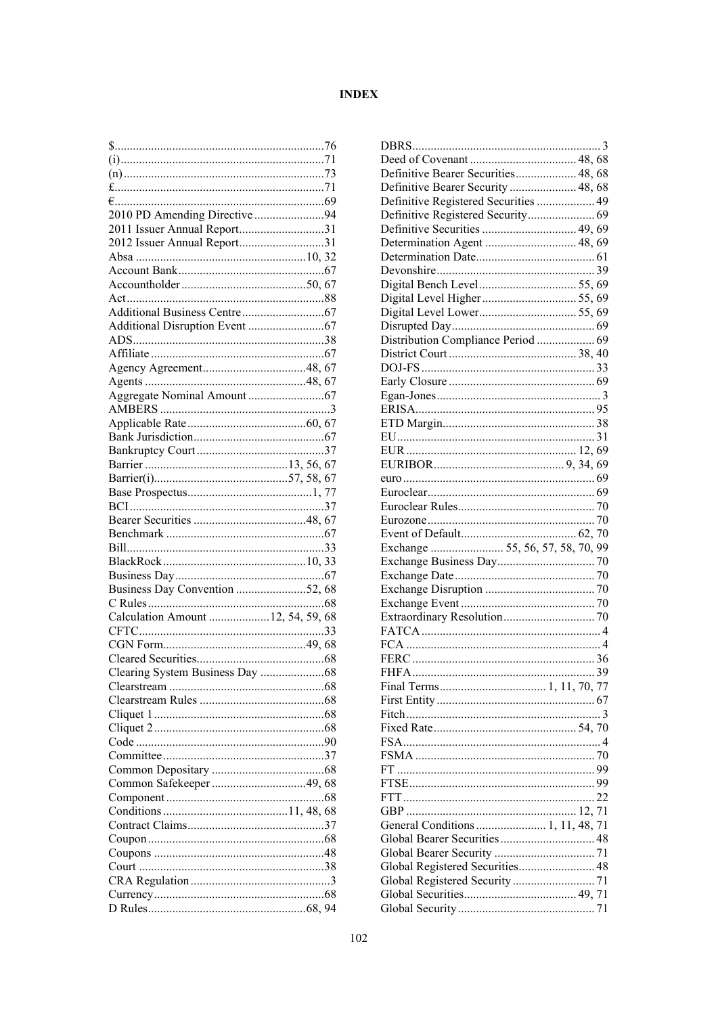# **INDEX**

| 2011 Issuer Annual Report31        |  |  |
|------------------------------------|--|--|
| 2012 Issuer Annual Report31        |  |  |
|                                    |  |  |
|                                    |  |  |
|                                    |  |  |
|                                    |  |  |
|                                    |  |  |
|                                    |  |  |
|                                    |  |  |
|                                    |  |  |
|                                    |  |  |
|                                    |  |  |
|                                    |  |  |
|                                    |  |  |
|                                    |  |  |
|                                    |  |  |
|                                    |  |  |
|                                    |  |  |
|                                    |  |  |
|                                    |  |  |
|                                    |  |  |
|                                    |  |  |
|                                    |  |  |
|                                    |  |  |
|                                    |  |  |
|                                    |  |  |
|                                    |  |  |
| Business Day Convention 52, 68     |  |  |
|                                    |  |  |
| Calculation Amount  12, 54, 59, 68 |  |  |
|                                    |  |  |
|                                    |  |  |
|                                    |  |  |
|                                    |  |  |
|                                    |  |  |
|                                    |  |  |
|                                    |  |  |
|                                    |  |  |
|                                    |  |  |
|                                    |  |  |
|                                    |  |  |
|                                    |  |  |
|                                    |  |  |
|                                    |  |  |
|                                    |  |  |
|                                    |  |  |
|                                    |  |  |
|                                    |  |  |
|                                    |  |  |
|                                    |  |  |
|                                    |  |  |
|                                    |  |  |

| Definitive Bearer Securities 48, 68  |  |
|--------------------------------------|--|
| Definitive Bearer Security  48, 68   |  |
| Definitive Registered Securities  49 |  |
| Definitive Registered Security 69    |  |
| Definitive Securities  49, 69        |  |
| Determination Agent  48, 69          |  |
|                                      |  |
|                                      |  |
|                                      |  |
|                                      |  |
|                                      |  |
|                                      |  |
|                                      |  |
| Distribution Compliance Period  69   |  |
|                                      |  |
|                                      |  |
|                                      |  |
|                                      |  |
|                                      |  |
|                                      |  |
|                                      |  |
|                                      |  |
|                                      |  |
|                                      |  |
|                                      |  |
|                                      |  |
|                                      |  |
|                                      |  |
|                                      |  |
|                                      |  |
| Exchange  55, 56, 57, 58, 70, 99     |  |
|                                      |  |
|                                      |  |
|                                      |  |
|                                      |  |
|                                      |  |
|                                      |  |
|                                      |  |
|                                      |  |
|                                      |  |
|                                      |  |
|                                      |  |
|                                      |  |
|                                      |  |
|                                      |  |
|                                      |  |
|                                      |  |
|                                      |  |
|                                      |  |
|                                      |  |
| General Conditions  1, 11, 48, 71    |  |
|                                      |  |
|                                      |  |
|                                      |  |
| Global Registered Securities 48      |  |
|                                      |  |
|                                      |  |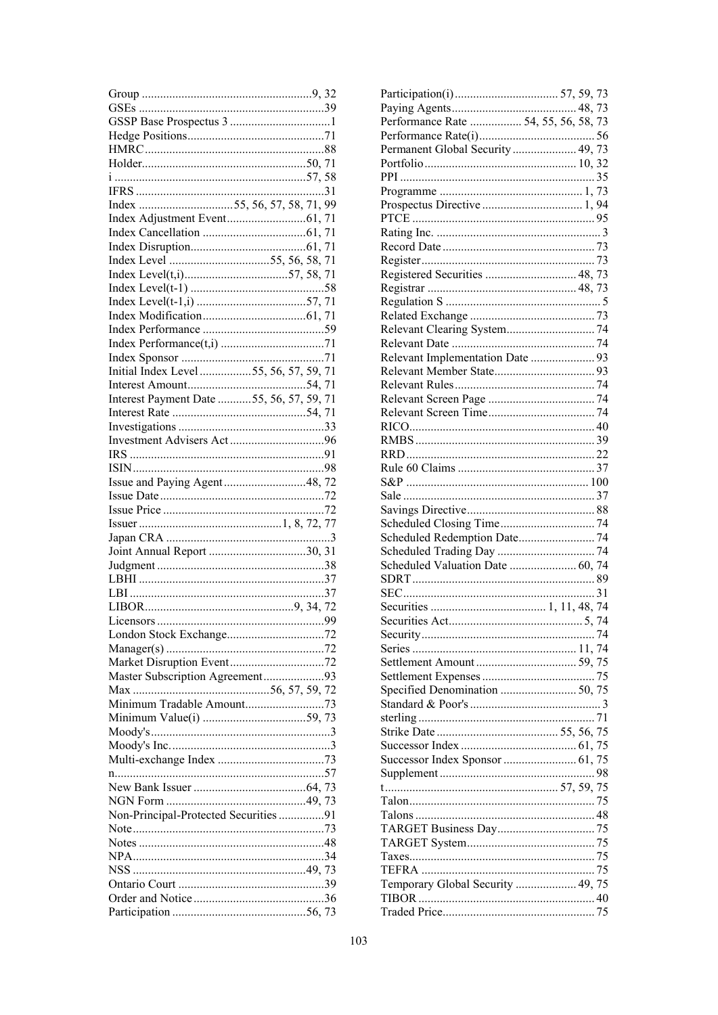| Initial Index Level 55, 56, 57, 59, 71   |  |
|------------------------------------------|--|
|                                          |  |
| Interest Payment Date 55, 56, 57, 59, 71 |  |
|                                          |  |
|                                          |  |
|                                          |  |
|                                          |  |
|                                          |  |
|                                          |  |
|                                          |  |
|                                          |  |
| Issue and Paying Agent48, 72             |  |
|                                          |  |
|                                          |  |
|                                          |  |
|                                          |  |
|                                          |  |
|                                          |  |
|                                          |  |
|                                          |  |
|                                          |  |
|                                          |  |
|                                          |  |
|                                          |  |
|                                          |  |
|                                          |  |
|                                          |  |
|                                          |  |
| Master Subscription Agreement93          |  |
|                                          |  |
|                                          |  |
|                                          |  |
|                                          |  |
|                                          |  |
|                                          |  |
|                                          |  |
|                                          |  |
|                                          |  |
|                                          |  |
|                                          |  |
| Non-Principal-Protected Securities91     |  |
|                                          |  |
|                                          |  |
|                                          |  |
|                                          |  |
|                                          |  |
|                                          |  |
|                                          |  |

| Performance Rate  54, 55, 56, 58, 73 |  |  |
|--------------------------------------|--|--|
|                                      |  |  |
| Permanent Global Security  49, 73    |  |  |
|                                      |  |  |
|                                      |  |  |
|                                      |  |  |
|                                      |  |  |
|                                      |  |  |
|                                      |  |  |
|                                      |  |  |
|                                      |  |  |
|                                      |  |  |
| Registered Securities  48, 73        |  |  |
|                                      |  |  |
|                                      |  |  |
|                                      |  |  |
|                                      |  |  |
|                                      |  |  |
|                                      |  |  |
|                                      |  |  |
|                                      |  |  |
|                                      |  |  |
|                                      |  |  |
|                                      |  |  |
|                                      |  |  |
|                                      |  |  |
|                                      |  |  |
|                                      |  |  |
|                                      |  |  |
|                                      |  |  |
|                                      |  |  |
|                                      |  |  |
|                                      |  |  |
|                                      |  |  |
| Scheduled Redemption Date 74         |  |  |
|                                      |  |  |
| Scheduled Valuation Date  60, 74     |  |  |
|                                      |  |  |
|                                      |  |  |
|                                      |  |  |
|                                      |  |  |
|                                      |  |  |
|                                      |  |  |
|                                      |  |  |
|                                      |  |  |
|                                      |  |  |
|                                      |  |  |
|                                      |  |  |
|                                      |  |  |
|                                      |  |  |
|                                      |  |  |
|                                      |  |  |
|                                      |  |  |
|                                      |  |  |
|                                      |  |  |
|                                      |  |  |
|                                      |  |  |
|                                      |  |  |
|                                      |  |  |
|                                      |  |  |
|                                      |  |  |
| Temporary Global Security  49, 75    |  |  |
|                                      |  |  |